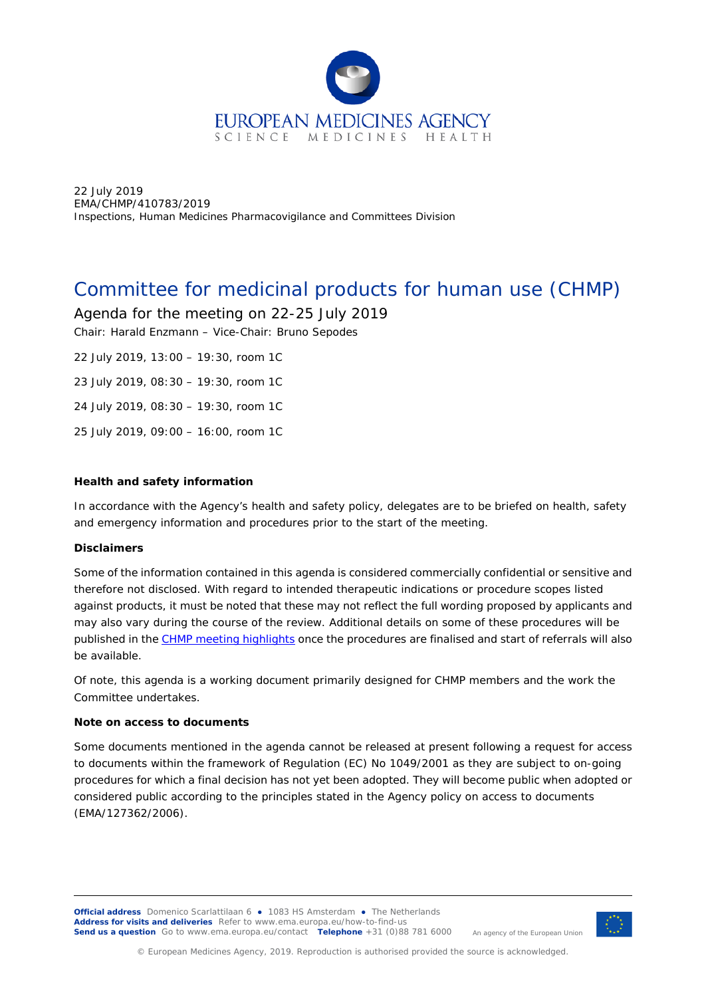

22 July 2019 EMA/CHMP/410783/2019 Inspections, Human Medicines Pharmacovigilance and Committees Division

# Committee for medicinal products for human use (CHMP)

Agenda for the meeting on 22-25 July 2019

Chair: Harald Enzmann – Vice-Chair: Bruno Sepodes

22 July 2019, 13:00 – 19:30, room 1C 23 July 2019, 08:30 – 19:30, room 1C

24 July 2019, 08:30 – 19:30, room 1C

25 July 2019, 09:00 – 16:00, room 1C

### **Health and safety information**

In accordance with the Agency's health and safety policy, delegates are to be briefed on health, safety and emergency information and procedures prior to the start of the meeting.

### **Disclaimers**

Some of the information contained in this agenda is considered commercially confidential or sensitive and therefore not disclosed. With regard to intended therapeutic indications or procedure scopes listed against products, it must be noted that these may not reflect the full wording proposed by applicants and may also vary during the course of the review. Additional details on some of these procedures will be published in the CHMP meeting highlights once the procedures are finalised and start of referrals will also be available.

Of note, this agenda is a working document primarily designed for CHMP members and the work the Committee undertakes.

### **Note on access to documents**

Some documents mentioned in the agenda cannot be released at present following a request for access to documents within the framework of Regulation (EC) No 1049/2001 as they are subject to on-going procedures for which a final decision has not yet been adopted. They will become public when adopted or considered public according to the principles stated in the Agency policy on access to documents (EMA/127362/2006).

**Official address** Domenico Scarlattilaan 6 **●** 1083 HS Amsterdam **●** The Netherlands An agency of the European Union **Address for visits and deliveries** Refer to [www.ema.europa.eu/how-to-find-us](http://www.ema.europa.eu/how-to-find-us) **Send us a question** Go to [www.ema.europa.eu/contact](http://www.ema.europa.eu/contact) **Telephone** +31 (0)88 781 6000

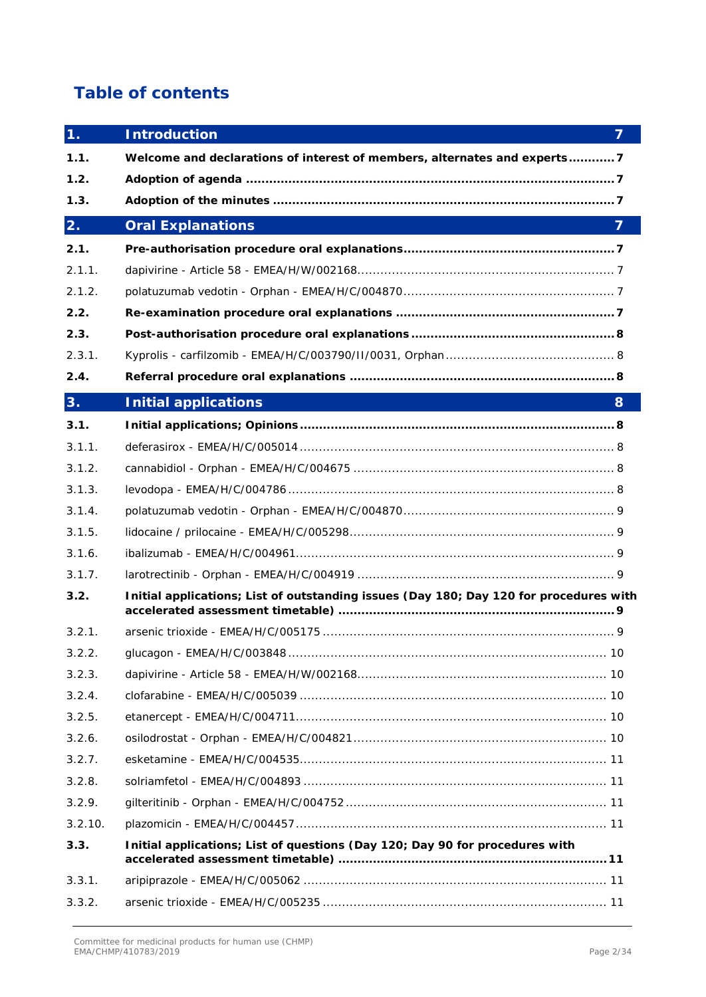# **Table of contents**

| 1 <sub>1</sub> | <b>Introduction</b><br>$\overline{7}$                                                  |
|----------------|----------------------------------------------------------------------------------------|
| 1.1.           | Welcome and declarations of interest of members, alternates and experts7               |
| 1.2.           |                                                                                        |
| 1.3.           |                                                                                        |
| 2.             | $\overline{7}$<br><b>Oral Explanations</b>                                             |
| 2.1.           |                                                                                        |
| 2.1.1.         |                                                                                        |
| 2.1.2.         |                                                                                        |
| 2.2.           |                                                                                        |
| 2.3.           |                                                                                        |
| 2.3.1.         |                                                                                        |
| 2.4.           |                                                                                        |
| 3.             | <b>Initial applications</b><br>8                                                       |
| 3.1.           |                                                                                        |
| 3.1.1.         |                                                                                        |
| 3.1.2.         |                                                                                        |
| 3.1.3.         |                                                                                        |
| 3.1.4.         |                                                                                        |
| 3.1.5.         |                                                                                        |
| 3.1.6.         |                                                                                        |
| 3.1.7.         |                                                                                        |
| 3.2.           | Initial applications; List of outstanding issues (Day 180; Day 120 for procedures with |
| 3.2.1.         |                                                                                        |
| 3.2.2.         |                                                                                        |
| 3.2.3.         |                                                                                        |
| 3.2.4.         |                                                                                        |
| 3.2.5.         |                                                                                        |
| 3.2.6.         |                                                                                        |
| 3.2.7.         |                                                                                        |
| 3.2.8.         |                                                                                        |
| 3.2.9.         |                                                                                        |
| 3.2.10.        |                                                                                        |
| 3.3.           | Initial applications; List of questions (Day 120; Day 90 for procedures with           |
| 3.3.1.         |                                                                                        |
| 3.3.2.         |                                                                                        |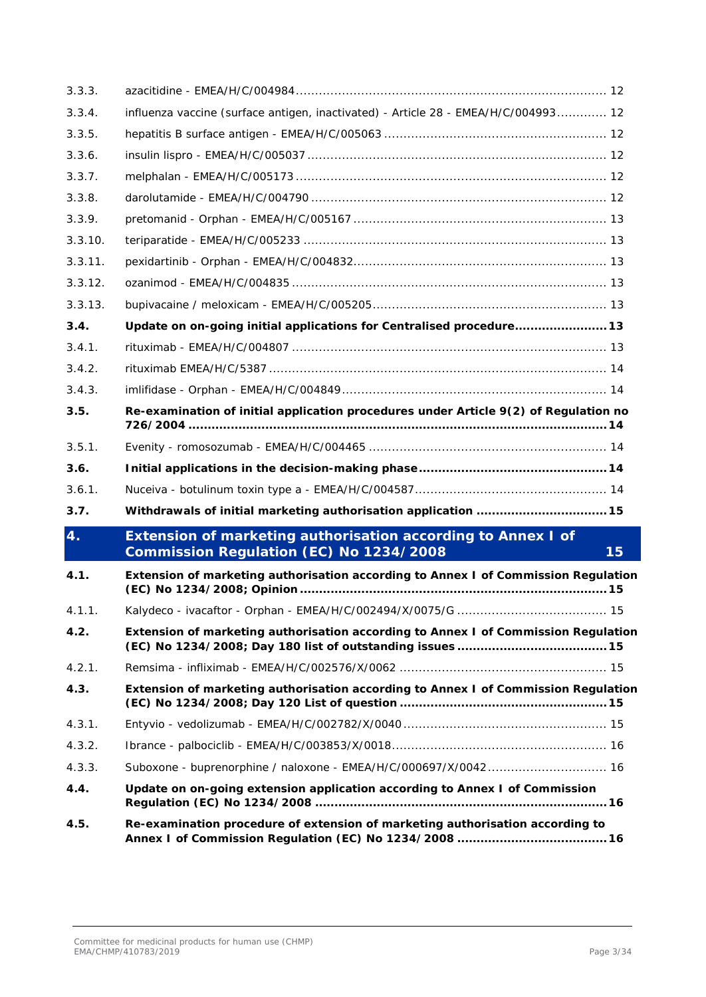| 3.3.3.  |                                                                                                                      |
|---------|----------------------------------------------------------------------------------------------------------------------|
| 3.3.4.  | influenza vaccine (surface antigen, inactivated) - Article 28 - EMEA/H/C/004993 12                                   |
| 3.3.5.  |                                                                                                                      |
| 3.3.6.  |                                                                                                                      |
| 3.3.7.  |                                                                                                                      |
| 3.3.8.  |                                                                                                                      |
| 3.3.9.  |                                                                                                                      |
| 3.3.10. |                                                                                                                      |
| 3.3.11. |                                                                                                                      |
| 3.3.12. |                                                                                                                      |
| 3.3.13. |                                                                                                                      |
| 3.4.    | Update on on-going initial applications for Centralised procedure 13                                                 |
| 3.4.1.  |                                                                                                                      |
| 3.4.2.  |                                                                                                                      |
| 3.4.3.  |                                                                                                                      |
| 3.5.    | Re-examination of initial application procedures under Article 9(2) of Regulation no                                 |
| 3.5.1.  |                                                                                                                      |
| 3.6.    |                                                                                                                      |
| 3.6.1.  |                                                                                                                      |
| 3.7.    | Withdrawals of initial marketing authorisation application  15                                                       |
| 4.      | Extension of marketing authorisation according to Annex I of<br><b>Commission Regulation (EC) No 1234/2008</b><br>15 |
| 4.1.    | Extension of marketing authorisation according to Annex I of Commission Regulation                                   |
| 4.1.1.  |                                                                                                                      |
| 4.2.    | Extension of marketing authorisation according to Annex I of Commission Regulation                                   |
| 4.2.1.  |                                                                                                                      |
| 4.3.    | Extension of marketing authorisation according to Annex I of Commission Regulation                                   |
| 4.3.1.  |                                                                                                                      |
| 4.3.2.  |                                                                                                                      |
| 4.3.3.  |                                                                                                                      |
| 4.4.    | Update on on-going extension application according to Annex I of Commission                                          |
| 4.5.    | Re-examination procedure of extension of marketing authorisation according to                                        |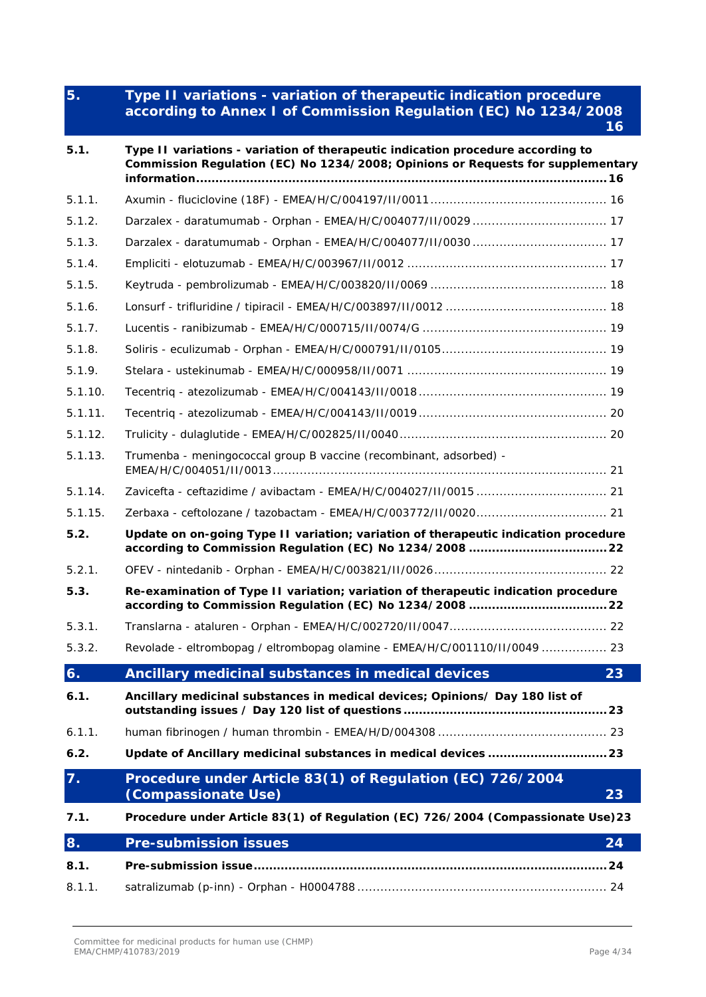# **5. Type II variations - [variation of therapeutic indication procedure](#page-15-4)  [according to Annex I of Commission Regulation \(EC\) No 1234/2008](#page-15-4) [16](#page-15-4)**

| 5.1.    | Type II variations - variation of therapeutic indication procedure according to<br>Commission Regulation (EC) No 1234/2008; Opinions or Requests for supplementary |
|---------|--------------------------------------------------------------------------------------------------------------------------------------------------------------------|
| 5.1.1.  |                                                                                                                                                                    |
| 5.1.2.  |                                                                                                                                                                    |
| 5.1.3.  |                                                                                                                                                                    |
| 5.1.4.  |                                                                                                                                                                    |
| 5.1.5.  |                                                                                                                                                                    |
| 5.1.6.  |                                                                                                                                                                    |
| 5.1.7.  |                                                                                                                                                                    |
| 5.1.8.  |                                                                                                                                                                    |
| 5.1.9.  |                                                                                                                                                                    |
| 5.1.10. |                                                                                                                                                                    |
| 5.1.11. |                                                                                                                                                                    |
| 5.1.12. |                                                                                                                                                                    |
| 5.1.13. | Trumenba - meningococcal group B vaccine (recombinant, adsorbed) -                                                                                                 |
| 5.1.14. |                                                                                                                                                                    |
| 5.1.15. |                                                                                                                                                                    |
| 5.2.    | Update on on-going Type II variation; variation of therapeutic indication procedure                                                                                |
| 5.2.1.  |                                                                                                                                                                    |
| 5.3.    | Re-examination of Type II variation; variation of therapeutic indication procedure                                                                                 |
| 5.3.1.  |                                                                                                                                                                    |
| 5.3.2.  | Revolade - eltrombopag / eltrombopag olamine - EMEA/H/C/001110/II/0049  23                                                                                         |
| 6.      | Ancillary medicinal substances in medical devices<br>23                                                                                                            |
| 6.1.    | Ancillary medicinal substances in medical devices; Opinions/ Day 180 list of                                                                                       |
| 6.1.1.  |                                                                                                                                                                    |
| 6.2.    |                                                                                                                                                                    |
| 7.      | Procedure under Article 83(1) of Regulation (EC) 726/2004<br>(Compassionate Use)<br>23                                                                             |
| 7.1.    | Procedure under Article 83(1) of Regulation (EC) 726/2004 (Compassionate Use)23                                                                                    |
| 8.      | <b>Pre-submission issues</b><br>24                                                                                                                                 |
| 8.1.    |                                                                                                                                                                    |
| 8.1.1.  |                                                                                                                                                                    |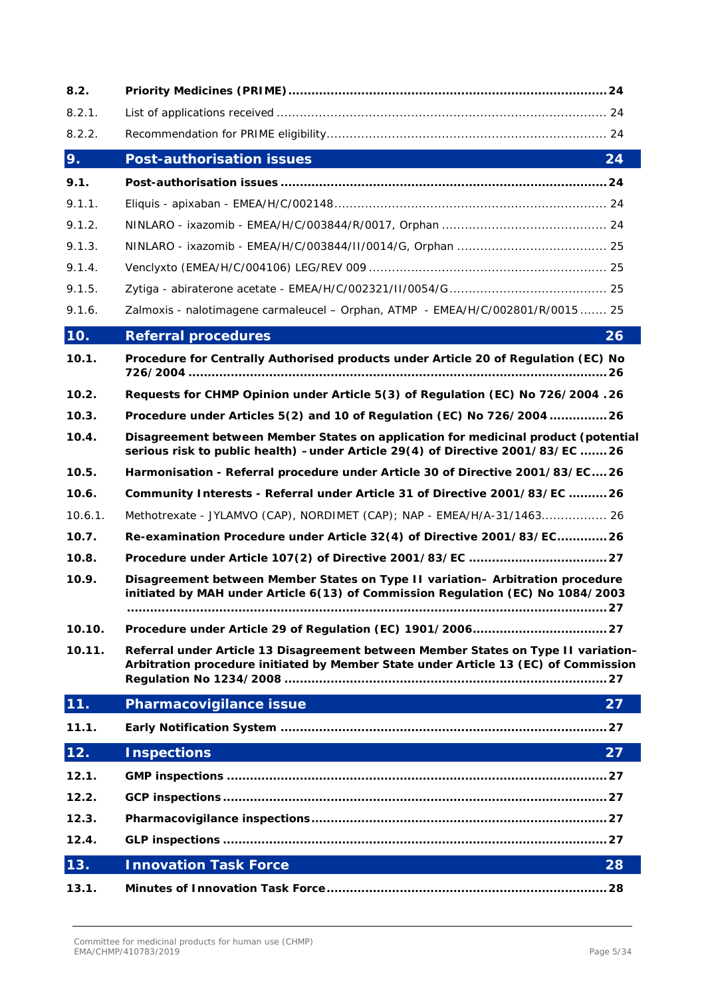| 8.2.    |                                                                                                                                                                           |
|---------|---------------------------------------------------------------------------------------------------------------------------------------------------------------------------|
| 8.2.1.  |                                                                                                                                                                           |
| 8.2.2.  |                                                                                                                                                                           |
| 9.      | Post-authorisation issues<br>24                                                                                                                                           |
| 9.1.    |                                                                                                                                                                           |
| 9.1.1.  |                                                                                                                                                                           |
| 9.1.2.  |                                                                                                                                                                           |
| 9.1.3.  |                                                                                                                                                                           |
| 9.1.4.  |                                                                                                                                                                           |
| 9.1.5.  |                                                                                                                                                                           |
| 9.1.6.  | Zalmoxis - nalotimagene carmaleucel - Orphan, ATMP - EMEA/H/C/002801/R/0015  25                                                                                           |
| 10.     | <b>Referral procedures</b><br>26                                                                                                                                          |
| 10.1.   | Procedure for Centrally Authorised products under Article 20 of Regulation (EC) No                                                                                        |
| 10.2.   | Requests for CHMP Opinion under Article 5(3) of Regulation (EC) No 726/2004 . 26                                                                                          |
| 10.3.   | Procedure under Articles 5(2) and 10 of Regulation (EC) No 726/2004  26                                                                                                   |
| 10.4.   | Disagreement between Member States on application for medicinal product (potential<br>serious risk to public health) -under Article 29(4) of Directive 2001/83/EC 26      |
| 10.5.   | Harmonisation - Referral procedure under Article 30 of Directive 2001/83/EC26                                                                                             |
| 10.6.   | Community Interests - Referral under Article 31 of Directive 2001/83/EC  26                                                                                               |
| 10.6.1. | Methotrexate - JYLAMVO (CAP), NORDIMET (CAP); NAP - EMEA/H/A-31/1463 26                                                                                                   |
| 10.7.   | Re-examination Procedure under Article 32(4) of Directive 2001/83/EC 26                                                                                                   |
| 10.8.   |                                                                                                                                                                           |
| 10.9.   | Disagreement between Member States on Type II variation- Arbitration procedure<br>initiated by MAH under Article 6(13) of Commission Regulation (EC) No 1084/2003         |
| 10.10.  |                                                                                                                                                                           |
| 10.11.  | Referral under Article 13 Disagreement between Member States on Type II variation-<br>Arbitration procedure initiated by Member State under Article 13 (EC) of Commission |
| 11.     | Pharmacovigilance issue<br>27                                                                                                                                             |
| 11.1.   |                                                                                                                                                                           |
| 12.     | <b>Inspections</b><br>27                                                                                                                                                  |
| 12.1.   |                                                                                                                                                                           |
| 12.2.   |                                                                                                                                                                           |
| 12.3.   |                                                                                                                                                                           |
| 12.4.   |                                                                                                                                                                           |
| 13.     | <b>Innovation Task Force</b><br>28                                                                                                                                        |
| 13.1.   |                                                                                                                                                                           |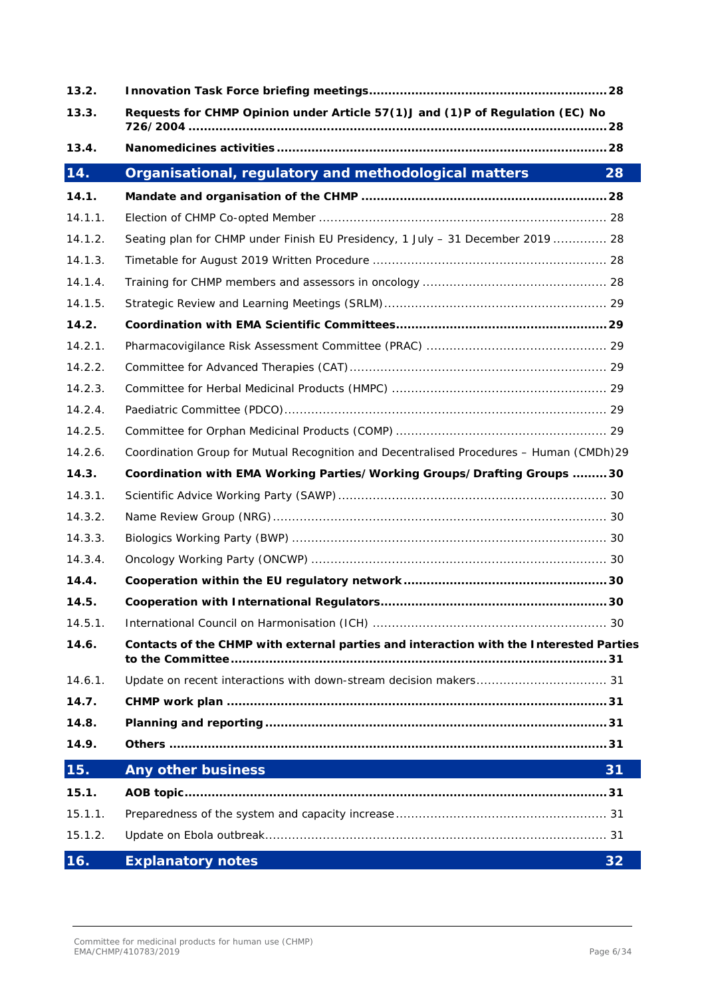| 13.2.   |                                                                                         |
|---------|-----------------------------------------------------------------------------------------|
| 13.3.   | Requests for CHMP Opinion under Article 57(1)J and (1)P of Regulation (EC) No           |
| 13.4.   |                                                                                         |
| 14.     | Organisational, regulatory and methodological matters<br>28                             |
| 14.1.   |                                                                                         |
| 14.1.1. |                                                                                         |
| 14.1.2. | Seating plan for CHMP under Finish EU Presidency, 1 July - 31 December 2019  28         |
| 14.1.3. |                                                                                         |
| 14.1.4. |                                                                                         |
| 14.1.5. |                                                                                         |
| 14.2.   |                                                                                         |
| 14.2.1. |                                                                                         |
| 14.2.2. |                                                                                         |
| 14.2.3. |                                                                                         |
| 14.2.4. |                                                                                         |
| 14.2.5. |                                                                                         |
| 14.2.6. | Coordination Group for Mutual Recognition and Decentralised Procedures - Human (CMDh)29 |
| 14.3.   | Coordination with EMA Working Parties/Working Groups/Drafting Groups  30                |
| 14.3.1. |                                                                                         |
| 14.3.2. |                                                                                         |
| 14.3.3. |                                                                                         |
| 14.3.4. |                                                                                         |
| 14.4.   |                                                                                         |
| 14.5.   |                                                                                         |
| 14.5.1. |                                                                                         |
| 14.6.   | Contacts of the CHMP with external parties and interaction with the Interested Parties  |
| 14.6.1. |                                                                                         |
| 14.7.   |                                                                                         |
| 14.8.   |                                                                                         |
| 14.9.   |                                                                                         |
| 15.     | <b>Any other business</b><br>31                                                         |
| 15.1.   |                                                                                         |
| 15.1.1. |                                                                                         |
| 15.1.2. |                                                                                         |
| 16.     | <b>Explanatory notes</b><br>32                                                          |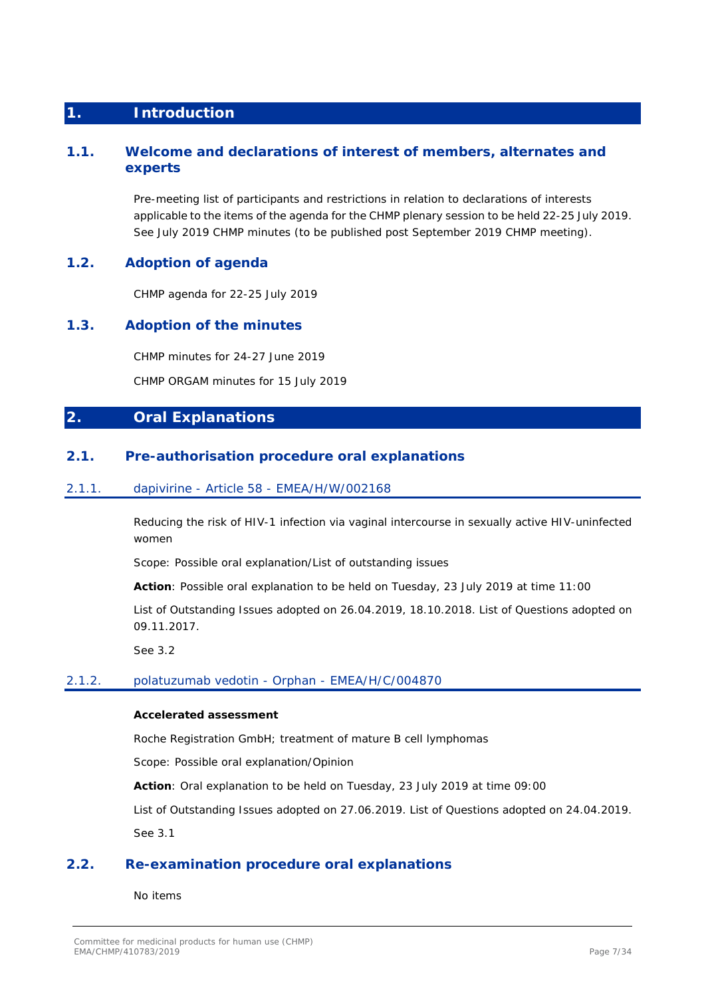# <span id="page-6-0"></span>**1. Introduction**

# <span id="page-6-1"></span>**1.1. Welcome and declarations of interest of members, alternates and experts**

Pre-meeting list of participants and restrictions in relation to declarations of interests applicable to the items of the agenda for the CHMP plenary session to be held 22-25 July 2019. See July 2019 CHMP minutes (to be published post September 2019 CHMP meeting).

# <span id="page-6-2"></span>**1.2. Adoption of agenda**

CHMP agenda for 22-25 July 2019

# <span id="page-6-3"></span>**1.3. Adoption of the minutes**

CHMP minutes for 24-27 June 2019

CHMP ORGAM minutes for 15 July 2019

# <span id="page-6-4"></span>**2. Oral Explanations**

# <span id="page-6-5"></span>**2.1. Pre-authorisation procedure oral explanations**

### <span id="page-6-6"></span>2.1.1. dapivirine - Article 58 - EMEA/H/W/002168

Reducing the risk of HIV-1 infection via vaginal intercourse in sexually active HIV-uninfected women

Scope: Possible oral explanation/List of outstanding issues

**Action**: Possible oral explanation to be held on Tuesday, 23 July 2019 at time 11:00

List of Outstanding Issues adopted on 26.04.2019, 18.10.2018. List of Questions adopted on 09.11.2017.

See 3.2

### <span id="page-6-7"></span>2.1.2. polatuzumab vedotin - Orphan - EMEA/H/C/004870

### **Accelerated assessment**

Roche Registration GmbH; treatment of mature B cell lymphomas

Scope: Possible oral explanation/Opinion

**Action**: Oral explanation to be held on Tuesday, 23 July 2019 at time 09:00

List of Outstanding Issues adopted on 27.06.2019. List of Questions adopted on 24.04.2019. See 3.1

# <span id="page-6-8"></span>**2.2. Re-examination procedure oral explanations**

No items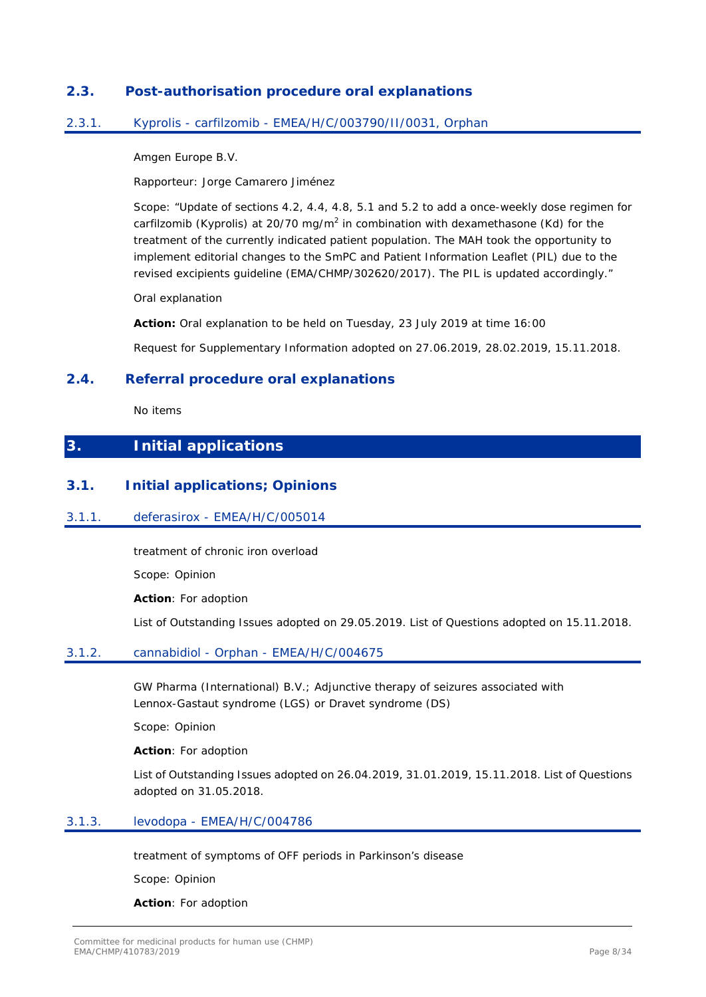# <span id="page-7-0"></span>**2.3. Post-authorisation procedure oral explanations**

### <span id="page-7-1"></span>2.3.1. Kyprolis - carfilzomib - EMEA/H/C/003790/II/0031, Orphan

Amgen Europe B.V.

Rapporteur: Jorge Camarero Jiménez

Scope: "Update of sections 4.2, 4.4, 4.8, 5.1 and 5.2 to add a once-weekly dose regimen for carfilzomib (Kyprolis) at 20/70 mg/m<sup>2</sup> in combination with dexamethasone (Kd) for the treatment of the currently indicated patient population. The MAH took the opportunity to implement editorial changes to the SmPC and Patient Information Leaflet (PIL) due to the revised excipients guideline (EMA/CHMP/302620/2017). The PIL is updated accordingly."

Oral explanation

**Action:** Oral explanation to be held on Tuesday, 23 July 2019 at time 16:00 Request for Supplementary Information adopted on 27.06.2019, 28.02.2019, 15.11.2018.

# <span id="page-7-2"></span>**2.4. Referral procedure oral explanations**

No items

# <span id="page-7-3"></span>**3. Initial applications**

# <span id="page-7-4"></span>**3.1. Initial applications; Opinions**

### <span id="page-7-5"></span>3.1.1. deferasirox - EMEA/H/C/005014

treatment of chronic iron overload

Scope: Opinion

**Action**: For adoption

List of Outstanding Issues adopted on 29.05.2019. List of Questions adopted on 15.11.2018.

### <span id="page-7-6"></span>3.1.2. cannabidiol - Orphan - EMEA/H/C/004675

GW Pharma (International) B.V.; Adjunctive therapy of seizures associated with Lennox-Gastaut syndrome (LGS) or Dravet syndrome (DS)

Scope: Opinion

**Action**: For adoption

List of Outstanding Issues adopted on 26.04.2019, 31.01.2019, 15.11.2018. List of Questions adopted on 31.05.2018.

### <span id="page-7-7"></span>3.1.3. levodopa - EMEA/H/C/004786

treatment of symptoms of OFF periods in Parkinson's disease

Scope: Opinion

**Action**: For adoption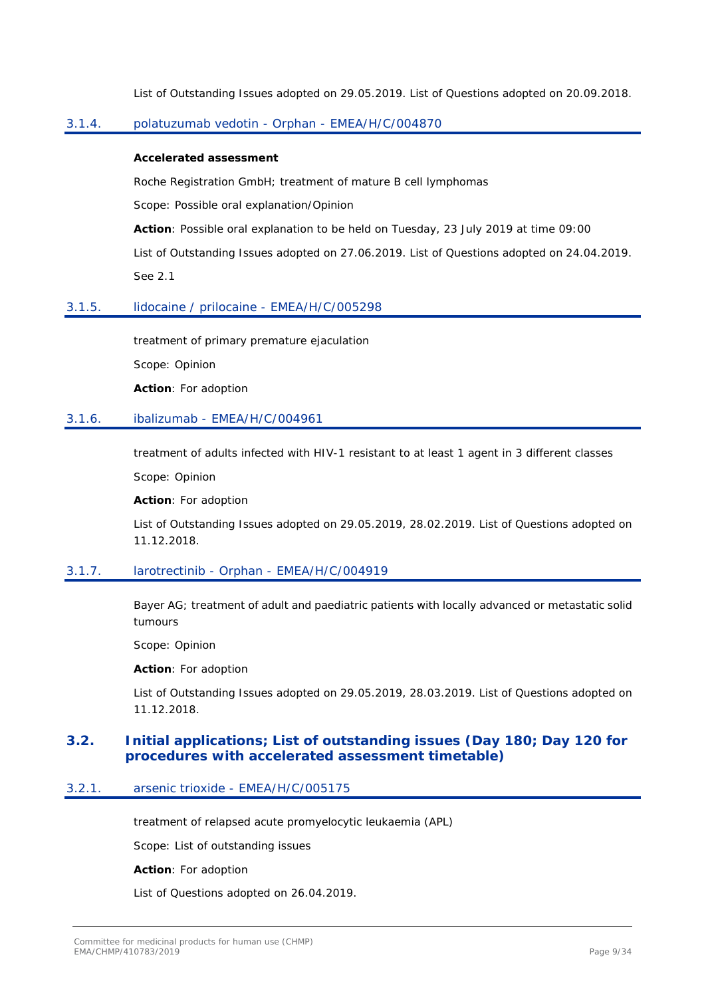List of Outstanding Issues adopted on 29.05.2019. List of Questions adopted on 20.09.2018.

# <span id="page-8-0"></span>3.1.4. polatuzumab vedotin - Orphan - EMEA/H/C/004870

### **Accelerated assessment**

Roche Registration GmbH; treatment of mature B cell lymphomas

Scope: Possible oral explanation/Opinion

**Action**: Possible oral explanation to be held on Tuesday, 23 July 2019 at time 09:00

List of Outstanding Issues adopted on 27.06.2019. List of Questions adopted on 24.04.2019. See 2.1

### <span id="page-8-1"></span>3.1.5. lidocaine / prilocaine - EMEA/H/C/005298

treatment of primary premature ejaculation

Scope: Opinion

**Action**: For adoption

### <span id="page-8-2"></span>3.1.6. ibalizumab - EMEA/H/C/004961

treatment of adults infected with HIV-1 resistant to at least 1 agent in 3 different classes

Scope: Opinion

**Action**: For adoption

List of Outstanding Issues adopted on 29.05.2019, 28.02.2019. List of Questions adopted on 11.12.2018.

### <span id="page-8-3"></span>3.1.7. larotrectinib - Orphan - EMEA/H/C/004919

Bayer AG; treatment of adult and paediatric patients with locally advanced or metastatic solid tumours

Scope: Opinion

**Action**: For adoption

List of Outstanding Issues adopted on 29.05.2019, 28.03.2019. List of Questions adopted on 11.12.2018.

### <span id="page-8-4"></span>**3.2. Initial applications; List of outstanding issues (Day 180; Day 120 for procedures with accelerated assessment timetable)**

## <span id="page-8-5"></span>3.2.1. arsenic trioxide - EMEA/H/C/005175

treatment of relapsed acute promyelocytic leukaemia (APL)

Scope: List of outstanding issues

#### **Action**: For adoption

List of Questions adopted on 26.04.2019.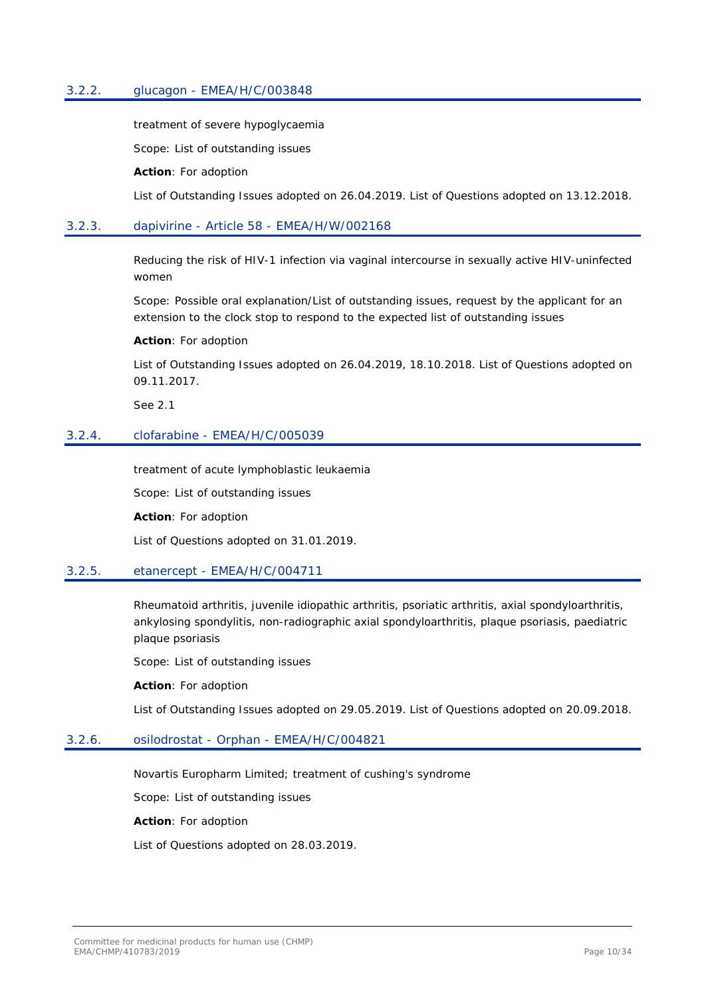### <span id="page-9-0"></span>3.2.2. glucagon - EMEA/H/C/003848

treatment of severe hypoglycaemia

Scope: List of outstanding issues

**Action**: For adoption

List of Outstanding Issues adopted on 26.04.2019. List of Questions adopted on 13.12.2018.

### <span id="page-9-1"></span>3.2.3. dapivirine - Article 58 - EMEA/H/W/002168

Reducing the risk of HIV-1 infection via vaginal intercourse in sexually active HIV-uninfected women

Scope: Possible oral explanation/List of outstanding issues, request by the applicant for an extension to the clock stop to respond to the expected list of outstanding issues

**Action**: For adoption

List of Outstanding Issues adopted on 26.04.2019, 18.10.2018. List of Questions adopted on 09.11.2017.

See 2.1

#### <span id="page-9-2"></span>3.2.4. clofarabine - EMEA/H/C/005039

treatment of acute lymphoblastic leukaemia

Scope: List of outstanding issues

**Action**: For adoption

List of Questions adopted on 31.01.2019.

### <span id="page-9-3"></span>3.2.5. etanercept - EMEA/H/C/004711

Rheumatoid arthritis, juvenile idiopathic arthritis, psoriatic arthritis, axial spondyloarthritis, ankylosing spondylitis, non-radiographic axial spondyloarthritis, plaque psoriasis, paediatric plaque psoriasis

Scope: List of outstanding issues

**Action**: For adoption

List of Outstanding Issues adopted on 29.05.2019. List of Questions adopted on 20.09.2018.

### <span id="page-9-4"></span>3.2.6. osilodrostat - Orphan - EMEA/H/C/004821

Novartis Europharm Limited; treatment of cushing's syndrome

Scope: List of outstanding issues

**Action**: For adoption

List of Questions adopted on 28.03.2019.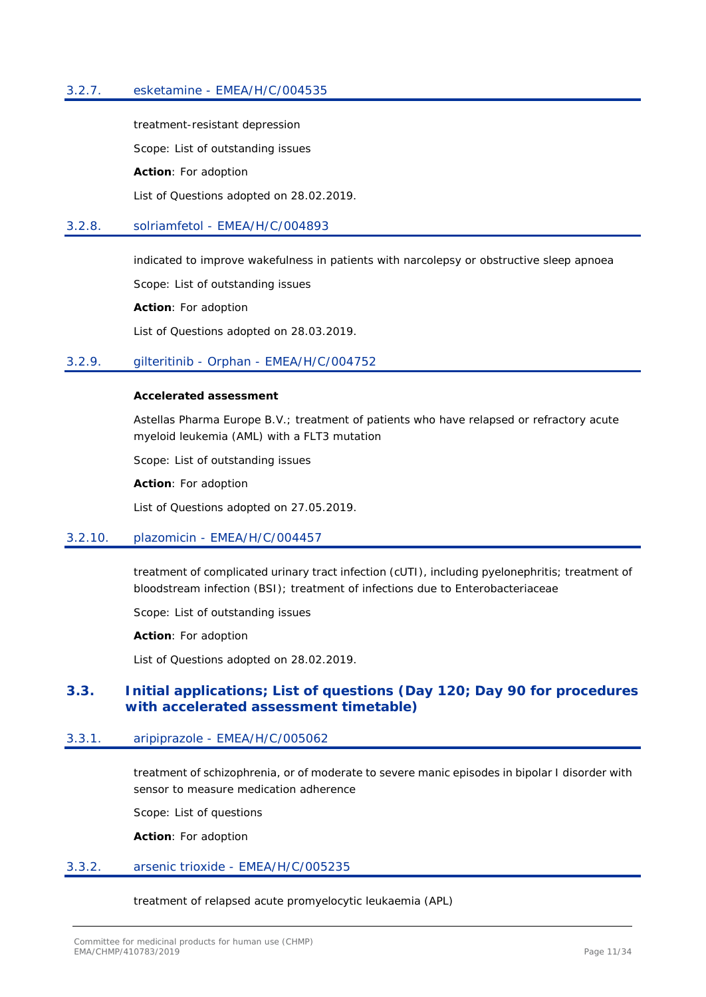### <span id="page-10-0"></span>3.2.7. esketamine - EMEA/H/C/004535

treatment-resistant depression

Scope: List of outstanding issues

**Action**: For adoption

List of Questions adopted on 28.02.2019.

#### <span id="page-10-1"></span>3.2.8. solriamfetol - EMEA/H/C/004893

indicated to improve wakefulness in patients with narcolepsy or obstructive sleep apnoea

Scope: List of outstanding issues

**Action**: For adoption

List of Questions adopted on 28.03.2019.

#### <span id="page-10-2"></span>3.2.9. gilteritinib - Orphan - EMEA/H/C/004752

#### **Accelerated assessment**

Astellas Pharma Europe B.V.; treatment of patients who have relapsed or refractory acute myeloid leukemia (AML) with a FLT3 mutation

Scope: List of outstanding issues

**Action**: For adoption

List of Questions adopted on 27.05.2019.

# <span id="page-10-3"></span>3.2.10. plazomicin - EMEA/H/C/004457

treatment of complicated urinary tract infection (cUTI), including pyelonephritis; treatment of bloodstream infection (BSI); treatment of infections due to Enterobacteriaceae

Scope: List of outstanding issues

**Action**: For adoption

List of Questions adopted on 28.02.2019.

## <span id="page-10-4"></span>**3.3. Initial applications; List of questions (Day 120; Day 90 for procedures with accelerated assessment timetable)**

### <span id="page-10-5"></span>3.3.1. aripiprazole - EMEA/H/C/005062

treatment of schizophrenia, or of moderate to severe manic episodes in bipolar I disorder with sensor to measure medication adherence

Scope: List of questions

**Action**: For adoption

#### <span id="page-10-6"></span>3.3.2. arsenic trioxide - EMEA/H/C/005235

treatment of relapsed acute promyelocytic leukaemia (APL)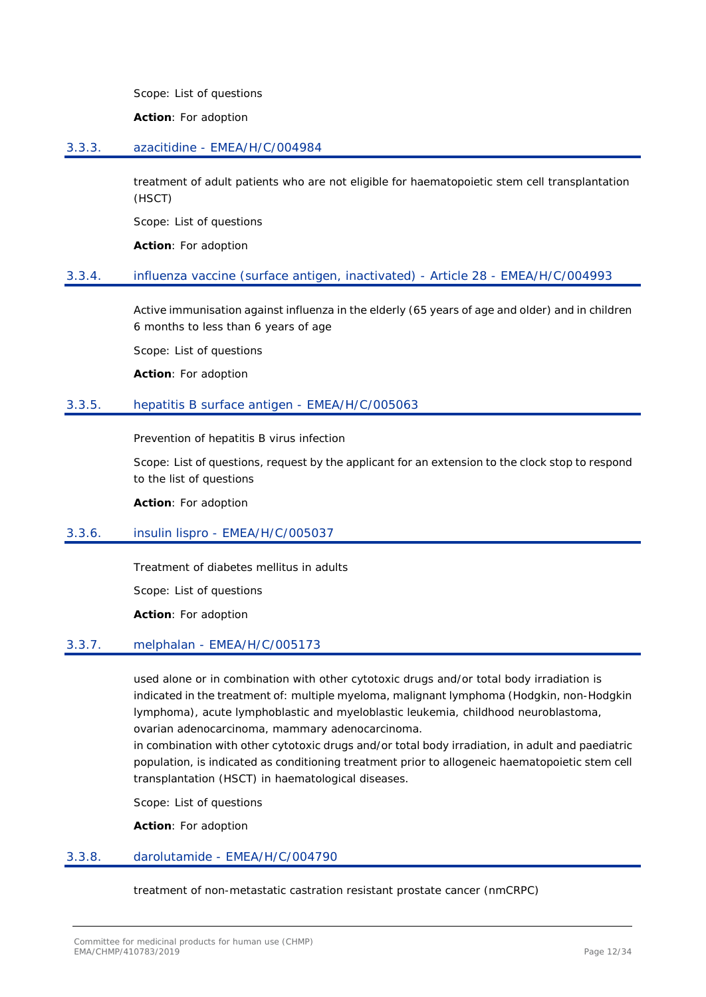Scope: List of questions

**Action**: For adoption

### <span id="page-11-0"></span>3.3.3. azacitidine - EMEA/H/C/004984

treatment of adult patients who are not eligible for haematopoietic stem cell transplantation (HSCT)

Scope: List of questions

**Action**: For adoption

### <span id="page-11-1"></span>3.3.4. influenza vaccine (surface antigen, inactivated) - Article 28 - EMEA/H/C/004993

Active immunisation against influenza in the elderly (65 years of age and older) and in children 6 months to less than 6 years of age

Scope: List of questions

**Action**: For adoption

### <span id="page-11-2"></span>3.3.5. hepatitis B surface antigen - EMEA/H/C/005063

Prevention of hepatitis B virus infection

Scope: List of questions, request by the applicant for an extension to the clock stop to respond to the list of questions

**Action**: For adoption

### <span id="page-11-3"></span>3.3.6. insulin lispro - EMEA/H/C/005037

Treatment of diabetes mellitus in adults

Scope: List of questions

**Action**: For adoption

### <span id="page-11-4"></span>3.3.7. melphalan - EMEA/H/C/005173

used alone or in combination with other cytotoxic drugs and/or total body irradiation is indicated in the treatment of: multiple myeloma, malignant lymphoma (Hodgkin, non-Hodgkin lymphoma), acute lymphoblastic and myeloblastic leukemia, childhood neuroblastoma, ovarian adenocarcinoma, mammary adenocarcinoma.

in combination with other cytotoxic drugs and/or total body irradiation, in adult and paediatric population, is indicated as conditioning treatment prior to allogeneic haematopoietic stem cell transplantation (HSCT) in haematological diseases.

Scope: List of questions

**Action**: For adoption

### <span id="page-11-5"></span>3.3.8. darolutamide - EMEA/H/C/004790

treatment of non-metastatic castration resistant prostate cancer (nmCRPC)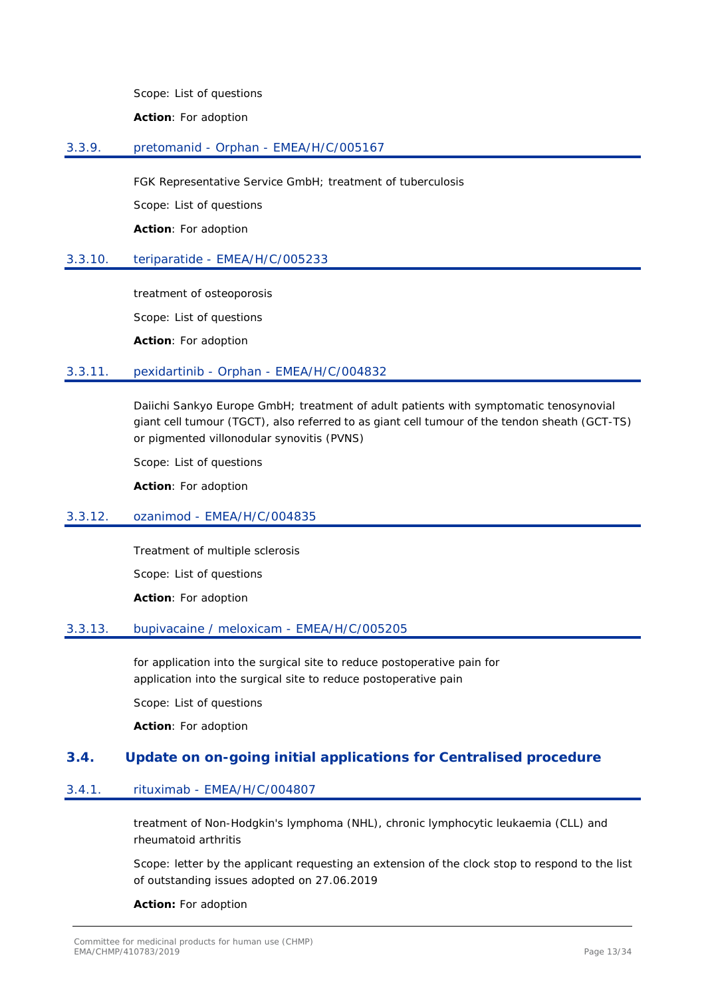Scope: List of questions

**Action**: For adoption

### <span id="page-12-0"></span>3.3.9. pretomanid - Orphan - EMEA/H/C/005167

FGK Representative Service GmbH; treatment of tuberculosis

Scope: List of questions

**Action**: For adoption

### <span id="page-12-1"></span>3.3.10. teriparatide - EMEA/H/C/005233

treatment of osteoporosis Scope: List of questions

**Action**: For adoption

### <span id="page-12-2"></span>3.3.11. pexidartinib - Orphan - EMEA/H/C/004832

Daiichi Sankyo Europe GmbH; treatment of adult patients with symptomatic tenosynovial giant cell tumour (TGCT), also referred to as giant cell tumour of the tendon sheath (GCT-TS) or pigmented villonodular synovitis (PVNS)

Scope: List of questions

**Action**: For adoption

### <span id="page-12-3"></span>3.3.12. ozanimod - EMEA/H/C/004835

Treatment of multiple sclerosis Scope: List of questions **Action**: For adoption

### <span id="page-12-4"></span>3.3.13. bupivacaine / meloxicam - EMEA/H/C/005205

for application into the surgical site to reduce postoperative pain for application into the surgical site to reduce postoperative pain

Scope: List of questions

**Action**: For adoption

# <span id="page-12-5"></span>**3.4. Update on on-going initial applications for Centralised procedure**

### <span id="page-12-6"></span>3.4.1. rituximab - EMEA/H/C/004807

treatment of Non-Hodgkin's lymphoma (NHL), chronic lymphocytic leukaemia (CLL) and rheumatoid arthritis

Scope: letter by the applicant requesting an extension of the clock stop to respond to the list of outstanding issues adopted on 27.06.2019

### **Action:** For adoption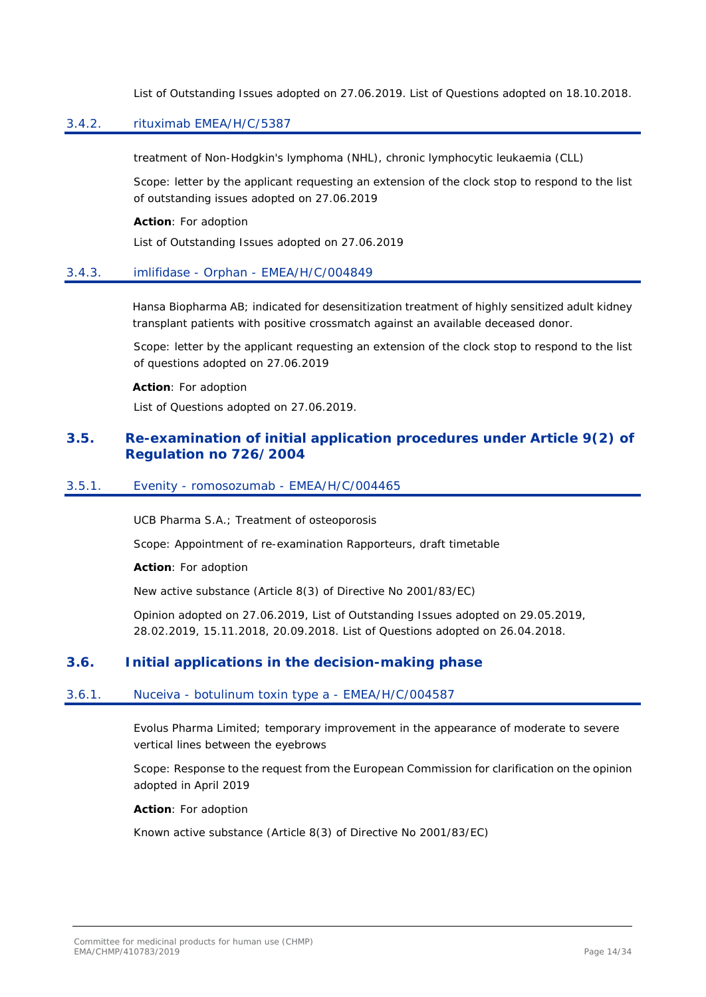List of Outstanding Issues adopted on 27.06.2019. List of Questions adopted on 18.10.2018.

# <span id="page-13-0"></span>3.4.2. rituximab EMEA/H/C/5387

treatment of Non-Hodgkin's lymphoma (NHL), chronic lymphocytic leukaemia (CLL)

Scope: letter by the applicant requesting an extension of the clock stop to respond to the list of outstanding issues adopted on 27.06.2019

**Action**: For adoption

List of Outstanding Issues adopted on 27.06.2019

### <span id="page-13-1"></span>3.4.3. imlifidase - Orphan - EMEA/H/C/004849

Hansa Biopharma AB; indicated for desensitization treatment of highly sensitized adult kidney transplant patients with positive crossmatch against an available deceased donor.

Scope: letter by the applicant requesting an extension of the clock stop to respond to the list of questions adopted on 27.06.2019

#### **Action**: For adoption

List of Questions adopted on 27.06.2019.

# <span id="page-13-2"></span>**3.5. Re-examination of initial application procedures under Article 9(2) of Regulation no 726/2004**

### <span id="page-13-3"></span>3.5.1. Evenity - romosozumab - EMEA/H/C/004465

UCB Pharma S.A.; Treatment of osteoporosis

Scope: Appointment of re-examination Rapporteurs, draft timetable

**Action**: For adoption

New active substance (Article 8(3) of Directive No 2001/83/EC)

Opinion adopted on 27.06.2019, List of Outstanding Issues adopted on 29.05.2019, 28.02.2019, 15.11.2018, 20.09.2018. List of Questions adopted on 26.04.2018.

# <span id="page-13-4"></span>**3.6. Initial applications in the decision-making phase**

### <span id="page-13-5"></span>3.6.1. Nuceiva - botulinum toxin type a - EMEA/H/C/004587

Evolus Pharma Limited; temporary improvement in the appearance of moderate to severe vertical lines between the eyebrows

Scope: Response to the request from the European Commission for clarification on the opinion adopted in April 2019

**Action**: For adoption

Known active substance (Article 8(3) of Directive No 2001/83/EC)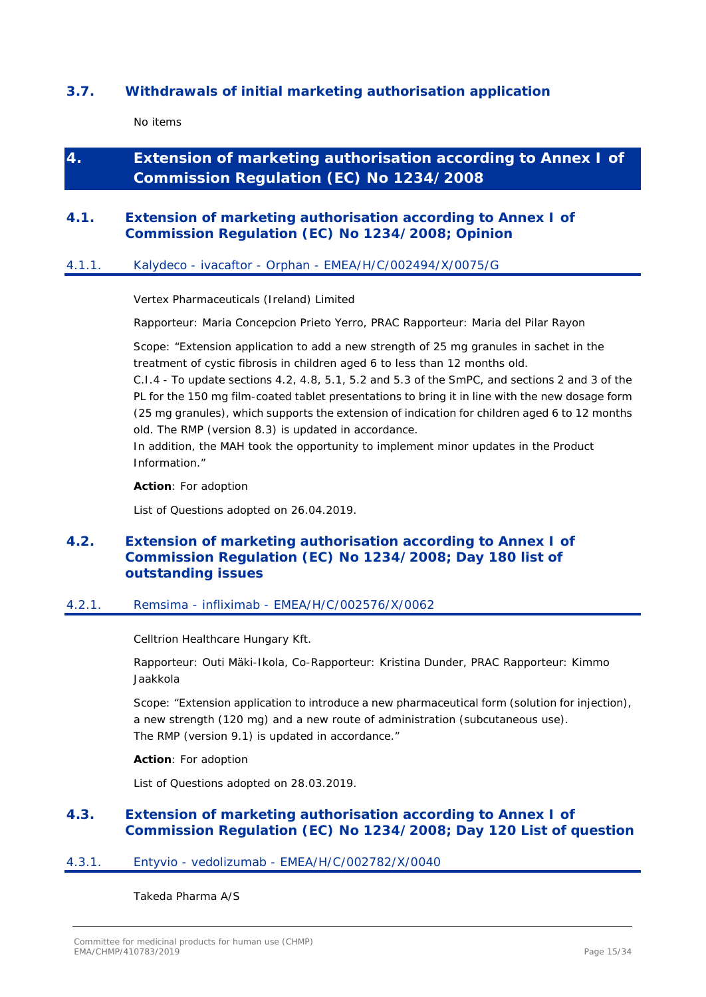# <span id="page-14-0"></span>**3.7. Withdrawals of initial marketing authorisation application**

No items

# <span id="page-14-1"></span>**4. Extension of marketing authorisation according to Annex I of Commission Regulation (EC) No 1234/2008**

# <span id="page-14-2"></span>**4.1. Extension of marketing authorisation according to Annex I of Commission Regulation (EC) No 1234/2008; Opinion**

# <span id="page-14-3"></span>4.1.1. Kalydeco - ivacaftor - Orphan - EMEA/H/C/002494/X/0075/G

Vertex Pharmaceuticals (Ireland) Limited

Rapporteur: Maria Concepcion Prieto Yerro, PRAC Rapporteur: Maria del Pilar Rayon

Scope: "Extension application to add a new strength of 25 mg granules in sachet in the treatment of cystic fibrosis in children aged 6 to less than 12 months old.

C.I.4 - To update sections 4.2, 4.8, 5.1, 5.2 and 5.3 of the SmPC, and sections 2 and 3 of the PL for the 150 mg film-coated tablet presentations to bring it in line with the new dosage form (25 mg granules), which supports the extension of indication for children aged 6 to 12 months old. The RMP (version 8.3) is updated in accordance.

In addition, the MAH took the opportunity to implement minor updates in the Product Information."

**Action**: For adoption

List of Questions adopted on 26.04.2019.

# <span id="page-14-4"></span>**4.2. Extension of marketing authorisation according to Annex I of Commission Regulation (EC) No 1234/2008; Day 180 list of outstanding issues**

### <span id="page-14-5"></span>4.2.1. Remsima - infliximab - EMEA/H/C/002576/X/0062

Celltrion Healthcare Hungary Kft.

Rapporteur: Outi Mäki-Ikola, Co-Rapporteur: Kristina Dunder, PRAC Rapporteur: Kimmo Jaakkola

Scope: "Extension application to introduce a new pharmaceutical form (solution for injection), a new strength (120 mg) and a new route of administration (subcutaneous use). The RMP (version 9.1) is updated in accordance."

### **Action**: For adoption

List of Questions adopted on 28.03.2019.

# <span id="page-14-6"></span>**4.3. Extension of marketing authorisation according to Annex I of Commission Regulation (EC) No 1234/2008; Day 120 List of question**

### <span id="page-14-7"></span>4.3.1. Entyvio - vedolizumab - EMEA/H/C/002782/X/0040

Takeda Pharma A/S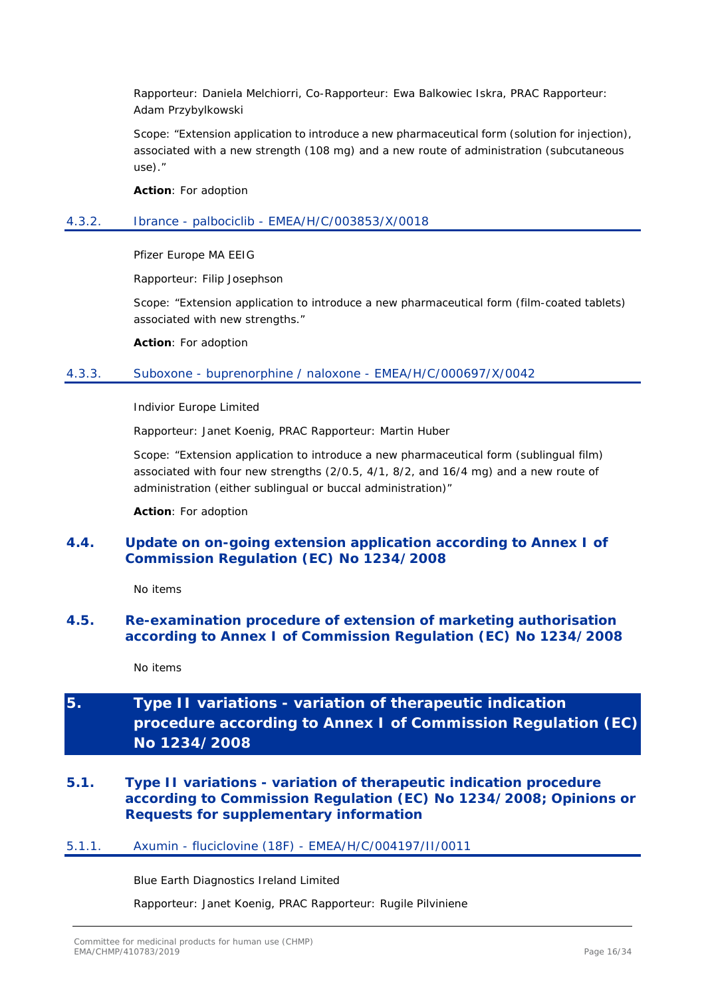Rapporteur: Daniela Melchiorri, Co-Rapporteur: Ewa Balkowiec Iskra, PRAC Rapporteur: Adam Przybylkowski

Scope: "Extension application to introduce a new pharmaceutical form (solution for injection), associated with a new strength (108 mg) and a new route of administration (subcutaneous use)."

**Action**: For adoption

### <span id="page-15-0"></span>4.3.2. Ibrance - palbociclib - EMEA/H/C/003853/X/0018

Pfizer Europe MA EEIG

Rapporteur: Filip Josephson

Scope: "Extension application to introduce a new pharmaceutical form (film-coated tablets) associated with new strengths."

**Action**: For adoption

### <span id="page-15-1"></span>4.3.3. Suboxone - buprenorphine / naloxone - EMEA/H/C/000697/X/0042

Indivior Europe Limited

Rapporteur: Janet Koenig, PRAC Rapporteur: Martin Huber

Scope: "Extension application to introduce a new pharmaceutical form (sublingual film) associated with four new strengths (2/0.5, 4/1, 8/2, and 16/4 mg) and a new route of administration (either sublingual or buccal administration)"

**Action**: For adoption

# <span id="page-15-2"></span>**4.4. Update on on-going extension application according to Annex I of Commission Regulation (EC) No 1234/2008**

No items

# <span id="page-15-3"></span>**4.5. Re-examination procedure of extension of marketing authorisation according to Annex I of Commission Regulation (EC) No 1234/2008**

No items

# <span id="page-15-4"></span>**5. Type II variations - variation of therapeutic indication procedure according to Annex I of Commission Regulation (EC) No 1234/2008**

# <span id="page-15-5"></span>**5.1. Type II variations - variation of therapeutic indication procedure according to Commission Regulation (EC) No 1234/2008; Opinions or Requests for supplementary information**

### <span id="page-15-6"></span>5.1.1. Axumin - fluciclovine (18F) - EMEA/H/C/004197/II/0011

Blue Earth Diagnostics Ireland Limited

Rapporteur: Janet Koenig, PRAC Rapporteur: Rugile Pilviniene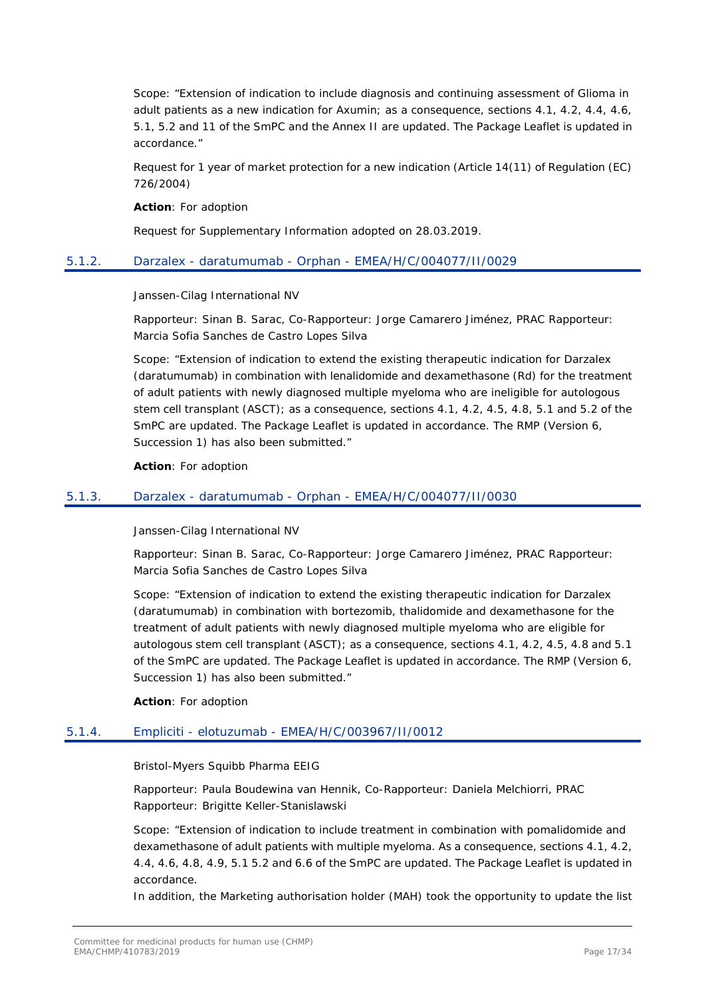Scope: "Extension of indication to include diagnosis and continuing assessment of Glioma in adult patients as a new indication for Axumin; as a consequence, sections 4.1, 4.2, 4.4, 4.6, 5.1, 5.2 and 11 of the SmPC and the Annex II are updated. The Package Leaflet is updated in accordance."

Request for 1 year of market protection for a new indication (Article 14(11) of Regulation (EC) 726/2004)

**Action**: For adoption

Request for Supplementary Information adopted on 28.03.2019.

### <span id="page-16-0"></span>5.1.2. Darzalex - daratumumab - Orphan - EMEA/H/C/004077/II/0029

Janssen-Cilag International NV

Rapporteur: Sinan B. Sarac, Co-Rapporteur: Jorge Camarero Jiménez, PRAC Rapporteur: Marcia Sofia Sanches de Castro Lopes Silva

Scope: "Extension of indication to extend the existing therapeutic indication for Darzalex (daratumumab) in combination with lenalidomide and dexamethasone (Rd) for the treatment of adult patients with newly diagnosed multiple myeloma who are ineligible for autologous stem cell transplant (ASCT); as a consequence, sections 4.1, 4.2, 4.5, 4.8, 5.1 and 5.2 of the SmPC are updated. The Package Leaflet is updated in accordance. The RMP (Version 6, Succession 1) has also been submitted."

**Action**: For adoption

### <span id="page-16-1"></span>5.1.3. Darzalex - daratumumab - Orphan - EMEA/H/C/004077/II/0030

Janssen-Cilag International NV

Rapporteur: Sinan B. Sarac, Co-Rapporteur: Jorge Camarero Jiménez, PRAC Rapporteur: Marcia Sofia Sanches de Castro Lopes Silva

Scope: "Extension of indication to extend the existing therapeutic indication for Darzalex (daratumumab) in combination with bortezomib, thalidomide and dexamethasone for the treatment of adult patients with newly diagnosed multiple myeloma who are eligible for autologous stem cell transplant (ASCT); as a consequence, sections 4.1, 4.2, 4.5, 4.8 and 5.1 of the SmPC are updated. The Package Leaflet is updated in accordance. The RMP (Version 6, Succession 1) has also been submitted."

**Action**: For adoption

### <span id="page-16-2"></span>5.1.4. Empliciti - elotuzumab - EMEA/H/C/003967/II/0012

### Bristol-Myers Squibb Pharma EEIG

Rapporteur: Paula Boudewina van Hennik, Co-Rapporteur: Daniela Melchiorri, PRAC Rapporteur: Brigitte Keller-Stanislawski

Scope: "Extension of indication to include treatment in combination with pomalidomide and dexamethasone of adult patients with multiple myeloma. As a consequence, sections 4.1, 4.2, 4.4, 4.6, 4.8, 4.9, 5.1 5.2 and 6.6 of the SmPC are updated. The Package Leaflet is updated in accordance.

In addition, the Marketing authorisation holder (MAH) took the opportunity to update the list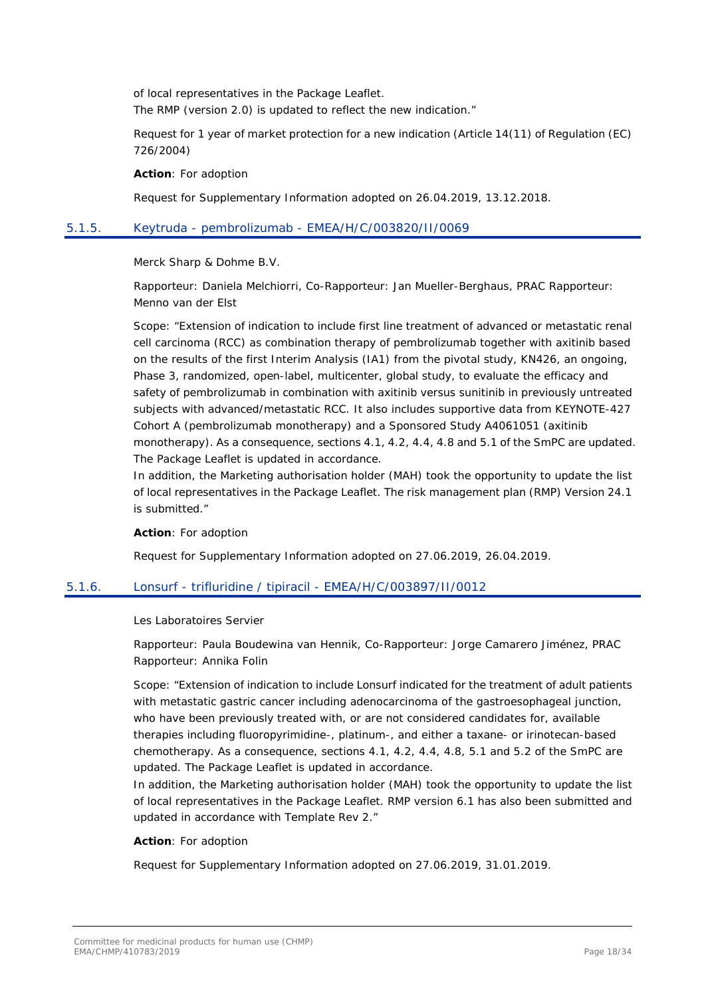of local representatives in the Package Leaflet. The RMP (version 2.0) is updated to reflect the new indication."

Request for 1 year of market protection for a new indication (Article 14(11) of Regulation (EC) 726/2004)

**Action**: For adoption

Request for Supplementary Information adopted on 26.04.2019, 13.12.2018.

### <span id="page-17-0"></span>5.1.5. Keytruda - pembrolizumab - EMEA/H/C/003820/II/0069

Merck Sharp & Dohme B.V.

Rapporteur: Daniela Melchiorri, Co-Rapporteur: Jan Mueller-Berghaus, PRAC Rapporteur: Menno van der Elst

Scope: "Extension of indication to include first line treatment of advanced or metastatic renal cell carcinoma (RCC) as combination therapy of pembrolizumab together with axitinib based on the results of the first Interim Analysis (IA1) from the pivotal study, KN426, an ongoing, Phase 3, randomized, open-label, multicenter, global study, to evaluate the efficacy and safety of pembrolizumab in combination with axitinib versus sunitinib in previously untreated subjects with advanced/metastatic RCC. It also includes supportive data from KEYNOTE-427 Cohort A (pembrolizumab monotherapy) and a Sponsored Study A4061051 (axitinib monotherapy). As a consequence, sections 4.1, 4.2, 4.4, 4.8 and 5.1 of the SmPC are updated. The Package Leaflet is updated in accordance.

In addition, the Marketing authorisation holder (MAH) took the opportunity to update the list of local representatives in the Package Leaflet. The risk management plan (RMP) Version 24.1 is submitted."

**Action**: For adoption

Request for Supplementary Information adopted on 27.06.2019, 26.04.2019.

### <span id="page-17-1"></span>5.1.6. Lonsurf - trifluridine / tipiracil - EMEA/H/C/003897/II/0012

Les Laboratoires Servier

Rapporteur: Paula Boudewina van Hennik, Co-Rapporteur: Jorge Camarero Jiménez, PRAC Rapporteur: Annika Folin

Scope: "Extension of indication to include Lonsurf indicated for the treatment of adult patients with metastatic gastric cancer including adenocarcinoma of the gastroesophageal junction, who have been previously treated with, or are not considered candidates for, available therapies including fluoropyrimidine-, platinum-, and either a taxane- or irinotecan-based chemotherapy. As a consequence, sections 4.1, 4.2, 4.4, 4.8, 5.1 and 5.2 of the SmPC are updated. The Package Leaflet is updated in accordance.

In addition, the Marketing authorisation holder (MAH) took the opportunity to update the list of local representatives in the Package Leaflet. RMP version 6.1 has also been submitted and updated in accordance with Template Rev 2."

### **Action**: For adoption

Request for Supplementary Information adopted on 27.06.2019, 31.01.2019.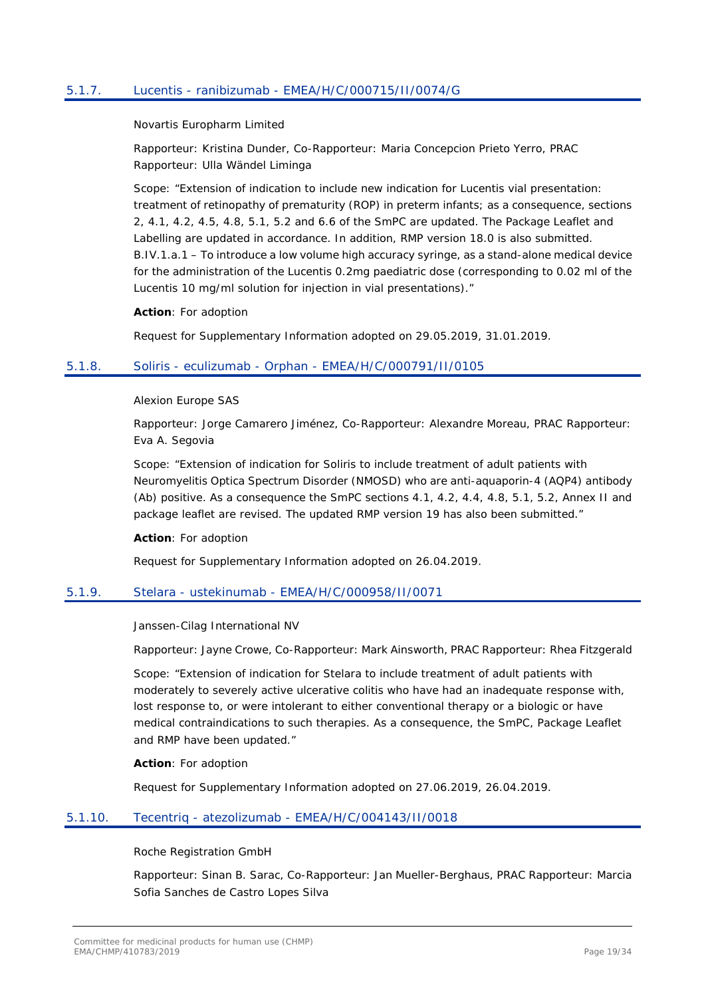### <span id="page-18-0"></span>5.1.7. Lucentis - ranibizumab - EMEA/H/C/000715/II/0074/G

Novartis Europharm Limited

Rapporteur: Kristina Dunder, Co-Rapporteur: Maria Concepcion Prieto Yerro, PRAC Rapporteur: Ulla Wändel Liminga

Scope: "Extension of indication to include new indication for Lucentis vial presentation: treatment of retinopathy of prematurity (ROP) in preterm infants; as a consequence, sections 2, 4.1, 4.2, 4.5, 4.8, 5.1, 5.2 and 6.6 of the SmPC are updated. The Package Leaflet and Labelling are updated in accordance. In addition, RMP version 18.0 is also submitted. B.IV.1.a.1 – To introduce a low volume high accuracy syringe, as a stand-alone medical device for the administration of the Lucentis 0.2mg paediatric dose (corresponding to 0.02 ml of the Lucentis 10 mg/ml solution for injection in vial presentations)."

**Action**: For adoption

Request for Supplementary Information adopted on 29.05.2019, 31.01.2019.

### <span id="page-18-1"></span>5.1.8. Soliris - eculizumab - Orphan - EMEA/H/C/000791/II/0105

Alexion Europe SAS

Rapporteur: Jorge Camarero Jiménez, Co-Rapporteur: Alexandre Moreau, PRAC Rapporteur: Eva A. Segovia

Scope: "Extension of indication for Soliris to include treatment of adult patients with Neuromyelitis Optica Spectrum Disorder (NMOSD) who are anti-aquaporin-4 (AQP4) antibody (Ab) positive. As a consequence the SmPC sections 4.1, 4.2, 4.4, 4.8, 5.1, 5.2, Annex II and package leaflet are revised. The updated RMP version 19 has also been submitted."

**Action**: For adoption

Request for Supplementary Information adopted on 26.04.2019.

### <span id="page-18-2"></span>5.1.9. Stelara - ustekinumab - EMEA/H/C/000958/II/0071

Janssen-Cilag International NV

Rapporteur: Jayne Crowe, Co-Rapporteur: Mark Ainsworth, PRAC Rapporteur: Rhea Fitzgerald

Scope: "Extension of indication for Stelara to include treatment of adult patients with moderately to severely active ulcerative colitis who have had an inadequate response with, lost response to, or were intolerant to either conventional therapy or a biologic or have medical contraindications to such therapies. As a consequence, the SmPC, Package Leaflet and RMP have been updated."

**Action**: For adoption

Request for Supplementary Information adopted on 27.06.2019, 26.04.2019.

### <span id="page-18-3"></span>5.1.10. Tecentriq - atezolizumab - EMEA/H/C/004143/II/0018

Roche Registration GmbH

Rapporteur: Sinan B. Sarac, Co-Rapporteur: Jan Mueller-Berghaus, PRAC Rapporteur: Marcia Sofia Sanches de Castro Lopes Silva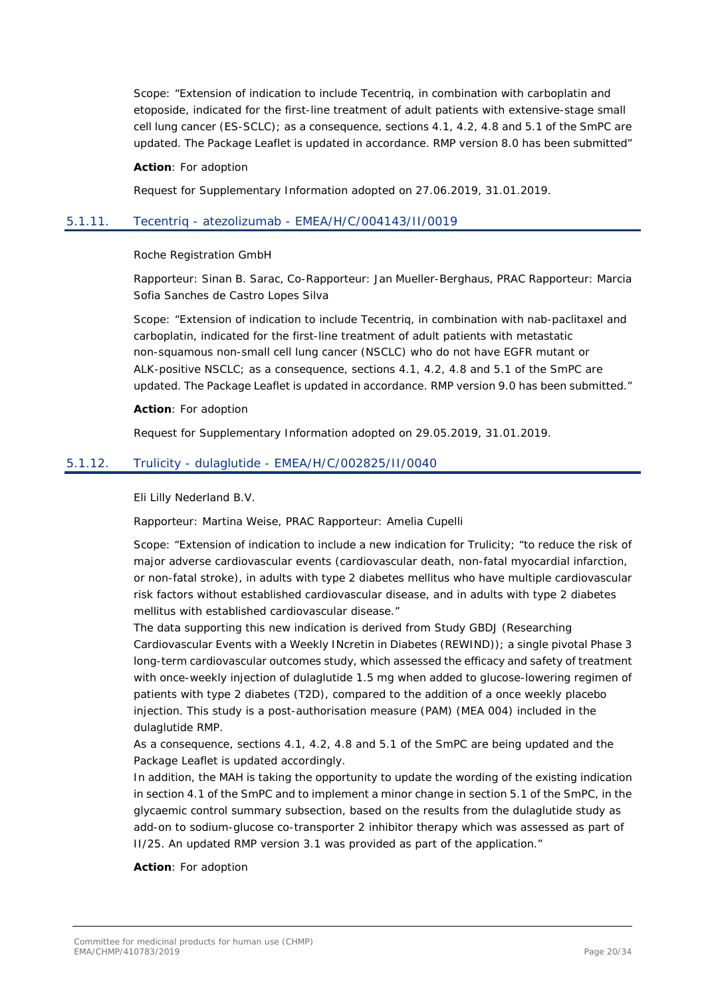Scope: "Extension of indication to include Tecentriq, in combination with carboplatin and etoposide, indicated for the first-line treatment of adult patients with extensive-stage small cell lung cancer (ES-SCLC); as a consequence, sections 4.1, 4.2, 4.8 and 5.1 of the SmPC are updated. The Package Leaflet is updated in accordance. RMP version 8.0 has been submitted"

#### **Action**: For adoption

Request for Supplementary Information adopted on 27.06.2019, 31.01.2019.

### <span id="page-19-0"></span>5.1.11. Tecentriq - atezolizumab - EMEA/H/C/004143/II/0019

#### Roche Registration GmbH

Rapporteur: Sinan B. Sarac, Co-Rapporteur: Jan Mueller-Berghaus, PRAC Rapporteur: Marcia Sofia Sanches de Castro Lopes Silva

Scope: "Extension of indication to include Tecentriq, in combination with nab-paclitaxel and carboplatin, indicated for the first-line treatment of adult patients with metastatic non-squamous non-small cell lung cancer (NSCLC) who do not have EGFR mutant or ALK-positive NSCLC; as a consequence, sections 4.1, 4.2, 4.8 and 5.1 of the SmPC are updated. The Package Leaflet is updated in accordance. RMP version 9.0 has been submitted."

#### **Action**: For adoption

Request for Supplementary Information adopted on 29.05.2019, 31.01.2019.

### <span id="page-19-1"></span>5.1.12. Trulicity - dulaglutide - EMEA/H/C/002825/II/0040

Eli Lilly Nederland B.V.

Rapporteur: Martina Weise, PRAC Rapporteur: Amelia Cupelli

Scope: "Extension of indication to include a new indication for Trulicity; "to reduce the risk of major adverse cardiovascular events (cardiovascular death, non-fatal myocardial infarction, or non-fatal stroke), in adults with type 2 diabetes mellitus who have multiple cardiovascular risk factors without established cardiovascular disease, and in adults with type 2 diabetes mellitus with established cardiovascular disease."

The data supporting this new indication is derived from Study GBDJ (Researching Cardiovascular Events with a Weekly INcretin in Diabetes (REWIND)); a single pivotal Phase 3 long-term cardiovascular outcomes study, which assessed the efficacy and safety of treatment with once-weekly injection of dulaglutide 1.5 mg when added to glucose-lowering regimen of patients with type 2 diabetes (T2D), compared to the addition of a once weekly placebo injection. This study is a post-authorisation measure (PAM) (MEA 004) included in the dulaglutide RMP.

As a consequence, sections 4.1, 4.2, 4.8 and 5.1 of the SmPC are being updated and the Package Leaflet is updated accordingly.

In addition, the MAH is taking the opportunity to update the wording of the existing indication in section 4.1 of the SmPC and to implement a minor change in section 5.1 of the SmPC, in the glycaemic control summary subsection, based on the results from the dulaglutide study as add-on to sodium-glucose co-transporter 2 inhibitor therapy which was assessed as part of II/25. An updated RMP version 3.1 was provided as part of the application."

#### **Action**: For adoption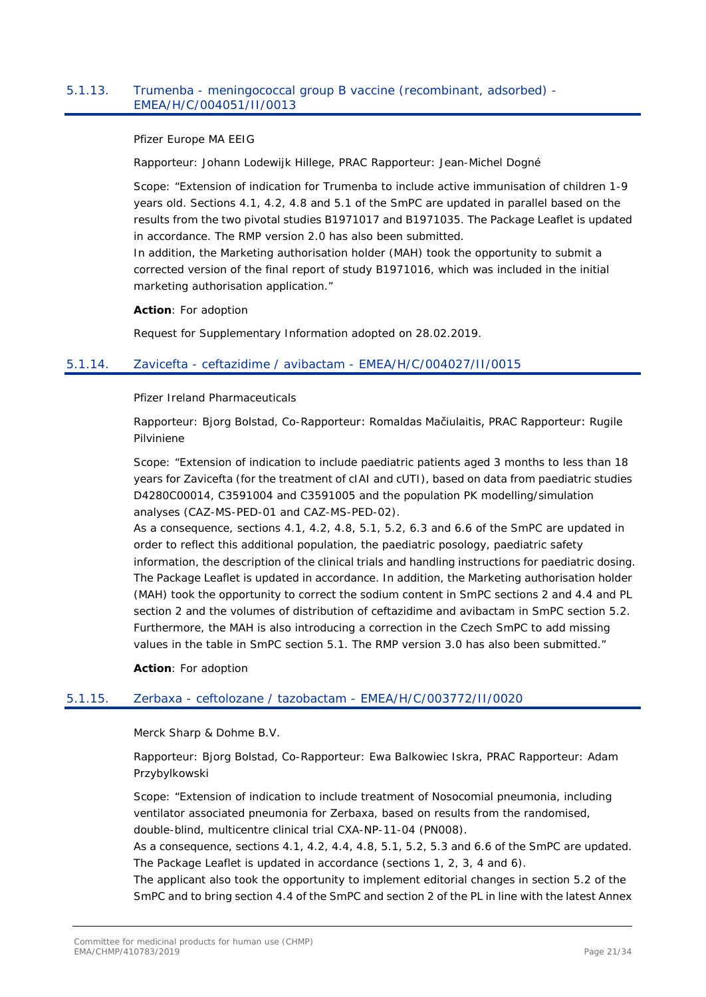### <span id="page-20-0"></span>5.1.13. Trumenba - meningococcal group B vaccine (recombinant, adsorbed) - EMEA/H/C/004051/II/0013

Pfizer Europe MA EEIG

Rapporteur: Johann Lodewijk Hillege, PRAC Rapporteur: Jean-Michel Dogné

Scope: "Extension of indication for Trumenba to include active immunisation of children 1-9 years old. Sections 4.1, 4.2, 4.8 and 5.1 of the SmPC are updated in parallel based on the results from the two pivotal studies B1971017 and B1971035. The Package Leaflet is updated in accordance. The RMP version 2.0 has also been submitted.

In addition, the Marketing authorisation holder (MAH) took the opportunity to submit a corrected version of the final report of study B1971016, which was included in the initial marketing authorisation application."

**Action**: For adoption

Request for Supplementary Information adopted on 28.02.2019.

### <span id="page-20-1"></span>5.1.14. Zavicefta - ceftazidime / avibactam - EMEA/H/C/004027/II/0015

Pfizer Ireland Pharmaceuticals

Rapporteur: Bjorg Bolstad, Co-Rapporteur: Romaldas Mačiulaitis, PRAC Rapporteur: Rugile Pilviniene

Scope: "Extension of indication to include paediatric patients aged 3 months to less than 18 years for Zavicefta (for the treatment of cIAI and cUTI), based on data from paediatric studies D4280C00014, C3591004 and C3591005 and the population PK modelling/simulation analyses (CAZ-MS-PED-01 and CAZ-MS-PED-02).

As a consequence, sections 4.1, 4.2, 4.8, 5.1, 5.2, 6.3 and 6.6 of the SmPC are updated in order to reflect this additional population, the paediatric posology, paediatric safety information, the description of the clinical trials and handling instructions for paediatric dosing. The Package Leaflet is updated in accordance. In addition, the Marketing authorisation holder (MAH) took the opportunity to correct the sodium content in SmPC sections 2 and 4.4 and PL section 2 and the volumes of distribution of ceftazidime and avibactam in SmPC section 5.2. Furthermore, the MAH is also introducing a correction in the Czech SmPC to add missing values in the table in SmPC section 5.1. The RMP version 3.0 has also been submitted."

**Action**: For adoption

### <span id="page-20-2"></span>5.1.15. Zerbaxa - ceftolozane / tazobactam - EMEA/H/C/003772/II/0020

Merck Sharp & Dohme B.V.

Rapporteur: Bjorg Bolstad, Co-Rapporteur: Ewa Balkowiec Iskra, PRAC Rapporteur: Adam Przybylkowski

Scope: "Extension of indication to include treatment of Nosocomial pneumonia, including ventilator associated pneumonia for Zerbaxa, based on results from the randomised, double-blind, multicentre clinical trial CXA-NP-11-04 (PN008).

As a consequence, sections 4.1, 4.2, 4.4, 4.8, 5.1, 5.2, 5.3 and 6.6 of the SmPC are updated. The Package Leaflet is updated in accordance (sections 1, 2, 3, 4 and 6).

The applicant also took the opportunity to implement editorial changes in section 5.2 of the SmPC and to bring section 4.4 of the SmPC and section 2 of the PL in line with the latest Annex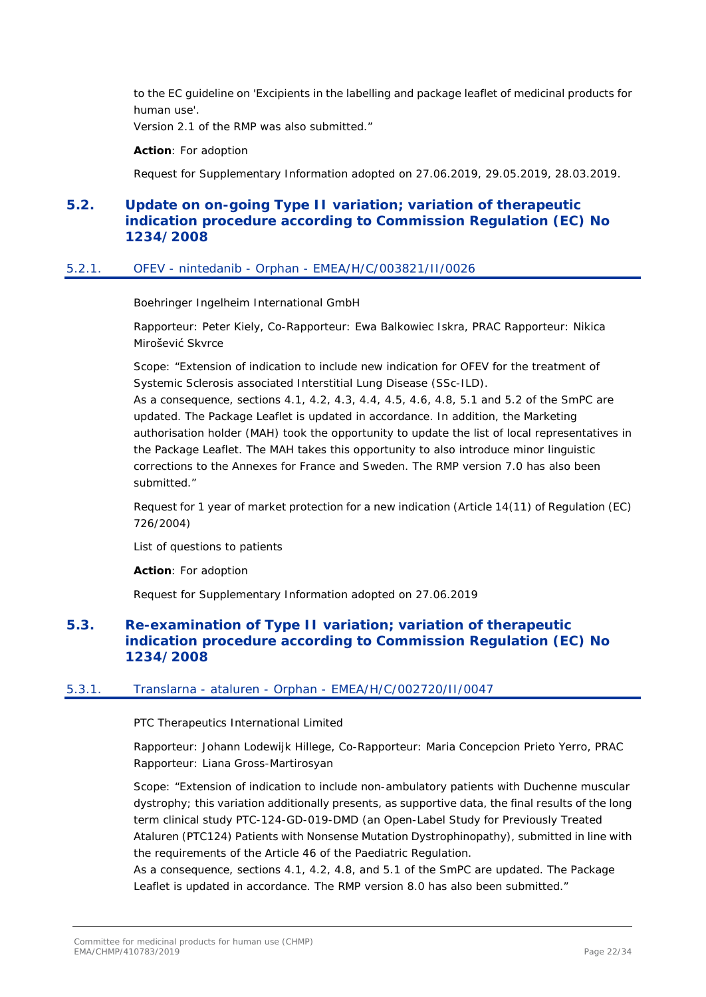to the EC guideline on 'Excipients in the labelling and package leaflet of medicinal products for human use'.

Version 2.1 of the RMP was also submitted."

**Action**: For adoption

Request for Supplementary Information adopted on 27.06.2019, 29.05.2019, 28.03.2019.

# <span id="page-21-0"></span>**5.2. Update on on-going Type II variation; variation of therapeutic indication procedure according to Commission Regulation (EC) No 1234/2008**

### <span id="page-21-1"></span>5.2.1. OFEV - nintedanib - Orphan - EMEA/H/C/003821/II/0026

Boehringer Ingelheim International GmbH

Rapporteur: Peter Kiely, Co-Rapporteur: Ewa Balkowiec Iskra, PRAC Rapporteur: Nikica Mirošević Skvrce

Scope: "Extension of indication to include new indication for OFEV for the treatment of Systemic Sclerosis associated Interstitial Lung Disease (SSc-ILD).

As a consequence, sections 4.1, 4.2, 4.3, 4.4, 4.5, 4.6, 4.8, 5.1 and 5.2 of the SmPC are updated. The Package Leaflet is updated in accordance. In addition, the Marketing authorisation holder (MAH) took the opportunity to update the list of local representatives in the Package Leaflet. The MAH takes this opportunity to also introduce minor linguistic corrections to the Annexes for France and Sweden. The RMP version 7.0 has also been submitted."

Request for 1 year of market protection for a new indication (Article 14(11) of Regulation (EC) 726/2004)

List of questions to patients

**Action**: For adoption

Request for Supplementary Information adopted on 27.06.2019

# <span id="page-21-2"></span>**5.3. Re-examination of Type II variation; variation of therapeutic indication procedure according to Commission Regulation (EC) No 1234/2008**

### <span id="page-21-3"></span>5.3.1. Translarna - ataluren - Orphan - EMEA/H/C/002720/II/0047

PTC Therapeutics International Limited

Rapporteur: Johann Lodewijk Hillege, Co-Rapporteur: Maria Concepcion Prieto Yerro, PRAC Rapporteur: Liana Gross-Martirosyan

Scope: "Extension of indication to include non-ambulatory patients with Duchenne muscular dystrophy; this variation additionally presents, as supportive data, the final results of the long term clinical study PTC-124-GD-019-DMD (an Open-Label Study for Previously Treated Ataluren (PTC124) Patients with Nonsense Mutation Dystrophinopathy), submitted in line with the requirements of the Article 46 of the Paediatric Regulation.

As a consequence, sections 4.1, 4.2, 4.8, and 5.1 of the SmPC are updated. The Package Leaflet is updated in accordance. The RMP version 8.0 has also been submitted."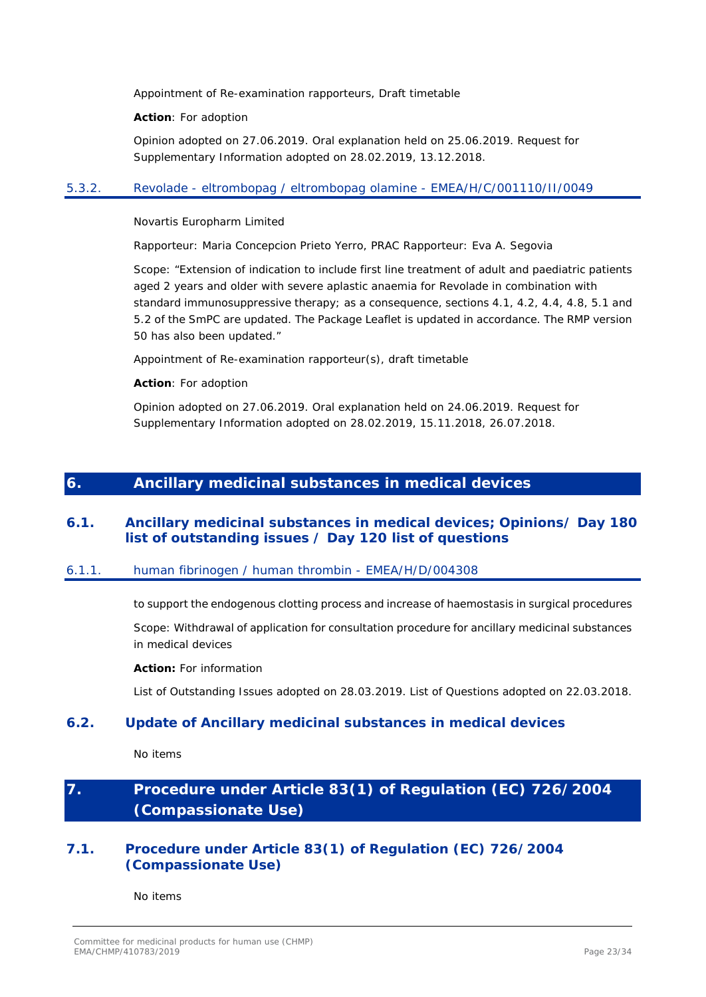Appointment of Re-examination rapporteurs, Draft timetable

**Action**: For adoption

Opinion adopted on 27.06.2019. Oral explanation held on 25.06.2019. Request for Supplementary Information adopted on 28.02.2019, 13.12.2018.

# <span id="page-22-0"></span>5.3.2. Revolade - eltrombopag / eltrombopag olamine - EMEA/H/C/001110/II/0049

Novartis Europharm Limited

Rapporteur: Maria Concepcion Prieto Yerro, PRAC Rapporteur: Eva A. Segovia

Scope: "Extension of indication to include first line treatment of adult and paediatric patients aged 2 years and older with severe aplastic anaemia for Revolade in combination with standard immunosuppressive therapy; as a consequence, sections 4.1, 4.2, 4.4, 4.8, 5.1 and 5.2 of the SmPC are updated. The Package Leaflet is updated in accordance. The RMP version 50 has also been updated."

Appointment of Re-examination rapporteur(s), draft timetable

**Action**: For adoption

Opinion adopted on 27.06.2019. Oral explanation held on 24.06.2019. Request for Supplementary Information adopted on 28.02.2019, 15.11.2018, 26.07.2018.

# <span id="page-22-1"></span>**6. Ancillary medicinal substances in medical devices**

# <span id="page-22-2"></span>**6.1. Ancillary medicinal substances in medical devices; Opinions/ Day 180 list of outstanding issues / Day 120 list of questions**

### <span id="page-22-3"></span>6.1.1. human fibrinogen / human thrombin - EMEA/H/D/004308

to support the endogenous clotting process and increase of haemostasis in surgical procedures

Scope: Withdrawal of application for consultation procedure for ancillary medicinal substances in medical devices

**Action:** For information

List of Outstanding Issues adopted on 28.03.2019. List of Questions adopted on 22.03.2018.

# <span id="page-22-4"></span>**6.2. Update of Ancillary medicinal substances in medical devices**

No items

# <span id="page-22-5"></span>**7. Procedure under Article 83(1) of Regulation (EC) 726/2004 (Compassionate Use)**

# <span id="page-22-6"></span>**7.1. Procedure under Article 83(1) of Regulation (EC) 726/2004 (Compassionate Use)**

No items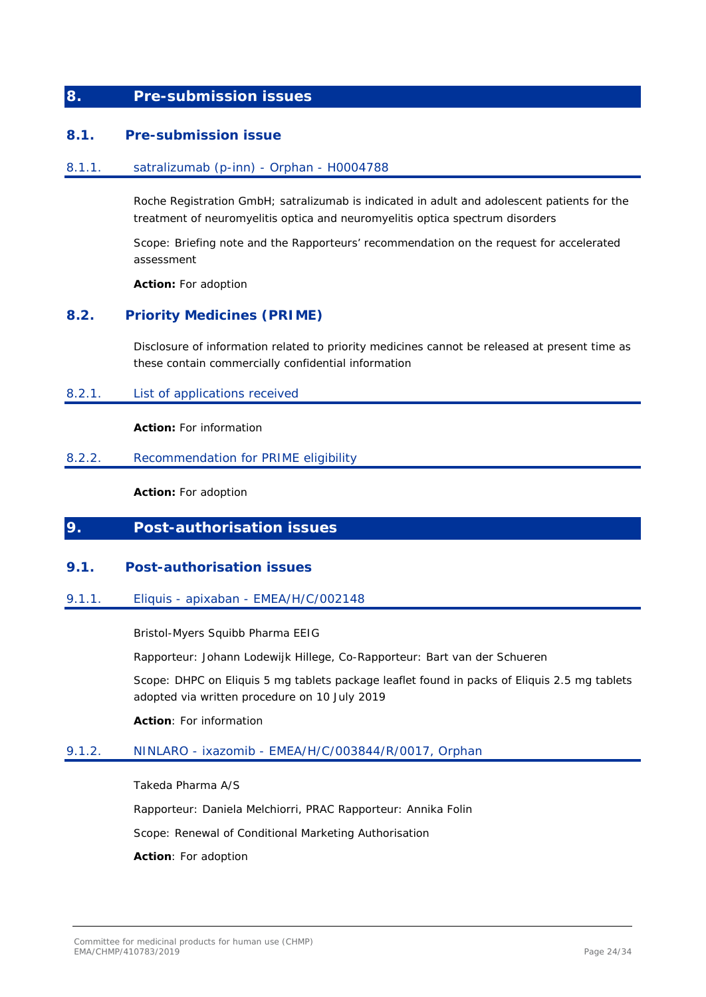# <span id="page-23-0"></span>**8. Pre-submission issues**

### <span id="page-23-1"></span>**8.1. Pre-submission issue**

#### <span id="page-23-2"></span>8.1.1. satralizumab (p-inn) - Orphan - H0004788

Roche Registration GmbH; satralizumab is indicated in adult and adolescent patients for the treatment of neuromyelitis optica and neuromyelitis optica spectrum disorders

Scope: Briefing note and the Rapporteurs' recommendation on the request for accelerated assessment

**Action:** For adoption

# <span id="page-23-3"></span>**8.2. Priority Medicines (PRIME)**

Disclosure of information related to priority medicines cannot be released at present time as these contain commercially confidential information

#### <span id="page-23-4"></span>8.2.1. List of applications received

**Action:** For information

### <span id="page-23-5"></span>8.2.2. Recommendation for PRIME eligibility

**Action:** For adoption

# <span id="page-23-6"></span>**9. Post-authorisation issues**

### <span id="page-23-7"></span>**9.1. Post-authorisation issues**

### <span id="page-23-8"></span>9.1.1. Eliquis - apixaban - EMEA/H/C/002148

Bristol-Myers Squibb Pharma EEIG

Rapporteur: Johann Lodewijk Hillege, Co-Rapporteur: Bart van der Schueren

Scope: DHPC on Eliquis 5 mg tablets package leaflet found in packs of Eliquis 2.5 mg tablets adopted via written procedure on 10 July 2019

**Action**: For information

### <span id="page-23-9"></span>9.1.2. NINLARO - ixazomib - EMEA/H/C/003844/R/0017, Orphan

Takeda Pharma A/S Rapporteur: Daniela Melchiorri, PRAC Rapporteur: Annika Folin Scope: Renewal of Conditional Marketing Authorisation **Action**: For adoption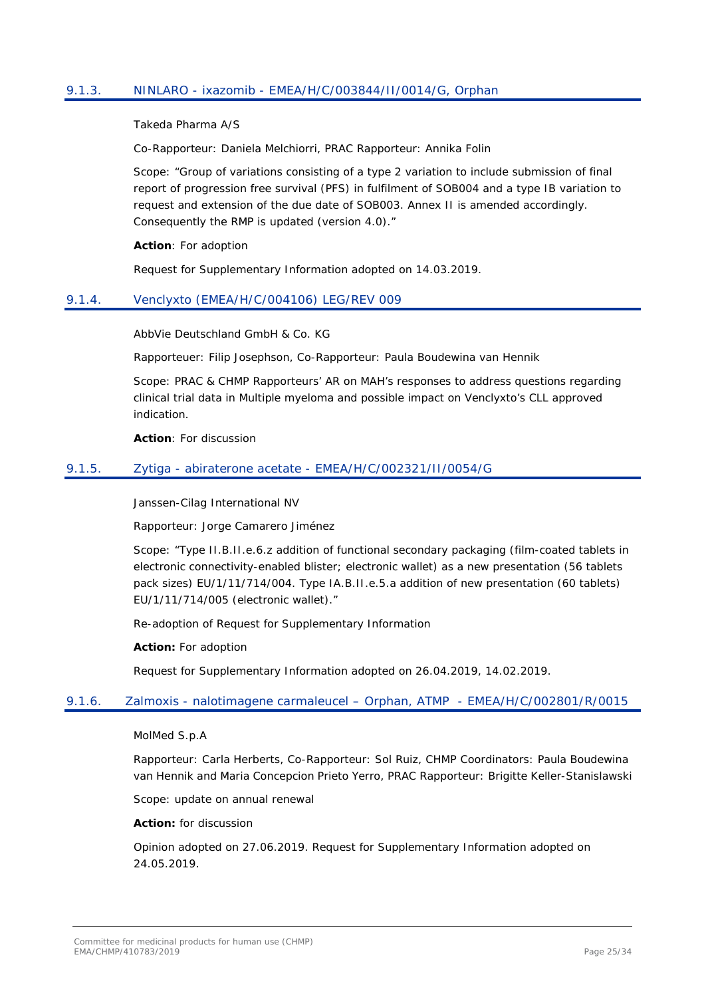## <span id="page-24-0"></span>9.1.3. NINLARO - ixazomib - EMEA/H/C/003844/II/0014/G, Orphan

Takeda Pharma A/S

Co-Rapporteur: Daniela Melchiorri, PRAC Rapporteur: Annika Folin

Scope: "Group of variations consisting of a type 2 variation to include submission of final report of progression free survival (PFS) in fulfilment of SOB004 and a type IB variation to request and extension of the due date of SOB003. Annex II is amended accordingly. Consequently the RMP is updated (version 4.0)."

**Action**: For adoption

Request for Supplementary Information adopted on 14.03.2019.

### <span id="page-24-1"></span>9.1.4. Venclyxto (EMEA/H/C/004106) LEG/REV 009

AbbVie Deutschland GmbH & Co. KG

Rapporteuer: Filip Josephson, Co-Rapporteur: Paula Boudewina van Hennik

Scope: PRAC & CHMP Rapporteurs' AR on MAH's responses to address questions regarding clinical trial data in Multiple myeloma and possible impact on Venclyxto's CLL approved indication.

**Action**: For discussion

### <span id="page-24-2"></span>9.1.5. Zytiga - abiraterone acetate - EMEA/H/C/002321/II/0054/G

Janssen-Cilag International NV

Rapporteur: Jorge Camarero Jiménez

Scope: "Type II.B.II.e.6.z addition of functional secondary packaging (film-coated tablets in electronic connectivity-enabled blister; electronic wallet) as a new presentation (56 tablets pack sizes) EU/1/11/714/004. Type IA.B.II.e.5.a addition of new presentation (60 tablets) EU/1/11/714/005 (electronic wallet)."

Re-adoption of Request for Supplementary Information

**Action:** For adoption

Request for Supplementary Information adopted on 26.04.2019, 14.02.2019.

#### <span id="page-24-3"></span>9.1.6. Zalmoxis - nalotimagene carmaleucel – Orphan, ATMP - EMEA/H/C/002801/R/0015

MolMed S.p.A

Rapporteur: Carla Herberts, Co-Rapporteur: Sol Ruiz, CHMP Coordinators: Paula Boudewina van Hennik and Maria Concepcion Prieto Yerro, PRAC Rapporteur: Brigitte Keller-Stanislawski

Scope: update on annual renewal

**Action:** for discussion

Opinion adopted on 27.06.2019. Request for Supplementary Information adopted on 24.05.2019.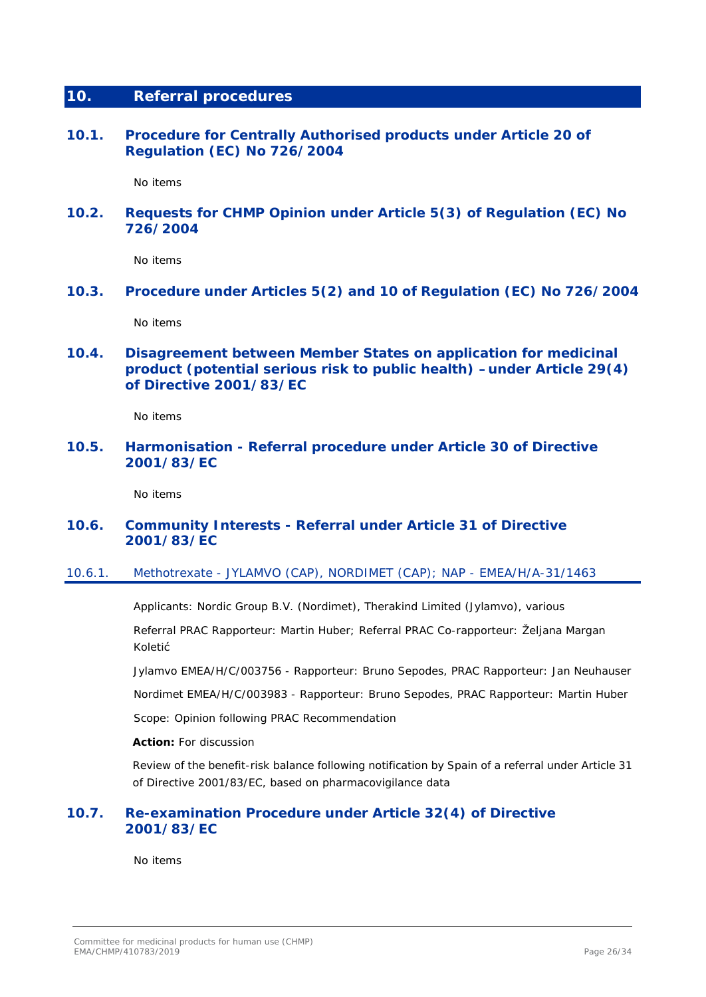# <span id="page-25-0"></span>**10. Referral procedures**

<span id="page-25-1"></span>**10.1. Procedure for Centrally Authorised products under Article 20 of Regulation (EC) No 726/2004**

No items

# <span id="page-25-2"></span>**10.2. Requests for CHMP Opinion under Article 5(3) of Regulation (EC) No 726/2004**

No items

<span id="page-25-3"></span>**10.3. Procedure under Articles 5(2) and 10 of Regulation (EC) No 726/2004**

No items

<span id="page-25-4"></span>**10.4. Disagreement between Member States on application for medicinal product (potential serious risk to public health) –under Article 29(4) of Directive 2001/83/EC**

No items

# <span id="page-25-5"></span>**10.5. Harmonisation - Referral procedure under Article 30 of Directive 2001/83/EC**

No items

# <span id="page-25-6"></span>**10.6. Community Interests - Referral under Article 31 of Directive 2001/83/EC**

### <span id="page-25-7"></span>10.6.1. Methotrexate - JYLAMVO (CAP), NORDIMET (CAP); NAP - EMEA/H/A-31/1463

Applicants: Nordic Group B.V. (Nordimet), Therakind Limited (Jylamvo), various

Referral PRAC Rapporteur: Martin Huber; Referral PRAC Co-rapporteur: Željana Margan Koletić

Jylamvo EMEA/H/C/003756 - Rapporteur: Bruno Sepodes, PRAC Rapporteur: Jan Neuhauser

Nordimet EMEA/H/C/003983 - Rapporteur: Bruno Sepodes, PRAC Rapporteur: Martin Huber

Scope: Opinion following PRAC Recommendation

**Action:** For discussion

Review of the benefit-risk balance following notification by Spain of a referral under Article 31 of Directive 2001/83/EC, based on pharmacovigilance data

# <span id="page-25-8"></span>**10.7. Re-examination Procedure under Article 32(4) of Directive 2001/83/EC**

No items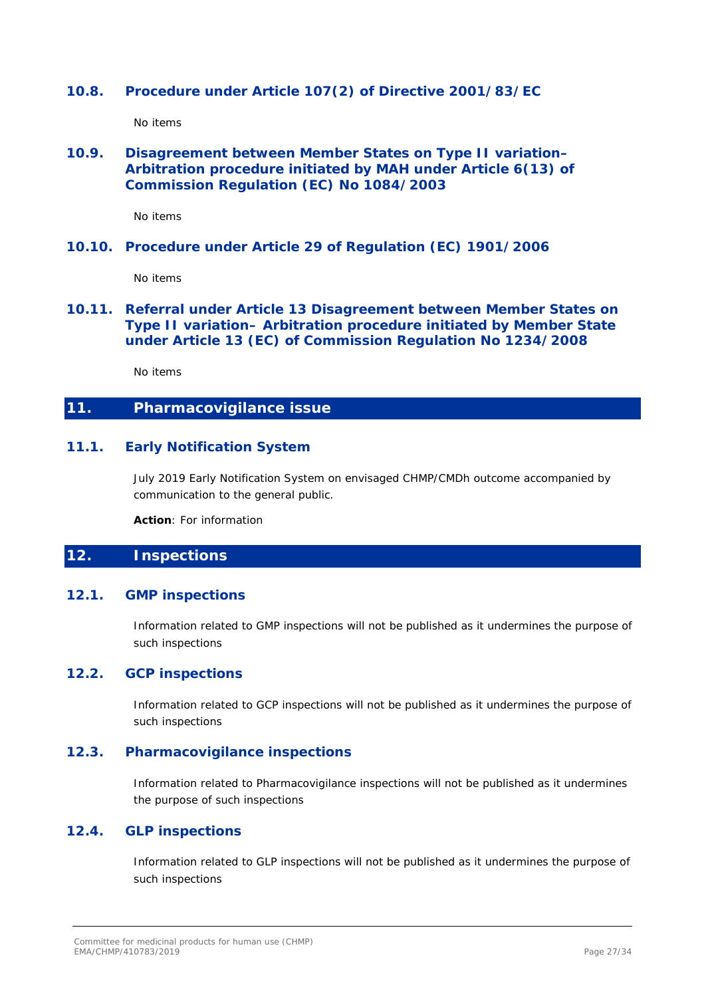# <span id="page-26-0"></span>**10.8. Procedure under Article 107(2) of Directive 2001/83/EC**

No items

# <span id="page-26-1"></span>**10.9. Disagreement between Member States on Type II variation– Arbitration procedure initiated by MAH under Article 6(13) of Commission Regulation (EC) No 1084/2003**

No items

### <span id="page-26-2"></span>**10.10. Procedure under Article 29 of Regulation (EC) 1901/2006**

No items

# <span id="page-26-3"></span>**10.11. Referral under Article 13 Disagreement between Member States on Type II variation– Arbitration procedure initiated by Member State under Article 13 (EC) of Commission Regulation No 1234/2008**

No items

# <span id="page-26-4"></span>**11. Pharmacovigilance issue**

# <span id="page-26-5"></span>**11.1. Early Notification System**

July 2019 Early Notification System on envisaged CHMP/CMDh outcome accompanied by communication to the general public.

**Action**: For information

# <span id="page-26-6"></span>**12. Inspections**

### <span id="page-26-7"></span>**12.1. GMP inspections**

Information related to GMP inspections will not be published as it undermines the purpose of such inspections

# <span id="page-26-8"></span>**12.2. GCP inspections**

Information related to GCP inspections will not be published as it undermines the purpose of such inspections

### <span id="page-26-9"></span>**12.3. Pharmacovigilance inspections**

Information related to Pharmacovigilance inspections will not be published as it undermines the purpose of such inspections

# <span id="page-26-10"></span>**12.4. GLP inspections**

Information related to GLP inspections will not be published as it undermines the purpose of such inspections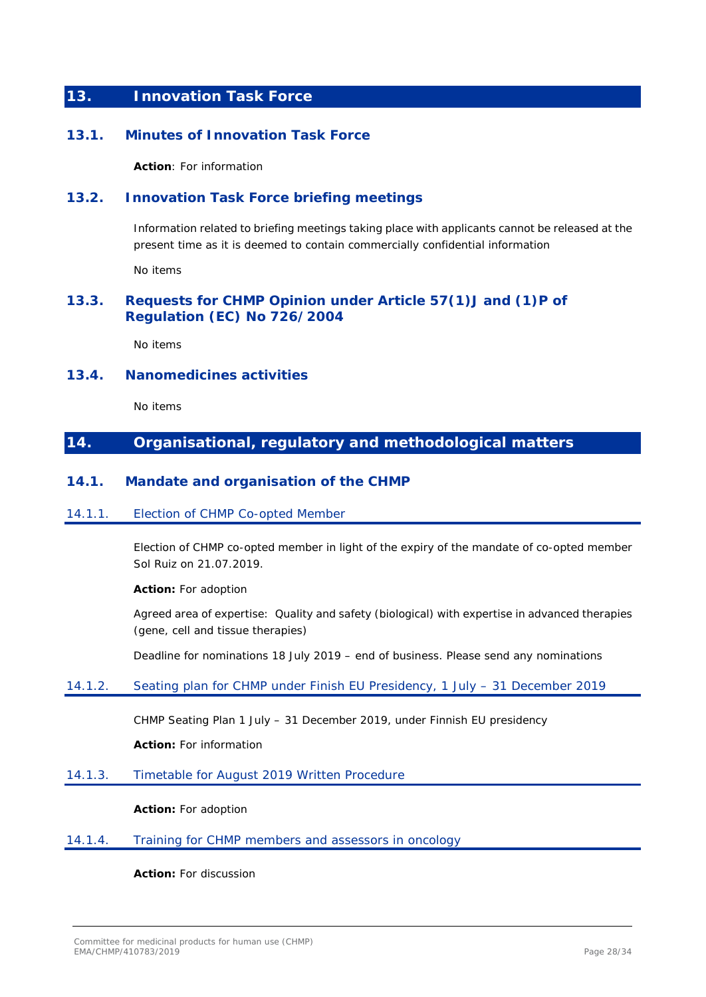# <span id="page-27-0"></span>**13. Innovation Task Force**

# <span id="page-27-1"></span>**13.1. Minutes of Innovation Task Force**

**Action**: For information

# <span id="page-27-2"></span>**13.2. Innovation Task Force briefing meetings**

Information related to briefing meetings taking place with applicants cannot be released at the present time as it is deemed to contain commercially confidential information

No items

# <span id="page-27-3"></span>**13.3. Requests for CHMP Opinion under Article 57(1)J and (1)P of Regulation (EC) No 726/2004**

No items

### <span id="page-27-4"></span>**13.4. Nanomedicines activities**

No items

# <span id="page-27-5"></span>**14. Organisational, regulatory and methodological matters**

### <span id="page-27-6"></span>**14.1. Mandate and organisation of the CHMP**

### <span id="page-27-7"></span>14.1.1. Election of CHMP Co-opted Member

Election of CHMP co-opted member in light of the expiry of the mandate of co-opted member Sol Ruiz on 21.07.2019.

### **Action:** For adoption

Agreed area of expertise: Quality and safety (biological) with expertise in advanced therapies (gene, cell and tissue therapies)

Deadline for nominations 18 July 2019 – end of business. Please send any nominations

### <span id="page-27-8"></span>14.1.2. Seating plan for CHMP under Finish EU Presidency, 1 July – 31 December 2019

CHMP Seating Plan 1 July – 31 December 2019, under Finnish EU presidency

**Action:** For information

### <span id="page-27-9"></span>14.1.3. Timetable for August 2019 Written Procedure

**Action:** For adoption

### <span id="page-27-10"></span>14.1.4. Training for CHMP members and assessors in oncology

**Action:** For discussion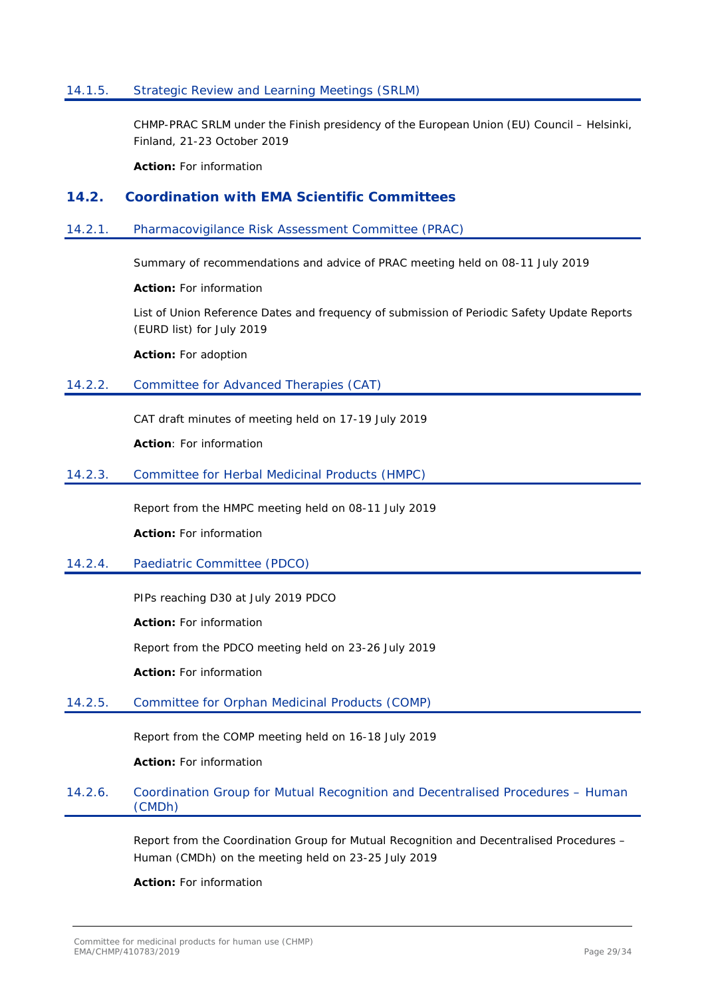### <span id="page-28-0"></span>14.1.5. Strategic Review and Learning Meetings (SRLM)

CHMP-PRAC SRLM under the Finish presidency of the European Union (EU) Council – Helsinki, Finland, 21-23 October 2019

**Action:** For information

### <span id="page-28-1"></span>**14.2. Coordination with EMA Scientific Committees**

#### <span id="page-28-2"></span>14.2.1. Pharmacovigilance Risk Assessment Committee (PRAC)

Summary of recommendations and advice of PRAC meeting held on 08-11 July 2019

**Action:** For information

List of Union Reference Dates and frequency of submission of Periodic Safety Update Reports (EURD list) for July 2019

**Action:** For adoption

### <span id="page-28-3"></span>14.2.2. Committee for Advanced Therapies (CAT)

CAT draft minutes of meeting held on 17-19 July 2019

**Action**: For information

### <span id="page-28-4"></span>14.2.3. Committee for Herbal Medicinal Products (HMPC)

Report from the HMPC meeting held on 08-11 July 2019

**Action:** For information

### <span id="page-28-5"></span>14.2.4. Paediatric Committee (PDCO)

PIPs reaching D30 at July 2019 PDCO

**Action:** For information

Report from the PDCO meeting held on 23-26 July 2019

**Action:** For information

### <span id="page-28-6"></span>14.2.5. Committee for Orphan Medicinal Products (COMP)

Report from the COMP meeting held on 16-18 July 2019

**Action:** For information

## <span id="page-28-7"></span>14.2.6. Coordination Group for Mutual Recognition and Decentralised Procedures – Human (CMDh)

Report from the Coordination Group for Mutual Recognition and Decentralised Procedures – Human (CMDh) on the meeting held on 23-25 July 2019

**Action:** For information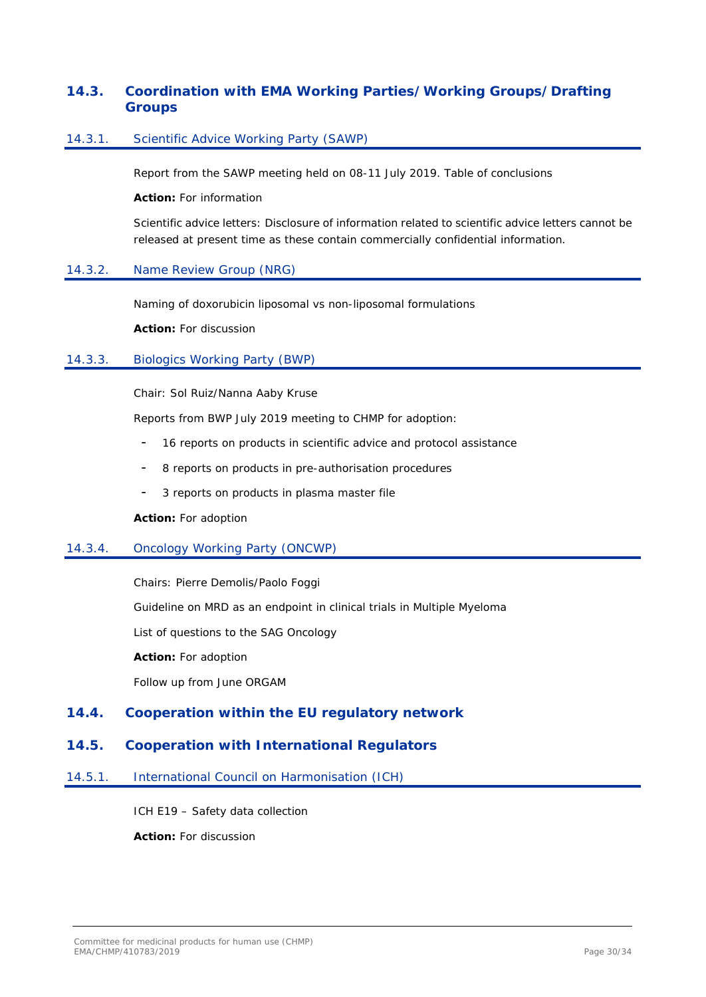# <span id="page-29-0"></span>**14.3. Coordination with EMA Working Parties/Working Groups/Drafting Groups**

### <span id="page-29-1"></span>14.3.1. Scientific Advice Working Party (SAWP)

Report from the SAWP meeting held on 08-11 July 2019. Table of conclusions

**Action:** For information

Scientific advice letters: Disclosure of information related to scientific advice letters cannot be released at present time as these contain commercially confidential information*.*

### <span id="page-29-2"></span>14.3.2. Name Review Group (NRG)

Naming of doxorubicin liposomal vs non-liposomal formulations

**Action:** For discussion

### <span id="page-29-3"></span>14.3.3. Biologics Working Party (BWP)

Chair: Sol Ruiz/Nanna Aaby Kruse

Reports from BWP July 2019 meeting to CHMP for adoption:

- 16 reports on products in scientific advice and protocol assistance
- 8 reports on products in pre-authorisation procedures
- 3 reports on products in plasma master file

**Action:** For adoption

### <span id="page-29-4"></span>14.3.4. Oncology Working Party (ONCWP)

Chairs: Pierre Demolis/Paolo Foggi

Guideline on MRD as an endpoint in clinical trials in Multiple Myeloma

List of questions to the SAG Oncology

**Action:** For adoption

Follow up from June ORGAM

# <span id="page-29-5"></span>**14.4. Cooperation within the EU regulatory network**

# <span id="page-29-6"></span>**14.5. Cooperation with International Regulators**

<span id="page-29-7"></span>14.5.1. International Council on Harmonisation (ICH)

ICH E19 – Safety data collection

**Action:** For discussion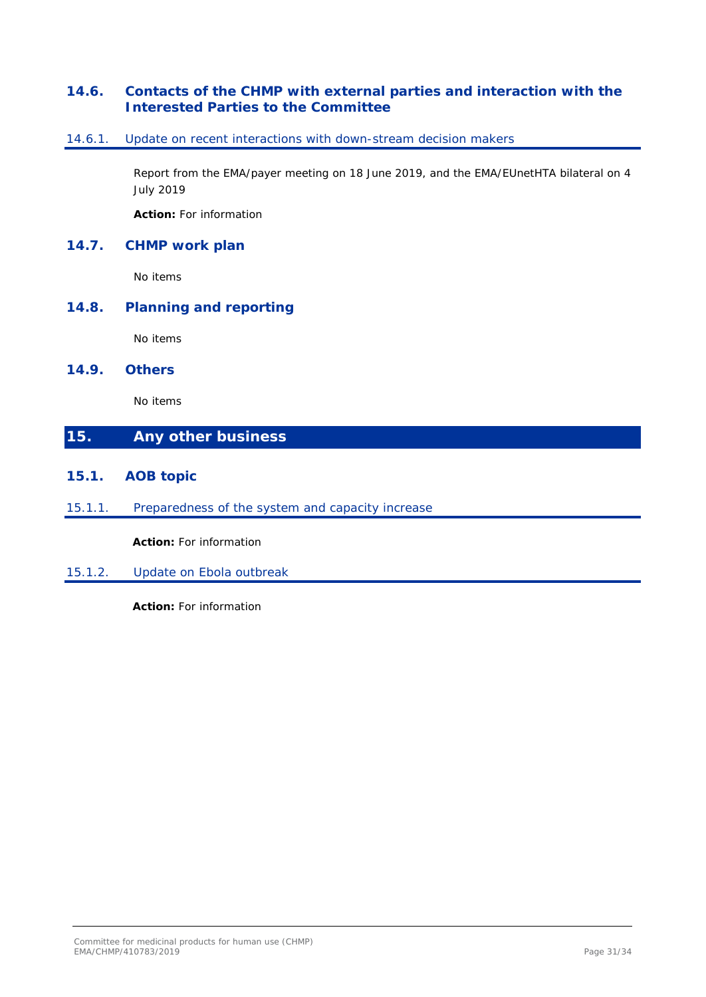# <span id="page-30-0"></span>**14.6. Contacts of the CHMP with external parties and interaction with the Interested Parties to the Committee**

## <span id="page-30-1"></span>14.6.1. Update on recent interactions with down-stream decision makers

Report from the EMA/payer meeting on 18 June 2019, and the EMA/EUnetHTA bilateral on 4 July 2019

**Action:** For information

# <span id="page-30-2"></span>**14.7. CHMP work plan**

No items

# <span id="page-30-3"></span>**14.8. Planning and reporting**

No items

### <span id="page-30-4"></span>**14.9. Others**

No items

# <span id="page-30-5"></span>**15. Any other business**

- <span id="page-30-6"></span>**15.1. AOB topic**
- <span id="page-30-7"></span>15.1.1. Preparedness of the system and capacity increase

**Action:** For information

<span id="page-30-8"></span>15.1.2. Update on Ebola outbreak

**Action:** For information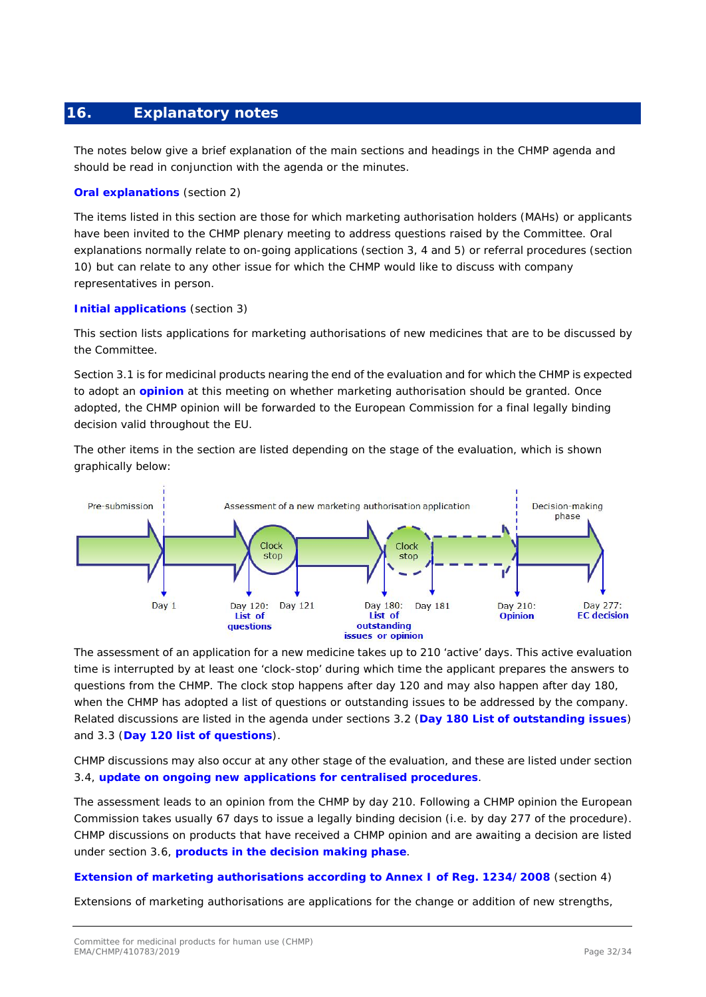# <span id="page-31-0"></span>**16. Explanatory notes**

The notes below give a brief explanation of the main sections and headings in the CHMP agenda and should be read in conjunction with the agenda or the minutes.

### **Oral explanations** *(section 2)*

The items listed in this section are those for which marketing authorisation holders (MAHs) or applicants have been invited to the CHMP plenary meeting to address questions raised by the Committee. Oral explanations normally relate to on-going applications (section 3, 4 and 5) or referral procedures (section 10) but can relate to any other issue for which the CHMP would like to discuss with company representatives in person.

### **Initial applications** *(section 3)*

This section lists applications for marketing authorisations of new medicines that are to be discussed by the Committee.

Section 3.1 is for medicinal products nearing the end of the evaluation and for which the CHMP is expected to adopt an **opinion** at this meeting on whether marketing authorisation should be granted. Once adopted, the CHMP opinion will be forwarded to the European Commission for a final legally binding decision valid throughout the EU.

The other items in the section are listed depending on the stage of the evaluation, which is shown graphically below:



The assessment of an application for a new medicine takes up to 210 'active' days. This active evaluation time is interrupted by at least one 'clock-stop' during which time the applicant prepares the answers to questions from the CHMP. The clock stop happens after day 120 and may also happen after day 180, when the CHMP has adopted a list of questions or outstanding issues to be addressed by the company. Related discussions are listed in the agenda under sections 3.2 (**Day 180 List of outstanding issues**) and 3.3 (**Day 120 list of questions**).

CHMP discussions may also occur at any other stage of the evaluation, and these are listed under section 3.4, **update on ongoing new applications for centralised procedures**.

The assessment leads to an opinion from the CHMP by day 210. Following a CHMP opinion the European Commission takes usually 67 days to issue a legally binding decision (i.e. by day 277 of the procedure). CHMP discussions on products that have received a CHMP opinion and are awaiting a decision are listed under section 3.6, **products in the decision making phase**.

### **Extension of marketing authorisations according to Annex I of Reg. 1234/2008** *(section 4)*

Extensions of marketing authorisations are applications for the change or addition of new strengths,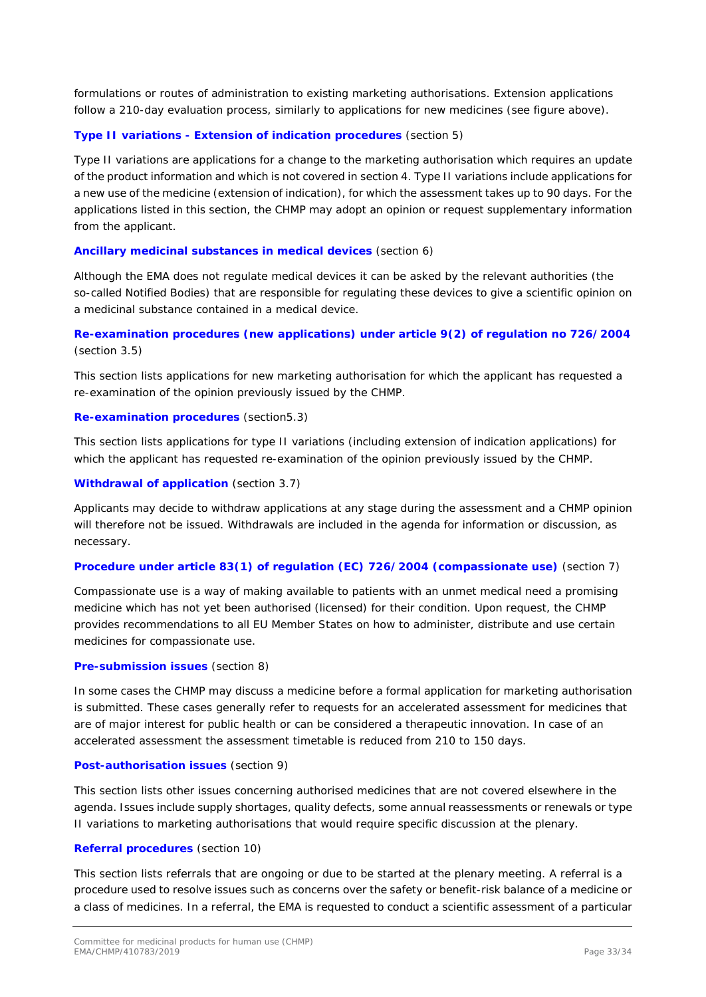formulations or routes of administration to existing marketing authorisations. Extension applications follow a 210-day evaluation process, similarly to applications for new medicines (see figure above).

### **Type II variations - Extension of indication procedures** *(section 5)*

Type II variations are applications for a change to the marketing authorisation which requires an update of the product information and which is not covered in section 4. Type II variations include applications for a new use of the medicine (extension of indication), for which the assessment takes up to 90 days. For the applications listed in this section, the CHMP may adopt an opinion or request supplementary information from the applicant.

### **Ancillary medicinal substances in medical devices** *(section 6)*

Although the EMA does not regulate medical devices it can be asked by the relevant authorities (the so-called Notified Bodies) that are responsible for regulating these devices to give a scientific opinion on a medicinal substance contained in a medical device.

## **Re-examination procedures (new applications) under article 9(2) of regulation no 726/2004**  *(section 3.5)*

This section lists applications for new marketing authorisation for which the applicant has requested a re-examination of the opinion previously issued by the CHMP.

### **Re-examination procedures** *(section5.3)*

This section lists applications for type II variations (including extension of indication applications) for which the applicant has requested re-examination of the opinion previously issued by the CHMP.

### **Withdrawal of application** *(section 3.7)*

Applicants may decide to withdraw applications at any stage during the assessment and a CHMP opinion will therefore not be issued. Withdrawals are included in the agenda for information or discussion, as necessary.

### **Procedure under article 83(1) of regulation (EC) 726/2004 (compassionate use)** *(section 7)*

Compassionate use is a way of making available to patients with an unmet medical need a promising medicine which has not yet been authorised (licensed) for their condition. Upon request, the CHMP provides recommendations to all EU Member States on how to administer, distribute and use certain medicines for compassionate use.

### **Pre-submission issues** *(section 8)*

In some cases the CHMP may discuss a medicine before a formal application for marketing authorisation is submitted. These cases generally refer to requests for an accelerated assessment for medicines that are of major interest for public health or can be considered a therapeutic innovation. In case of an accelerated assessment the assessment timetable is reduced from 210 to 150 days.

### **Post-authorisation issues** *(section 9)*

This section lists other issues concerning authorised medicines that are not covered elsewhere in the agenda. Issues include supply shortages, quality defects, some annual reassessments or renewals or type II variations to marketing authorisations that would require specific discussion at the plenary.

### **Referral procedures** *(section 10)*

This section lists referrals that are ongoing or due to be started at the plenary meeting. A referral is a procedure used to resolve issues such as concerns over the safety or benefit-risk balance of a medicine or a class of medicines. In a referral, the EMA is requested to conduct a scientific assessment of a particular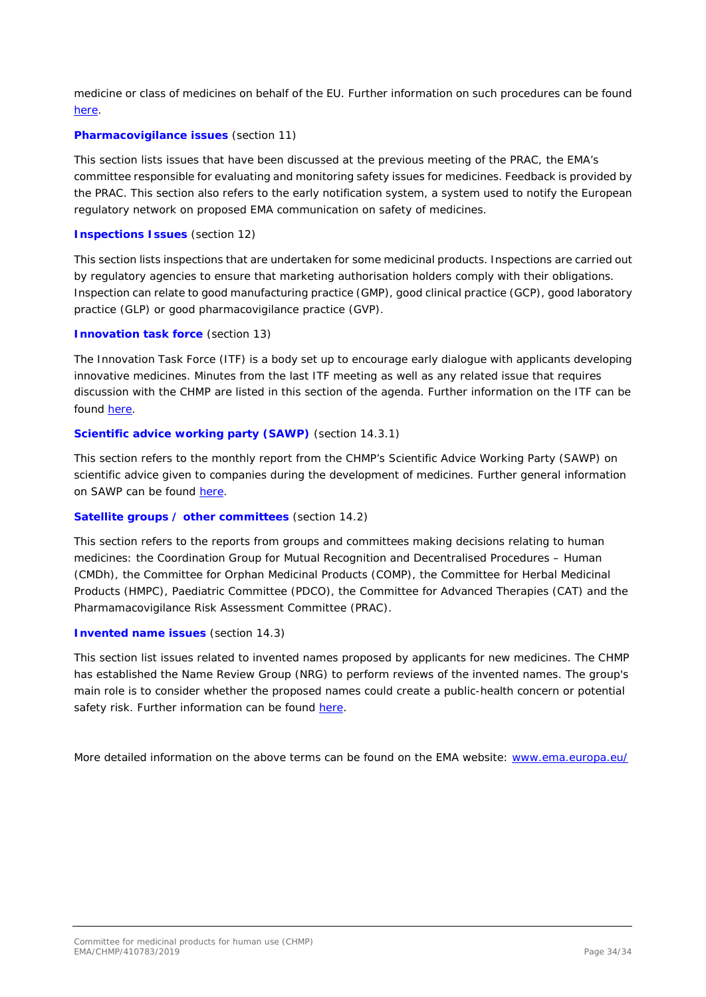medicine or class of medicines on behalf of the EU. Further information on such procedures can be found [here.](http://www.ema.europa.eu/ema/index.jsp?curl=pages/regulation/general/general_content_000150.jsp&mid=WC0b01ac05800240d0)

### **Pharmacovigilance issues** *(section 11)*

This section lists issues that have been discussed at the previous meeting of the PRAC, the EMA's committee responsible for evaluating and monitoring safety issues for medicines. Feedback is provided by the PRAC. This section also refers to the early notification system, a system used to notify the European regulatory network on proposed EMA communication on safety of medicines.

### **Inspections Issues** *(section 12)*

This section lists inspections that are undertaken for some medicinal products. Inspections are carried out by regulatory agencies to ensure that marketing authorisation holders comply with their obligations. Inspection can relate to good manufacturing practice (GMP), good clinical practice (GCP), good laboratory practice (GLP) or good pharmacovigilance practice (GVP).

### **Innovation task force** *(section 13)*

The Innovation Task Force (ITF) is a body set up to encourage early dialogue with applicants developing innovative medicines. Minutes from the last ITF meeting as well as any related issue that requires discussion with the CHMP are listed in this section of the agenda. Further information on the ITF can be found [here.](http://www.ema.europa.eu/ema/index.jsp?curl=pages/regulation/general/general_content_000334.jsp&mid=WC0b01ac05800ba1d9)

### **Scientific advice working party (SAWP)** *(section 14.3.1)*

This section refers to the monthly report from the CHMP's Scientific Advice Working Party (SAWP) on scientific advice given to companies during the development of medicines. Further general information on SAWP can be found [here.](http://www.ema.europa.eu/ema/index.jsp?curl=pages/regulation/general/general_content_000049.jsp&mid=WC0b01ac05800229b9)

### **Satellite groups / other committees** *(section 14.2)*

This section refers to the reports from groups and committees making decisions relating to human medicines: the Coordination Group for Mutual Recognition and Decentralised Procedures – Human (CMDh), the Committee for Orphan Medicinal Products (COMP), the Committee for Herbal Medicinal Products (HMPC), Paediatric Committee (PDCO), the Committee for Advanced Therapies (CAT) and the Pharmamacovigilance Risk Assessment Committee (PRAC).

### **Invented name issues** *(section 14.3)*

This section list issues related to invented names proposed by applicants for new medicines. The CHMP has established the Name Review Group (NRG) to perform reviews of the invented names. The group's main role is to consider whether the proposed names could create a public-health concern or potential safety risk. Further information can be found [here.](http://www.ema.europa.eu/ema/index.jsp?curl=pages/contacts/CHMP/people_listing_000035.jsp&mid=WC0b01ac0580028dd4)

More detailed information on the above terms can be found on the EMA website: [www.ema.europa.eu/](http://www.ema.europa.eu/)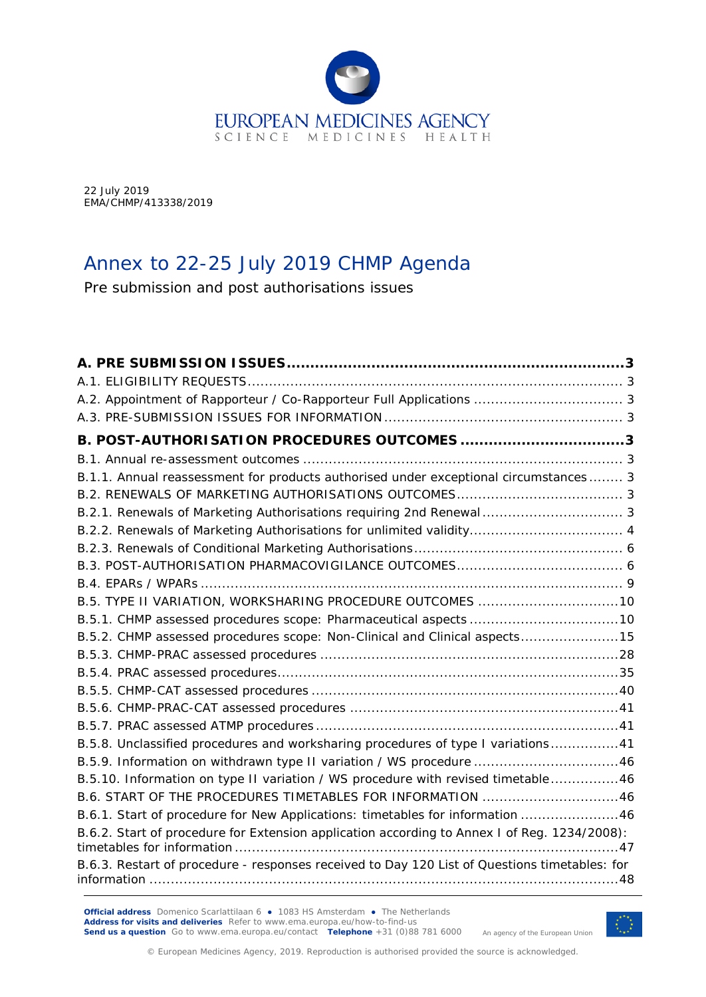

22 July 2019 EMA/CHMP/413338/2019

# Annex to 22-25 July 2019 CHMP Agenda

Pre submission and post authorisations issues

| A.2. Appointment of Rapporteur / Co-Rapporteur Full Applications  3                           |  |
|-----------------------------------------------------------------------------------------------|--|
|                                                                                               |  |
| B. POST-AUTHORISATION PROCEDURES OUTCOMES 3                                                   |  |
|                                                                                               |  |
| B.1.1. Annual reassessment for products authorised under exceptional circumstances 3          |  |
|                                                                                               |  |
|                                                                                               |  |
| B.2.2. Renewals of Marketing Authorisations for unlimited validity 4                          |  |
|                                                                                               |  |
|                                                                                               |  |
|                                                                                               |  |
| B.5. TYPE II VARIATION, WORKSHARING PROCEDURE OUTCOMES 10                                     |  |
| B.5.1. CHMP assessed procedures scope: Pharmaceutical aspects 10                              |  |
| B.5.2. CHMP assessed procedures scope: Non-Clinical and Clinical aspects15                    |  |
|                                                                                               |  |
|                                                                                               |  |
|                                                                                               |  |
|                                                                                               |  |
|                                                                                               |  |
| B.5.8. Unclassified procedures and worksharing procedures of type I variations41              |  |
| B.5.9. Information on withdrawn type II variation / WS procedure 46                           |  |
| B.5.10. Information on type II variation / WS procedure with revised timetable46              |  |
| B.6. START OF THE PROCEDURES TIMETABLES FOR INFORMATION 46                                    |  |
| B.6.1. Start of procedure for New Applications: timetables for information 46                 |  |
| B.6.2. Start of procedure for Extension application according to Annex I of Reg. 1234/2008):  |  |
| B.6.3. Restart of procedure - responses received to Day 120 List of Questions timetables: for |  |

**Official address** Domenico Scarlattilaan 6 **●** 1083 HS Amsterdam **●** The Netherlands **Address for visits and deliveries** Refer to [www.ema.europa.eu/how-to-find-us](http://www.ema.europa.eu/how-to-find-us) **Send us a question** Go to [www.ema.europa.eu/contact](http://www.ema.europa.eu/contact) **Telephone** +31 (0)88 781 6000



An agency of the European Union

© European Medicines Agency, 2019. Reproduction is authorised provided the source is acknowledged.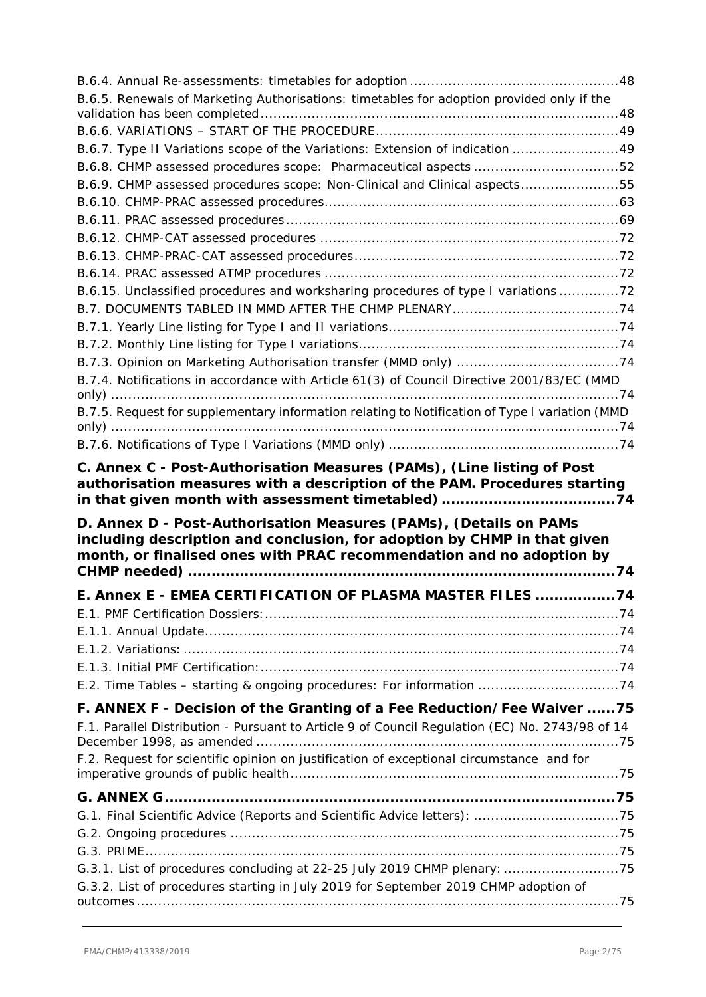| B.6.5. Renewals of Marketing Authorisations: timetables for adoption provided only if the                                                                       |  |
|-----------------------------------------------------------------------------------------------------------------------------------------------------------------|--|
|                                                                                                                                                                 |  |
| B.6.7. Type II Variations scope of the Variations: Extension of indication 49                                                                                   |  |
| B.6.8. CHMP assessed procedures scope: Pharmaceutical aspects 52                                                                                                |  |
| B.6.9. CHMP assessed procedures scope: Non-Clinical and Clinical aspects55                                                                                      |  |
|                                                                                                                                                                 |  |
|                                                                                                                                                                 |  |
|                                                                                                                                                                 |  |
|                                                                                                                                                                 |  |
|                                                                                                                                                                 |  |
|                                                                                                                                                                 |  |
| B.6.15. Unclassified procedures and worksharing procedures of type I variations 72                                                                              |  |
|                                                                                                                                                                 |  |
|                                                                                                                                                                 |  |
|                                                                                                                                                                 |  |
|                                                                                                                                                                 |  |
| B.7.4. Notifications in accordance with Article 61(3) of Council Directive 2001/83/EC (MMD                                                                      |  |
| B.7.5. Request for supplementary information relating to Notification of Type I variation (MMD                                                                  |  |
|                                                                                                                                                                 |  |
|                                                                                                                                                                 |  |
|                                                                                                                                                                 |  |
| D. Annex D - Post-Authorisation Measures (PAMs), (Details on PAMs<br>including description and conclusion, for adoption by CHMP in that given                   |  |
| month, or finalised ones with PRAC recommendation and no adoption by                                                                                            |  |
| E. Annex E - EMEA CERTIFICATION OF PLASMA MASTER FILES 74                                                                                                       |  |
|                                                                                                                                                                 |  |
|                                                                                                                                                                 |  |
|                                                                                                                                                                 |  |
|                                                                                                                                                                 |  |
| E.2. Time Tables - starting & ongoing procedures: For information 74                                                                                            |  |
| F. ANNEX F - Decision of the Granting of a Fee Reduction/Fee Waiver  75                                                                                         |  |
| F.1. Parallel Distribution - Pursuant to Article 9 of Council Regulation (EC) No. 2743/98 of 14                                                                 |  |
| F.2. Request for scientific opinion on justification of exceptional circumstance and for                                                                        |  |
|                                                                                                                                                                 |  |
|                                                                                                                                                                 |  |
| G.1. Final Scientific Advice (Reports and Scientific Advice letters): 75                                                                                        |  |
|                                                                                                                                                                 |  |
|                                                                                                                                                                 |  |
| G.3.1. List of procedures concluding at 22-25 July 2019 CHMP plenary: 75<br>G.3.2. List of procedures starting in July 2019 for September 2019 CHMP adoption of |  |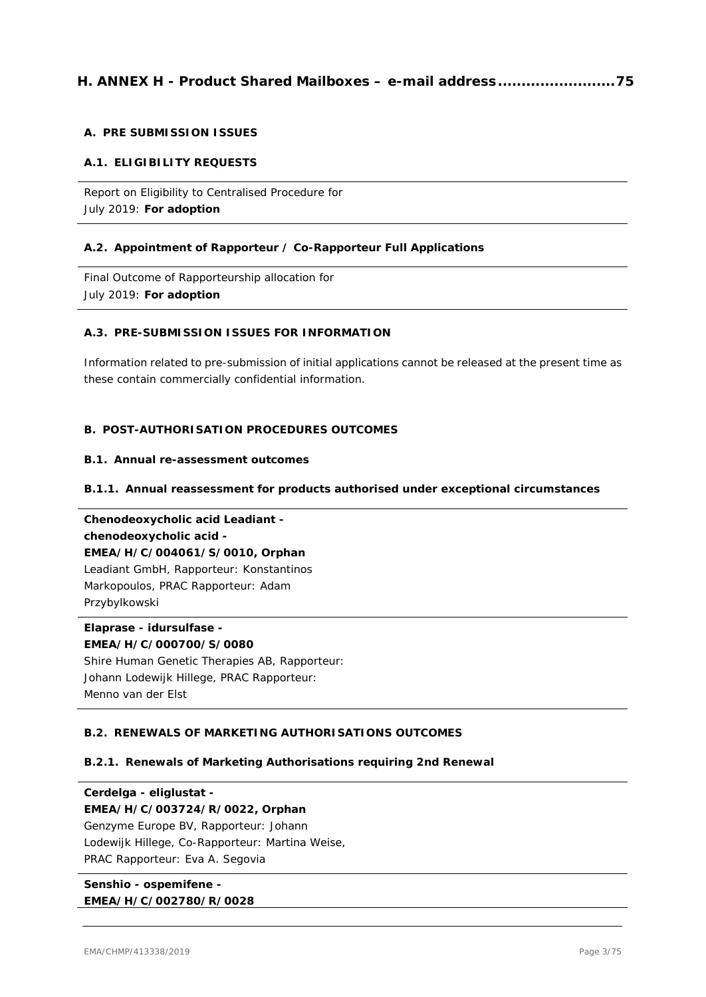# **H. ANNEX H - Product Shared Mailboxes – [e-mail address.........................75](#page-108-0)**

#### **A. PRE SUBMISSION ISSUES**

#### **A.1. ELIGIBILITY REQUESTS**

Report on Eligibility to Centralised Procedure for July 2019: **For adoption**

#### **A.2. Appointment of Rapporteur / Co-Rapporteur Full Applications**

Final Outcome of Rapporteurship allocation for July 2019: **For adoption**

#### **A.3. PRE-SUBMISSION ISSUES FOR INFORMATION**

Information related to pre-submission of initial applications cannot be released at the present time as these contain commercially confidential information.

#### **B. POST-AUTHORISATION PROCEDURES OUTCOMES**

#### **B.1. Annual re-assessment outcomes**

#### **B.1.1. Annual reassessment for products authorised under exceptional circumstances**

**Chenodeoxycholic acid Leadiant chenodeoxycholic acid - EMEA/H/C/004061/S/0010, Orphan** Leadiant GmbH, Rapporteur: Konstantinos Markopoulos, PRAC Rapporteur: Adam Przybylkowski

**Elaprase - idursulfase - EMEA/H/C/000700/S/0080** Shire Human Genetic Therapies AB, Rapporteur: Johann Lodewijk Hillege, PRAC Rapporteur: Menno van der Elst

#### **B.2. RENEWALS OF MARKETING AUTHORISATIONS OUTCOMES**

#### **B.2.1. Renewals of Marketing Authorisations requiring 2nd Renewal**

**Cerdelga - eliglustat - EMEA/H/C/003724/R/0022, Orphan** Genzyme Europe BV, Rapporteur: Johann Lodewijk Hillege, Co-Rapporteur: Martina Weise, PRAC Rapporteur: Eva A. Segovia

**Senshio - ospemifene - EMEA/H/C/002780/R/0028**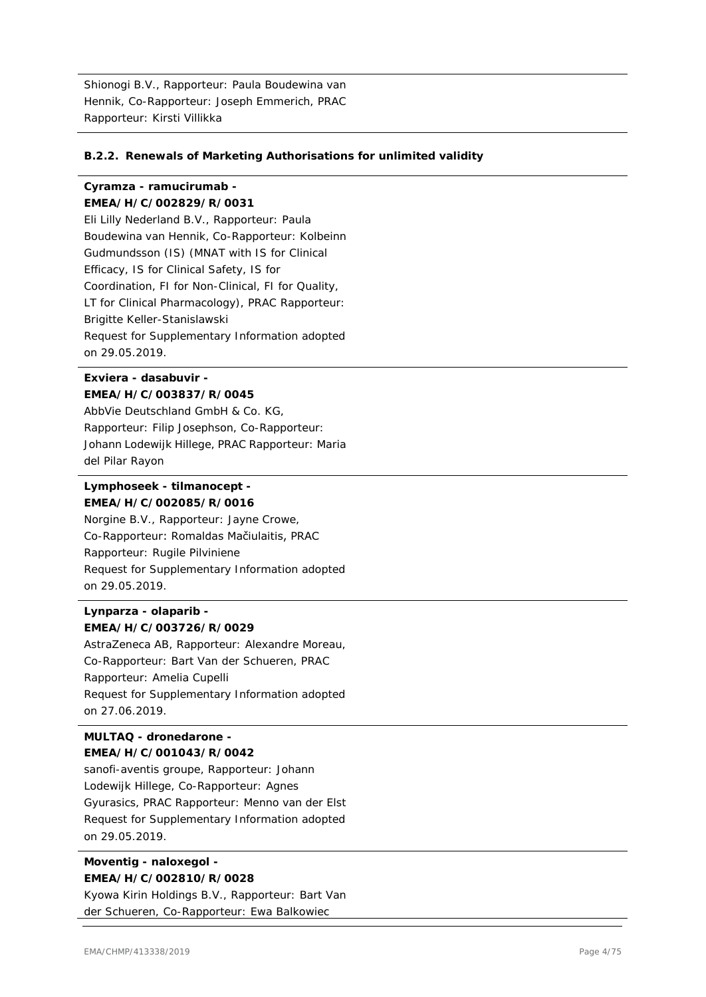Shionogi B.V., Rapporteur: Paula Boudewina van Hennik, Co-Rapporteur: Joseph Emmerich, PRAC Rapporteur: Kirsti Villikka

#### **B.2.2. Renewals of Marketing Authorisations for unlimited validity**

#### **Cyramza - ramucirumab - EMEA/H/C/002829/R/0031**

Eli Lilly Nederland B.V., Rapporteur: Paula Boudewina van Hennik, Co-Rapporteur: Kolbeinn Gudmundsson (IS) (MNAT with IS for Clinical Efficacy, IS for Clinical Safety, IS for Coordination, FI for Non-Clinical, FI for Quality, LT for Clinical Pharmacology), PRAC Rapporteur: Brigitte Keller-Stanislawski Request for Supplementary Information adopted on 29.05.2019.

#### **Exviera - dasabuvir - EMEA/H/C/003837/R/0045**

AbbVie Deutschland GmbH & Co. KG, Rapporteur: Filip Josephson, Co-Rapporteur: Johann Lodewijk Hillege, PRAC Rapporteur: Maria del Pilar Rayon

#### **Lymphoseek - tilmanocept - EMEA/H/C/002085/R/0016**

Norgine B.V., Rapporteur: Jayne Crowe, Co-Rapporteur: Romaldas Mačiulaitis, PRAC Rapporteur: Rugile Pilviniene Request for Supplementary Information adopted on 29.05.2019.

### **Lynparza - olaparib - EMEA/H/C/003726/R/0029**

AstraZeneca AB, Rapporteur: Alexandre Moreau, Co-Rapporteur: Bart Van der Schueren, PRAC Rapporteur: Amelia Cupelli Request for Supplementary Information adopted on 27.06.2019.

#### **MULTAQ - dronedarone - EMEA/H/C/001043/R/0042**

sanofi-aventis groupe, Rapporteur: Johann Lodewijk Hillege, Co-Rapporteur: Agnes Gyurasics, PRAC Rapporteur: Menno van der Elst Request for Supplementary Information adopted on 29.05.2019.

# **Moventig - naloxegol - EMEA/H/C/002810/R/0028**

Kyowa Kirin Holdings B.V., Rapporteur: Bart Van der Schueren, Co-Rapporteur: Ewa Balkowiec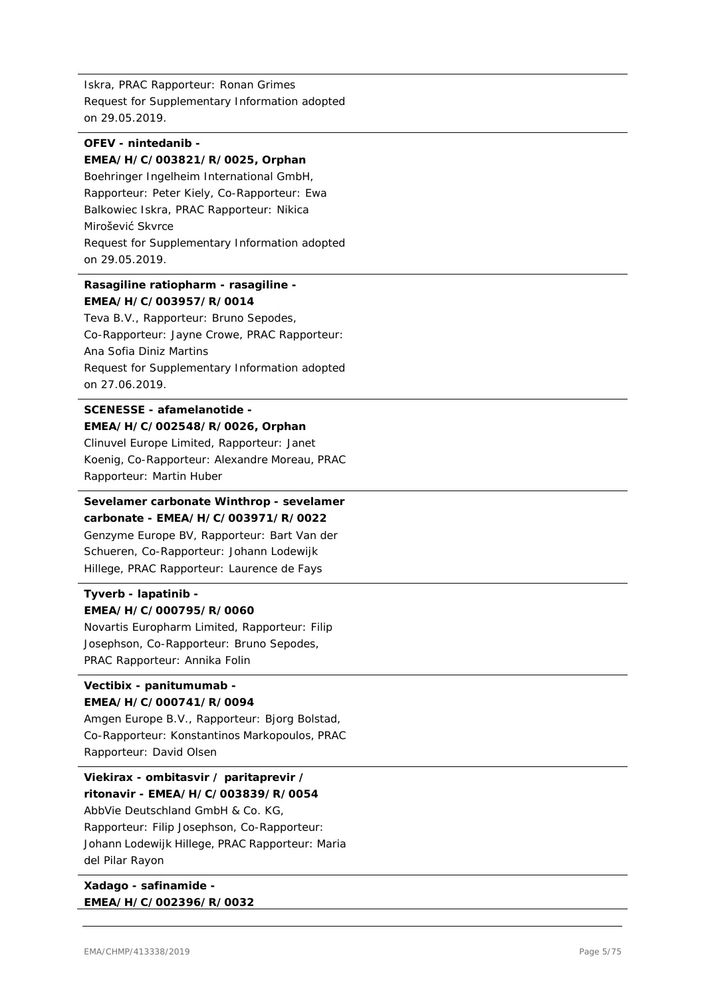Iskra, PRAC Rapporteur: Ronan Grimes Request for Supplementary Information adopted on 29.05.2019.

#### **OFEV - nintedanib - EMEA/H/C/003821/R/0025, Orphan**

Boehringer Ingelheim International GmbH, Rapporteur: Peter Kiely, Co-Rapporteur: Ewa Balkowiec Iskra, PRAC Rapporteur: Nikica Mirošević Skvrce Request for Supplementary Information adopted on 29.05.2019.

#### **Rasagiline ratiopharm - rasagiline - EMEA/H/C/003957/R/0014**

Teva B.V., Rapporteur: Bruno Sepodes, Co-Rapporteur: Jayne Crowe, PRAC Rapporteur: Ana Sofia Diniz Martins Request for Supplementary Information adopted on 27.06.2019.

#### **SCENESSE - afamelanotide - EMEA/H/C/002548/R/0026, Orphan**

Clinuvel Europe Limited, Rapporteur: Janet Koenig, Co-Rapporteur: Alexandre Moreau, PRAC Rapporteur: Martin Huber

# **Sevelamer carbonate Winthrop - sevelamer carbonate - EMEA/H/C/003971/R/0022** Genzyme Europe BV, Rapporteur: Bart Van der Schueren, Co-Rapporteur: Johann Lodewijk Hillege, PRAC Rapporteur: Laurence de Fays

# **Tyverb - lapatinib -**

# **EMEA/H/C/000795/R/0060**

Novartis Europharm Limited, Rapporteur: Filip Josephson, Co-Rapporteur: Bruno Sepodes, PRAC Rapporteur: Annika Folin

#### **Vectibix - panitumumab - EMEA/H/C/000741/R/0094**

Amgen Europe B.V., Rapporteur: Bjorg Bolstad, Co-Rapporteur: Konstantinos Markopoulos, PRAC Rapporteur: David Olsen

**Viekirax - ombitasvir / paritaprevir / ritonavir - EMEA/H/C/003839/R/0054** AbbVie Deutschland GmbH & Co. KG, Rapporteur: Filip Josephson, Co-Rapporteur: Johann Lodewijk Hillege, PRAC Rapporteur: Maria del Pilar Rayon

**Xadago - safinamide - EMEA/H/C/002396/R/0032**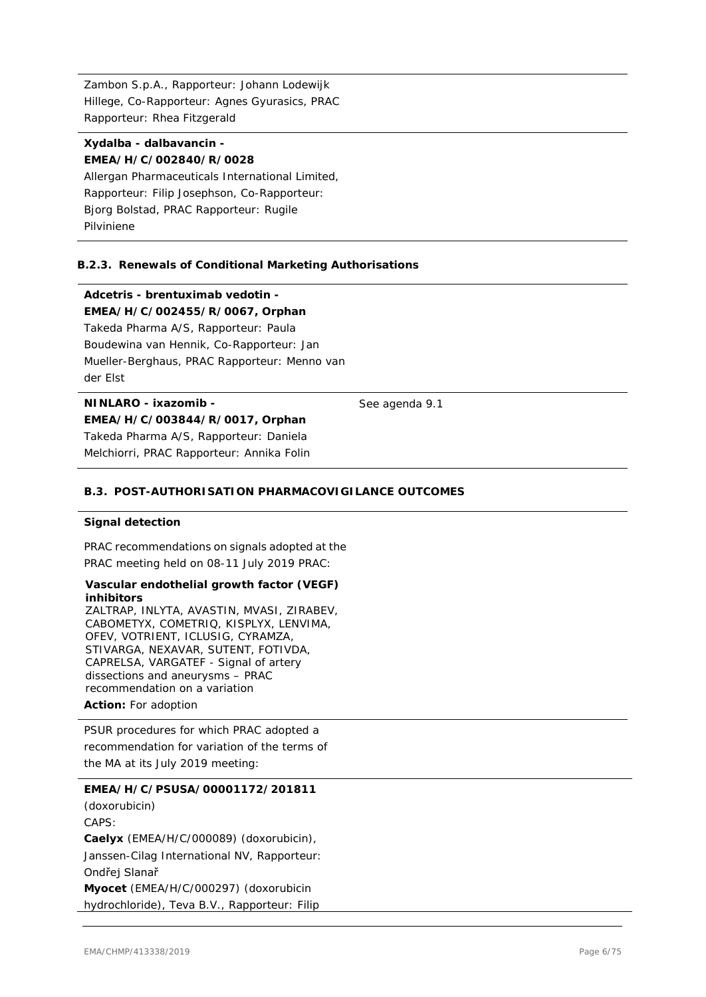Zambon S.p.A., Rapporteur: Johann Lodewijk Hillege, Co-Rapporteur: Agnes Gyurasics, PRAC Rapporteur: Rhea Fitzgerald

#### **Xydalba - dalbavancin - EMEA/H/C/002840/R/0028**

Allergan Pharmaceuticals International Limited, Rapporteur: Filip Josephson, Co-Rapporteur: Bjorg Bolstad, PRAC Rapporteur: Rugile Pilviniene

#### **B.2.3. Renewals of Conditional Marketing Authorisations**

**Adcetris - brentuximab vedotin -**

**EMEA/H/C/002455/R/0067, Orphan**

Takeda Pharma A/S, Rapporteur: Paula Boudewina van Hennik, Co-Rapporteur: Jan Mueller-Berghaus, PRAC Rapporteur: Menno van der Elst

### **NINLARO - ixazomib - EMEA/H/C/003844/R/0017, Orphan** Takeda Pharma A/S, Rapporteur: Daniela

Melchiorri, PRAC Rapporteur: Annika Folin

#### **B.3. POST-AUTHORISATION PHARMACOVIGILANCE OUTCOMES**

#### **Signal detection**

PRAC recommendations on signals adopted at the PRAC meeting held on 08-11 July 2019 PRAC:

#### **Vascular endothelial growth factor (VEGF) inhibitors**

ZALTRAP, INLYTA, AVASTIN, MVASI, ZIRABEV, CABOMETYX, COMETRIQ, KISPLYX, LENVIMA, OFEV, VOTRIENT, ICLUSIG, CYRAMZA, STIVARGA, NEXAVAR, SUTENT, FOTIVDA, CAPRELSA, VARGATEF - Signal of artery dissections and aneurysms – PRAC recommendation on a variation

#### **Action:** For adoption

PSUR procedures for which PRAC adopted a recommendation for variation of the terms of the MA at its July 2019 meeting:

#### **EMEA/H/C/PSUSA/00001172/201811**

(doxorubicin) CAPS: **Caelyx** (EMEA/H/C/000089) (doxorubicin), Janssen-Cilag International NV, Rapporteur: Ondřej Slanař **Myocet** (EMEA/H/C/000297) (doxorubicin hydrochloride), Teva B.V., Rapporteur: Filip

See agenda 9.1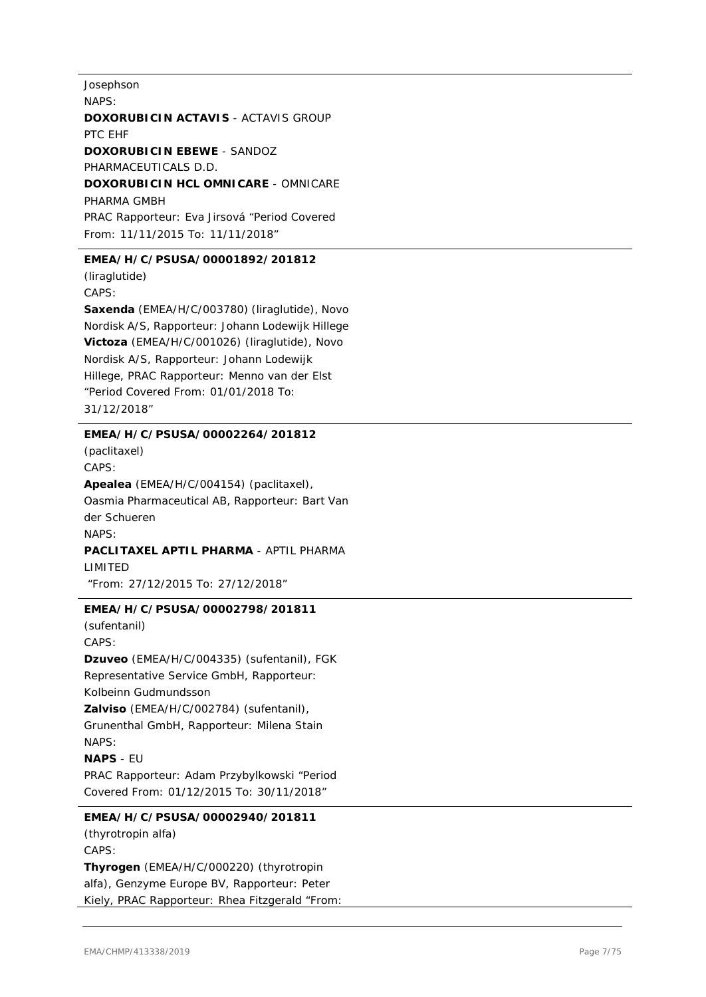Josephson NAPS: **DOXORUBICIN ACTAVIS - ACTAVIS GROUP** PTC EHF **DOXORUBICIN EBEWE** - SANDOZ PHARMACEUTICALS D.D. **DOXORUBICIN HCL OMNICARE** - OMNICARE PHARMA GMBH PRAC Rapporteur: Eva Jirsová "Period Covered From: 11/11/2015 To: 11/11/2018"

#### **EMEA/H/C/PSUSA/00001892/201812**

(liraglutide) CAPS: **Saxenda** (EMEA/H/C/003780) (liraglutide), Novo Nordisk A/S, Rapporteur: Johann Lodewijk Hillege **Victoza** (EMEA/H/C/001026) (liraglutide), Novo Nordisk A/S, Rapporteur: Johann Lodewijk Hillege, PRAC Rapporteur: Menno van der Elst "Period Covered From: 01/01/2018 To: 31/12/2018"

#### **EMEA/H/C/PSUSA/00002264/201812**

(paclitaxel) CAPS: **Apealea** (EMEA/H/C/004154) (paclitaxel), Oasmia Pharmaceutical AB, Rapporteur: Bart Van der Schueren NAPS: **PACLITAXEL APTIL PHARMA** - APTIL PHARMA LIMITED "From: 27/12/2015 To: 27/12/2018"

#### **EMEA/H/C/PSUSA/00002798/201811**

(sufentanil) CAPS: **Dzuveo** (EMEA/H/C/004335) (sufentanil), FGK Representative Service GmbH, Rapporteur: Kolbeinn Gudmundsson **Zalviso** (EMEA/H/C/002784) (sufentanil), Grunenthal GmbH, Rapporteur: Milena Stain NAPS: **NAPS** - EU PRAC Rapporteur: Adam Przybylkowski "Period Covered From: 01/12/2015 To: 30/11/2018"

**EMEA/H/C/PSUSA/00002940/201811** (thyrotropin alfa) CAPS: **Thyrogen** (EMEA/H/C/000220) (thyrotropin alfa), Genzyme Europe BV, Rapporteur: Peter Kiely, PRAC Rapporteur: Rhea Fitzgerald "From: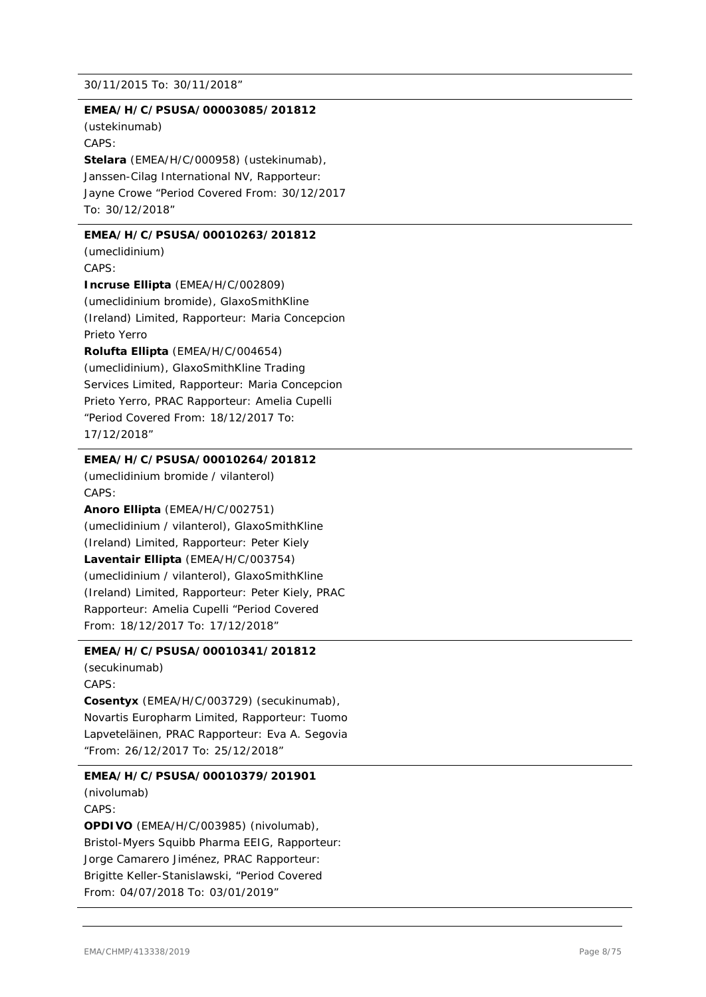#### 30/11/2015 To: 30/11/2018"

#### **EMEA/H/C/PSUSA/00003085/201812**

(ustekinumab) CAPS: **Stelara** (EMEA/H/C/000958) (ustekinumab), Janssen-Cilag International NV, Rapporteur: Jayne Crowe "Period Covered From: 30/12/2017 To: 30/12/2018"

#### **EMEA/H/C/PSUSA/00010263/201812**

(umeclidinium) CAPS:

**Incruse Ellipta** (EMEA/H/C/002809) (umeclidinium bromide), GlaxoSmithKline (Ireland) Limited, Rapporteur: Maria Concepcion Prieto Yerro

**Rolufta Ellipta** (EMEA/H/C/004654) (umeclidinium), GlaxoSmithKline Trading Services Limited, Rapporteur: Maria Concepcion Prieto Yerro, PRAC Rapporteur: Amelia Cupelli "Period Covered From: 18/12/2017 To: 17/12/2018"

#### **EMEA/H/C/PSUSA/00010264/201812**

(umeclidinium bromide / vilanterol) CAPS:

**Anoro Ellipta** (EMEA/H/C/002751) (umeclidinium / vilanterol), GlaxoSmithKline (Ireland) Limited, Rapporteur: Peter Kiely **Laventair Ellipta** (EMEA/H/C/003754) (umeclidinium / vilanterol), GlaxoSmithKline (Ireland) Limited, Rapporteur: Peter Kiely, PRAC Rapporteur: Amelia Cupelli "Period Covered From: 18/12/2017 To: 17/12/2018"

#### **EMEA/H/C/PSUSA/00010341/201812**

(secukinumab) CAPS: **Cosentyx** (EMEA/H/C/003729) (secukinumab), Novartis Europharm Limited, Rapporteur: Tuomo Lapveteläinen, PRAC Rapporteur: Eva A. Segovia "From: 26/12/2017 To: 25/12/2018"

#### **EMEA/H/C/PSUSA/00010379/201901**

(nivolumab) CAPS: **OPDIVO** (EMEA/H/C/003985) (nivolumab), Bristol-Myers Squibb Pharma EEIG, Rapporteur: Jorge Camarero Jiménez, PRAC Rapporteur: Brigitte Keller-Stanislawski, "Period Covered From: 04/07/2018 To: 03/01/2019"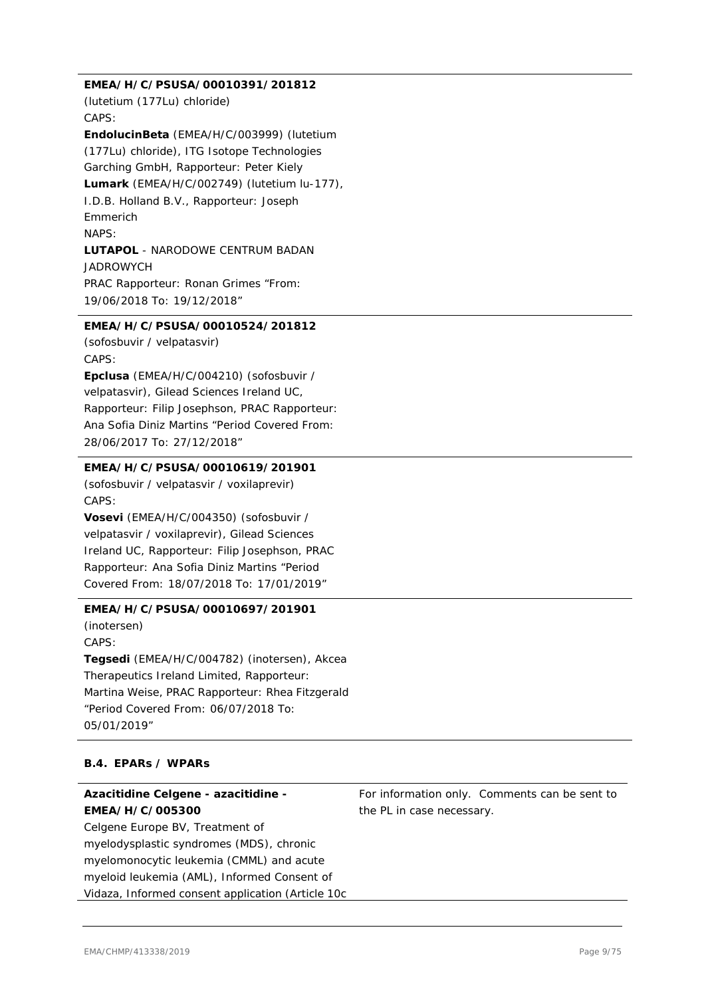#### **EMEA/H/C/PSUSA/00010391/201812**

(lutetium (177Lu) chloride) CAPS:

**EndolucinBeta** (EMEA/H/C/003999) (lutetium (177Lu) chloride), ITG Isotope Technologies Garching GmbH, Rapporteur: Peter Kiely **Lumark** (EMEA/H/C/002749) (lutetium lu-177), I.D.B. Holland B.V., Rapporteur: Joseph Emmerich NAPS: **LUTAPOL** - NARODOWE CENTRUM BADAN JADROWYCH PRAC Rapporteur: Ronan Grimes "From: 19/06/2018 To: 19/12/2018"

#### **EMEA/H/C/PSUSA/00010524/201812**

(sofosbuvir / velpatasvir) CAPS:

**Epclusa** (EMEA/H/C/004210) (sofosbuvir / velpatasvir), Gilead Sciences Ireland UC, Rapporteur: Filip Josephson, PRAC Rapporteur: Ana Sofia Diniz Martins "Period Covered From: 28/06/2017 To: 27/12/2018"

#### **EMEA/H/C/PSUSA/00010619/201901**

(sofosbuvir / velpatasvir / voxilaprevir) CAPS:

**Vosevi** (EMEA/H/C/004350) (sofosbuvir / velpatasvir / voxilaprevir), Gilead Sciences Ireland UC, Rapporteur: Filip Josephson, PRAC Rapporteur: Ana Sofia Diniz Martins "Period Covered From: 18/07/2018 To: 17/01/2019"

#### **EMEA/H/C/PSUSA/00010697/201901**

(inotersen) CAPS: **Tegsedi** (EMEA/H/C/004782) (inotersen), Akcea Therapeutics Ireland Limited, Rapporteur: Martina Weise, PRAC Rapporteur: Rhea Fitzgerald "Period Covered From: 06/07/2018 To: 05/01/2019"

#### **B.4. EPARs / WPARs**

# **Azacitidine Celgene - azacitidine - EMEA/H/C/005300**

Celgene Europe BV, Treatment of myelodysplastic syndromes (MDS), chronic myelomonocytic leukemia (CMML) and acute myeloid leukemia (AML), Informed Consent of Vidaza, Informed consent application (Article 10c For information only. Comments can be sent to the PL in case necessary.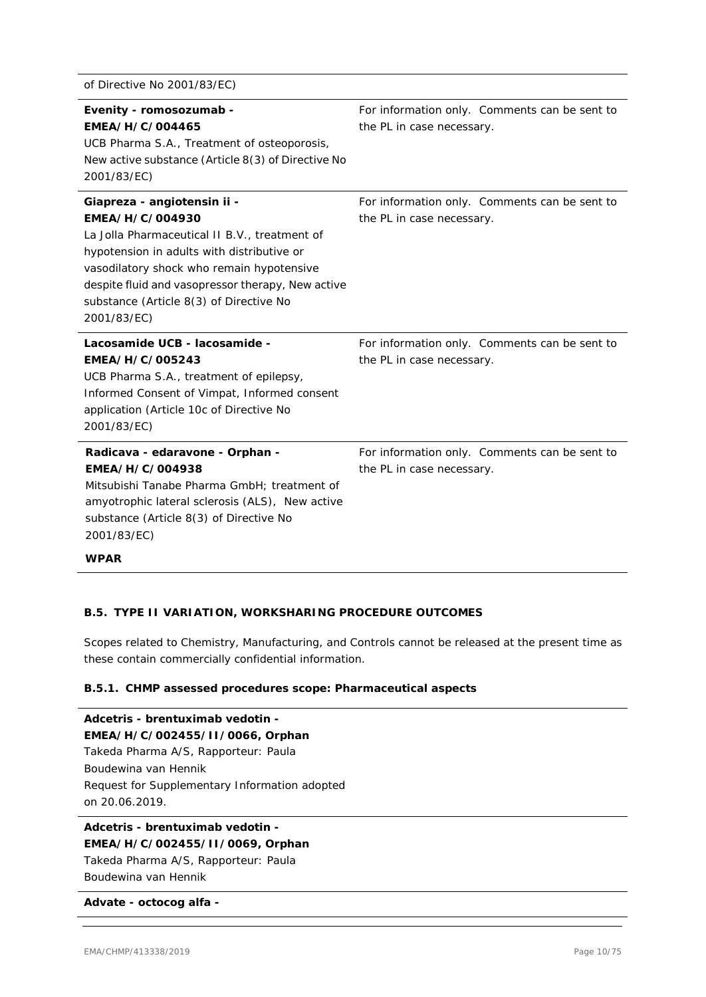| of Directive No 2001/83/EC)                                                                                                                                                                                                                                                                               |                                                                            |
|-----------------------------------------------------------------------------------------------------------------------------------------------------------------------------------------------------------------------------------------------------------------------------------------------------------|----------------------------------------------------------------------------|
| Evenity - romosozumab -<br>EMEA/H/C/004465<br>UCB Pharma S.A., Treatment of osteoporosis,<br>New active substance (Article 8(3) of Directive No<br>2001/83/EC)                                                                                                                                            | For information only. Comments can be sent to<br>the PL in case necessary. |
| Giapreza - angiotensin ii -<br>EMEA/H/C/004930<br>La Jolla Pharmaceutical II B.V., treatment of<br>hypotension in adults with distributive or<br>vasodilatory shock who remain hypotensive<br>despite fluid and vasopressor therapy, New active<br>substance (Article 8(3) of Directive No<br>2001/83/EC) | For information only. Comments can be sent to<br>the PL in case necessary. |
| Lacosamide UCB - lacosamide -<br>EMEA/H/C/005243<br>UCB Pharma S.A., treatment of epilepsy,<br>Informed Consent of Vimpat, Informed consent<br>application (Article 10c of Directive No<br>2001/83/EC)                                                                                                    | For information only. Comments can be sent to<br>the PL in case necessary. |
| Radicava - edaravone - Orphan -<br>EMEA/H/C/004938<br>Mitsubishi Tanabe Pharma GmbH; treatment of<br>amyotrophic lateral sclerosis (ALS), New active<br>substance (Article 8(3) of Directive No<br>2001/83/EC)                                                                                            | For information only. Comments can be sent to<br>the PL in case necessary. |
| <b>WPAR</b>                                                                                                                                                                                                                                                                                               |                                                                            |

#### **B.5. TYPE II VARIATION, WORKSHARING PROCEDURE OUTCOMES**

Scopes related to Chemistry, Manufacturing, and Controls cannot be released at the present time as these contain commercially confidential information.

#### **B.5.1. CHMP assessed procedures scope: Pharmaceutical aspects**

**Adcetris - brentuximab vedotin - EMEA/H/C/002455/II/0066, Orphan** Takeda Pharma A/S, Rapporteur: Paula Boudewina van Hennik Request for Supplementary Information adopted on 20.06.2019.

#### **Adcetris - brentuximab vedotin - EMEA/H/C/002455/II/0069, Orphan**

Takeda Pharma A/S, Rapporteur: Paula Boudewina van Hennik

#### **Advate - octocog alfa -**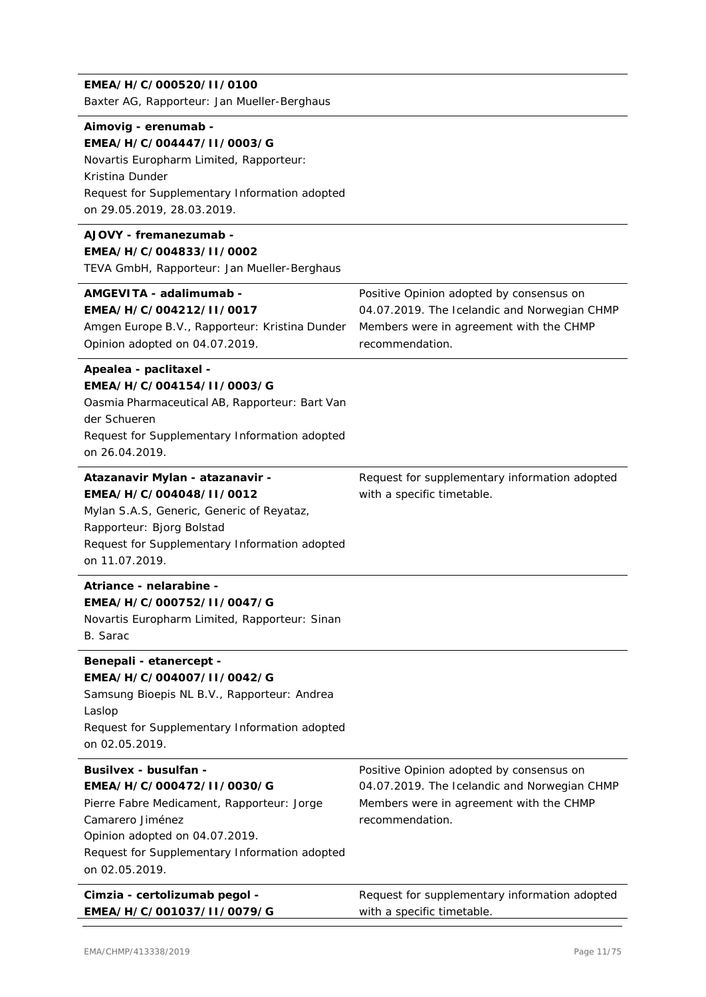#### **EMEA/H/C/000520/II/0100**

Baxter AG, Rapporteur: Jan Mueller-Berghaus

#### **Aimovig - erenumab - EMEA/H/C/004447/II/0003/G**

# Novartis Europharm Limited, Rapporteur:

Kristina Dunder Request for Supplementary Information adopted on 29.05.2019, 28.03.2019.

#### **AJOVY - fremanezumab - EMEA/H/C/004833/II/0002**

TEVA GmbH, Rapporteur: Jan Mueller-Berghaus

#### **AMGEVITA - adalimumab -**

**EMEA/H/C/004212/II/0017** Amgen Europe B.V., Rapporteur: Kristina Dunder Opinion adopted on 04.07.2019.

Positive Opinion adopted by consensus on 04.07.2019. The Icelandic and Norwegian CHMP Members were in agreement with the CHMP recommendation.

#### **Apealea - paclitaxel - EMEA/H/C/004154/II/0003/G**

Oasmia Pharmaceutical AB, Rapporteur: Bart Van der Schueren Request for Supplementary Information adopted on 26.04.2019.

#### **Atazanavir Mylan - atazanavir - EMEA/H/C/004048/II/0012**

Mylan S.A.S, Generic, Generic of Reyataz, Rapporteur: Bjorg Bolstad Request for Supplementary Information adopted on 11.07.2019.

# **Atriance - nelarabine -**

**EMEA/H/C/000752/II/0047/G**

Novartis Europharm Limited, Rapporteur: Sinan B. Sarac

#### **Benepali - etanercept - EMEA/H/C/004007/II/0042/G**

Samsung Bioepis NL B.V., Rapporteur: Andrea Laslop Request for Supplementary Information adopted on 02.05.2019.

#### **Busilvex - busulfan - EMEA/H/C/000472/II/0030/G** Pierre Fabre Medicament, Rapporteur: Jorge Camarero Jiménez Opinion adopted on 04.07.2019. Request for Supplementary Information adopted on 02.05.2019. Positive Opinion adopted by consensus on 04.07.2019. The Icelandic and Norwegian CHMP Members were in agreement with the CHMP recommendation.

**Cimzia - certolizumab pegol - EMEA/H/C/001037/II/0079/G** Request for supplementary information adopted with a specific timetable.

Request for supplementary information adopted

with a specific timetable.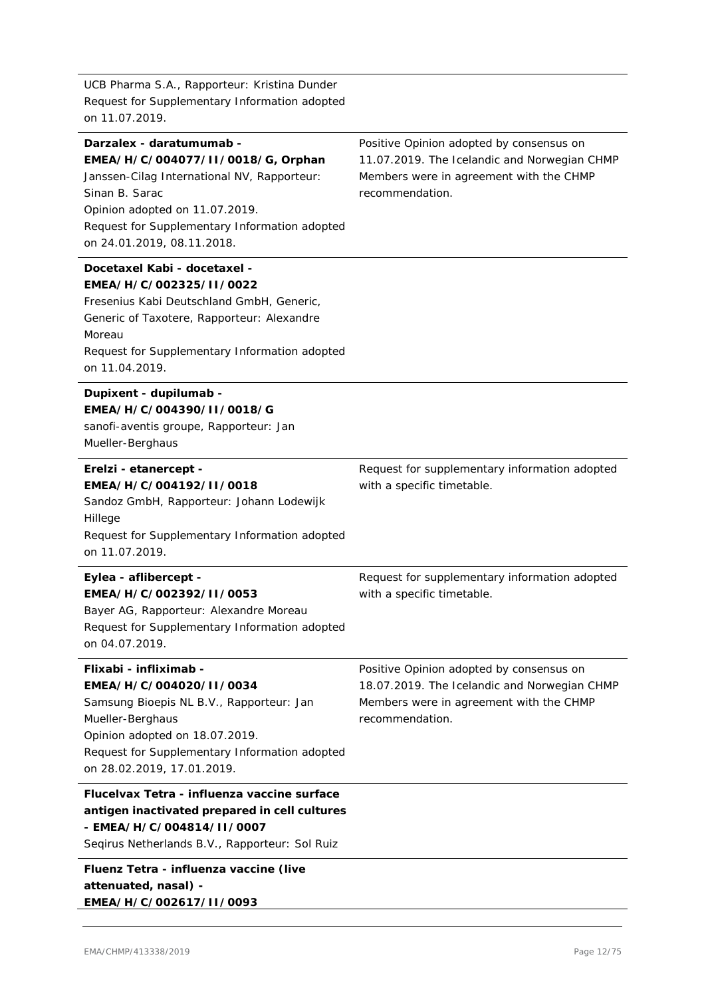UCB Pharma S.A., Rapporteur: Kristina Dunder Request for Supplementary Information adopted on 11.07.2019.

#### **Darzalex - daratumumab - EMEA/H/C/004077/II/0018/G, Orphan**

Janssen-Cilag International NV, Rapporteur: Sinan B. Sarac Opinion adopted on 11.07.2019. Request for Supplementary Information adopted on 24.01.2019, 08.11.2018.

#### **Docetaxel Kabi - docetaxel - EMEA/H/C/002325/II/0022**

Fresenius Kabi Deutschland GmbH, Generic, Generic of Taxotere, Rapporteur: Alexandre Moreau Request for Supplementary Information adopted on 11.04.2019.

## **Dupixent - dupilumab - EMEA/H/C/004390/II/0018/G** sanofi-aventis groupe, Rapporteur: Jan

Mueller-Berghaus

#### **Erelzi - etanercept - EMEA/H/C/004192/II/0018**

Sandoz GmbH, Rapporteur: Johann Lodewijk Hillege Request for Supplementary Information adopted on 11.07.2019.

#### **Eylea - aflibercept - EMEA/H/C/002392/II/0053** Bayer AG, Rapporteur: Alexandre Moreau Request for Supplementary Information adopted Request for supplementary information adopted

on 04.07.2019.

# **Flixabi - infliximab - EMEA/H/C/004020/II/0034**

Samsung Bioepis NL B.V., Rapporteur: Jan Mueller-Berghaus Opinion adopted on 18.07.2019. Request for Supplementary Information adopted on 28.02.2019, 17.01.2019.

# **Flucelvax Tetra - influenza vaccine surface antigen inactivated prepared in cell cultures - EMEA/H/C/004814/II/0007**

Seqirus Netherlands B.V., Rapporteur: Sol Ruiz

# **Fluenz Tetra - influenza vaccine (live attenuated, nasal) -**

**EMEA/H/C/002617/II/0093**

Positive Opinion adopted by consensus on 11.07.2019. The Icelandic and Norwegian CHMP Members were in agreement with the CHMP recommendation.

with a specific timetable.

Request for supplementary information adopted

with a specific timetable.

Positive Opinion adopted by consensus on 18.07.2019. The Icelandic and Norwegian CHMP Members were in agreement with the CHMP recommendation.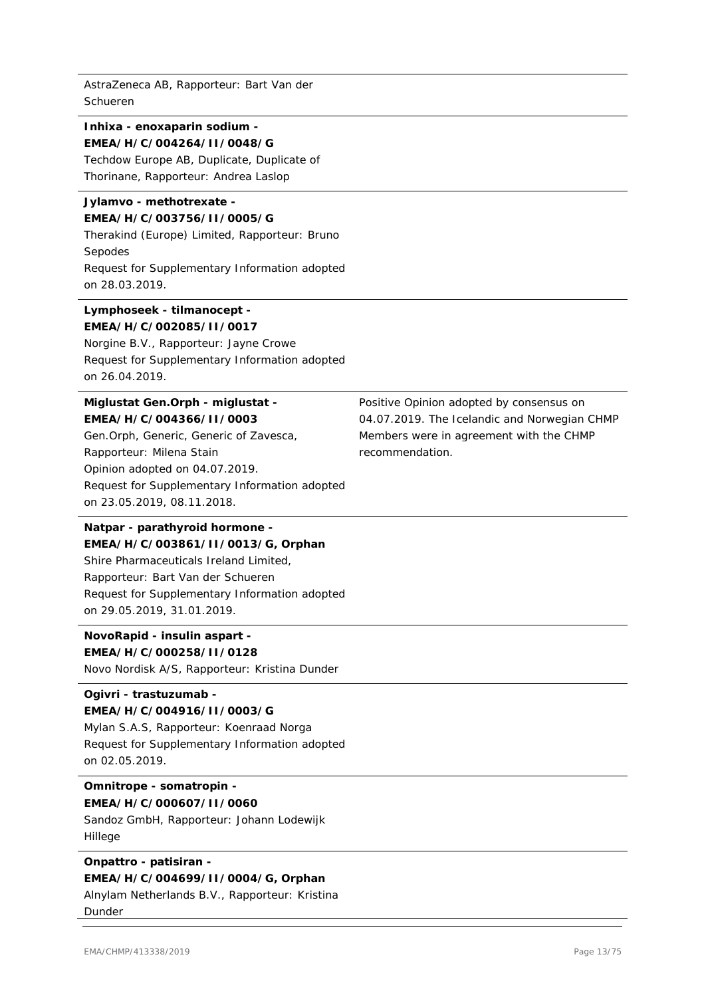AstraZeneca AB, Rapporteur: Bart Van der Schueren

# **Inhixa - enoxaparin sodium - EMEA/H/C/004264/II/0048/G** Techdow Europe AB, Duplicate, Duplicate of

Thorinane, Rapporteur: Andrea Laslop

#### **Jylamvo - methotrexate - EMEA/H/C/003756/II/0005/G**

Therakind (Europe) Limited, Rapporteur: Bruno Sepodes Request for Supplementary Information adopted on 28.03.2019.

#### **Lymphoseek - tilmanocept - EMEA/H/C/002085/II/0017**

Norgine B.V., Rapporteur: Jayne Crowe Request for Supplementary Information adopted on 26.04.2019.

# **Miglustat Gen.Orph - miglustat - EMEA/H/C/004366/II/0003**

Gen.Orph, Generic, Generic of Zavesca, Rapporteur: Milena Stain Opinion adopted on 04.07.2019. Request for Supplementary Information adopted on 23.05.2019, 08.11.2018.

# **Natpar - parathyroid hormone - EMEA/H/C/003861/II/0013/G, Orphan** Shire Pharmaceuticals Ireland Limited, Rapporteur: Bart Van der Schueren Request for Supplementary Information adopted

on 29.05.2019, 31.01.2019.

#### **NovoRapid - insulin aspart - EMEA/H/C/000258/II/0128**

Novo Nordisk A/S, Rapporteur: Kristina Dunder

# **Ogivri - trastuzumab -**

# **EMEA/H/C/004916/II/0003/G**

Mylan S.A.S, Rapporteur: Koenraad Norga Request for Supplementary Information adopted on 02.05.2019.

#### **Omnitrope - somatropin - EMEA/H/C/000607/II/0060**

Sandoz GmbH, Rapporteur: Johann Lodewijk Hillege

#### **Onpattro - patisiran - EMEA/H/C/004699/II/0004/G, Orphan** Alnylam Netherlands B.V., Rapporteur: Kristina

Dunder

Positive Opinion adopted by consensus on 04.07.2019. The Icelandic and Norwegian CHMP Members were in agreement with the CHMP recommendation.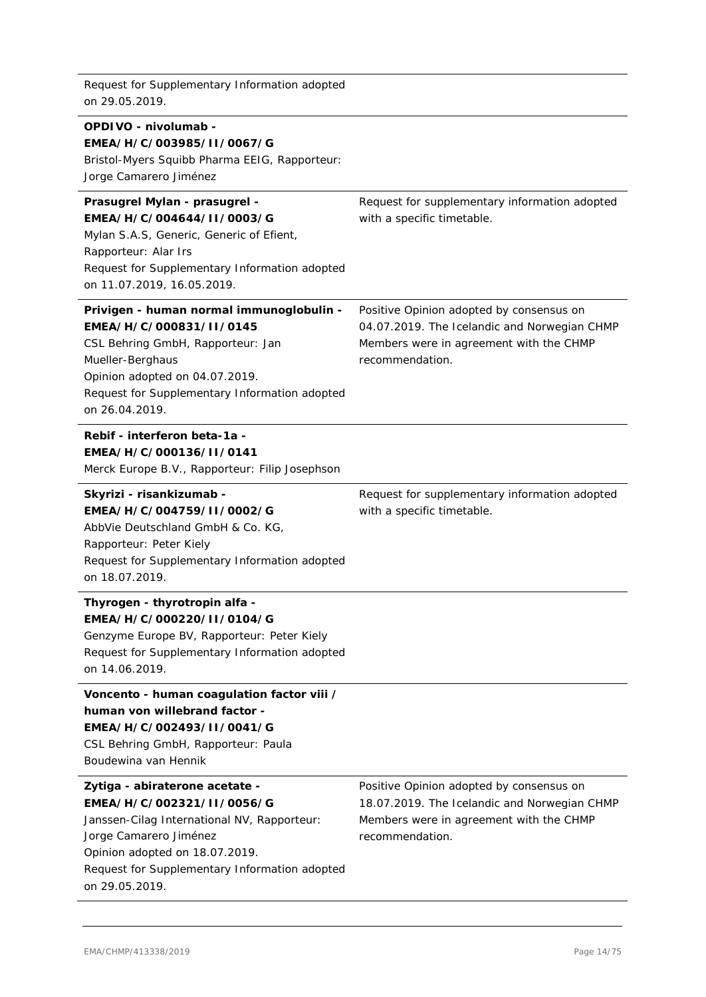Request for Supplementary Information adopted on 29.05.2019.

#### **OPDIVO - nivolumab -**

#### **EMEA/H/C/003985/II/0067/G**

Bristol-Myers Squibb Pharma EEIG, Rapporteur:

Jorge Camarero Jiménez

#### **Prasugrel Mylan - prasugrel - EMEA/H/C/004644/II/0003/G**

Mylan S.A.S, Generic, Generic of Efient, Rapporteur: Alar Irs Request for Supplementary Information adopted on 11.07.2019, 16.05.2019.

#### **Privigen - human normal immunoglobulin - EMEA/H/C/000831/II/0145**

CSL Behring GmbH, Rapporteur: Jan Mueller-Berghaus Opinion adopted on 04.07.2019. Request for Supplementary Information adopted on 26.04.2019.

#### **Rebif - interferon beta-1a - EMEA/H/C/000136/II/0141**

Merck Europe B.V., Rapporteur: Filip Josephson

#### **Skyrizi - risankizumab - EMEA/H/C/004759/II/0002/G**

AbbVie Deutschland GmbH & Co. KG, Rapporteur: Peter Kiely Request for Supplementary Information adopted on 18.07.2019.

#### **Thyrogen - thyrotropin alfa - EMEA/H/C/000220/II/0104/G**

Genzyme Europe BV, Rapporteur: Peter Kiely Request for Supplementary Information adopted on 14.06.2019.

#### **Voncento - human coagulation factor viii / human von willebrand factor -**

# **EMEA/H/C/002493/II/0041/G**

CSL Behring GmbH, Rapporteur: Paula Boudewina van Hennik

#### **Zytiga - abiraterone acetate - EMEA/H/C/002321/II/0056/G**

Janssen-Cilag International NV, Rapporteur: Jorge Camarero Jiménez Opinion adopted on 18.07.2019. Request for Supplementary Information adopted on 29.05.2019.

Positive Opinion adopted by consensus on 18.07.2019. The Icelandic and Norwegian CHMP Members were in agreement with the CHMP recommendation.

Request for supplementary information adopted with a specific timetable.

Request for supplementary information adopted

Positive Opinion adopted by consensus on 04.07.2019. The Icelandic and Norwegian CHMP Members were in agreement with the CHMP

with a specific timetable.

recommendation.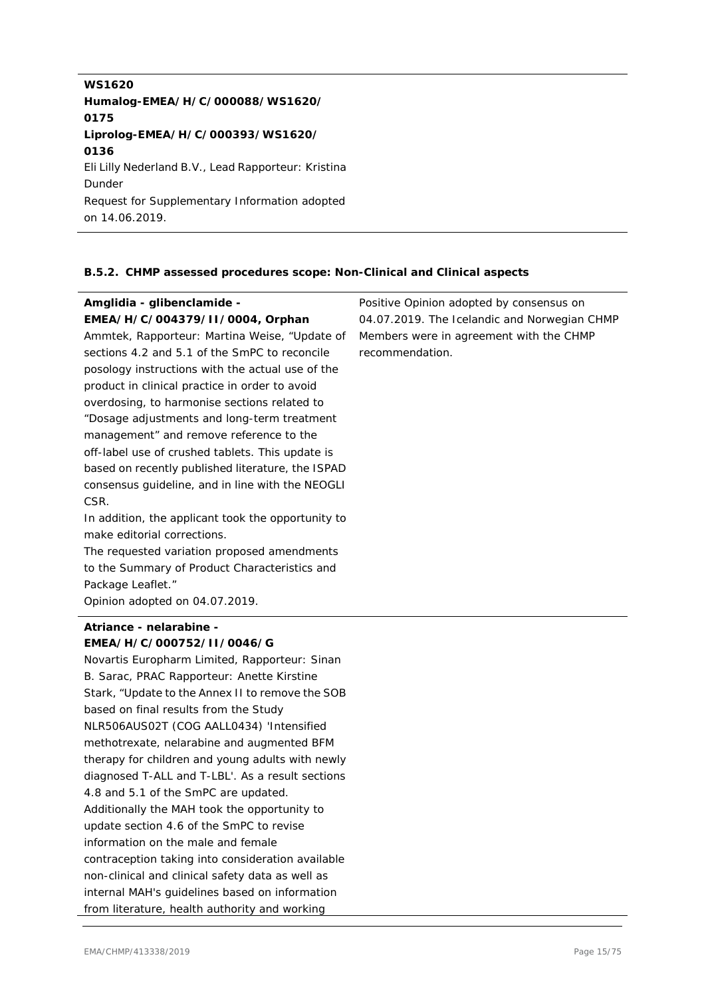**WS1620 Humalog-EMEA/H/C/000088/WS1620/ 0175 Liprolog-EMEA/H/C/000393/WS1620/ 0136** Eli Lilly Nederland B.V., Lead Rapporteur: Kristina Dunder Request for Supplementary Information adopted on 14.06.2019.

#### **B.5.2. CHMP assessed procedures scope: Non-Clinical and Clinical aspects**

#### **Amglidia - glibenclamide - EMEA/H/C/004379/II/0004, Orphan** Ammtek, Rapporteur: Martina Weise, "Update of sections 4.2 and 5.1 of the SmPC to reconcile posology instructions with the actual use of the product in clinical practice in order to avoid overdosing, to harmonise sections related to "Dosage adjustments and long-term treatment management" and remove reference to the off-label use of crushed tablets. This update is based on recently published literature, the ISPAD consensus guideline, and in line with the NEOGLI CSR. In addition, the applicant took the opportunity to make editorial corrections. The requested variation proposed amendments to the Summary of Product Characteristics and Package Leaflet." Opinion adopted on 04.07.2019. Positive Opinion adopted by consensus on 04.07.2019. The Icelandic and Norwegian CHMP Members were in agreement with the CHMP recommendation.

#### **Atriance - nelarabine - EMEA/H/C/000752/II/0046/G**

Novartis Europharm Limited, Rapporteur: Sinan B. Sarac, PRAC Rapporteur: Anette Kirstine Stark, "Update to the Annex II to remove the SOB based on final results from the Study NLR506AUS02T (COG AALL0434) 'Intensified methotrexate, nelarabine and augmented BFM therapy for children and young adults with newly diagnosed T-ALL and T-LBL'. As a result sections 4.8 and 5.1 of the SmPC are updated. Additionally the MAH took the opportunity to update section 4.6 of the SmPC to revise information on the male and female contraception taking into consideration available non-clinical and clinical safety data as well as internal MAH's guidelines based on information from literature, health authority and working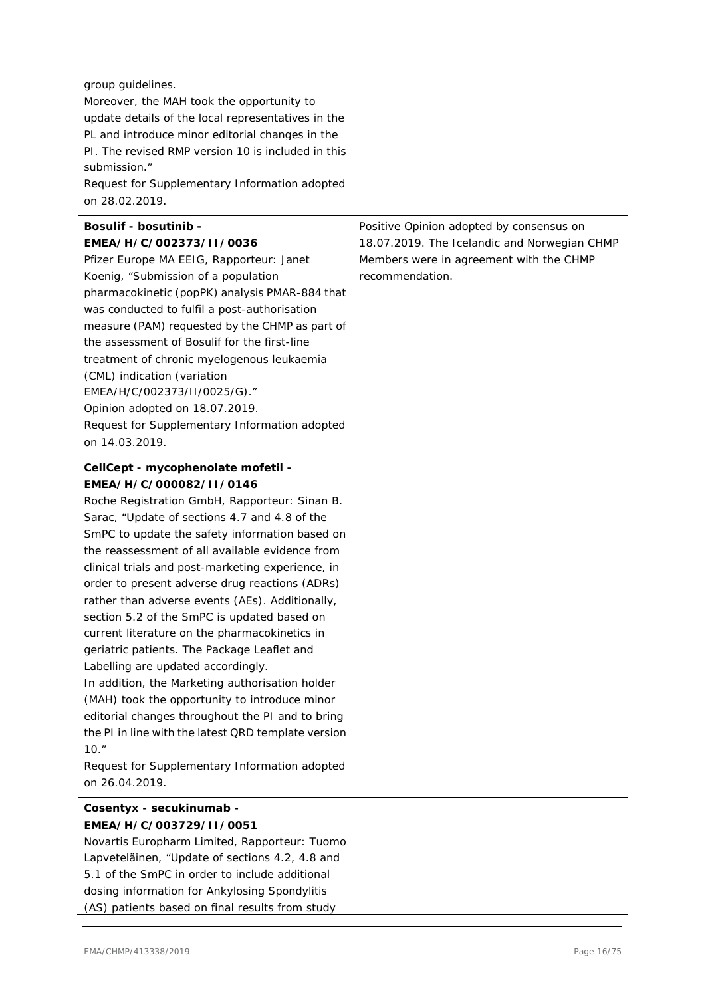#### group guidelines.

Moreover, the MAH took the opportunity to update details of the local representatives in the PL and introduce minor editorial changes in the PI. The revised RMP version 10 is included in this submission."

Request for Supplementary Information adopted on 28.02.2019.

#### **Bosulif - bosutinib - EMEA/H/C/002373/II/0036**

Pfizer Europe MA EEIG, Rapporteur: Janet Koenig, "Submission of a population pharmacokinetic (popPK) analysis PMAR-884 that was conducted to fulfil a post-authorisation measure (PAM) requested by the CHMP as part of the assessment of Bosulif for the first-line treatment of chronic myelogenous leukaemia (CML) indication (variation EMEA/H/C/002373/II/0025/G)." Opinion adopted on 18.07.2019. Request for Supplementary Information adopted on 14.03.2019.

#### **CellCept - mycophenolate mofetil - EMEA/H/C/000082/II/0146**

Roche Registration GmbH, Rapporteur: Sinan B. Sarac, "Update of sections 4.7 and 4.8 of the SmPC to update the safety information based on the reassessment of all available evidence from clinical trials and post-marketing experience, in order to present adverse drug reactions (ADRs) rather than adverse events (AEs). Additionally, section 5.2 of the SmPC is updated based on current literature on the pharmacokinetics in geriatric patients. The Package Leaflet and Labelling are updated accordingly.

In addition, the Marketing authorisation holder (MAH) took the opportunity to introduce minor editorial changes throughout the PI and to bring the PI in line with the latest QRD template version 10."

Request for Supplementary Information adopted on 26.04.2019.

# **Cosentyx - secukinumab - EMEA/H/C/003729/II/0051**

Novartis Europharm Limited, Rapporteur: Tuomo Lapveteläinen, "Update of sections 4.2, 4.8 and 5.1 of the SmPC in order to include additional dosing information for Ankylosing Spondylitis (AS) patients based on final results from study

Positive Opinion adopted by consensus on 18.07.2019. The Icelandic and Norwegian CHMP Members were in agreement with the CHMP recommendation.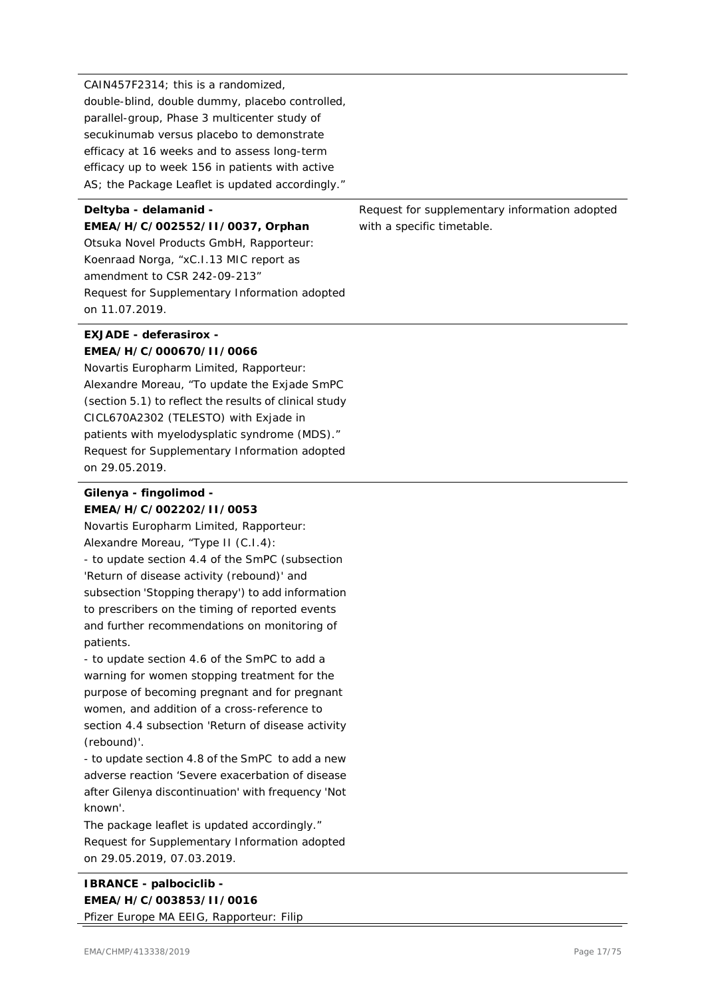CAIN457F2314; this is a randomized, double-blind, double dummy, placebo controlled, parallel-group, Phase 3 multicenter study of secukinumab versus placebo to demonstrate efficacy at 16 weeks and to assess long-term efficacy up to week 156 in patients with active AS; the Package Leaflet is updated accordingly."

# **Deltyba - delamanid -**

**EMEA/H/C/002552/II/0037, Orphan** Otsuka Novel Products GmbH, Rapporteur: Koenraad Norga, "xC.I.13 MIC report as amendment to CSR 242-09-213" Request for Supplementary Information adopted on 11.07.2019.

#### **EXJADE - deferasirox - EMEA/H/C/000670/II/0066**

Novartis Europharm Limited, Rapporteur: Alexandre Moreau, "To update the Exjade SmPC (section 5.1) to reflect the results of clinical study CICL670A2302 (TELESTO) with Exjade in patients with myelodysplatic syndrome (MDS)." Request for Supplementary Information adopted on 29.05.2019.

## **Gilenya - fingolimod - EMEA/H/C/002202/II/0053**

Novartis Europharm Limited, Rapporteur: Alexandre Moreau, "Type II (C.I.4): - to update section 4.4 of the SmPC (subsection 'Return of disease activity (rebound)' and subsection 'Stopping therapy') to add information to prescribers on the timing of reported events and further recommendations on monitoring of patients.

- to update section 4.6 of the SmPC to add a warning for women stopping treatment for the purpose of becoming pregnant and for pregnant women, and addition of a cross-reference to section 4.4 subsection 'Return of disease activity (rebound)'.

- to update section 4.8 of the SmPC to add a new adverse reaction 'Severe exacerbation of disease after Gilenya discontinuation' with frequency 'Not known'.

The package leaflet is updated accordingly." Request for Supplementary Information adopted on 29.05.2019, 07.03.2019.

Request for supplementary information adopted with a specific timetable.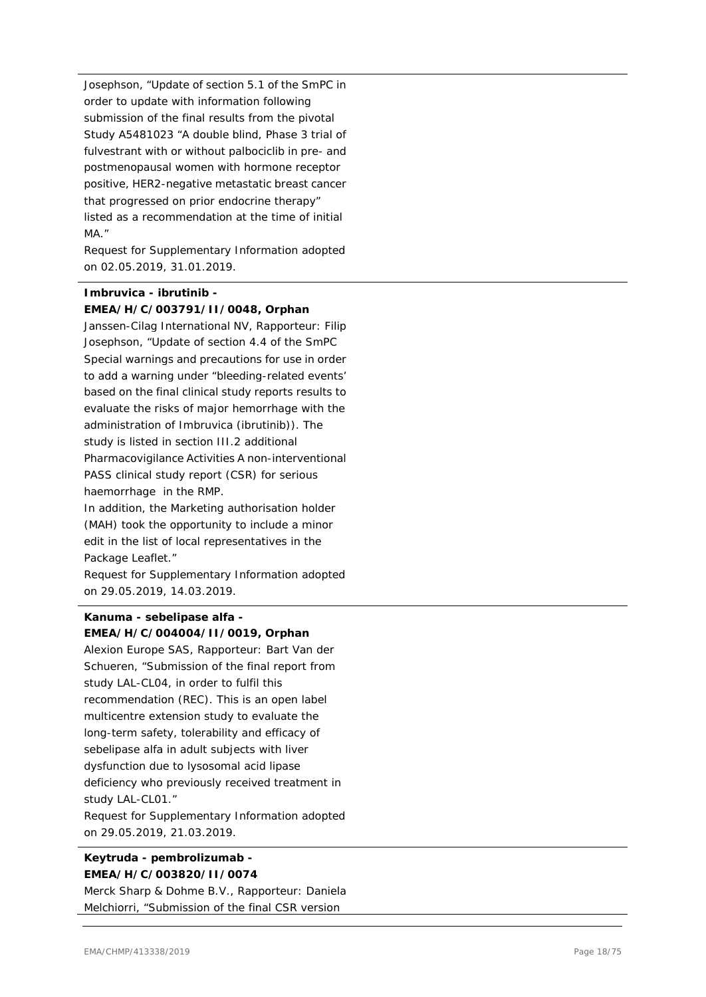Josephson, "Update of section 5.1 of the SmPC in order to update with information following submission of the final results from the pivotal Study A5481023 "A double blind, Phase 3 trial of fulvestrant with or without palbociclib in pre- and postmenopausal women with hormone receptor positive, HER2-negative metastatic breast cancer that progressed on prior endocrine therapy" listed as a recommendation at the time of initial MA."

Request for Supplementary Information adopted on 02.05.2019, 31.01.2019.

# **Imbruvica - ibrutinib - EMEA/H/C/003791/II/0048, Orphan**

Janssen-Cilag International NV, Rapporteur: Filip Josephson, "Update of section 4.4 of the SmPC Special warnings and precautions for use in order to add a warning under "bleeding-related events' based on the final clinical study reports results to evaluate the risks of major hemorrhage with the administration of Imbruvica (ibrutinib)). The study is listed in section III.2 additional Pharmacovigilance Activities A non-interventional PASS clinical study report (CSR) for serious haemorrhage in the RMP.

In addition, the Marketing authorisation holder (MAH) took the opportunity to include a minor edit in the list of local representatives in the Package Leaflet."

Request for Supplementary Information adopted on 29.05.2019, 14.03.2019.

#### **Kanuma - sebelipase alfa - EMEA/H/C/004004/II/0019, Orphan**

Alexion Europe SAS, Rapporteur: Bart Van der Schueren, "Submission of the final report from study LAL-CL04, in order to fulfil this recommendation (REC). This is an open label multicentre extension study to evaluate the long-term safety, tolerability and efficacy of sebelipase alfa in adult subjects with liver dysfunction due to lysosomal acid lipase deficiency who previously received treatment in study LAL-CL01."

Request for Supplementary Information adopted on 29.05.2019, 21.03.2019.

### **Keytruda - pembrolizumab - EMEA/H/C/003820/II/0074**

Merck Sharp & Dohme B.V., Rapporteur: Daniela Melchiorri, "Submission of the final CSR version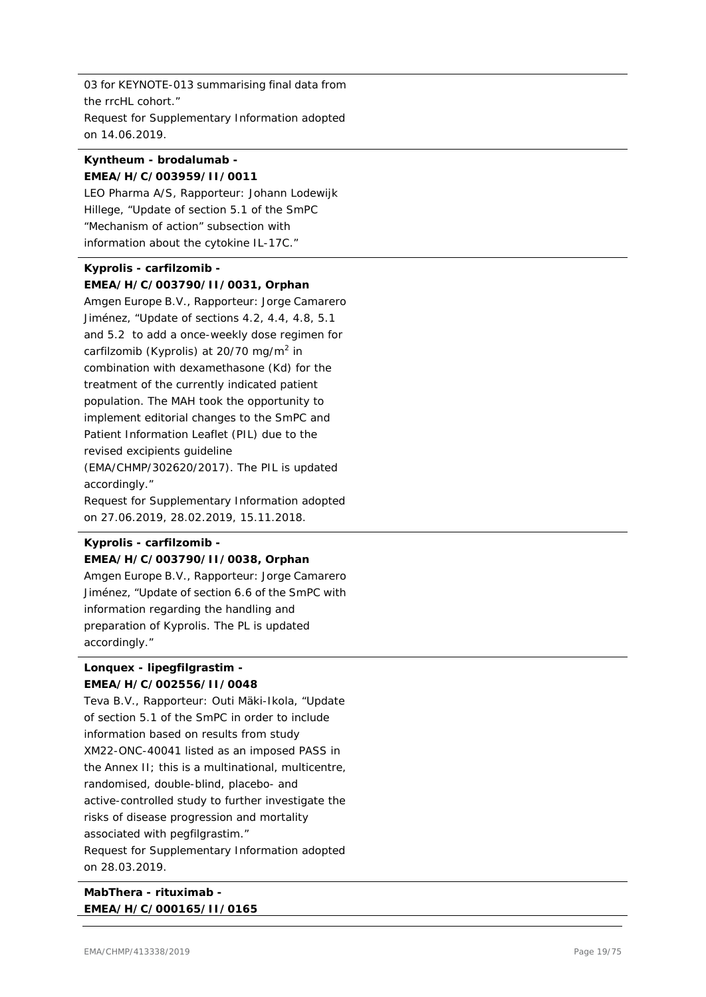03 for KEYNOTE-013 summarising final data from the rrcHL cohort." Request for Supplementary Information adopted on 14.06.2019.

#### **Kyntheum - brodalumab - EMEA/H/C/003959/II/0011**

LEO Pharma A/S, Rapporteur: Johann Lodewijk Hillege, "Update of section 5.1 of the SmPC "Mechanism of action" subsection with information about the cytokine IL-17C."

# **Kyprolis - carfilzomib - EMEA/H/C/003790/II/0031, Orphan**

Amgen Europe B.V., Rapporteur: Jorge Camarero Jiménez, "Update of sections 4.2, 4.4, 4.8, 5.1 and 5.2 to add a once-weekly dose regimen for carfilzomib (Kyprolis) at 20/70 mg/m<sup>2</sup> in combination with dexamethasone (Kd) for the treatment of the currently indicated patient population. The MAH took the opportunity to implement editorial changes to the SmPC and Patient Information Leaflet (PIL) due to the revised excipients guideline (EMA/CHMP/302620/2017). The PIL is updated accordingly." Request for Supplementary Information adopted on 27.06.2019, 28.02.2019, 15.11.2018.

# **Kyprolis - carfilzomib - EMEA/H/C/003790/II/0038, Orphan**

Amgen Europe B.V., Rapporteur: Jorge Camarero Jiménez, "Update of section 6.6 of the SmPC with information regarding the handling and preparation of Kyprolis. The PL is updated accordingly."

#### **Lonquex - lipegfilgrastim - EMEA/H/C/002556/II/0048**

Teva B.V., Rapporteur: Outi Mäki-Ikola, "Update of section 5.1 of the SmPC in order to include information based on results from study XM22-ONC-40041 listed as an imposed PASS in the Annex II; this is a multinational, multicentre, randomised, double-blind, placebo- and active-controlled study to further investigate the risks of disease progression and mortality associated with pegfilgrastim." Request for Supplementary Information adopted on 28.03.2019.

### **MabThera - rituximab - EMEA/H/C/000165/II/0165**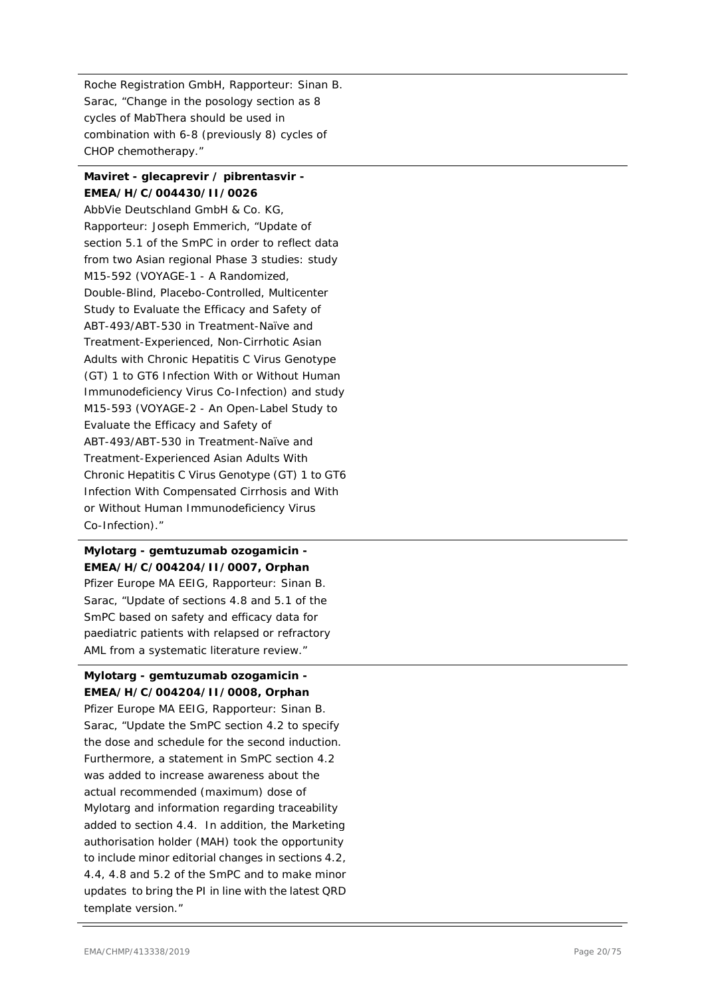Roche Registration GmbH, Rapporteur: Sinan B. Sarac, "Change in the posology section as 8 cycles of MabThera should be used in combination with 6-8 (previously 8) cycles of CHOP chemotherapy."

#### **Maviret - glecaprevir / pibrentasvir - EMEA/H/C/004430/II/0026**

AbbVie Deutschland GmbH & Co. KG, Rapporteur: Joseph Emmerich, "Update of section 5.1 of the SmPC in order to reflect data from two Asian regional Phase 3 studies: study M15-592 (VOYAGE-1 - A Randomized, Double-Blind, Placebo-Controlled, Multicenter Study to Evaluate the Efficacy and Safety of ABT-493/ABT-530 in Treatment-Naïve and Treatment-Experienced, Non-Cirrhotic Asian Adults with Chronic Hepatitis C Virus Genotype (GT) 1 to GT6 Infection With or Without Human Immunodeficiency Virus Co-Infection) and study M15-593 (VOYAGE-2 - An Open-Label Study to Evaluate the Efficacy and Safety of ABT-493/ABT-530 in Treatment-Naïve and Treatment-Experienced Asian Adults With Chronic Hepatitis C Virus Genotype (GT) 1 to GT6 Infection With Compensated Cirrhosis and With or Without Human Immunodeficiency Virus Co-Infection)."

#### **Mylotarg - gemtuzumab ozogamicin - EMEA/H/C/004204/II/0007, Orphan**

Pfizer Europe MA EEIG, Rapporteur: Sinan B. Sarac, "Update of sections 4.8 and 5.1 of the SmPC based on safety and efficacy data for paediatric patients with relapsed or refractory AML from a systematic literature review."

#### **Mylotarg - gemtuzumab ozogamicin - EMEA/H/C/004204/II/0008, Orphan**

Pfizer Europe MA EEIG, Rapporteur: Sinan B. Sarac, "Update the SmPC section 4.2 to specify the dose and schedule for the second induction. Furthermore, a statement in SmPC section 4.2 was added to increase awareness about the actual recommended (maximum) dose of Mylotarg and information regarding traceability added to section 4.4. In addition, the Marketing authorisation holder (MAH) took the opportunity to include minor editorial changes in sections 4.2, 4.4, 4.8 and 5.2 of the SmPC and to make minor updates to bring the PI in line with the latest QRD template version."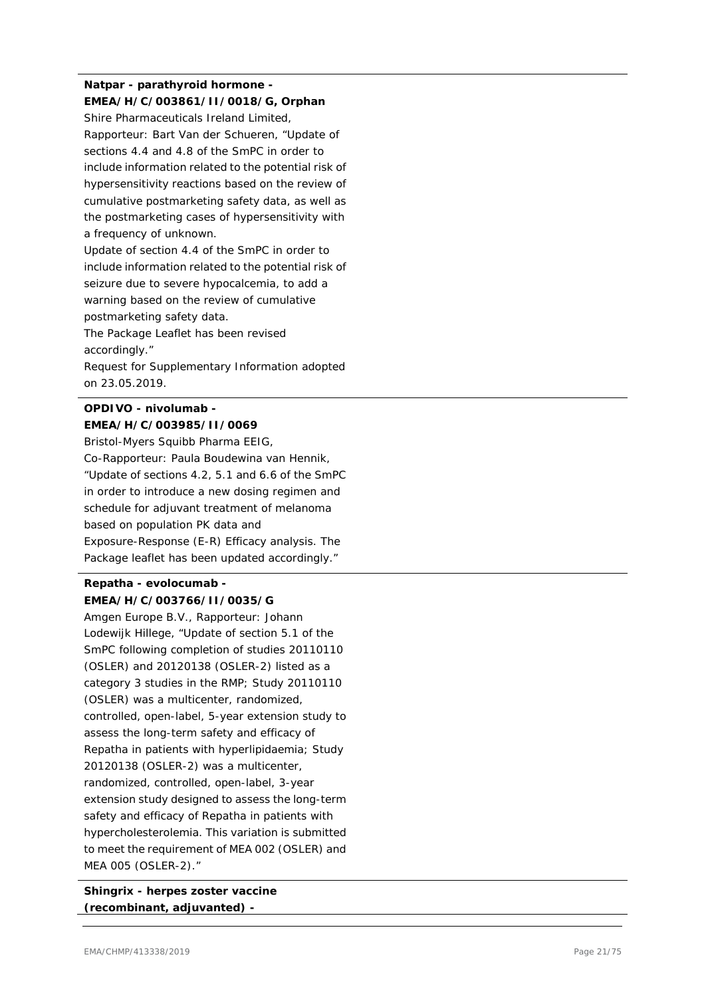# **Natpar - parathyroid hormone - EMEA/H/C/003861/II/0018/G, Orphan**

Shire Pharmaceuticals Ireland Limited, Rapporteur: Bart Van der Schueren, "Update of sections 4.4 and 4.8 of the SmPC in order to include information related to the potential risk of hypersensitivity reactions based on the review of cumulative postmarketing safety data, as well as the postmarketing cases of hypersensitivity with a frequency of unknown.

Update of section 4.4 of the SmPC in order to include information related to the potential risk of seizure due to severe hypocalcemia, to add a warning based on the review of cumulative postmarketing safety data.

The Package Leaflet has been revised accordingly."

Request for Supplementary Information adopted on 23.05.2019.

# **OPDIVO - nivolumab - EMEA/H/C/003985/II/0069**

Bristol-Myers Squibb Pharma EEIG, Co-Rapporteur: Paula Boudewina van Hennik, "Update of sections 4.2, 5.1 and 6.6 of the SmPC in order to introduce a new dosing regimen and schedule for adjuvant treatment of melanoma based on population PK data and Exposure-Response (E-R) Efficacy analysis. The Package leaflet has been updated accordingly."

# **Repatha - evolocumab - EMEA/H/C/003766/II/0035/G**

Amgen Europe B.V., Rapporteur: Johann Lodewijk Hillege, "Update of section 5.1 of the SmPC following completion of studies 20110110 (OSLER) and 20120138 (OSLER-2) listed as a category 3 studies in the RMP; Study 20110110 (OSLER) was a multicenter, randomized, controlled, open-label, 5-year extension study to assess the long-term safety and efficacy of Repatha in patients with hyperlipidaemia; Study 20120138 (OSLER-2) was a multicenter, randomized, controlled, open-label, 3-year extension study designed to assess the long-term safety and efficacy of Repatha in patients with hypercholesterolemia. This variation is submitted to meet the requirement of MEA 002 (OSLER) and MEA 005 (OSLER-2)."

**Shingrix - herpes zoster vaccine (recombinant, adjuvanted) -**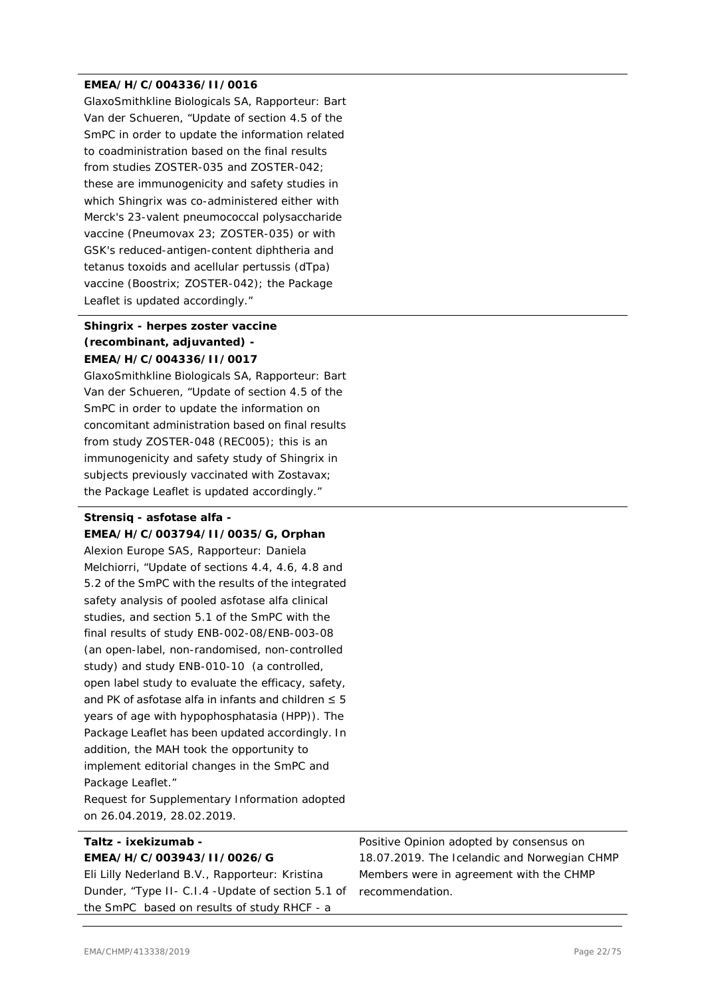#### **EMEA/H/C/004336/II/0016**

GlaxoSmithkline Biologicals SA, Rapporteur: Bart Van der Schueren, "Update of section 4.5 of the SmPC in order to update the information related to coadministration based on the final results from studies ZOSTER-035 and ZOSTER-042; these are immunogenicity and safety studies in which Shingrix was co-administered either with Merck's 23-valent pneumococcal polysaccharide vaccine (Pneumovax 23; ZOSTER-035) or with GSK's reduced-antigen-content diphtheria and tetanus toxoids and acellular pertussis (dTpa) vaccine (Boostrix; ZOSTER-042); the Package Leaflet is updated accordingly."

#### **Shingrix - herpes zoster vaccine (recombinant, adjuvanted) - EMEA/H/C/004336/II/0017**

GlaxoSmithkline Biologicals SA, Rapporteur: Bart Van der Schueren, "Update of section 4.5 of the SmPC in order to update the information on concomitant administration based on final results from study ZOSTER-048 (REC005); this is an immunogenicity and safety study of Shingrix in subjects previously vaccinated with Zostavax; the Package Leaflet is updated accordingly."

#### **Strensiq - asfotase alfa - EMEA/H/C/003794/II/0035/G, Orphan**

Alexion Europe SAS, Rapporteur: Daniela Melchiorri, "Update of sections 4.4, 4.6, 4.8 and 5.2 of the SmPC with the results of the integrated safety analysis of pooled asfotase alfa clinical studies, and section 5.1 of the SmPC with the final results of study ENB-002-08/ENB-003-08 (an open-label, non-randomised, non-controlled study) and study ENB-010-10 (a controlled, open label study to evaluate the efficacy, safety, and PK of asfotase alfa in infants and children  $\leq$  5 years of age with hypophosphatasia (HPP)). The Package Leaflet has been updated accordingly. In addition, the MAH took the opportunity to implement editorial changes in the SmPC and Package Leaflet."

Request for Supplementary Information adopted on 26.04.2019, 28.02.2019.

#### **Taltz - ixekizumab - EMEA/H/C/003943/II/0026/G**

Eli Lilly Nederland B.V., Rapporteur: Kristina Dunder, "Type II- C.I.4 -Update of section 5.1 of the SmPC based on results of study RHCF - a

Positive Opinion adopted by consensus on 18.07.2019. The Icelandic and Norwegian CHMP Members were in agreement with the CHMP recommendation.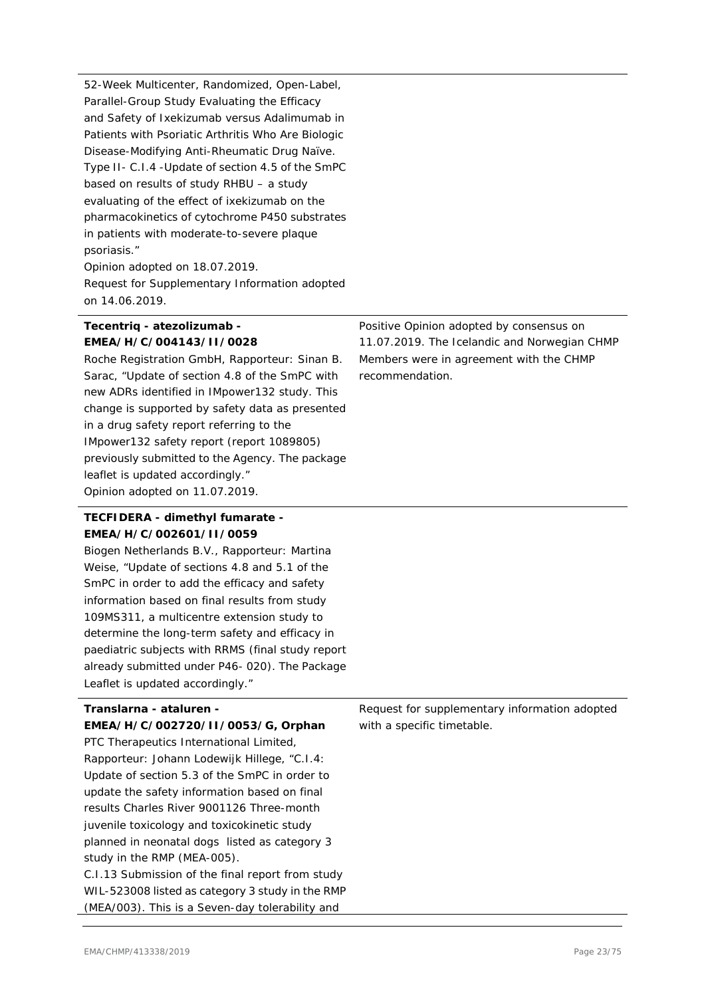52-Week Multicenter, Randomized, Open-Label, Parallel-Group Study Evaluating the Efficacy and Safety of Ixekizumab versus Adalimumab in Patients with Psoriatic Arthritis Who Are Biologic Disease-Modifying Anti-Rheumatic Drug Naïve. Type II- C.I.4 -Update of section 4.5 of the SmPC based on results of study RHBU – a study evaluating of the effect of ixekizumab on the pharmacokinetics of cytochrome P450 substrates in patients with moderate-to-severe plaque psoriasis."

Opinion adopted on 18.07.2019. Request for Supplementary Information adopted on 14.06.2019.

#### **Tecentriq - atezolizumab - EMEA/H/C/004143/II/0028**

Roche Registration GmbH, Rapporteur: Sinan B. Sarac, "Update of section 4.8 of the SmPC with new ADRs identified in IMpower132 study. This change is supported by safety data as presented in a drug safety report referring to the IMpower132 safety report (report 1089805) previously submitted to the Agency. The package leaflet is updated accordingly." Opinion adopted on 11.07.2019.

#### **TECFIDERA - dimethyl fumarate - EMEA/H/C/002601/II/0059**

Biogen Netherlands B.V., Rapporteur: Martina Weise, "Update of sections 4.8 and 5.1 of the SmPC in order to add the efficacy and safety information based on final results from study 109MS311, a multicentre extension study to determine the long-term safety and efficacy in paediatric subjects with RRMS (final study report already submitted under P46- 020). The Package Leaflet is updated accordingly."

#### **Translarna - ataluren -**

**EMEA/H/C/002720/II/0053/G, Orphan** PTC Therapeutics International Limited, Rapporteur: Johann Lodewijk Hillege, "C.I.4: Update of section 5.3 of the SmPC in order to update the safety information based on final results Charles River 9001126 Three-month juvenile toxicology and toxicokinetic study planned in neonatal dogs listed as category 3 study in the RMP (MEA-005). C.I.13 Submission of the final report from study

WIL-523008 listed as category 3 study in the RMP (MEA/003). This is a Seven-day tolerability and

Positive Opinion adopted by consensus on 11.07.2019. The Icelandic and Norwegian CHMP Members were in agreement with the CHMP recommendation.

Request for supplementary information adopted with a specific timetable.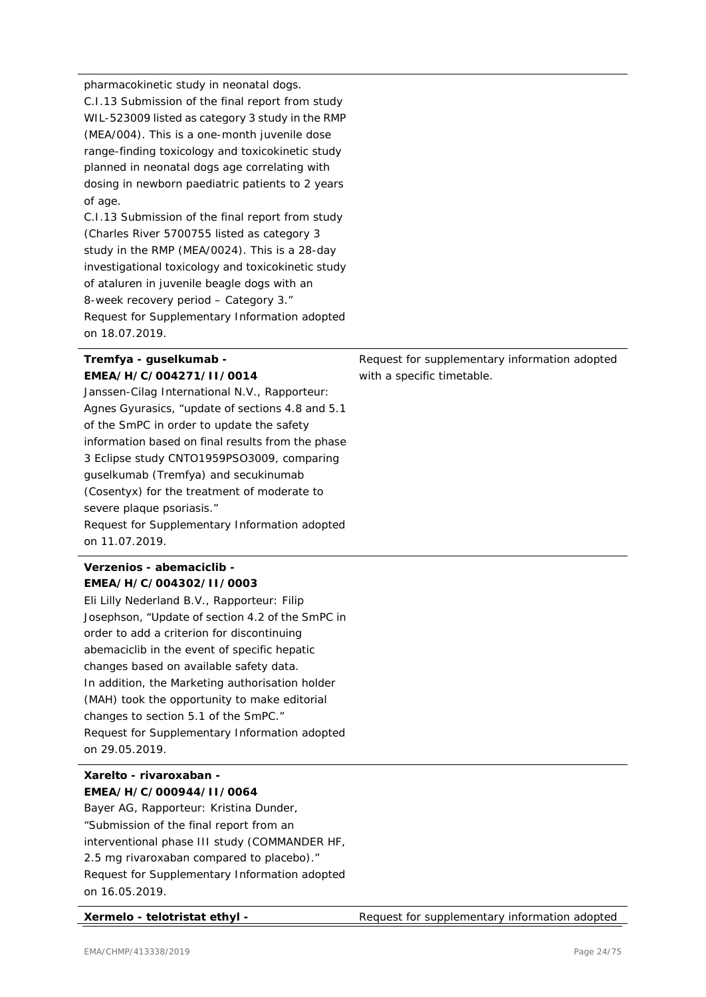pharmacokinetic study in neonatal dogs. C.I.13 Submission of the final report from study WIL-523009 listed as category 3 study in the RMP (MEA/004). This is a one-month juvenile dose range-finding toxicology and toxicokinetic study planned in neonatal dogs age correlating with dosing in newborn paediatric patients to 2 years of age.

C.I.13 Submission of the final report from study (Charles River 5700755 listed as category 3 study in the RMP (MEA/0024). This is a 28-day investigational toxicology and toxicokinetic study of ataluren in juvenile beagle dogs with an 8-week recovery period – Category 3." Request for Supplementary Information adopted on 18.07.2019.

#### **Tremfya - guselkumab - EMEA/H/C/004271/II/0014**

Janssen-Cilag International N.V., Rapporteur: Agnes Gyurasics, "update of sections 4.8 and 5.1 of the SmPC in order to update the safety information based on final results from the phase 3 Eclipse study CNTO1959PSO3009, comparing guselkumab (Tremfya) and secukinumab (Cosentyx) for the treatment of moderate to severe plaque psoriasis." Request for Supplementary Information adopted on 11.07.2019.

#### **Verzenios - abemaciclib - EMEA/H/C/004302/II/0003**

Eli Lilly Nederland B.V., Rapporteur: Filip Josephson, "Update of section 4.2 of the SmPC in order to add a criterion for discontinuing abemaciclib in the event of specific hepatic changes based on available safety data. In addition, the Marketing authorisation holder (MAH) took the opportunity to make editorial changes to section 5.1 of the SmPC." Request for Supplementary Information adopted on 29.05.2019.

#### **Xarelto - rivaroxaban - EMEA/H/C/000944/II/0064**

Bayer AG, Rapporteur: Kristina Dunder, "Submission of the final report from an interventional phase III study (COMMANDER HF, 2.5 mg rivaroxaban compared to placebo)." Request for Supplementary Information adopted on 16.05.2019.

Request for supplementary information adopted with a specific timetable.

**Xermelo - telotristat ethyl -** Request for supplementary information adopted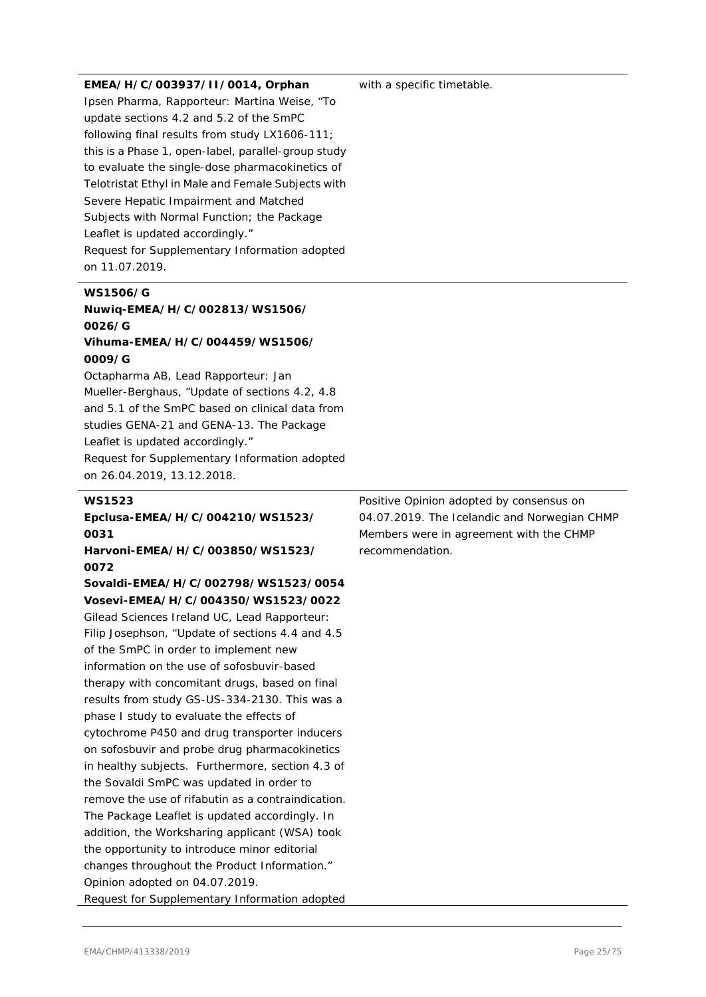#### **EMEA/H/C/003937/II/0014, Orphan**

Ipsen Pharma, Rapporteur: Martina Weise, "To update sections 4.2 and 5.2 of the SmPC following final results from study LX1606-111; this is a Phase 1, open-label, parallel-group study to evaluate the single-dose pharmacokinetics of Telotristat Ethyl in Male and Female Subjects with Severe Hepatic Impairment and Matched Subjects with Normal Function; the Package Leaflet is updated accordingly." Request for Supplementary Information adopted on 11.07.2019.

# **WS1506/G Nuwiq-EMEA/H/C/002813/WS1506/ 0026/G Vihuma-EMEA/H/C/004459/WS1506/**

#### **0009/G**

Octapharma AB, Lead Rapporteur: Jan Mueller-Berghaus, "Update of sections 4.2, 4.8 and 5.1 of the SmPC based on clinical data from studies GENA-21 and GENA-13. The Package Leaflet is updated accordingly." Request for Supplementary Information adopted on 26.04.2019, 13.12.2018.

#### **WS1523**

**Epclusa-EMEA/H/C/004210/WS1523/ 0031**

**Harvoni-EMEA/H/C/003850/WS1523/ 0072**

## **Sovaldi-EMEA/H/C/002798/WS1523/0054 Vosevi-EMEA/H/C/004350/WS1523/0022**

Gilead Sciences Ireland UC, Lead Rapporteur: Filip Josephson, "Update of sections 4.4 and 4.5 of the SmPC in order to implement new information on the use of sofosbuvir-based therapy with concomitant drugs, based on final results from study GS-US-334-2130. This was a phase I study to evaluate the effects of cytochrome P450 and drug transporter inducers on sofosbuvir and probe drug pharmacokinetics in healthy subjects. Furthermore, section 4.3 of the Sovaldi SmPC was updated in order to remove the use of rifabutin as a contraindication. The Package Leaflet is updated accordingly. In addition, the Worksharing applicant (WSA) took the opportunity to introduce minor editorial changes throughout the Product Information." Opinion adopted on 04.07.2019. Request for Supplementary Information adopted with a specific timetable.

Positive Opinion adopted by consensus on 04.07.2019. The Icelandic and Norwegian CHMP Members were in agreement with the CHMP recommendation.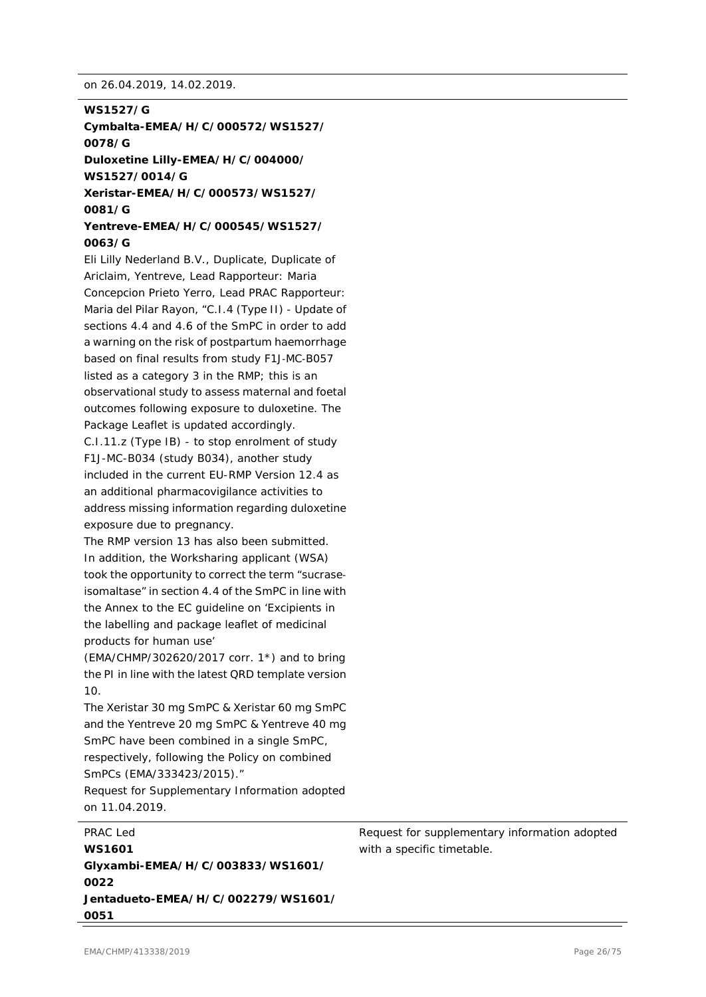#### **WS1527/G**

**Cymbalta-EMEA/H/C/000572/WS1527/ 0078/G**

**Duloxetine Lilly-EMEA/H/C/004000/ WS1527/0014/G**

**Xeristar-EMEA/H/C/000573/WS1527/ 0081/G**

#### **Yentreve-EMEA/H/C/000545/WS1527/ 0063/G**

Eli Lilly Nederland B.V., Duplicate, Duplicate of Ariclaim, Yentreve, Lead Rapporteur: Maria Concepcion Prieto Yerro, Lead PRAC Rapporteur: Maria del Pilar Rayon, "C.I.4 (Type II) - Update of sections 4.4 and 4.6 of the SmPC in order to add a warning on the risk of postpartum haemorrhage based on final results from study F1J‐MC‐B057 listed as a category 3 in the RMP; this is an observational study to assess maternal and foetal outcomes following exposure to duloxetine. The Package Leaflet is updated accordingly.

C.I.11.z (Type IB) - to stop enrolment of study F1J-MC-B034 (study B034), another study included in the current EU-RMP Version 12.4 as an additional pharmacovigilance activities to address missing information regarding duloxetine exposure due to pregnancy.

The RMP version 13 has also been submitted. In addition, the Worksharing applicant (WSA) took the opportunity to correct the term "sucrase‐ isomaltase" in section 4.4 of the SmPC in line with the Annex to the EC guideline on 'Excipients in the labelling and package leaflet of medicinal products for human use'

(EMA/CHMP/302620/2017 corr. 1\*) and to bring the PI in line with the latest QRD template version 10.

The Xeristar 30 mg SmPC & Xeristar 60 mg SmPC and the Yentreve 20 mg SmPC & Yentreve 40 mg SmPC have been combined in a single SmPC, respectively, following the Policy on combined SmPCs (EMA/333423/2015)."

Request for Supplementary Information adopted on 11.04.2019.

PRAC Led **WS1601 Glyxambi-EMEA/H/C/003833/WS1601/ 0022 Jentadueto-EMEA/H/C/002279/WS1601/ 0051**

Request for supplementary information adopted with a specific timetable.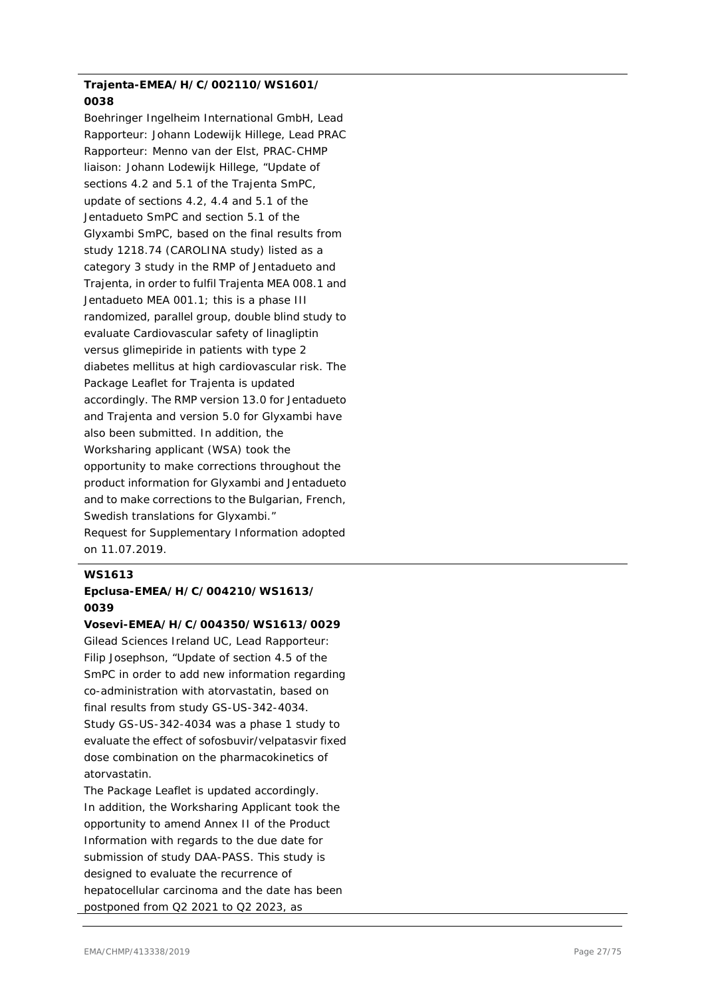#### **Trajenta-EMEA/H/C/002110/WS1601/ 0038**

Boehringer Ingelheim International GmbH, Lead Rapporteur: Johann Lodewijk Hillege, Lead PRAC Rapporteur: Menno van der Elst, PRAC-CHMP liaison: Johann Lodewijk Hillege, "Update of sections 4.2 and 5.1 of the Trajenta SmPC, update of sections 4.2, 4.4 and 5.1 of the Jentadueto SmPC and section 5.1 of the Glyxambi SmPC, based on the final results from study 1218.74 (CAROLINA study) listed as a category 3 study in the RMP of Jentadueto and Trajenta, in order to fulfil Trajenta MEA 008.1 and Jentadueto MEA 001.1; this is a phase III randomized, parallel group, double blind study to evaluate Cardiovascular safety of linagliptin versus glimepiride in patients with type 2 diabetes mellitus at high cardiovascular risk. The Package Leaflet for Trajenta is updated accordingly. The RMP version 13.0 for Jentadueto and Trajenta and version 5.0 for Glyxambi have also been submitted. In addition, the Worksharing applicant (WSA) took the opportunity to make corrections throughout the product information for Glyxambi and Jentadueto and to make corrections to the Bulgarian, French, Swedish translations for Glyxambi." Request for Supplementary Information adopted on 11.07.2019.

#### **WS1613**

### **Epclusa-EMEA/H/C/004210/WS1613/ 0039**

#### **Vosevi-EMEA/H/C/004350/WS1613/0029**

Gilead Sciences Ireland UC, Lead Rapporteur: Filip Josephson, "Update of section 4.5 of the SmPC in order to add new information regarding co-administration with atorvastatin, based on final results from study GS-US-342-4034. Study GS-US-342-4034 was a phase 1 study to evaluate the effect of sofosbuvir/velpatasvir fixed dose combination on the pharmacokinetics of atorvastatin.

The Package Leaflet is updated accordingly. In addition, the Worksharing Applicant took the opportunity to amend Annex II of the Product Information with regards to the due date for submission of study DAA-PASS. This study is designed to evaluate the recurrence of hepatocellular carcinoma and the date has been postponed from Q2 2021 to Q2 2023, as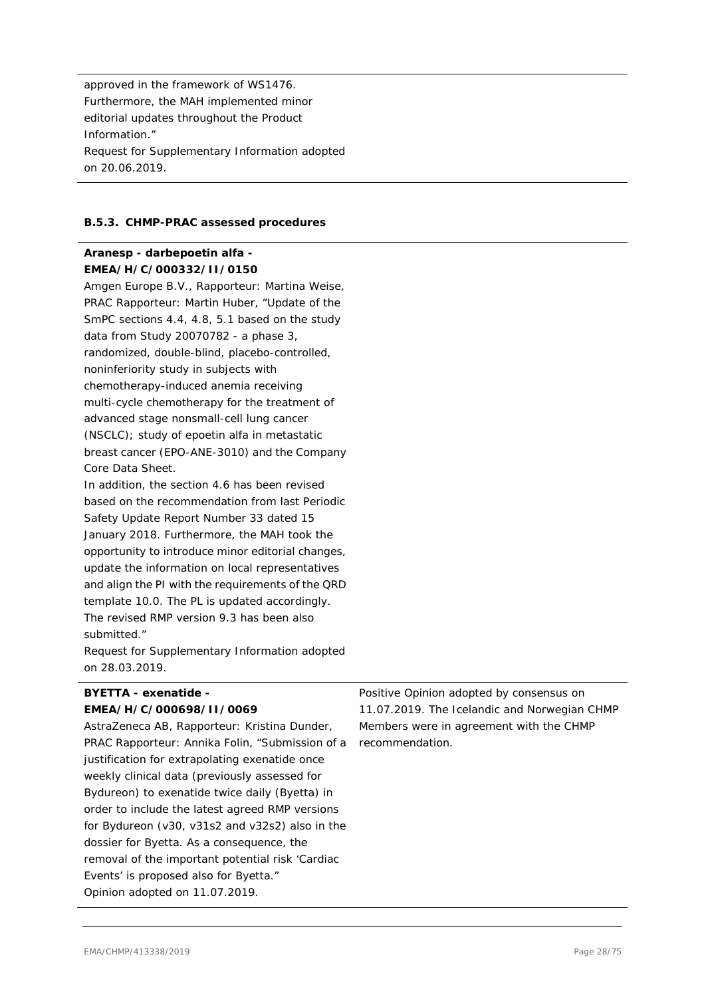approved in the framework of WS1476. Furthermore, the MAH implemented minor editorial updates throughout the Product Information." Request for Supplementary Information adopted on 20.06.2019.

#### **B.5.3. CHMP-PRAC assessed procedures**

#### **Aranesp - darbepoetin alfa - EMEA/H/C/000332/II/0150**

Amgen Europe B.V., Rapporteur: Martina Weise, PRAC Rapporteur: Martin Huber, "Update of the SmPC sections 4.4, 4.8, 5.1 based on the study data from Study 20070782 - a phase 3, randomized, double-blind, placebo-controlled, noninferiority study in subjects with chemotherapy-induced anemia receiving multi-cycle chemotherapy for the treatment of advanced stage nonsmall-cell lung cancer (NSCLC); study of epoetin alfa in metastatic breast cancer (EPO-ANE-3010) and the Company Core Data Sheet.

In addition, the section 4.6 has been revised based on the recommendation from last Periodic Safety Update Report Number 33 dated 15 January 2018. Furthermore, the MAH took the opportunity to introduce minor editorial changes, update the information on local representatives and align the PI with the requirements of the QRD template 10.0. The PL is updated accordingly. The revised RMP version 9.3 has been also submitted."

Request for Supplementary Information adopted on 28.03.2019.

#### **BYETTA - exenatide - EMEA/H/C/000698/II/0069**

AstraZeneca AB, Rapporteur: Kristina Dunder, PRAC Rapporteur: Annika Folin, "Submission of a justification for extrapolating exenatide once weekly clinical data (previously assessed for Bydureon) to exenatide twice daily (Byetta) in order to include the latest agreed RMP versions for Bydureon (v30, v31s2 and v32s2) also in the dossier for Byetta. As a consequence, the removal of the important potential risk 'Cardiac Events' is proposed also for Byetta." Opinion adopted on 11.07.2019.

Positive Opinion adopted by consensus on 11.07.2019. The Icelandic and Norwegian CHMP Members were in agreement with the CHMP recommendation.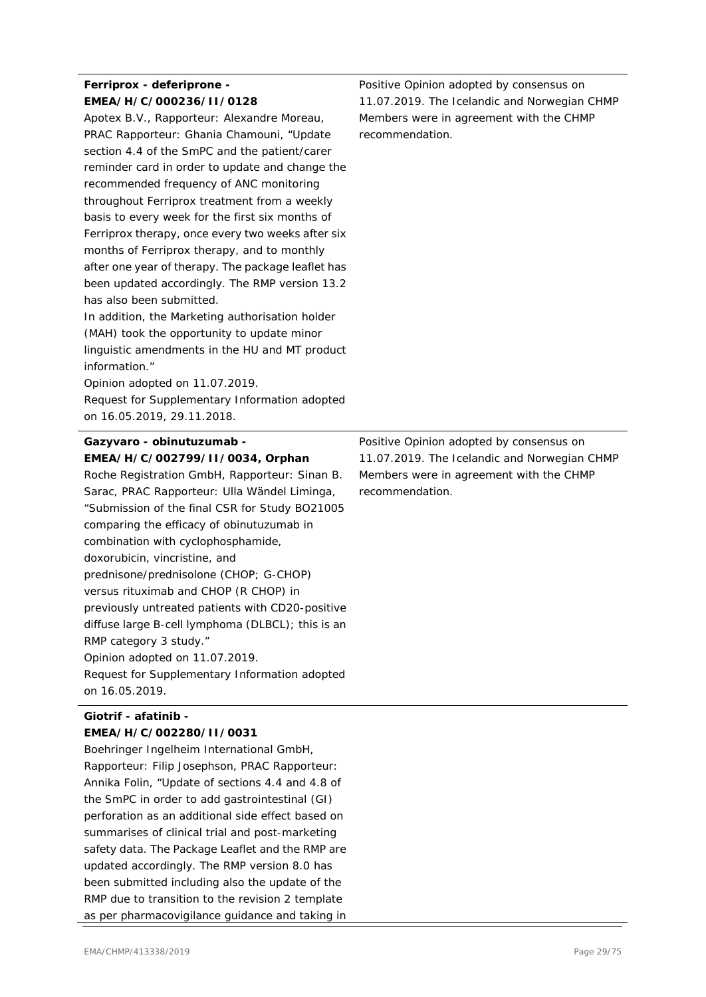### **Ferriprox - deferiprone - EMEA/H/C/000236/II/0128**

Apotex B.V., Rapporteur: Alexandre Moreau, PRAC Rapporteur: Ghania Chamouni, "Update section 4.4 of the SmPC and the patient/carer reminder card in order to update and change the recommended frequency of ANC monitoring throughout Ferriprox treatment from a weekly basis to every week for the first six months of Ferriprox therapy, once every two weeks after six months of Ferriprox therapy, and to monthly after one year of therapy. The package leaflet has been updated accordingly. The RMP version 13.2 has also been submitted.

In addition, the Marketing authorisation holder (MAH) took the opportunity to update minor linguistic amendments in the HU and MT product information."

Opinion adopted on 11.07.2019.

Request for Supplementary Information adopted on 16.05.2019, 29.11.2018.

#### **Gazyvaro - obinutuzumab - EMEA/H/C/002799/II/0034, Orphan**

Roche Registration GmbH, Rapporteur: Sinan B. Sarac, PRAC Rapporteur: Ulla Wändel Liminga, "Submission of the final CSR for Study BO21005 comparing the efficacy of obinutuzumab in combination with cyclophosphamide, doxorubicin, vincristine, and prednisone/prednisolone (CHOP; G-CHOP) versus rituximab and CHOP (R CHOP) in previously untreated patients with CD20-positive diffuse large B-cell lymphoma (DLBCL); this is an RMP category 3 study." Opinion adopted on 11.07.2019. Request for Supplementary Information adopted on 16.05.2019.

#### **Giotrif - afatinib - EMEA/H/C/002280/II/0031**

Boehringer Ingelheim International GmbH, Rapporteur: Filip Josephson, PRAC Rapporteur: Annika Folin, "Update of sections 4.4 and 4.8 of the SmPC in order to add gastrointestinal (GI) perforation as an additional side effect based on summarises of clinical trial and post-marketing safety data. The Package Leaflet and the RMP are updated accordingly. The RMP version 8.0 has been submitted including also the update of the RMP due to transition to the revision 2 template as per pharmacovigilance guidance and taking in Positive Opinion adopted by consensus on 11.07.2019. The Icelandic and Norwegian CHMP Members were in agreement with the CHMP recommendation.

Positive Opinion adopted by consensus on 11.07.2019. The Icelandic and Norwegian CHMP Members were in agreement with the CHMP recommendation.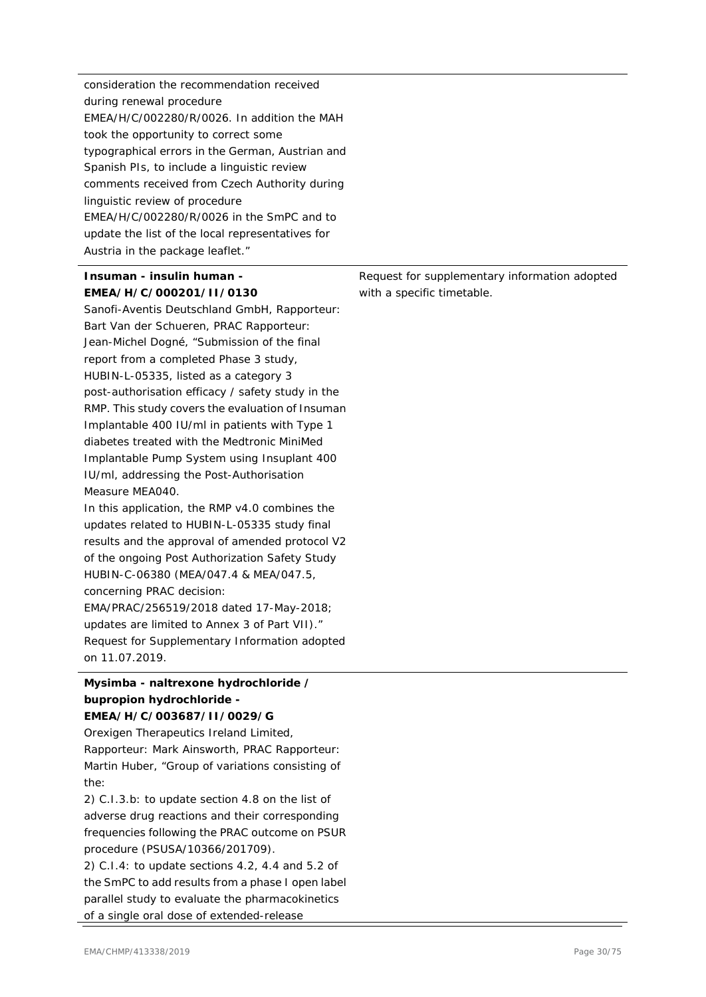| consideration the recommendation received        |
|--------------------------------------------------|
| during renewal procedure                         |
| EMEA/H/C/002280/R/0026. In addition the MAH      |
| took the opportunity to correct some             |
| typographical errors in the German, Austrian and |
| Spanish PIs, to include a linguistic review      |
| comments received from Czech Authority during    |
| linguistic review of procedure                   |
| $EMEA/H/C/002280/R/0026$ in the SmPC and to      |
| update the list of the local representatives for |
| Austria in the package leaflet."                 |
|                                                  |

### **Insuman - insulin human - EMEA/H/C/000201/II/0130**

Sanofi-Aventis Deutschland GmbH, Rapporteur: Bart Van der Schueren, PRAC Rapporteur: Jean-Michel Dogné, "Submission of the final report from a completed Phase 3 study, HUBIN-L-05335, listed as a category 3 post-authorisation efficacy / safety study in the RMP. This study covers the evaluation of Insuman Implantable 400 IU/ml in patients with Type 1 diabetes treated with the Medtronic MiniMed Implantable Pump System using Insuplant 400 IU/ml, addressing the Post-Authorisation Measure MEA040.

In this application, the RMP v4.0 combines the updates related to HUBIN-L-05335 study final results and the approval of amended protocol V2 of the ongoing Post Authorization Safety Study HUBIN-C-06380 (MEA/047.4 & MEA/047.5, concerning PRAC decision: EMA/PRAC/256519/2018 dated 17-May-2018; updates are limited to Annex 3 of Part VII)." Request for Supplementary Information adopted on 11.07.2019.

# **Mysimba - naltrexone hydrochloride / bupropion hydrochloride -**

#### **EMEA/H/C/003687/II/0029/G**

Orexigen Therapeutics Ireland Limited, Rapporteur: Mark Ainsworth, PRAC Rapporteur: Martin Huber, "Group of variations consisting of the:

2) C.I.3.b: to update section 4.8 on the list of adverse drug reactions and their corresponding frequencies following the PRAC outcome on PSUR procedure (PSUSA/10366/201709).

2) C.I.4: to update sections 4.2, 4.4 and 5.2 of the SmPC to add results from a phase I open label parallel study to evaluate the pharmacokinetics of a single oral dose of extended-release

Request for supplementary information adopted with a specific timetable.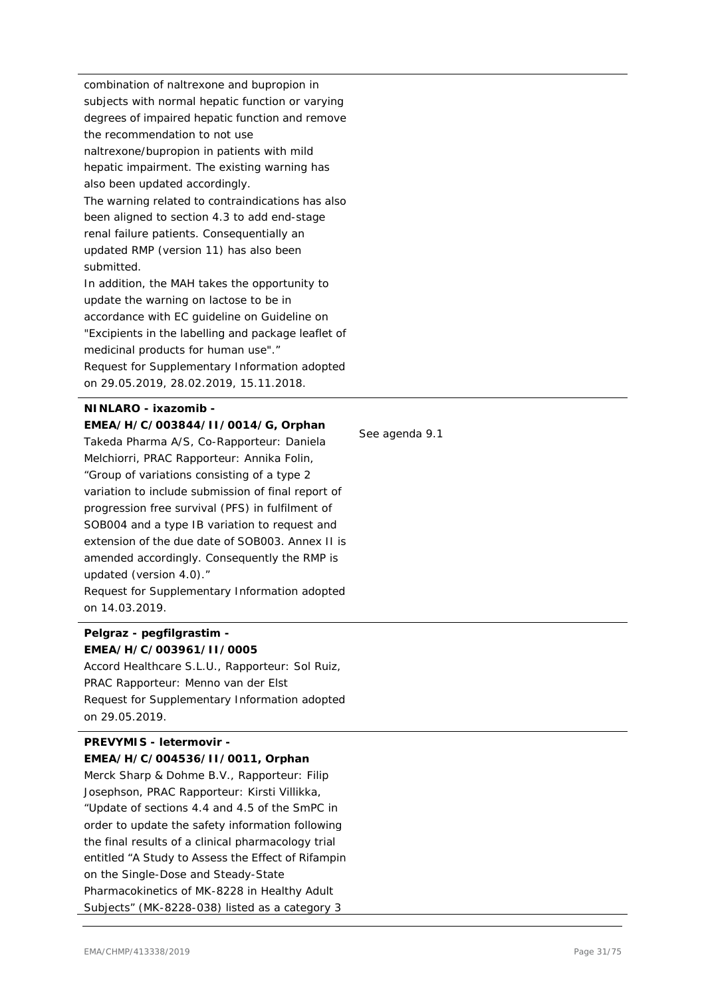combination of naltrexone and bupropion in subjects with normal hepatic function or varying degrees of impaired hepatic function and remove the recommendation to not use naltrexone/bupropion in patients with mild hepatic impairment. The existing warning has also been updated accordingly. The warning related to contraindications has also been aligned to section 4.3 to add end-stage renal failure patients. Consequentially an updated RMP (version 11) has also been submitted.

In addition, the MAH takes the opportunity to update the warning on lactose to be in accordance with EC guideline on Guideline on "Excipients in the labelling and package leaflet of medicinal products for human use"." Request for Supplementary Information adopted on 29.05.2019, 28.02.2019, 15.11.2018.

#### **NINLARO - ixazomib - EMEA/H/C/003844/II/0014/G, Orphan**

Takeda Pharma A/S, Co-Rapporteur: Daniela Melchiorri, PRAC Rapporteur: Annika Folin, "Group of variations consisting of a type 2 variation to include submission of final report of progression free survival (PFS) in fulfilment of SOB004 and a type IB variation to request and extension of the due date of SOB003. Annex II is amended accordingly. Consequently the RMP is updated (version 4.0)."

Request for Supplementary Information adopted on 14.03.2019.

#### **Pelgraz - pegfilgrastim - EMEA/H/C/003961/II/0005**

Accord Healthcare S.L.U., Rapporteur: Sol Ruiz, PRAC Rapporteur: Menno van der Elst Request for Supplementary Information adopted on 29.05.2019.

#### **PREVYMIS - letermovir - EMEA/H/C/004536/II/0011, Orphan**

Merck Sharp & Dohme B.V., Rapporteur: Filip Josephson, PRAC Rapporteur: Kirsti Villikka, "Update of sections 4.4 and 4.5 of the SmPC in order to update the safety information following the final results of a clinical pharmacology trial entitled "A Study to Assess the Effect of Rifampin on the Single-Dose and Steady-State Pharmacokinetics of MK-8228 in Healthy Adult Subjects" (MK-8228-038) listed as a category 3

See agenda 9.1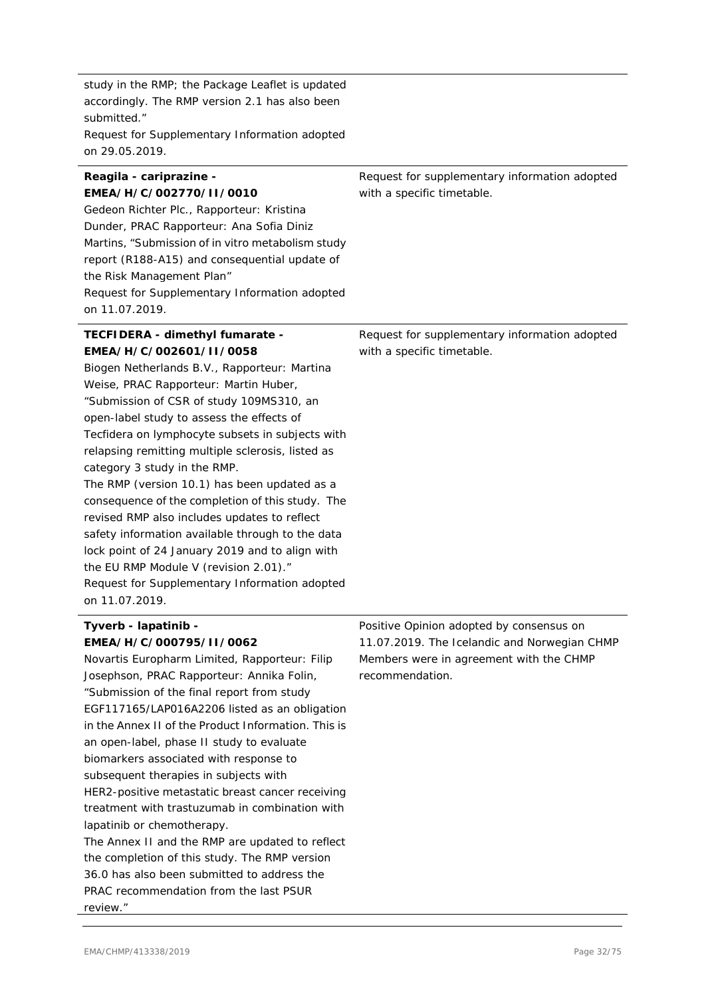study in the RMP; the Package Leaflet is updated accordingly. The RMP version 2.1 has also been submitted." Request for Supplementary Information adopted on 29.05.2019.

#### **Reagila - cariprazine - EMEA/H/C/002770/II/0010**

Gedeon Richter Plc., Rapporteur: Kristina Dunder, PRAC Rapporteur: Ana Sofia Diniz Martins, "Submission of in vitro metabolism study report (R188-A15) and consequential update of the Risk Management Plan" Request for Supplementary Information adopted on 11.07.2019.

#### **TECFIDERA - dimethyl fumarate - EMEA/H/C/002601/II/0058**

Biogen Netherlands B.V., Rapporteur: Martina Weise, PRAC Rapporteur: Martin Huber, "Submission of CSR of study 109MS310, an open-label study to assess the effects of Tecfidera on lymphocyte subsets in subjects with relapsing remitting multiple sclerosis, listed as category 3 study in the RMP.

The RMP (version 10.1) has been updated as a consequence of the completion of this study. The revised RMP also includes updates to reflect safety information available through to the data lock point of 24 January 2019 and to align with the EU RMP Module V (revision 2.01)." Request for Supplementary Information adopted on 11.07.2019.

### **Tyverb - lapatinib - EMEA/H/C/000795/II/0062**

Novartis Europharm Limited, Rapporteur: Filip Josephson, PRAC Rapporteur: Annika Folin, "Submission of the final report from study EGF117165/LAP016A2206 listed as an obligation in the Annex II of the Product Information. This is an open-label, phase II study to evaluate biomarkers associated with response to subsequent therapies in subjects with HER2-positive metastatic breast cancer receiving treatment with trastuzumab in combination with lapatinib or chemotherapy. The Annex II and the RMP are updated to reflect the completion of this study. The RMP version 36.0 has also been submitted to address the PRAC recommendation from the last PSUR review."

Request for supplementary information adopted with a specific timetable.

Request for supplementary information adopted with a specific timetable.

Positive Opinion adopted by consensus on 11.07.2019. The Icelandic and Norwegian CHMP Members were in agreement with the CHMP recommendation.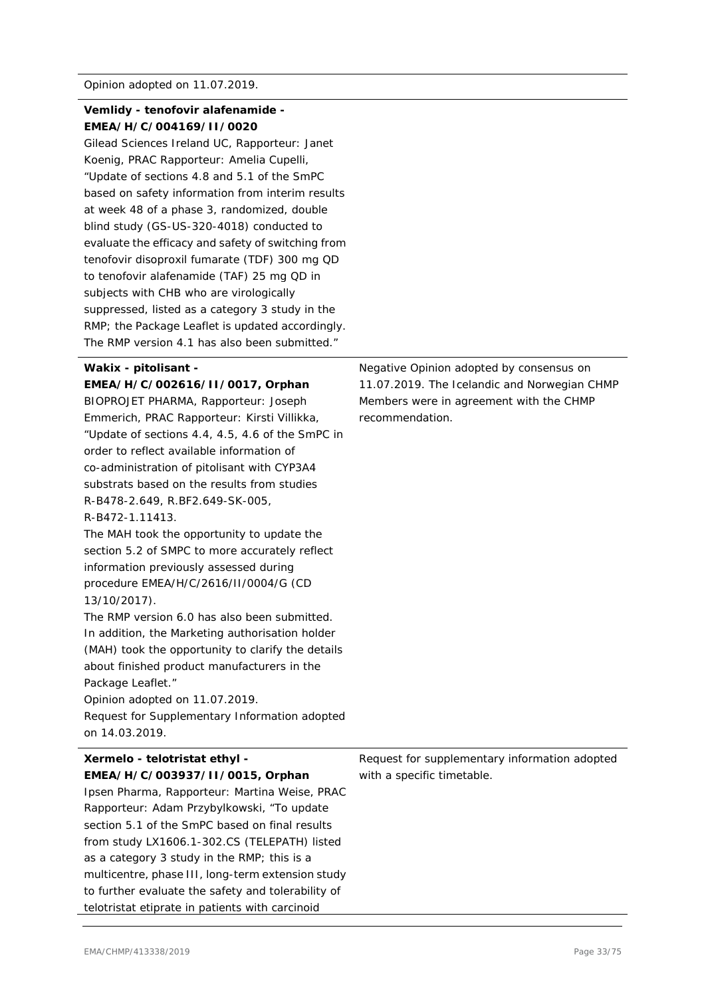#### **Vemlidy - tenofovir alafenamide - EMEA/H/C/004169/II/0020**

Gilead Sciences Ireland UC, Rapporteur: Janet Koenig, PRAC Rapporteur: Amelia Cupelli, "Update of sections 4.8 and 5.1 of the SmPC based on safety information from interim results at week 48 of a phase 3, randomized, double blind study (GS-US-320-4018) conducted to evaluate the efficacy and safety of switching from tenofovir disoproxil fumarate (TDF) 300 mg QD to tenofovir alafenamide (TAF) 25 mg QD in subjects with CHB who are virologically suppressed, listed as a category 3 study in the RMP; the Package Leaflet is updated accordingly. The RMP version 4.1 has also been submitted."

#### **Wakix - pitolisant -**

**EMEA/H/C/002616/II/0017, Orphan** BIOPROJET PHARMA, Rapporteur: Joseph Emmerich, PRAC Rapporteur: Kirsti Villikka, "Update of sections 4.4, 4.5, 4.6 of the SmPC in order to reflect available information of co-administration of pitolisant with CYP3A4 substrats based on the results from studies R-B478-2.649, R.BF2.649-SK-005, R-B472-1.11413.

The MAH took the opportunity to update the section 5.2 of SMPC to more accurately reflect information previously assessed during procedure EMEA/H/C/2616/II/0004/G (CD 13/10/2017).

The RMP version 6.0 has also been submitted. In addition, the Marketing authorisation holder (MAH) took the opportunity to clarify the details about finished product manufacturers in the Package Leaflet."

Opinion adopted on 11.07.2019. Request for Supplementary Information adopted

on 14.03.2019.

# **Xermelo - telotristat ethyl - EMEA/H/C/003937/II/0015, Orphan** Ipsen Pharma, Rapporteur: Martina Weise, PRAC

Rapporteur: Adam Przybylkowski, "To update section 5.1 of the SmPC based on final results from study LX1606.1-302.CS (TELEPATH) listed as a category 3 study in the RMP; this is a multicentre, phase III, long-term extension study to further evaluate the safety and tolerability of telotristat etiprate in patients with carcinoid

Negative Opinion adopted by consensus on 11.07.2019. The Icelandic and Norwegian CHMP Members were in agreement with the CHMP recommendation.

Request for supplementary information adopted with a specific timetable.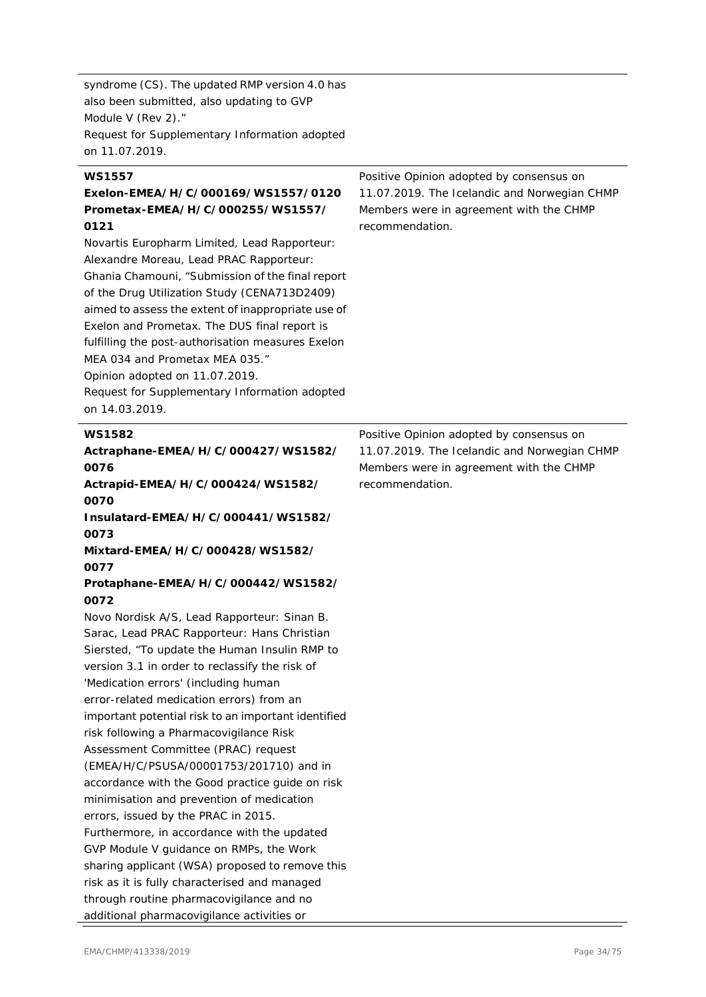syndrome (CS). The updated RMP version 4.0 has also been submitted, also updating to GVP Module V (Rev 2)." Request for Supplementary Information adopted on 11.07.2019.

#### **WS1557 Exelon-EMEA/H/C/000169/WS1557/0120 Prometax-EMEA/H/C/000255/WS1557/ 0121** Novartis Europharm Limited, Lead Rapporteur: Alexandre Moreau, Lead PRAC Rapporteur: Ghania Chamouni, "Submission of the final report of the Drug Utilization Study (CENA713D2409) aimed to assess the extent of inappropriate use of Exelon and Prometax. The DUS final report is fulfilling the post-authorisation measures Exelon MEA 034 and Prometax MEA 035." Opinion adopted on 11.07.2019. Request for Supplementary Information adopted on 14.03.2019. Positive Opinion adopted by consensus on 11.07.2019. The Icelandic and Norwegian CHMP Members were in agreement with the CHMP recommendation. **WS1582 Actraphane-EMEA/H/C/000427/WS1582/ 0076 Actrapid-EMEA/H/C/000424/WS1582/ 0070 Insulatard-EMEA/H/C/000441/WS1582/ 0073 Mixtard-EMEA/H/C/000428/WS1582/ 0077 Protaphane-EMEA/H/C/000442/WS1582/ 0072** Novo Nordisk A/S, Lead Rapporteur: Sinan B. Sarac, Lead PRAC Rapporteur: Hans Christian Siersted, "To update the Human Insulin RMP to version 3.1 in order to reclassify the risk of 'Medication errors' (including human error-related medication errors) from an important potential risk to an important identified risk following a Pharmacovigilance Risk Assessment Committee (PRAC) request (EMEA/H/C/PSUSA/00001753/201710) and in accordance with the Good practice guide on risk minimisation and prevention of medication errors, issued by the PRAC in 2015. Furthermore, in accordance with the updated GVP Module V guidance on RMPs, the Work sharing applicant (WSA) proposed to remove this risk as it is fully characterised and managed through routine pharmacovigilance and no Positive Opinion adopted by consensus on 11.07.2019. The Icelandic and Norwegian CHMP Members were in agreement with the CHMP recommendation.

additional pharmacovigilance activities or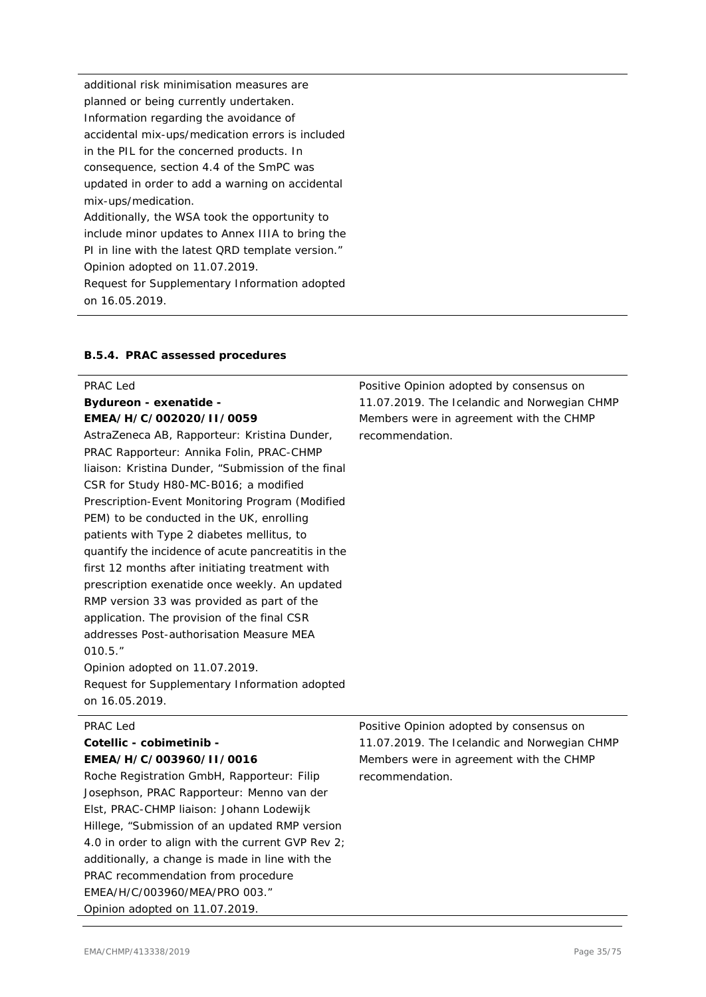additional risk minimisation measures are planned or being currently undertaken. Information regarding the avoidance of accidental mix-ups/medication errors is included in the PIL for the concerned products. In consequence, section 4.4 of the SmPC was updated in order to add a warning on accidental mix-ups/medication. Additionally, the WSA took the opportunity to include minor updates to Annex IIIA to bring the PI in line with the latest QRD template version." Opinion adopted on 11.07.2019. Request for Supplementary Information adopted on 16.05.2019.

#### **B.5.4. PRAC assessed procedures**

÷.

| PRAC Led                                            | Positive Opinion adopted by consensus on     |
|-----------------------------------------------------|----------------------------------------------|
| <b>Bydureon - exenatide -</b>                       | 11.07.2019. The Icelandic and Norwegian CHMP |
| EMEA/H/C/002020/II/0059                             | Members were in agreement with the CHMP      |
| AstraZeneca AB, Rapporteur: Kristina Dunder,        | recommendation.                              |
| PRAC Rapporteur: Annika Folin, PRAC-CHMP            |                                              |
| liaison: Kristina Dunder, "Submission of the final  |                                              |
| CSR for Study H80-MC-B016; a modified               |                                              |
| Prescription-Event Monitoring Program (Modified     |                                              |
| PEM) to be conducted in the UK, enrolling           |                                              |
| patients with Type 2 diabetes mellitus, to          |                                              |
| quantify the incidence of acute pancreatitis in the |                                              |
| first 12 months after initiating treatment with     |                                              |
| prescription exenatide once weekly. An updated      |                                              |
| RMP version 33 was provided as part of the          |                                              |
| application. The provision of the final CSR         |                                              |
| addresses Post-authorisation Measure MEA            |                                              |
| 010.5."                                             |                                              |
| Opinion adopted on 11.07.2019.                      |                                              |
| Request for Supplementary Information adopted       |                                              |
| on 16.05.2019.                                      |                                              |
| PRAC Led                                            | Positive Opinion adopted by consensus on     |
| Cotellic - cobimetinib -                            | 11.07.2019. The Icelandic and Norwegian CHMP |
| EMEA/H/C/003960/II/0016                             | Members were in agreement with the CHMP      |
| Roche Registration GmbH, Rapporteur: Filip          | recommendation.                              |
| Josephson, PRAC Rapporteur: Menno van der           |                                              |
| Elst, PRAC-CHMP liaison: Johann Lodewijk            |                                              |

Hillege, "Submission of an updated RMP version 4.0 in order to align with the current GVP Rev 2; additionally, a change is made in line with the

PRAC recommendation from procedure EMEA/H/C/003960/MEA/PRO 003." Opinion adopted on 11.07.2019.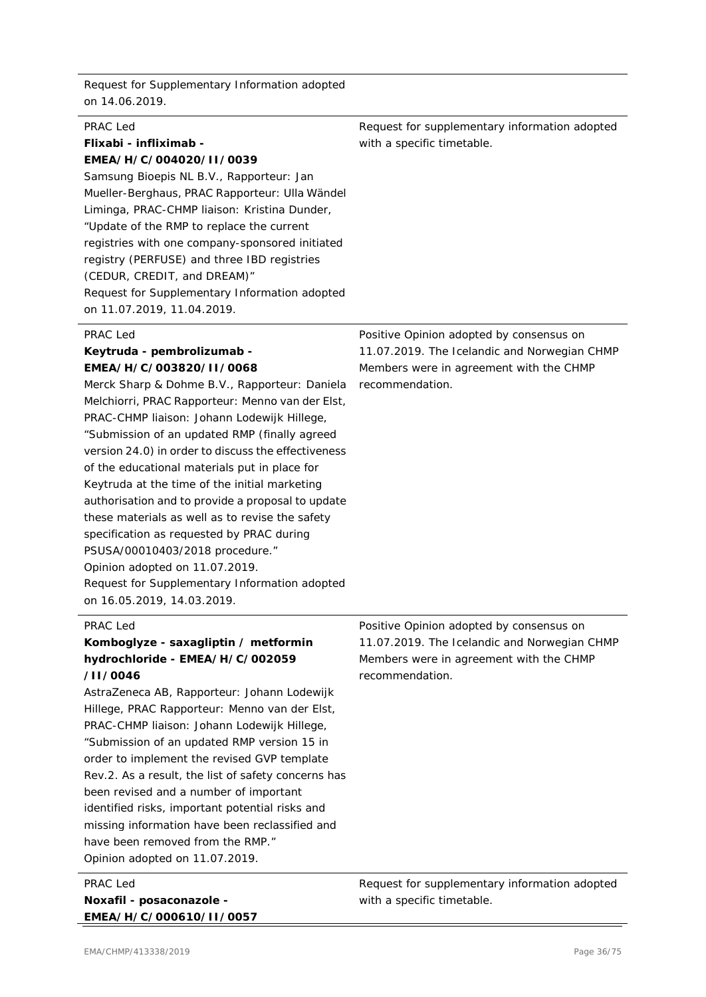Request for Supplementary Information adopted on 14.06.2019.

| PRAC Led                                        | Request for supplementary information adopted |
|-------------------------------------------------|-----------------------------------------------|
| Flixabi - infliximab -                          | with a specific timetable.                    |
| EMEA/H/C/004020/II/0039                         |                                               |
| Samsung Bioepis NL B.V., Rapporteur: Jan        |                                               |
| Mueller-Berghaus, PRAC Rapporteur: Ulla Wändel  |                                               |
| Liminga, PRAC-CHMP liaison: Kristina Dunder,    |                                               |
| "Update of the RMP to replace the current"      |                                               |
| registries with one company-sponsored initiated |                                               |
| registry (PERFUSE) and three IBD registries     |                                               |
| (CEDUR, CREDIT, and DREAM)"                     |                                               |
| Request for Supplementary Information adopted   |                                               |
| on 11.07.2019, 11.04.2019.                      |                                               |

#### PRAC Led

#### **Keytruda - pembrolizumab - EMEA/H/C/003820/II/0068**

Merck Sharp & Dohme B.V., Rapporteur: Daniela Melchiorri, PRAC Rapporteur: Menno van der Elst, PRAC-CHMP liaison: Johann Lodewijk Hillege, "Submission of an updated RMP (finally agreed version 24.0) in order to discuss the effectiveness of the educational materials put in place for Keytruda at the time of the initial marketing authorisation and to provide a proposal to update these materials as well as to revise the safety specification as requested by PRAC during PSUSA/00010403/2018 procedure." Opinion adopted on 11.07.2019. Request for Supplementary Information adopted on 16.05.2019, 14.03.2019.

Positive Opinion adopted by consensus on 11.07.2019. The Icelandic and Norwegian CHMP Members were in agreement with the CHMP recommendation.

#### PRAC Led

### **Komboglyze - saxagliptin / metformin hydrochloride - EMEA/H/C/002059 /II/0046**

AstraZeneca AB, Rapporteur: Johann Lodewijk Hillege, PRAC Rapporteur: Menno van der Elst, PRAC-CHMP liaison: Johann Lodewijk Hillege, "Submission of an updated RMP version 15 in order to implement the revised GVP template Rev.2. As a result, the list of safety concerns has been revised and a number of important identified risks, important potential risks and missing information have been reclassified and have been removed from the RMP." Opinion adopted on 11.07.2019.

PRAC Led **Noxafil - posaconazole - EMEA/H/C/000610/II/0057** Positive Opinion adopted by consensus on 11.07.2019. The Icelandic and Norwegian CHMP Members were in agreement with the CHMP recommendation.

Request for supplementary information adopted with a specific timetable.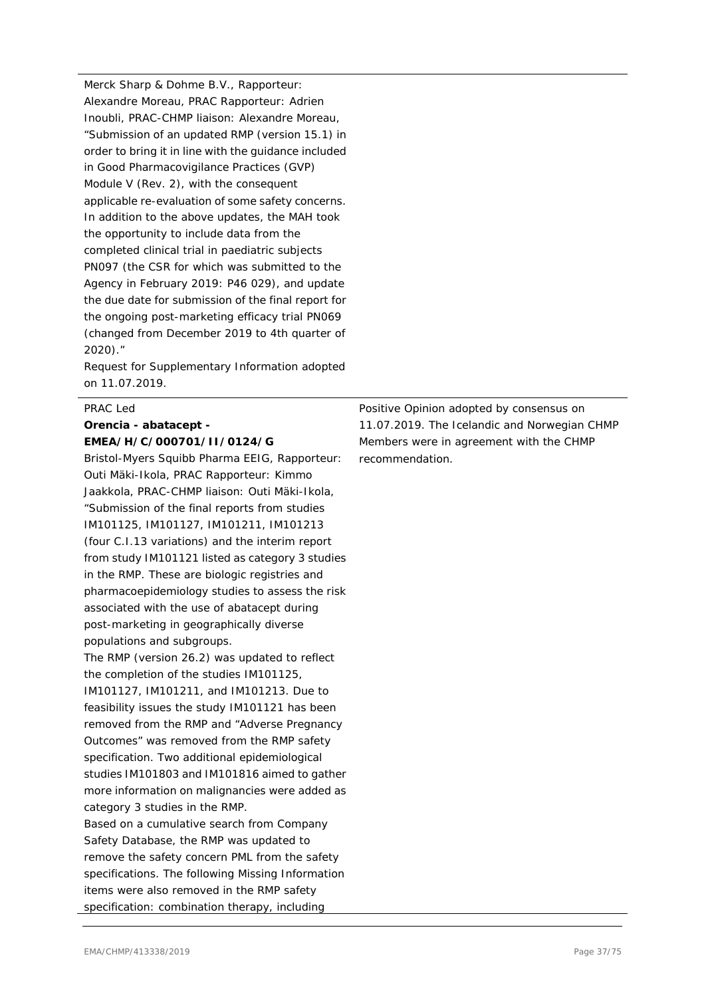Merck Sharp & Dohme B.V., Rapporteur: Alexandre Moreau, PRAC Rapporteur: Adrien Inoubli, PRAC-CHMP liaison: Alexandre Moreau, "Submission of an updated RMP (version 15.1) in order to bring it in line with the guidance included in Good Pharmacovigilance Practices (GVP) Module V (Rev. 2), with the consequent applicable re-evaluation of some safety concerns. In addition to the above updates, the MAH took the opportunity to include data from the completed clinical trial in paediatric subjects PN097 (the CSR for which was submitted to the Agency in February 2019: P46 029), and update the due date for submission of the final report for the ongoing post-marketing efficacy trial PN069 (changed from December 2019 to 4th quarter of 2020)."

Request for Supplementary Information adopted on 11.07.2019.

#### PRAC Led

# **Orencia - abatacept - EMEA/H/C/000701/II/0124/G**

Bristol-Myers Squibb Pharma EEIG, Rapporteur: Outi Mäki-Ikola, PRAC Rapporteur: Kimmo Jaakkola, PRAC-CHMP liaison: Outi Mäki-Ikola, "Submission of the final reports from studies IM101125, IM101127, IM101211, IM101213 (four C.I.13 variations) and the interim report from study IM101121 listed as category 3 studies in the RMP. These are biologic registries and pharmacoepidemiology studies to assess the risk associated with the use of abatacept during post-marketing in geographically diverse populations and subgroups.

The RMP (version 26.2) was updated to reflect the completion of the studies IM101125, IM101127, IM101211, and IM101213. Due to feasibility issues the study IM101121 has been removed from the RMP and "Adverse Pregnancy Outcomes" was removed from the RMP safety specification. Two additional epidemiological studies IM101803 and IM101816 aimed to gather more information on malignancies were added as category 3 studies in the RMP. Based on a cumulative search from Company Safety Database, the RMP was updated to remove the safety concern PML from the safety specifications. The following Missing Information items were also removed in the RMP safety specification: combination therapy, including

Positive Opinion adopted by consensus on 11.07.2019. The Icelandic and Norwegian CHMP Members were in agreement with the CHMP recommendation.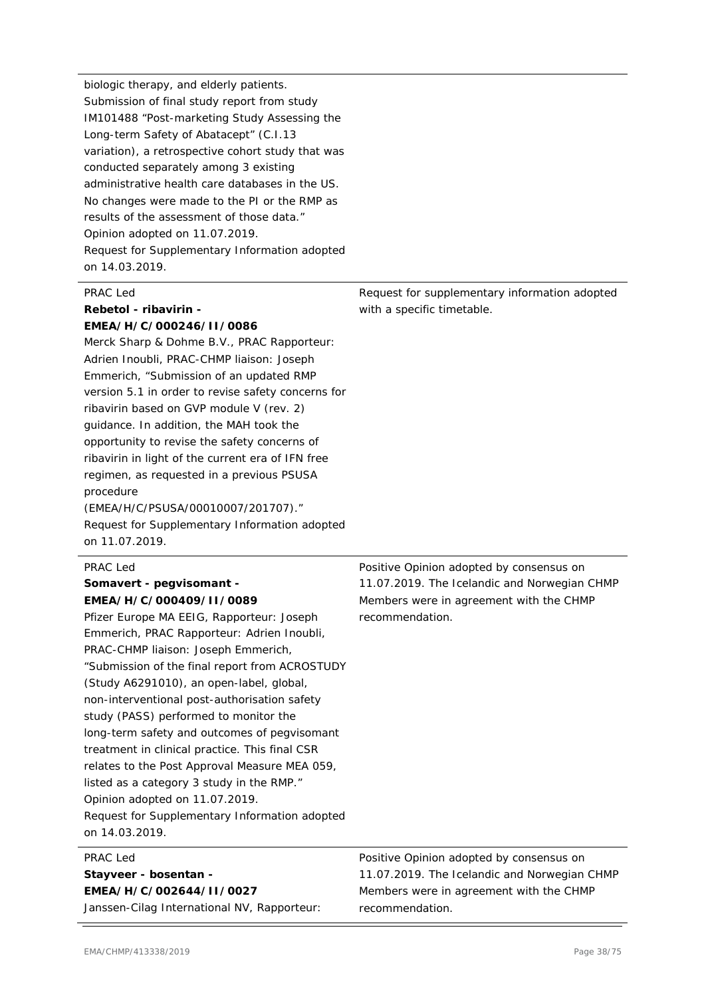biologic therapy, and elderly patients. Submission of final study report from study IM101488 "Post-marketing Study Assessing the Long-term Safety of Abatacept" (C.I.13 variation), a retrospective cohort study that was conducted separately among 3 existing administrative health care databases in the US. No changes were made to the PI or the RMP as results of the assessment of those data." Opinion adopted on 11.07.2019. Request for Supplementary Information adopted on 14.03.2019.

# PRAC Led **Rebetol - ribavirin -**

# **EMEA/H/C/000246/II/0086**

Merck Sharp & Dohme B.V., PRAC Rapporteur: Adrien Inoubli, PRAC-CHMP liaison: Joseph Emmerich, "Submission of an updated RMP version 5.1 in order to revise safety concerns for ribavirin based on GVP module V (rev. 2) guidance. In addition, the MAH took the opportunity to revise the safety concerns of ribavirin in light of the current era of IFN free regimen, as requested in a previous PSUSA procedure

(EMEA/H/C/PSUSA/00010007/201707)." Request for Supplementary Information adopted on 11.07.2019.

#### PRAC Led

# **Somavert - pegvisomant - EMEA/H/C/000409/II/0089**

Pfizer Europe MA EEIG, Rapporteur: Joseph Emmerich, PRAC Rapporteur: Adrien Inoubli, PRAC-CHMP liaison: Joseph Emmerich, "Submission of the final report from ACROSTUDY (Study A6291010), an open-label, global, non-interventional post-authorisation safety study (PASS) performed to monitor the long-term safety and outcomes of pegvisomant treatment in clinical practice. This final CSR relates to the Post Approval Measure MEA 059, listed as a category 3 study in the RMP." Opinion adopted on 11.07.2019. Request for Supplementary Information adopted on 14.03.2019.

#### PRAC Led

#### **Stayveer - bosentan - EMEA/H/C/002644/II/0027**

Janssen-Cilag International NV, Rapporteur:

with a specific timetable.

Request for supplementary information adopted

Positive Opinion adopted by consensus on 11.07.2019. The Icelandic and Norwegian CHMP Members were in agreement with the CHMP recommendation.

Positive Opinion adopted by consensus on 11.07.2019. The Icelandic and Norwegian CHMP Members were in agreement with the CHMP recommendation.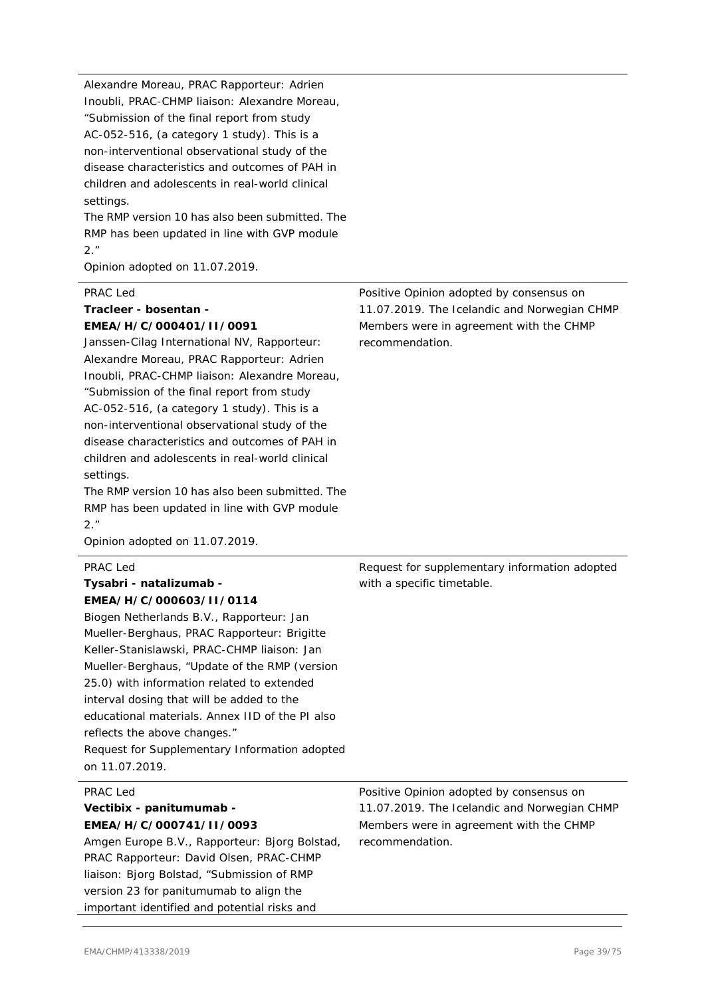Alexandre Moreau, PRAC Rapporteur: Adrien Inoubli, PRAC-CHMP liaison: Alexandre Moreau, "Submission of the final report from study AC-052-516, (a category 1 study). This is a non-interventional observational study of the disease characteristics and outcomes of PAH in children and adolescents in real-world clinical settings.

The RMP version 10 has also been submitted. The RMP has been updated in line with GVP module 2."

Opinion adopted on 11.07.2019.

### PRAC Led

### **Tracleer - bosentan - EMEA/H/C/000401/II/0091**

Janssen-Cilag International NV, Rapporteur: Alexandre Moreau, PRAC Rapporteur: Adrien Inoubli, PRAC-CHMP liaison: Alexandre Moreau, "Submission of the final report from study AC-052-516, (a category 1 study). This is a non-interventional observational study of the disease characteristics and outcomes of PAH in children and adolescents in real-world clinical settings.

The RMP version 10 has also been submitted. The RMP has been updated in line with GVP module 2."

Opinion adopted on 11.07.2019.

# PRAC Led

### **Tysabri - natalizumab - EMEA/H/C/000603/II/0114**

Biogen Netherlands B.V., Rapporteur: Jan Mueller-Berghaus, PRAC Rapporteur: Brigitte Keller-Stanislawski, PRAC-CHMP liaison: Jan Mueller-Berghaus, "Update of the RMP (version 25.0) with information related to extended interval dosing that will be added to the educational materials. Annex IID of the PI also reflects the above changes." Request for Supplementary Information adopted on 11.07.2019.

### PRAC Led

### **Vectibix - panitumumab - EMEA/H/C/000741/II/0093**

Amgen Europe B.V., Rapporteur: Bjorg Bolstad, PRAC Rapporteur: David Olsen, PRAC-CHMP liaison: Bjorg Bolstad, "Submission of RMP version 23 for panitumumab to align the important identified and potential risks and

Positive Opinion adopted by consensus on 11.07.2019. The Icelandic and Norwegian CHMP Members were in agreement with the CHMP recommendation.

Request for supplementary information adopted with a specific timetable.

Positive Opinion adopted by consensus on 11.07.2019. The Icelandic and Norwegian CHMP Members were in agreement with the CHMP recommendation.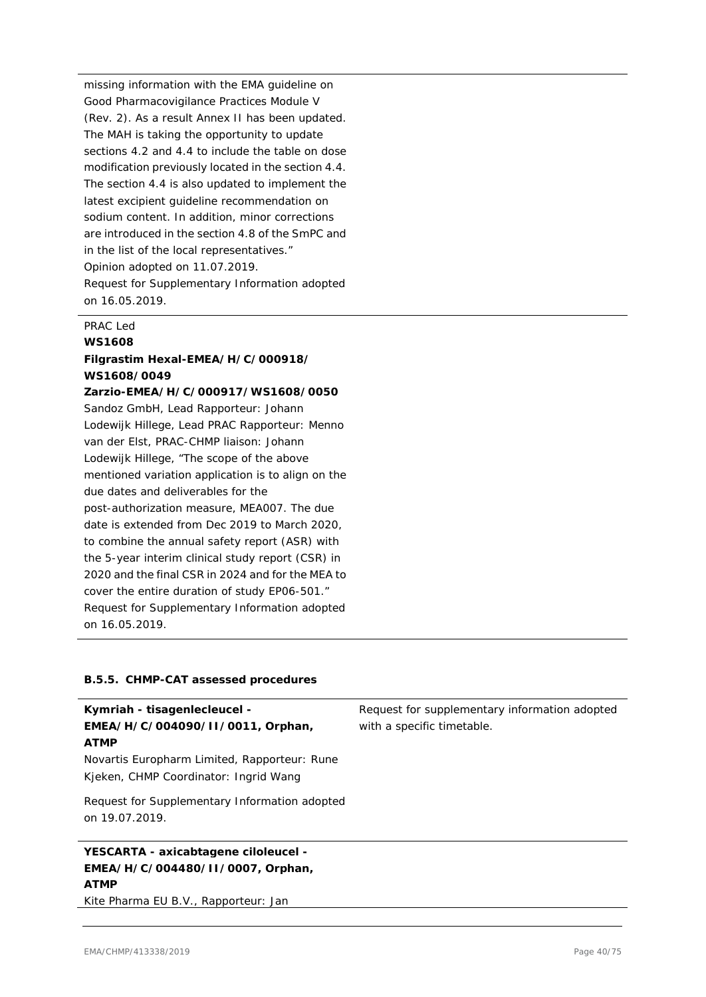missing information with the EMA guideline on Good Pharmacovigilance Practices Module V (Rev. 2). As a result Annex II has been updated. The MAH is taking the opportunity to update sections 4.2 and 4.4 to include the table on dose modification previously located in the section 4.4. The section 4.4 is also updated to implement the latest excipient quideline recommendation on sodium content. In addition, minor corrections are introduced in the section 4.8 of the SmPC and in the list of the local representatives." Opinion adopted on 11.07.2019. Request for Supplementary Information adopted on 16.05.2019.

#### PRAC Led

#### **WS1608**

# **Filgrastim Hexal-EMEA/H/C/000918/ WS1608/0049**

### **Zarzio-EMEA/H/C/000917/WS1608/0050**

Sandoz GmbH, Lead Rapporteur: Johann Lodewijk Hillege, Lead PRAC Rapporteur: Menno van der Elst, PRAC-CHMP liaison: Johann Lodewijk Hillege, "The scope of the above mentioned variation application is to align on the due dates and deliverables for the post-authorization measure, MEA007. The due date is extended from Dec 2019 to March 2020, to combine the annual safety report (ASR) with the 5-year interim clinical study report (CSR) in 2020 and the final CSR in 2024 and for the MEA to cover the entire duration of study EP06-501." Request for Supplementary Information adopted on 16.05.2019.

### **B.5.5. CHMP-CAT assessed procedures**

| Kymriah - tisagenlecleucel -<br>EMEA/H/C/004090/II/0011, Orphan,<br><b>ATMP</b>         | Request for supplementary information adopted<br>with a specific timetable. |
|-----------------------------------------------------------------------------------------|-----------------------------------------------------------------------------|
| Novartis Europharm Limited, Rapporteur: Rune<br>Kieken, CHMP Coordinator: Ingrid Wang   |                                                                             |
| Request for Supplementary Information adopted<br>on 19.07.2019.                         |                                                                             |
| YESCARTA - axicabtagene ciloleucel -<br>EMEA/H/C/004480/II/0007, Orphan,<br><b>ATMP</b> |                                                                             |

Kite Pharma EU B.V., Rapporteur: Jan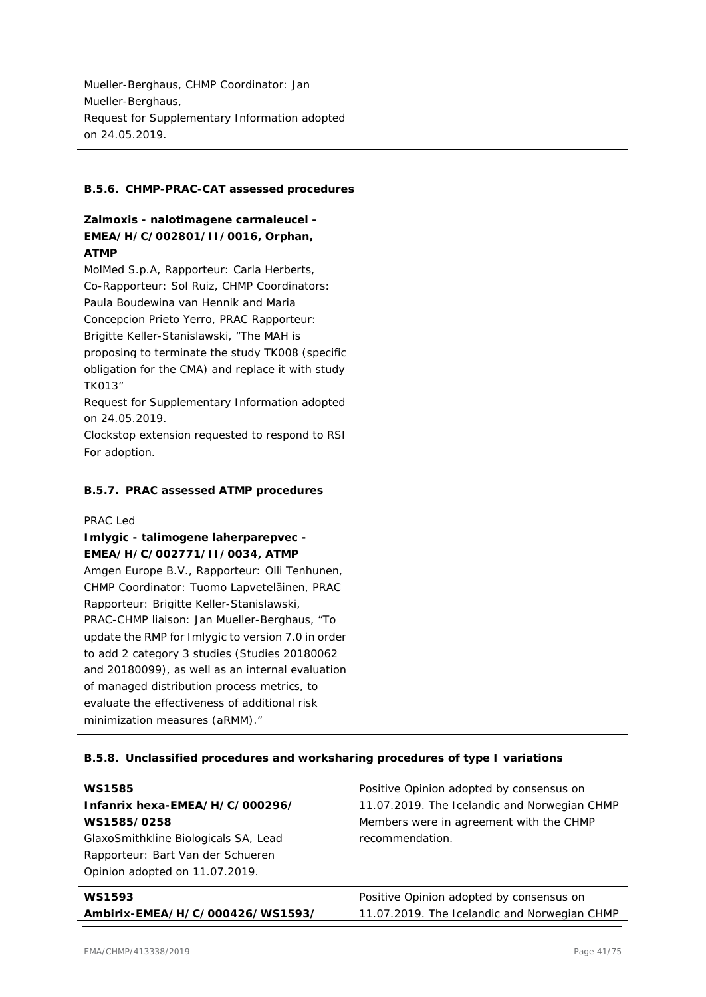Mueller-Berghaus, CHMP Coordinator: Jan Mueller-Berghaus, Request for Supplementary Information adopted on 24.05.2019.

### **B.5.6. CHMP-PRAC-CAT assessed procedures**

# **Zalmoxis - nalotimagene carmaleucel - EMEA/H/C/002801/II/0016, Orphan, ATMP**

MolMed S.p.A, Rapporteur: Carla Herberts, Co-Rapporteur: Sol Ruiz, CHMP Coordinators: Paula Boudewina van Hennik and Maria Concepcion Prieto Yerro, PRAC Rapporteur: Brigitte Keller-Stanislawski, "The MAH is proposing to terminate the study TK008 (specific obligation for the CMA) and replace it with study TK013" Request for Supplementary Information adopted on 24.05.2019. Clockstop extension requested to respond to RSI

### **B.5.7. PRAC assessed ATMP procedures**

#### PRAC Led

For adoption.

**Imlygic - talimogene laherparepvec - EMEA/H/C/002771/II/0034, ATMP** Amgen Europe B.V., Rapporteur: Olli Tenhunen, CHMP Coordinator: Tuomo Lapveteläinen, PRAC Rapporteur: Brigitte Keller-Stanislawski, PRAC-CHMP liaison: Jan Mueller-Berghaus, "To update the RMP for Imlygic to version 7.0 in order to add 2 category 3 studies (Studies 20180062 and 20180099), as well as an internal evaluation of managed distribution process metrics, to evaluate the effectiveness of additional risk minimization measures (aRMM)."

### **B.5.8. Unclassified procedures and worksharing procedures of type I variations**

| <b>WS1585</b>                        | Positive Opinion adopted by consensus on     |
|--------------------------------------|----------------------------------------------|
| Infanrix hexa-EMEA/H/C/000296/       | 11.07.2019. The Icelandic and Norwegian CHMP |
| WS1585/0258                          | Members were in agreement with the CHMP      |
| GlaxoSmithkline Biologicals SA, Lead | recommendation.                              |
| Rapporteur: Bart Van der Schueren    |                                              |
| Opinion adopted on 11.07.2019.       |                                              |
| <b>WS1593</b>                        | Positive Opinion adopted by consensus on     |
| Ambirix-EMEA/H/C/000426/WS1593/      | 11.07.2019. The Icelandic and Norwegian CHMP |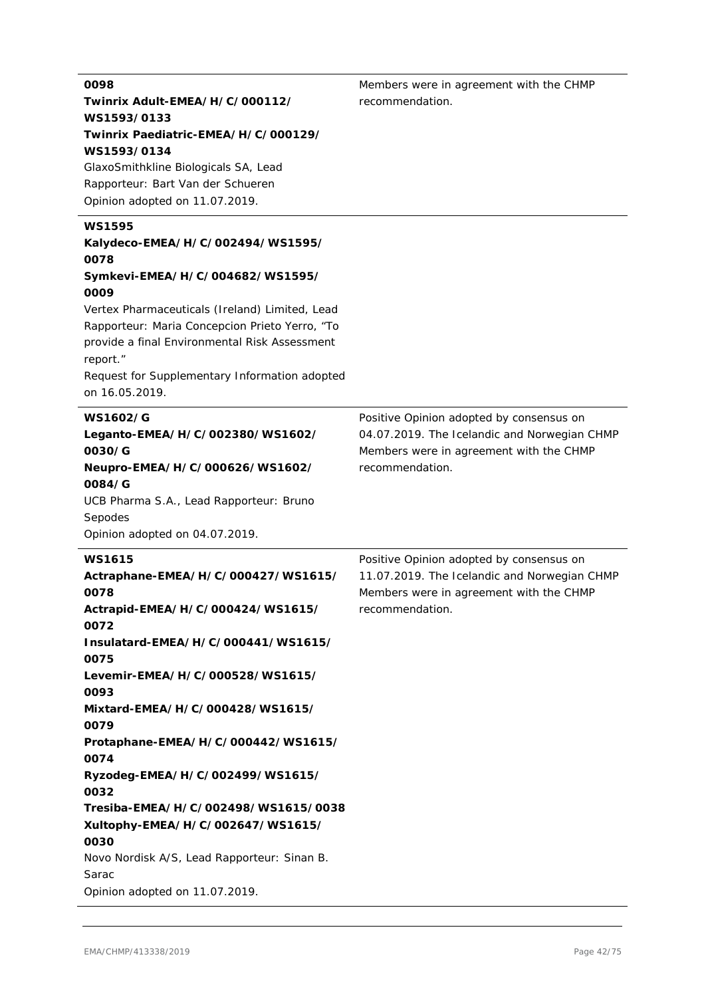| 0098<br>Twinrix Adult-EMEA/H/C/000112/<br>WS1593/0133<br>Twinrix Paediatric-EMEA/H/C/000129/<br>WS1593/0134<br>GlaxoSmithkline Biologicals SA, Lead<br>Rapporteur: Bart Van der Schueren<br>Opinion adopted on 11.07.2019.                                                                                                                                                                                                                                                                                        | Members were in agreement with the CHMP<br>recommendation.                                                                                             |
|-------------------------------------------------------------------------------------------------------------------------------------------------------------------------------------------------------------------------------------------------------------------------------------------------------------------------------------------------------------------------------------------------------------------------------------------------------------------------------------------------------------------|--------------------------------------------------------------------------------------------------------------------------------------------------------|
| <b>WS1595</b><br>Kalydeco-EMEA/H/C/002494/WS1595/<br>0078<br>Symkevi-EMEA/H/C/004682/WS1595/<br>0009<br>Vertex Pharmaceuticals (Ireland) Limited, Lead<br>Rapporteur: Maria Concepcion Prieto Yerro, "To<br>provide a final Environmental Risk Assessment                                                                                                                                                                                                                                                         |                                                                                                                                                        |
| report."<br>Request for Supplementary Information adopted<br>on 16.05.2019.                                                                                                                                                                                                                                                                                                                                                                                                                                       |                                                                                                                                                        |
| <b>WS1602/G</b><br>Leganto-EMEA/H/C/002380/WS1602/<br>0030/G<br>Neupro-EMEA/H/C/000626/WS1602/<br>0084/G<br>UCB Pharma S.A., Lead Rapporteur: Bruno<br>Sepodes<br>Opinion adopted on 04.07.2019.                                                                                                                                                                                                                                                                                                                  | Positive Opinion adopted by consensus on<br>04.07.2019. The Icelandic and Norwegian CHMP<br>Members were in agreement with the CHMP<br>recommendation. |
| <b>WS1615</b><br>Actraphane-EMEA/H/C/000427/WS1615/<br>0078<br>Actrapid-EMEA/H/C/000424/WS1615/<br>0072<br>Insulatard-EMEA/H/C/000441/WS1615/<br>0075<br>Levemir-EMEA/H/C/000528/WS1615/<br>0093<br>Mixtard-EMEA/H/C/000428/WS1615/<br>0079<br>Protaphane-EMEA/H/C/000442/WS1615/<br>0074<br>Ryzodeg-EMEA/H/C/002499/WS1615/<br>0032<br>Tresiba-EMEA/H/C/002498/WS1615/0038<br>Xultophy-EMEA/H/C/002647/WS1615/<br>0030<br>Novo Nordisk A/S, Lead Rapporteur: Sinan B.<br>Sarac<br>Opinion adopted on 11.07.2019. | Positive Opinion adopted by consensus on<br>11.07.2019. The Icelandic and Norwegian CHMP<br>Members were in agreement with the CHMP<br>recommendation. |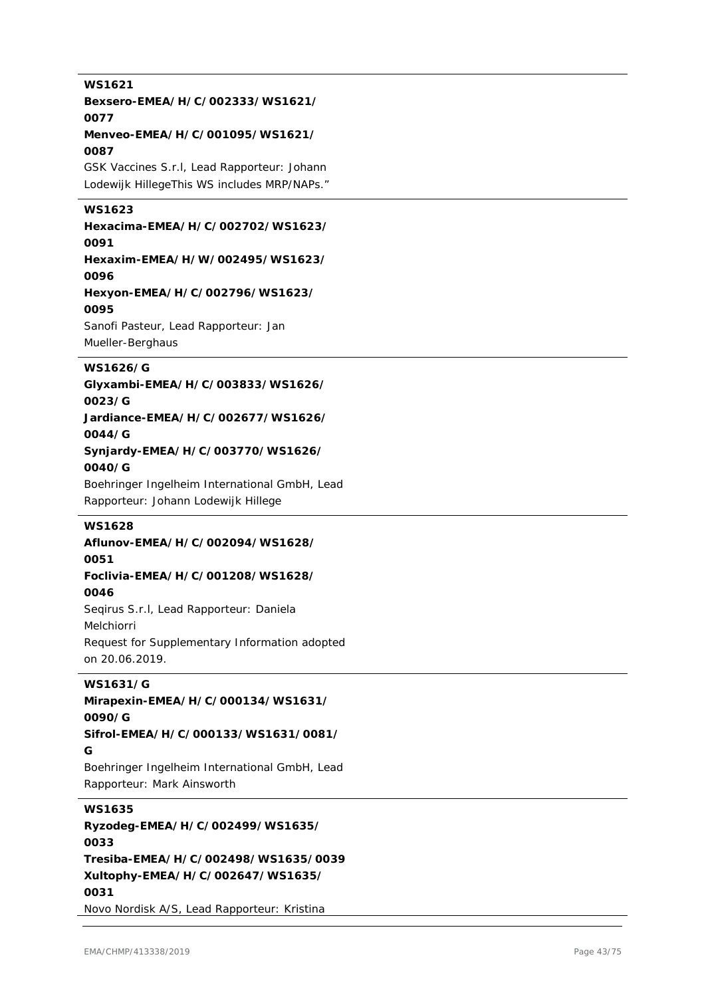# **WS1621 Bexsero-EMEA/H/C/002333/WS1621/ 0077 Menveo-EMEA/H/C/001095/WS1621/ 0087** GSK Vaccines S.r.l, Lead Rapporteur: Johann Lodewijk HillegeThis WS includes MRP/NAPs." **WS1623 Hexacima-EMEA/H/C/002702/WS1623/ 0091 Hexaxim-EMEA/H/W/002495/WS1623/ 0096 Hexyon-EMEA/H/C/002796/WS1623/ 0095** Sanofi Pasteur, Lead Rapporteur: Jan Mueller-Berghaus **WS1626/G Glyxambi-EMEA/H/C/003833/WS1626/ 0023/G Jardiance-EMEA/H/C/002677/WS1626/ 0044/G Synjardy-EMEA/H/C/003770/WS1626/ 0040/G** Boehringer Ingelheim International GmbH, Lead Rapporteur: Johann Lodewijk Hillege **WS1628 Aflunov-EMEA/H/C/002094/WS1628/ 0051 Foclivia-EMEA/H/C/001208/WS1628/ 0046** Seqirus S.r.l, Lead Rapporteur: Daniela Melchiorri Request for Supplementary Information adopted on 20.06.2019. **WS1631/G Mirapexin-EMEA/H/C/000134/WS1631/ 0090/G Sifrol-EMEA/H/C/000133/WS1631/0081/ G** Boehringer Ingelheim International GmbH, Lead Rapporteur: Mark Ainsworth **WS1635 Ryzodeg-EMEA/H/C/002499/WS1635/ 0033 Tresiba-EMEA/H/C/002498/WS1635/0039 Xultophy-EMEA/H/C/002647/WS1635/ 0031** Novo Nordisk A/S, Lead Rapporteur: Kristina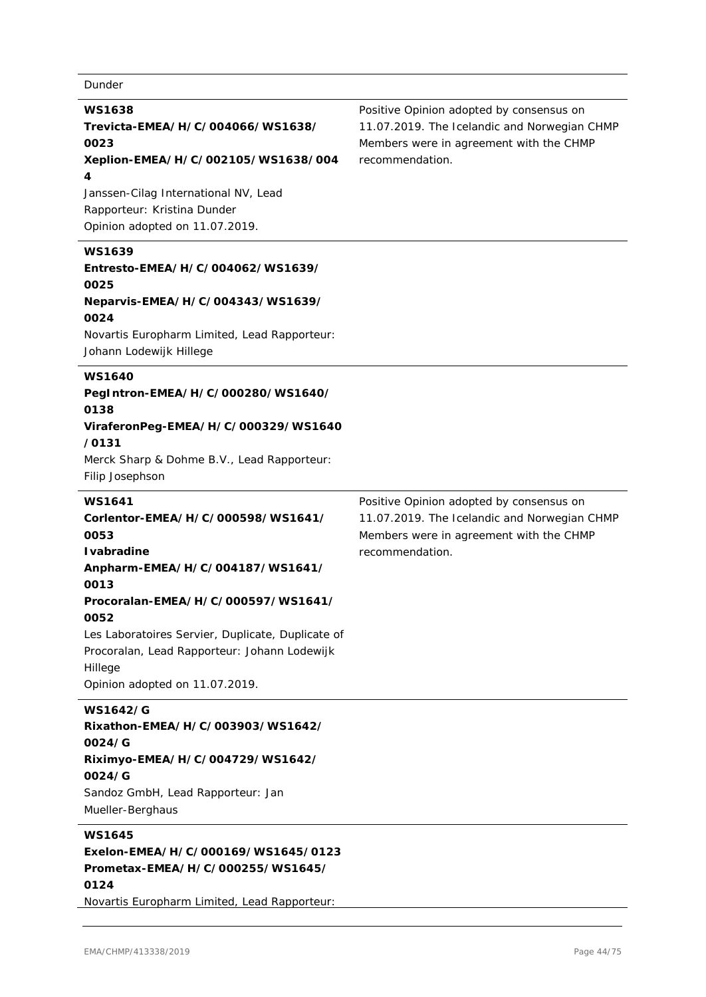# Dunder

| <b>WS1638</b><br>Trevicta-EMEA/H/C/004066/WS1638/<br>0023<br>Xeplion-EMEA/H/C/002105/WS1638/004<br>4<br>Janssen-Cilag International NV, Lead<br>Rapporteur: Kristina Dunder<br>Opinion adopted on 11.07.2019.                                                                                                               | Positive Opinion adopted by consensus on<br>11.07.2019. The Icelandic and Norwegian CHMP<br>Members were in agreement with the CHMP<br>recommendation. |
|-----------------------------------------------------------------------------------------------------------------------------------------------------------------------------------------------------------------------------------------------------------------------------------------------------------------------------|--------------------------------------------------------------------------------------------------------------------------------------------------------|
| <b>WS1639</b><br>Entresto-EMEA/H/C/004062/WS1639/<br>0025<br>Neparvis-EMEA/H/C/004343/WS1639/<br>0024<br>Novartis Europharm Limited, Lead Rapporteur:<br>Johann Lodewijk Hillege                                                                                                                                            |                                                                                                                                                        |
| <b>WS1640</b><br>PegIntron-EMEA/H/C/000280/WS1640/<br>0138<br>ViraferonPeg-EMEA/H/C/000329/WS1640<br>/0131<br>Merck Sharp & Dohme B.V., Lead Rapporteur:<br>Filip Josephson                                                                                                                                                 |                                                                                                                                                        |
| <b>WS1641</b><br>Corlentor-EMEA/H/C/000598/WS1641/<br>0053<br><b>I</b> vabradine<br>Anpharm-EMEA/H/C/004187/WS1641/<br>0013<br>Procoralan-EMEA/H/C/000597/WS1641/<br>0052<br>Les Laboratoires Servier, Duplicate, Duplicate of<br>Procoralan, Lead Rapporteur: Johann Lodewijk<br>Hillege<br>Opinion adopted on 11.07.2019. | Positive Opinion adopted by consensus on<br>11.07.2019. The Icelandic and Norwegian CHMP<br>Members were in agreement with the CHMP<br>recommendation. |
| <b>WS1642/G</b><br>Rixathon-EMEA/H/C/003903/WS1642/<br>0024/G<br>Riximyo-EMEA/H/C/004729/WS1642/<br>0024/G<br>Sandoz GmbH, Lead Rapporteur: Jan                                                                                                                                                                             |                                                                                                                                                        |

Mueller-Berghaus

# **WS1645**

**Exelon-EMEA/H/C/000169/WS1645/0123 Prometax-EMEA/H/C/000255/WS1645/ 0124**

Novartis Europharm Limited, Lead Rapporteur: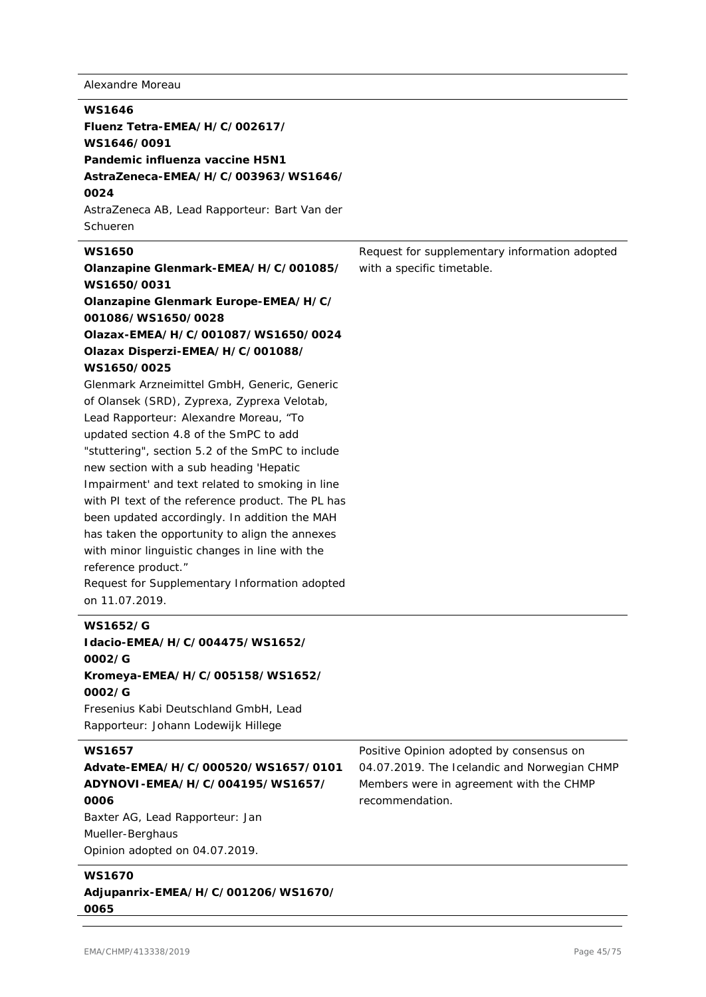Alexandre Moreau

# **WS1646 Fluenz Tetra-EMEA/H/C/002617/ WS1646/0091 Pandemic influenza vaccine H5N1 AstraZeneca-EMEA/H/C/003963/WS1646/ 0024** AstraZeneca AB, Lead Rapporteur: Bart Van der Schueren **WS1650 Olanzapine Glenmark-EMEA/H/C/001085/ WS1650/0031 Olanzapine Glenmark Europe-EMEA/H/C/ 001086/WS1650/0028 Olazax-EMEA/H/C/001087/WS1650/0024 Olazax Disperzi-EMEA/H/C/001088/ WS1650/0025** Glenmark Arzneimittel GmbH, Generic, Generic of Olansek (SRD), Zyprexa, Zyprexa Velotab, Lead Rapporteur: Alexandre Moreau, "To updated section 4.8 of the SmPC to add "stuttering", section 5.2 of the SmPC to include new section with a sub heading 'Hepatic Impairment' and text related to smoking in line with PI text of the reference product. The PL has been updated accordingly. In addition the MAH has taken the opportunity to align the annexes with minor linguistic changes in line with the reference product." Request for Supplementary Information adopted on 11.07.2019. Request for supplementary information adopted with a specific timetable. **WS1652/G Idacio-EMEA/H/C/004475/WS1652/ 0002/G Kromeya-EMEA/H/C/005158/WS1652/ 0002/G** Fresenius Kabi Deutschland GmbH, Lead Rapporteur: Johann Lodewijk Hillege **WS1657 Advate-EMEA/H/C/000520/WS1657/0101 ADYNOVI-EMEA/H/C/004195/WS1657/ 0006** Positive Opinion adopted by consensus on 04.07.2019. The Icelandic and Norwegian CHMP Members were in agreement with the CHMP recommendation.

Baxter AG, Lead Rapporteur: Jan Mueller-Berghaus Opinion adopted on 04.07.2019.

# **WS1670 Adjupanrix-EMEA/H/C/001206/WS1670/ 0065**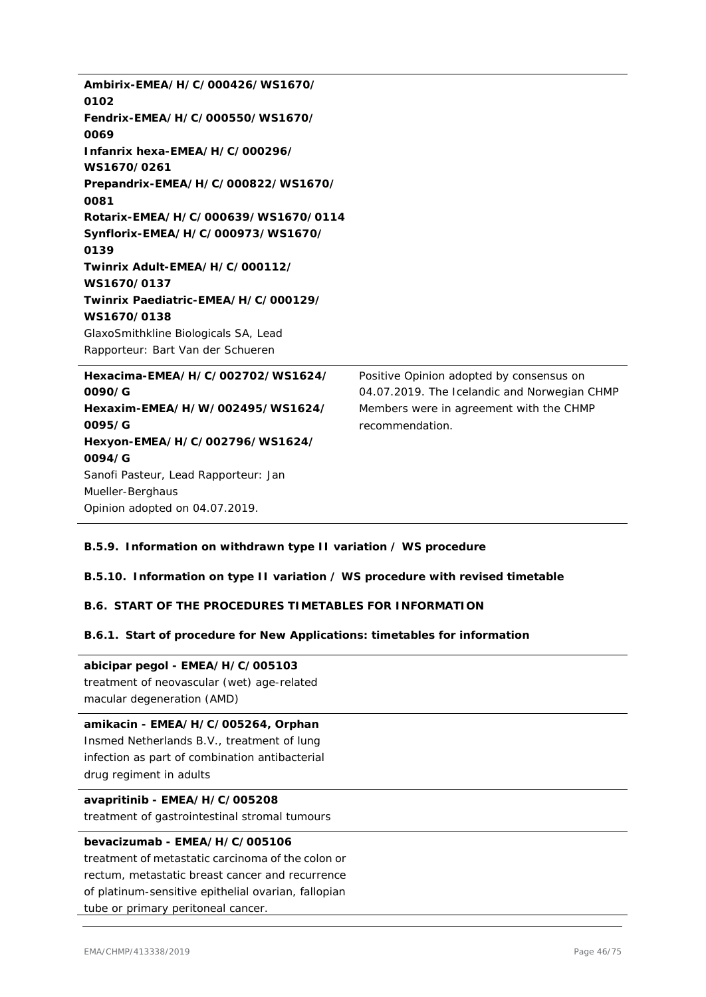| Ambirix-EMEA/H/C/000426/WS1670/      |                                              |
|--------------------------------------|----------------------------------------------|
| 0102                                 |                                              |
| Fendrix-EMEA/H/C/000550/WS1670/      |                                              |
| 0069                                 |                                              |
| Infanrix hexa-EMEA/H/C/000296/       |                                              |
| WS1670/0261                          |                                              |
| Prepandrix-EMEA/H/C/000822/WS1670/   |                                              |
| 0081                                 |                                              |
| Rotarix-EMEA/H/C/000639/WS1670/0114  |                                              |
| Synflorix-EMEA/H/C/000973/WS1670/    |                                              |
| 0139                                 |                                              |
| Twinrix Adult-EMEA/H/C/000112/       |                                              |
| WS1670/0137                          |                                              |
| Twinrix Paediatric-EMEA/H/C/000129/  |                                              |
| WS1670/0138                          |                                              |
| GlaxoSmithkline Biologicals SA, Lead |                                              |
| Rapporteur: Bart Van der Schueren    |                                              |
| Hexacima-EMEA/H/C/002702/WS1624/     | Positive Opinion adopted by consensus on     |
| 0090/G                               | 04.07.2019. The Icelandic and Norwegian CHMP |
| Hexaxim-EMEA/H/W/002495/WS1624/      | Members were in agreement with the CHMP      |
| 0095/G                               | recommendation.                              |
| Hexyon-EMEA/H/C/002796/WS1624/       |                                              |
| 0094/G                               |                                              |
| Sanofi Pasteur, Lead Rapporteur: Jan |                                              |
| Mueller-Berghaus                     |                                              |
| Opinion adopted on 04.07.2019.       |                                              |

# **B.5.9. Information on withdrawn type II variation / WS procedure**

# **B.5.10. Information on type II variation / WS procedure with revised timetable**

# **B.6. START OF THE PROCEDURES TIMETABLES FOR INFORMATION**

# **B.6.1. Start of procedure for New Applications: timetables for information**

### **abicipar pegol - EMEA/H/C/005103**

treatment of neovascular (wet) age-related macular degeneration (AMD)

# **amikacin - EMEA/H/C/005264, Orphan**

Insmed Netherlands B.V., treatment of lung infection as part of combination antibacterial drug regiment in adults

# **avapritinib - EMEA/H/C/005208**

treatment of gastrointestinal stromal tumours

# **bevacizumab - EMEA/H/C/005106**

treatment of metastatic carcinoma of the colon or rectum, metastatic breast cancer and recurrence of platinum-sensitive epithelial ovarian, fallopian tube or primary peritoneal cancer.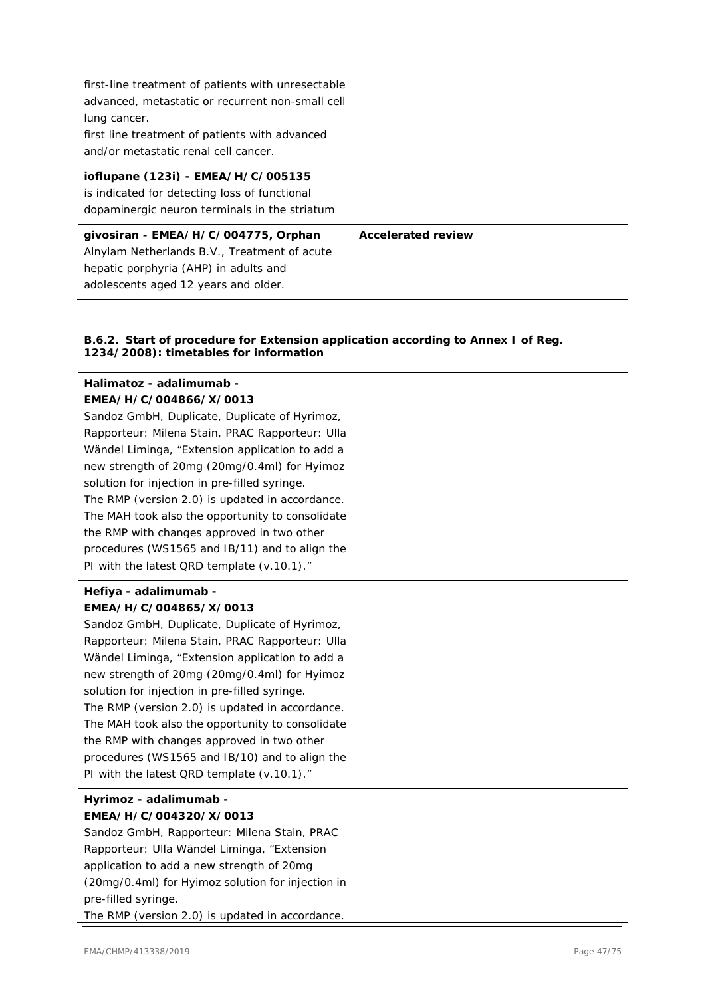first-line treatment of patients with unresectable advanced, metastatic or recurrent non-small cell lung cancer. first line treatment of patients with advanced

and/or metastatic renal cell cancer.

### **ioflupane (123i) - EMEA/H/C/005135**

is indicated for detecting loss of functional dopaminergic neuron terminals in the striatum

| givosiran - EMEA/H/C/004775, Orphan          | <b>Accelerated review</b> |
|----------------------------------------------|---------------------------|
| Alnylam Netherlands B.V., Treatment of acute |                           |
| hepatic porphyria (AHP) in adults and        |                           |
| adolescents aged 12 years and older.         |                           |

### **B.6.2. Start of procedure for Extension application according to Annex I of Reg. 1234/2008): timetables for information**

# **Halimatoz - adalimumab - EMEA/H/C/004866/X/0013**

Sandoz GmbH, Duplicate, Duplicate of Hyrimoz, Rapporteur: Milena Stain, PRAC Rapporteur: Ulla Wändel Liminga, "Extension application to add a new strength of 20mg (20mg/0.4ml) for Hyimoz solution for injection in pre-filled syringe. The RMP (version 2.0) is updated in accordance. The MAH took also the opportunity to consolidate the RMP with changes approved in two other procedures (WS1565 and IB/11) and to align the PI with the latest QRD template (v.10.1)."

### **Hefiya - adalimumab - EMEA/H/C/004865/X/0013**

Sandoz GmbH, Duplicate, Duplicate of Hyrimoz, Rapporteur: Milena Stain, PRAC Rapporteur: Ulla Wändel Liminga, "Extension application to add a new strength of 20mg (20mg/0.4ml) for Hyimoz solution for injection in pre-filled syringe. The RMP (version 2.0) is updated in accordance. The MAH took also the opportunity to consolidate the RMP with changes approved in two other procedures (WS1565 and IB/10) and to align the PI with the latest QRD template (v.10.1)."

# **Hyrimoz - adalimumab - EMEA/H/C/004320/X/0013**

Sandoz GmbH, Rapporteur: Milena Stain, PRAC Rapporteur: Ulla Wändel Liminga, "Extension application to add a new strength of 20mg (20mg/0.4ml) for Hyimoz solution for injection in pre-filled syringe. The RMP (version 2.0) is updated in accordance.

EMA/CHMP/413338/2019 Page 47/75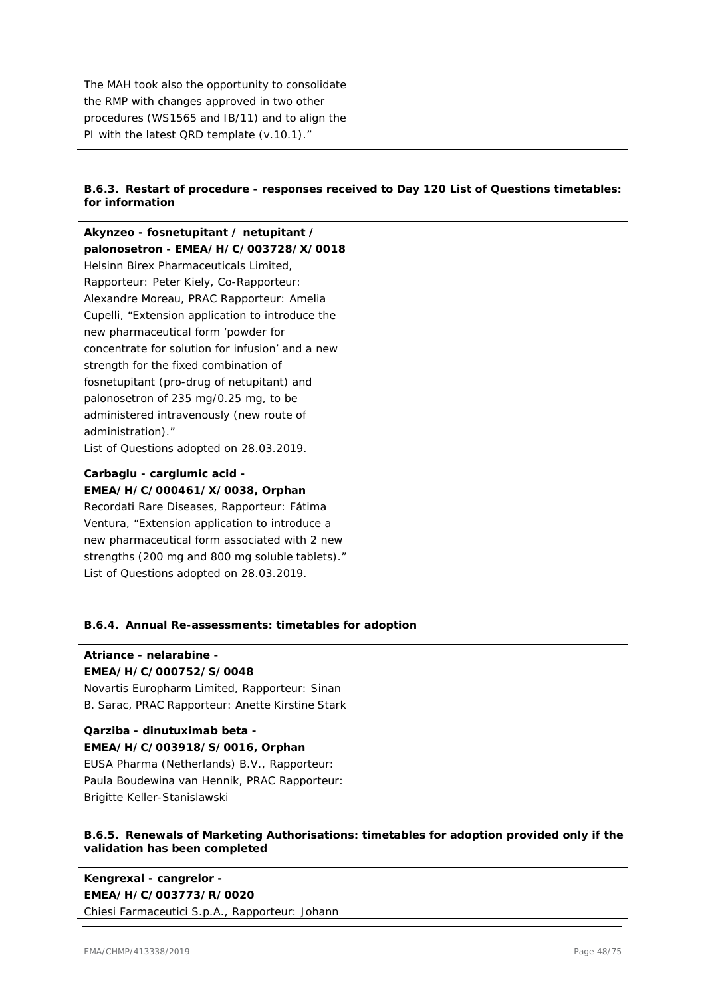The MAH took also the opportunity to consolidate the RMP with changes approved in two other procedures (WS1565 and IB/11) and to align the PI with the latest QRD template (v.10.1)."

### **B.6.3. Restart of procedure - responses received to Day 120 List of Questions timetables: for information**

**Akynzeo - fosnetupitant / netupitant / palonosetron - EMEA/H/C/003728/X/0018** Helsinn Birex Pharmaceuticals Limited, Rapporteur: Peter Kiely, Co-Rapporteur: Alexandre Moreau, PRAC Rapporteur: Amelia Cupelli, "Extension application to introduce the new pharmaceutical form 'powder for concentrate for solution for infusion' and a new strength for the fixed combination of fosnetupitant (pro-drug of netupitant) and palonosetron of 235 mg/0.25 mg, to be administered intravenously (new route of administration)." List of Questions adopted on 28.03.2019.

### **Carbaglu - carglumic acid - EMEA/H/C/000461/X/0038, Orphan**

Recordati Rare Diseases, Rapporteur: Fátima Ventura, "Extension application to introduce a new pharmaceutical form associated with 2 new strengths (200 mg and 800 mg soluble tablets)." List of Questions adopted on 28.03.2019.

### **B.6.4. Annual Re-assessments: timetables for adoption**

### **Atriance - nelarabine -**

### **EMEA/H/C/000752/S/0048**

Novartis Europharm Limited, Rapporteur: Sinan B. Sarac, PRAC Rapporteur: Anette Kirstine Stark

### **Qarziba - dinutuximab beta - EMEA/H/C/003918/S/0016, Orphan** EUSA Pharma (Netherlands) B.V., Rapporteur:

Paula Boudewina van Hennik, PRAC Rapporteur: Brigitte Keller-Stanislawski

### **B.6.5. Renewals of Marketing Authorisations: timetables for adoption provided only if the validation has been completed**

**Kengrexal - cangrelor - EMEA/H/C/003773/R/0020** Chiesi Farmaceutici S.p.A., Rapporteur: Johann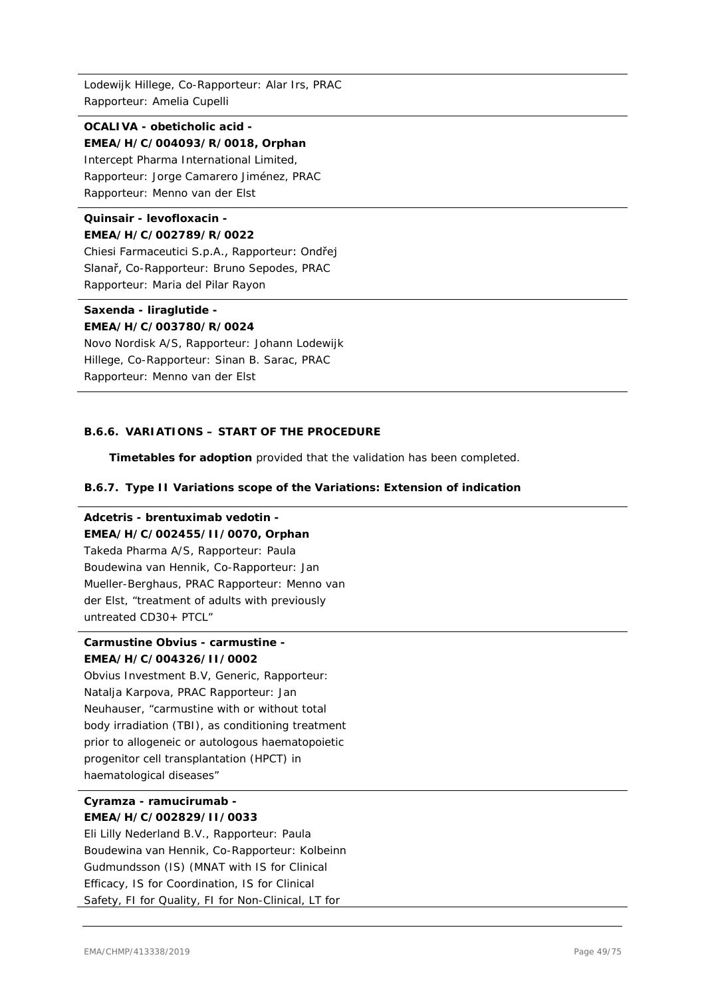Lodewijk Hillege, Co-Rapporteur: Alar Irs, PRAC Rapporteur: Amelia Cupelli

**OCALIVA - obeticholic acid - EMEA/H/C/004093/R/0018, Orphan** Intercept Pharma International Limited, Rapporteur: Jorge Camarero Jiménez, PRAC Rapporteur: Menno van der Elst

# **Quinsair - levofloxacin - EMEA/H/C/002789/R/0022**

Chiesi Farmaceutici S.p.A., Rapporteur: Ondřej Slanař, Co-Rapporteur: Bruno Sepodes, PRAC Rapporteur: Maria del Pilar Rayon

# **Saxenda - liraglutide -**

**EMEA/H/C/003780/R/0024** Novo Nordisk A/S, Rapporteur: Johann Lodewijk Hillege, Co-Rapporteur: Sinan B. Sarac, PRAC Rapporteur: Menno van der Elst

### **B.6.6. VARIATIONS – START OF THE PROCEDURE**

**Timetables for adoption** provided that the validation has been completed.

### **B.6.7. Type II Variations scope of the Variations: Extension of indication**

### **Adcetris - brentuximab vedotin -**

### **EMEA/H/C/002455/II/0070, Orphan**

Takeda Pharma A/S, Rapporteur: Paula Boudewina van Hennik, Co-Rapporteur: Jan Mueller-Berghaus, PRAC Rapporteur: Menno van der Elst, "treatment of adults with previously untreated CD30+ PTCL"

# **Carmustine Obvius - carmustine - EMEA/H/C/004326/II/0002**

Obvius Investment B.V, Generic, Rapporteur: Natalja Karpova, PRAC Rapporteur: Jan Neuhauser, "carmustine with or without total body irradiation (TBI), as conditioning treatment prior to allogeneic or autologous haematopoietic progenitor cell transplantation (HPCT) in haematological diseases"

# **Cyramza - ramucirumab - EMEA/H/C/002829/II/0033**

Eli Lilly Nederland B.V., Rapporteur: Paula Boudewina van Hennik, Co-Rapporteur: Kolbeinn Gudmundsson (IS) (MNAT with IS for Clinical Efficacy, IS for Coordination, IS for Clinical Safety, FI for Quality, FI for Non-Clinical, LT for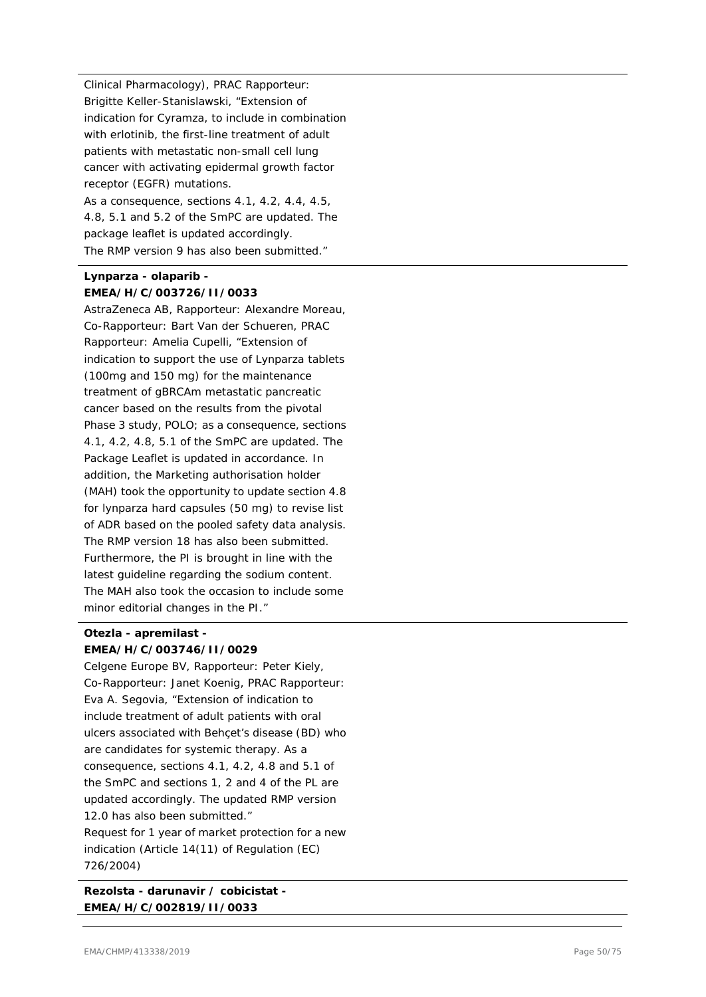Clinical Pharmacology), PRAC Rapporteur: Brigitte Keller-Stanislawski, "Extension of indication for Cyramza, to include in combination with erlotinib, the first-line treatment of adult patients with metastatic non-small cell lung cancer with activating epidermal growth factor receptor (EGFR) mutations. As a consequence, sections 4.1, 4.2, 4.4, 4.5, 4.8, 5.1 and 5.2 of the SmPC are updated. The package leaflet is updated accordingly. The RMP version 9 has also been submitted."

# **Lynparza - olaparib - EMEA/H/C/003726/II/0033**

AstraZeneca AB, Rapporteur: Alexandre Moreau, Co-Rapporteur: Bart Van der Schueren, PRAC Rapporteur: Amelia Cupelli, "Extension of indication to support the use of Lynparza tablets (100mg and 150 mg) for the maintenance treatment of gBRCAm metastatic pancreatic cancer based on the results from the pivotal Phase 3 study, POLO; as a consequence, sections 4.1, 4.2, 4.8, 5.1 of the SmPC are updated. The Package Leaflet is updated in accordance. In addition, the Marketing authorisation holder (MAH) took the opportunity to update section 4.8 for lynparza hard capsules (50 mg) to revise list of ADR based on the pooled safety data analysis. The RMP version 18 has also been submitted. Furthermore, the PI is brought in line with the latest guideline regarding the sodium content. The MAH also took the occasion to include some minor editorial changes in the PI."

# **Otezla - apremilast - EMEA/H/C/003746/II/0029**

Celgene Europe BV, Rapporteur: Peter Kiely, Co-Rapporteur: Janet Koenig, PRAC Rapporteur: Eva A. Segovia, "Extension of indication to include treatment of adult patients with oral ulcers associated with Behçet's disease (BD) who are candidates for systemic therapy. As a consequence, sections 4.1, 4.2, 4.8 and 5.1 of the SmPC and sections 1, 2 and 4 of the PL are updated accordingly. The updated RMP version 12.0 has also been submitted." Request for 1 year of market protection for a new indication (Article 14(11) of Regulation (EC) 726/2004)

**Rezolsta - darunavir / cobicistat - EMEA/H/C/002819/II/0033**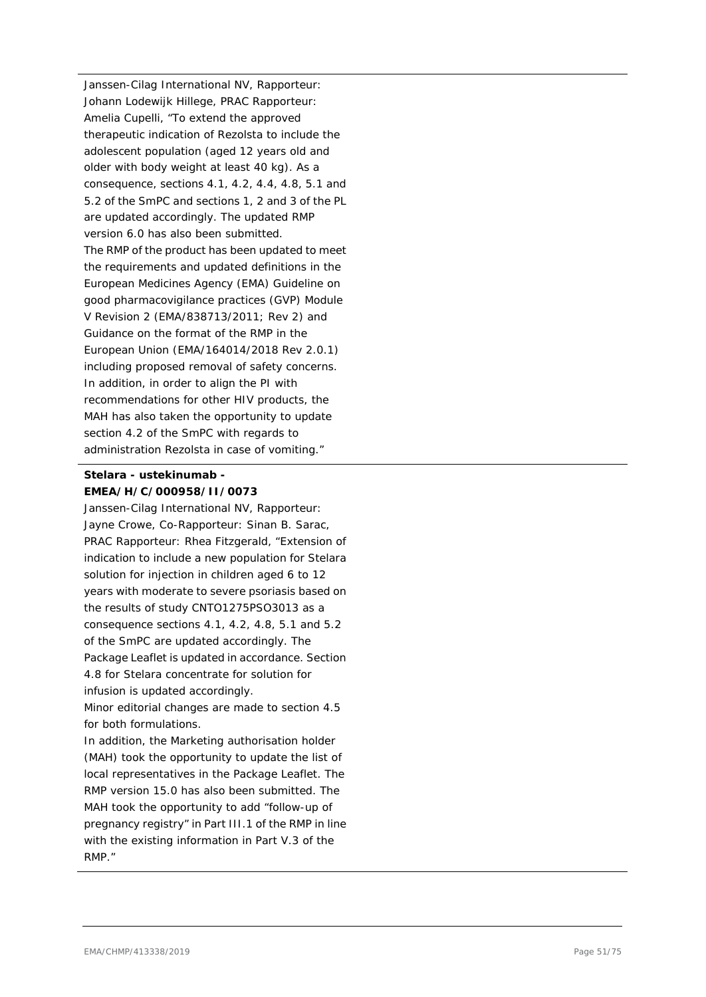Janssen-Cilag International NV, Rapporteur: Johann Lodewijk Hillege, PRAC Rapporteur: Amelia Cupelli, "To extend the approved therapeutic indication of Rezolsta to include the adolescent population (aged 12 years old and older with body weight at least 40 kg). As a consequence, sections 4.1, 4.2, 4.4, 4.8, 5.1 and 5.2 of the SmPC and sections 1, 2 and 3 of the PL are updated accordingly. The updated RMP version 6.0 has also been submitted. The RMP of the product has been updated to meet the requirements and updated definitions in the European Medicines Agency (EMA) Guideline on good pharmacovigilance practices (GVP) Module V Revision 2 (EMA/838713/2011; Rev 2) and Guidance on the format of the RMP in the European Union (EMA/164014/2018 Rev 2.0.1) including proposed removal of safety concerns. In addition, in order to align the PI with recommendations for other HIV products, the MAH has also taken the opportunity to update section 4.2 of the SmPC with regards to administration Rezolsta in case of vomiting."

# **Stelara - ustekinumab - EMEA/H/C/000958/II/0073**

Janssen-Cilag International NV, Rapporteur: Jayne Crowe, Co-Rapporteur: Sinan B. Sarac, PRAC Rapporteur: Rhea Fitzgerald, "Extension of indication to include a new population for Stelara solution for injection in children aged 6 to 12 years with moderate to severe psoriasis based on the results of study CNTO1275PSO3013 as a consequence sections 4.1, 4.2, 4.8, 5.1 and 5.2 of the SmPC are updated accordingly. The Package Leaflet is updated in accordance. Section 4.8 for Stelara concentrate for solution for infusion is updated accordingly.

Minor editorial changes are made to section 4.5 for both formulations.

In addition, the Marketing authorisation holder (MAH) took the opportunity to update the list of local representatives in the Package Leaflet. The RMP version 15.0 has also been submitted. The MAH took the opportunity to add "follow-up of pregnancy registry" in Part III.1 of the RMP in line with the existing information in Part V.3 of the RMP."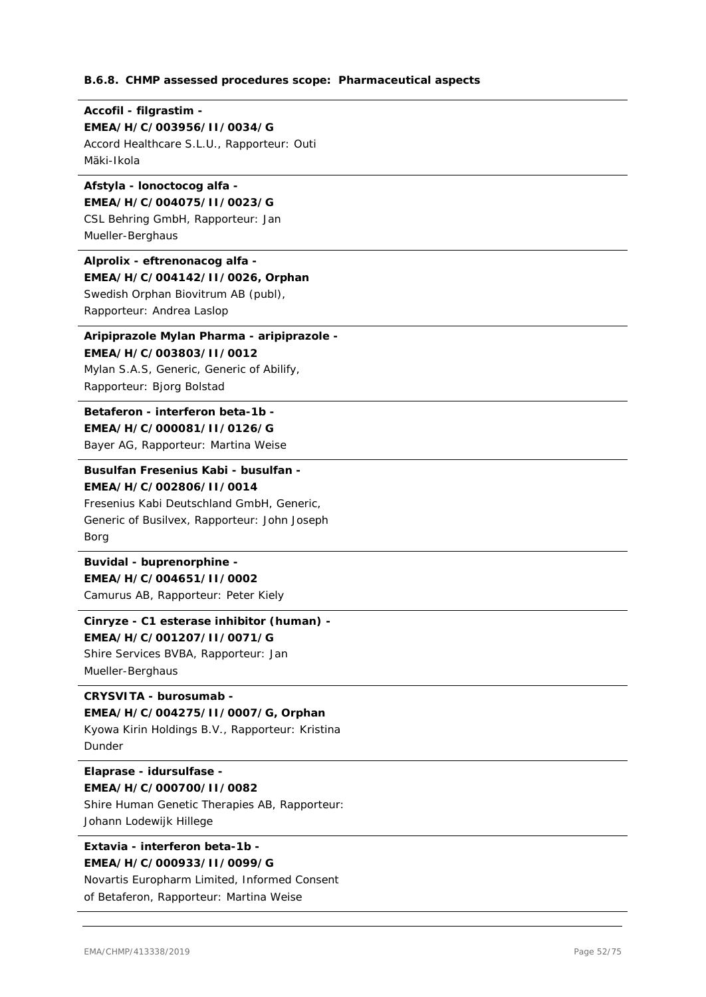#### **B.6.8. CHMP assessed procedures scope: Pharmaceutical aspects**

### **Accofil - filgrastim - EMEA/H/C/003956/II/0034/G**

Accord Healthcare S.L.U., Rapporteur: Outi Mäki-Ikola

### **Afstyla - lonoctocog alfa - EMEA/H/C/004075/II/0023/G**

CSL Behring GmbH, Rapporteur: Jan Mueller-Berghaus

# **Alprolix - eftrenonacog alfa -**

### **EMEA/H/C/004142/II/0026, Orphan**

Swedish Orphan Biovitrum AB (publ), Rapporteur: Andrea Laslop

# **Aripiprazole Mylan Pharma - aripiprazole -**

**EMEA/H/C/003803/II/0012** Mylan S.A.S, Generic, Generic of Abilify, Rapporteur: Bjorg Bolstad

### **Betaferon - interferon beta-1b - EMEA/H/C/000081/II/0126/G** Bayer AG, Rapporteur: Martina Weise

**Busulfan Fresenius Kabi - busulfan - EMEA/H/C/002806/II/0014**

# Fresenius Kabi Deutschland GmbH, Generic, Generic of Busilvex, Rapporteur: John Joseph Borg

**Buvidal - buprenorphine - EMEA/H/C/004651/II/0002**

Camurus AB, Rapporteur: Peter Kiely

### **Cinryze - C1 esterase inhibitor (human) -**

**EMEA/H/C/001207/II/0071/G** Shire Services BVBA, Rapporteur: Jan Mueller-Berghaus

# **CRYSVITA - burosumab -**

**EMEA/H/C/004275/II/0007/G, Orphan**

Kyowa Kirin Holdings B.V., Rapporteur: Kristina Dunder

### **Elaprase - idursulfase - EMEA/H/C/000700/II/0082**

Shire Human Genetic Therapies AB, Rapporteur: Johann Lodewijk Hillege

### **Extavia - interferon beta-1b - EMEA/H/C/000933/II/0099/G**

Novartis Europharm Limited, Informed Consent of Betaferon, Rapporteur: Martina Weise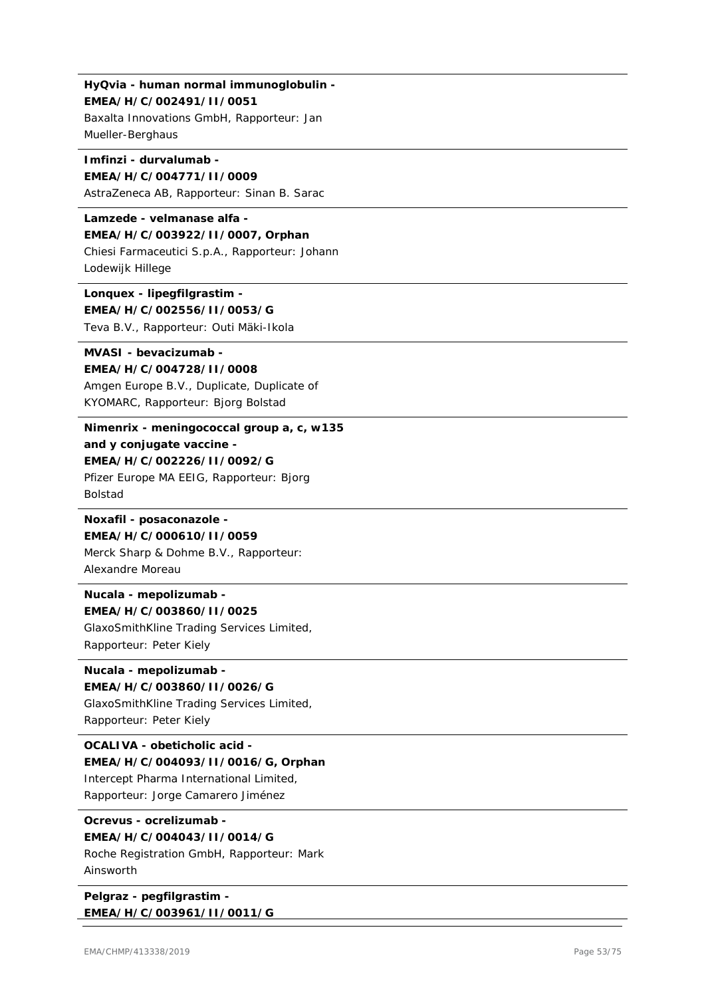# **HyQvia - human normal immunoglobulin - EMEA/H/C/002491/II/0051**

Baxalta Innovations GmbH, Rapporteur: Jan Mueller-Berghaus

### **Imfinzi - durvalumab - EMEA/H/C/004771/II/0009**

AstraZeneca AB, Rapporteur: Sinan B. Sarac

**Lamzede - velmanase alfa - EMEA/H/C/003922/II/0007, Orphan** Chiesi Farmaceutici S.p.A., Rapporteur: Johann Lodewijk Hillege

**Lonquex - lipegfilgrastim - EMEA/H/C/002556/II/0053/G** Teva B.V., Rapporteur: Outi Mäki-Ikola

# **MVASI - bevacizumab - EMEA/H/C/004728/II/0008** Amgen Europe B.V., Duplicate, Duplicate of KYOMARC, Rapporteur: Bjorg Bolstad

**Nimenrix - meningococcal group a, c, w135 and y conjugate vaccine - EMEA/H/C/002226/II/0092/G** Pfizer Europe MA EEIG, Rapporteur: Bjorg Bolstad

**Noxafil - posaconazole - EMEA/H/C/000610/II/0059** Merck Sharp & Dohme B.V., Rapporteur: Alexandre Moreau

**Nucala - mepolizumab - EMEA/H/C/003860/II/0025** GlaxoSmithKline Trading Services Limited, Rapporteur: Peter Kiely

# **Nucala - mepolizumab - EMEA/H/C/003860/II/0026/G**

GlaxoSmithKline Trading Services Limited, Rapporteur: Peter Kiely

# **OCALIVA - obeticholic acid - EMEA/H/C/004093/II/0016/G, Orphan** Intercept Pharma International Limited,

Rapporteur: Jorge Camarero Jiménez

# **Ocrevus - ocrelizumab -**

**EMEA/H/C/004043/II/0014/G** Roche Registration GmbH, Rapporteur: Mark Ainsworth

**Pelgraz - pegfilgrastim - EMEA/H/C/003961/II/0011/G**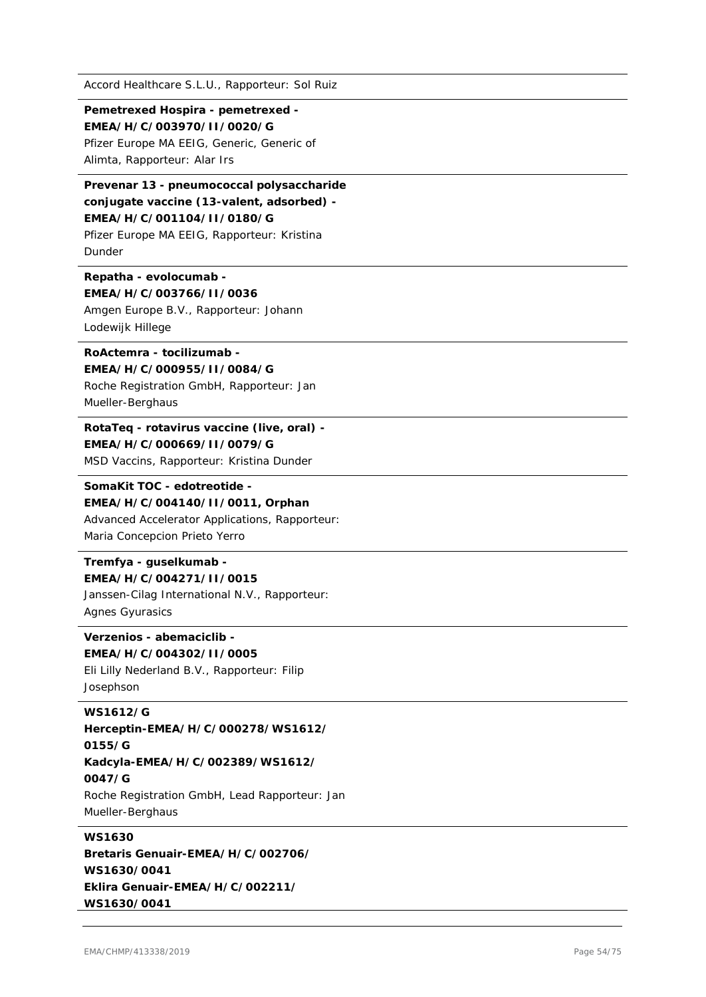#### **Pemetrexed Hospira - pemetrexed - EMEA/H/C/003970/II/0020/G**

Pfizer Europe MA EEIG, Generic, Generic of Alimta, Rapporteur: Alar Irs

# **Prevenar 13 - pneumococcal polysaccharide conjugate vaccine (13-valent, adsorbed) - EMEA/H/C/001104/II/0180/G**

Pfizer Europe MA EEIG, Rapporteur: Kristina Dunder

### **Repatha - evolocumab - EMEA/H/C/003766/II/0036**

Amgen Europe B.V., Rapporteur: Johann Lodewijk Hillege

### **RoActemra - tocilizumab - EMEA/H/C/000955/II/0084/G**

Roche Registration GmbH, Rapporteur: Jan Mueller-Berghaus

### **RotaTeq - rotavirus vaccine (live, oral) - EMEA/H/C/000669/II/0079/G**

MSD Vaccins, Rapporteur: Kristina Dunder

# **SomaKit TOC - edotreotide -**

**EMEA/H/C/004140/II/0011, Orphan** Advanced Accelerator Applications, Rapporteur: Maria Concepcion Prieto Yerro

# **Tremfya - guselkumab - EMEA/H/C/004271/II/0015**

Janssen-Cilag International N.V., Rapporteur: Agnes Gyurasics

### **Verzenios - abemaciclib - EMEA/H/C/004302/II/0005**

Eli Lilly Nederland B.V., Rapporteur: Filip Josephson

### **WS1612/G**

**Herceptin-EMEA/H/C/000278/WS1612/ 0155/G Kadcyla-EMEA/H/C/002389/WS1612/ 0047/G** Roche Registration GmbH, Lead Rapporteur: Jan Mueller-Berghaus

# **WS1630**

**Bretaris Genuair-EMEA/H/C/002706/ WS1630/0041 Eklira Genuair-EMEA/H/C/002211/ WS1630/0041**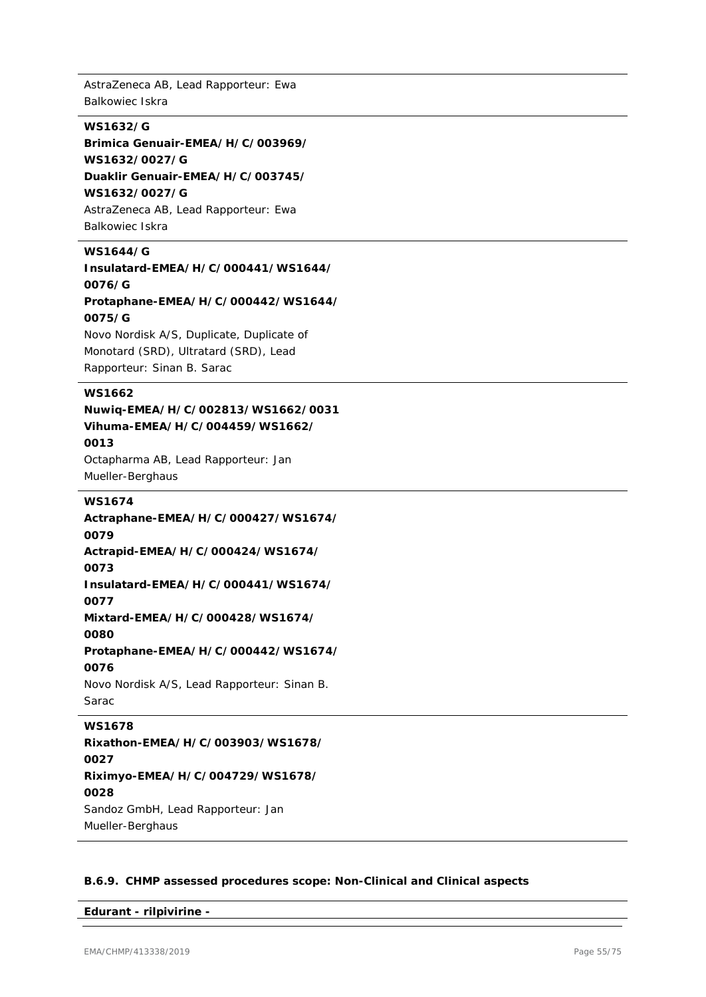AstraZeneca AB, Lead Rapporteur: Ewa Balkowiec Iskra

### **WS1632/G**

**Brimica Genuair-EMEA/H/C/003969/ WS1632/0027/G Duaklir Genuair-EMEA/H/C/003745/ WS1632/0027/G** AstraZeneca AB, Lead Rapporteur: Ewa Balkowiec Iskra

### **WS1644/G**

**Insulatard-EMEA/H/C/000441/WS1644/ 0076/G Protaphane-EMEA/H/C/000442/WS1644/ 0075/G** Novo Nordisk A/S, Duplicate, Duplicate of

Monotard (SRD), Ultratard (SRD), Lead Rapporteur: Sinan B. Sarac

### **WS1662**

### **Nuwiq-EMEA/H/C/002813/WS1662/0031 Vihuma-EMEA/H/C/004459/WS1662/ 0013**

Octapharma AB, Lead Rapporteur: Jan Mueller-Berghaus

#### **WS1674**

**Actraphane-EMEA/H/C/000427/WS1674/ 0079 Actrapid-EMEA/H/C/000424/WS1674/ 0073 Insulatard-EMEA/H/C/000441/WS1674/ 0077 Mixtard-EMEA/H/C/000428/WS1674/ 0080 Protaphane-EMEA/H/C/000442/WS1674/ 0076** Novo Nordisk A/S, Lead Rapporteur: Sinan B. Sarac

### **WS1678**

**Rixathon-EMEA/H/C/003903/WS1678/ 0027 Riximyo-EMEA/H/C/004729/WS1678/ 0028** Sandoz GmbH, Lead Rapporteur: Jan Mueller-Berghaus

### **B.6.9. CHMP assessed procedures scope: Non-Clinical and Clinical aspects**

**Edurant - rilpivirine -**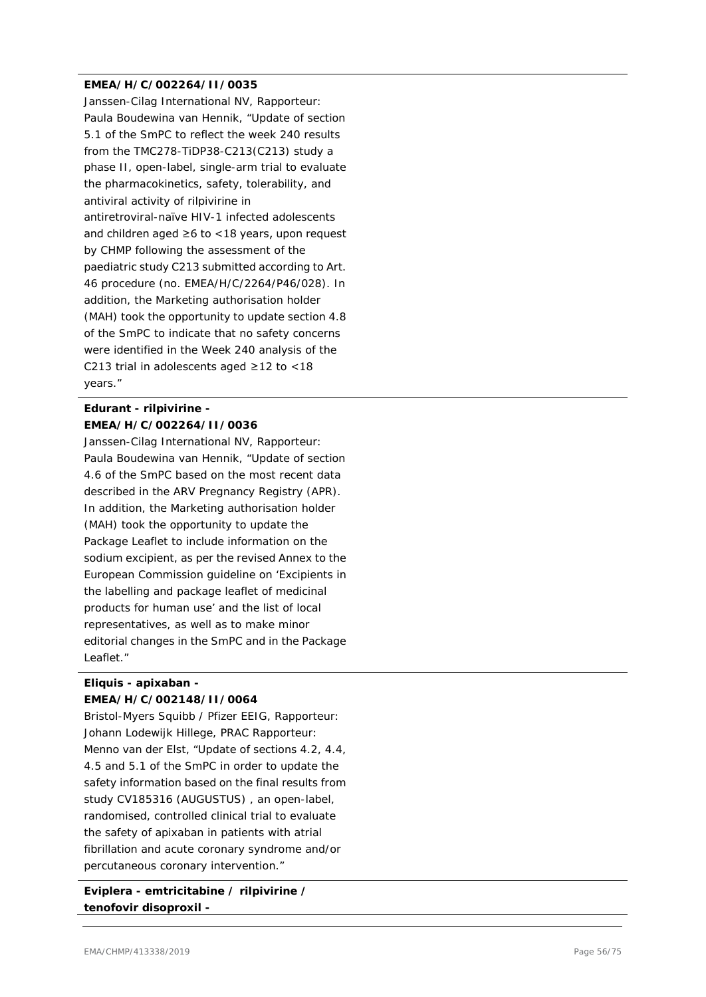#### **EMEA/H/C/002264/II/0035**

Janssen-Cilag International NV, Rapporteur: Paula Boudewina van Hennik, "Update of section 5.1 of the SmPC to reflect the week 240 results from the TMC278-TiDP38-C213(C213) study a phase II, open-label, single-arm trial to evaluate the pharmacokinetics, safety, tolerability, and antiviral activity of rilpivirine in antiretroviral-naïve HIV-1 infected adolescents and children aged ≥6 to <18 years, upon request by CHMP following the assessment of the paediatric study C213 submitted according to Art. 46 procedure (no. EMEA/H/C/2264/P46/028). In addition, the Marketing authorisation holder (MAH) took the opportunity to update section 4.8 of the SmPC to indicate that no safety concerns were identified in the Week 240 analysis of the C213 trial in adolescents aged ≥12 to <18 years."

# **Edurant - rilpivirine - EMEA/H/C/002264/II/0036**

Janssen-Cilag International NV, Rapporteur: Paula Boudewina van Hennik, "Update of section 4.6 of the SmPC based on the most recent data described in the ARV Pregnancy Registry (APR). In addition, the Marketing authorisation holder (MAH) took the opportunity to update the Package Leaflet to include information on the sodium excipient, as per the revised Annex to the European Commission guideline on 'Excipients in the labelling and package leaflet of medicinal products for human use' and the list of local representatives, as well as to make minor editorial changes in the SmPC and in the Package Leaflet."

### **Eliquis - apixaban - EMEA/H/C/002148/II/0064**

Bristol-Myers Squibb / Pfizer EEIG, Rapporteur: Johann Lodewijk Hillege, PRAC Rapporteur: Menno van der Elst, "Update of sections 4.2, 4.4, 4.5 and 5.1 of the SmPC in order to update the safety information based on the final results from study CV185316 (AUGUSTUS) , an open-label, randomised, controlled clinical trial to evaluate the safety of apixaban in patients with atrial fibrillation and acute coronary syndrome and/or percutaneous coronary intervention."

**Eviplera - emtricitabine / rilpivirine / tenofovir disoproxil -**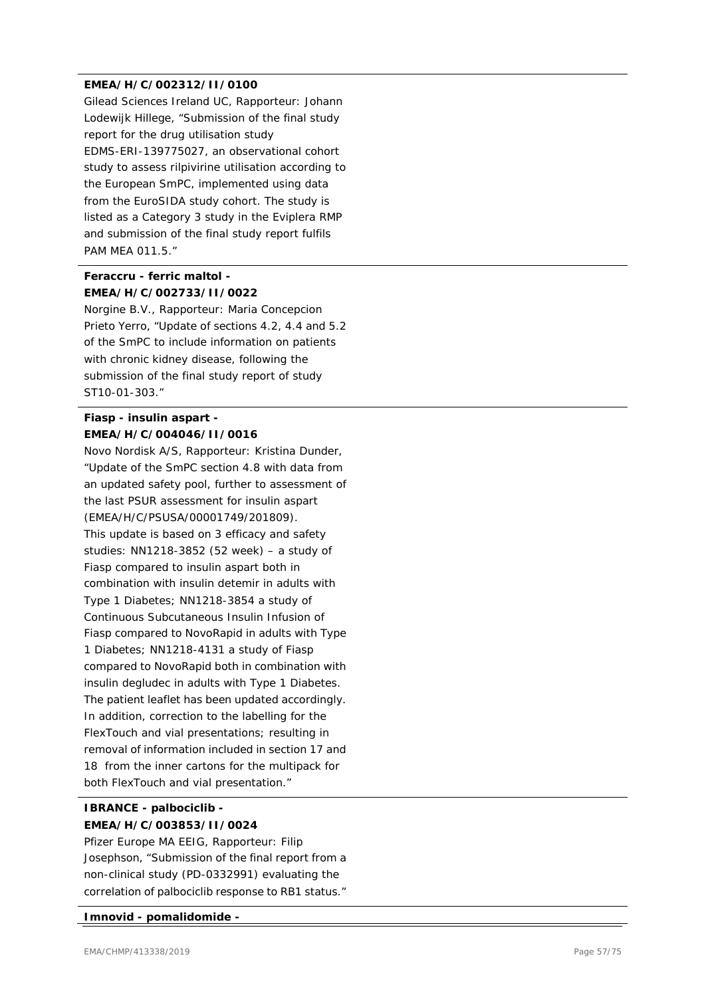#### **EMEA/H/C/002312/II/0100**

Gilead Sciences Ireland UC, Rapporteur: Johann Lodewijk Hillege, "Submission of the final study report for the drug utilisation study EDMS-ERI-139775027, an observational cohort study to assess rilpivirine utilisation according to the European SmPC, implemented using data from the EuroSIDA study cohort. The study is listed as a Category 3 study in the Eviplera RMP and submission of the final study report fulfils PAM MEA 011.5."

# **Feraccru - ferric maltol - EMEA/H/C/002733/II/0022**

Norgine B.V., Rapporteur: Maria Concepcion Prieto Yerro, "Update of sections 4.2, 4.4 and 5.2 of the SmPC to include information on patients with chronic kidney disease, following the submission of the final study report of study ST10-01-303."

# **Fiasp - insulin aspart - EMEA/H/C/004046/II/0016**

Novo Nordisk A/S, Rapporteur: Kristina Dunder, "Update of the SmPC section 4.8 with data from an updated safety pool, further to assessment of the last PSUR assessment for insulin aspart (EMEA/H/C/PSUSA/00001749/201809). This update is based on 3 efficacy and safety studies: NN1218-3852 (52 week) – a study of Fiasp compared to insulin aspart both in combination with insulin detemir in adults with Type 1 Diabetes; NN1218-3854 a study of Continuous Subcutaneous Insulin Infusion of Fiasp compared to NovoRapid in adults with Type 1 Diabetes; NN1218-4131 a study of Fiasp compared to NovoRapid both in combination with insulin degludec in adults with Type 1 Diabetes. The patient leaflet has been updated accordingly. In addition, correction to the labelling for the FlexTouch and vial presentations; resulting in removal of information included in section 17 and 18 from the inner cartons for the multipack for both FlexTouch and vial presentation."

# **IBRANCE - palbociclib - EMEA/H/C/003853/II/0024**

Pfizer Europe MA EEIG, Rapporteur: Filip Josephson, "Submission of the final report from a non-clinical study (PD-0332991) evaluating the correlation of palbociclib response to RB1 status."

#### **Imnovid - pomalidomide -**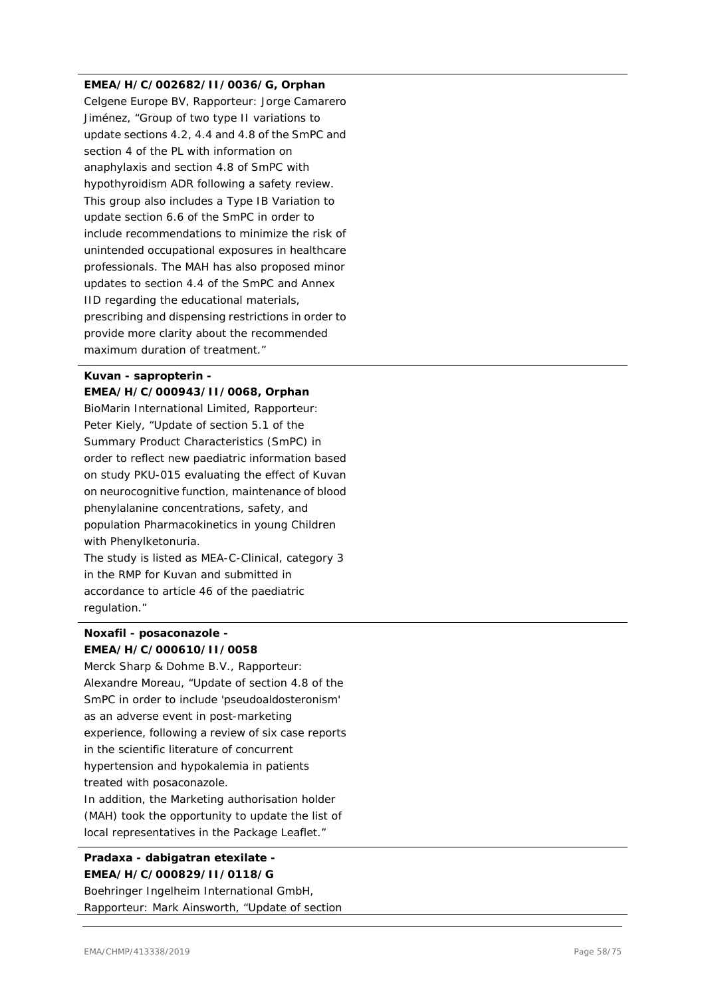### **EMEA/H/C/002682/II/0036/G, Orphan**

Celgene Europe BV, Rapporteur: Jorge Camarero Jiménez, "Group of two type II variations to update sections 4.2, 4.4 and 4.8 of the SmPC and section 4 of the PL with information on anaphylaxis and section 4.8 of SmPC with hypothyroidism ADR following a safety review. This group also includes a Type IB Variation to update section 6.6 of the SmPC in order to include recommendations to minimize the risk of unintended occupational exposures in healthcare professionals. The MAH has also proposed minor updates to section 4.4 of the SmPC and Annex IID regarding the educational materials, prescribing and dispensing restrictions in order to provide more clarity about the recommended maximum duration of treatment."

# **Kuvan - sapropterin -**

**EMEA/H/C/000943/II/0068, Orphan** BioMarin International Limited, Rapporteur: Peter Kiely, "Update of section 5.1 of the Summary Product Characteristics (SmPC) in order to reflect new paediatric information based on study PKU-015 evaluating the effect of Kuvan on neurocognitive function, maintenance of blood phenylalanine concentrations, safety, and population Pharmacokinetics in young Children with Phenylketonuria.

The study is listed as MEA-C-Clinical, category 3 in the RMP for Kuvan and submitted in accordance to article 46 of the paediatric regulation."

## **Noxafil - posaconazole - EMEA/H/C/000610/II/0058**

Merck Sharp & Dohme B.V., Rapporteur: Alexandre Moreau, "Update of section 4.8 of the SmPC in order to include 'pseudoaldosteronism' as an adverse event in post-marketing experience, following a review of six case reports in the scientific literature of concurrent hypertension and hypokalemia in patients treated with posaconazole. In addition, the Marketing authorisation holder (MAH) took the opportunity to update the list of local representatives in the Package Leaflet."

### **Pradaxa - dabigatran etexilate - EMEA/H/C/000829/II/0118/G**

Boehringer Ingelheim International GmbH, Rapporteur: Mark Ainsworth, "Update of section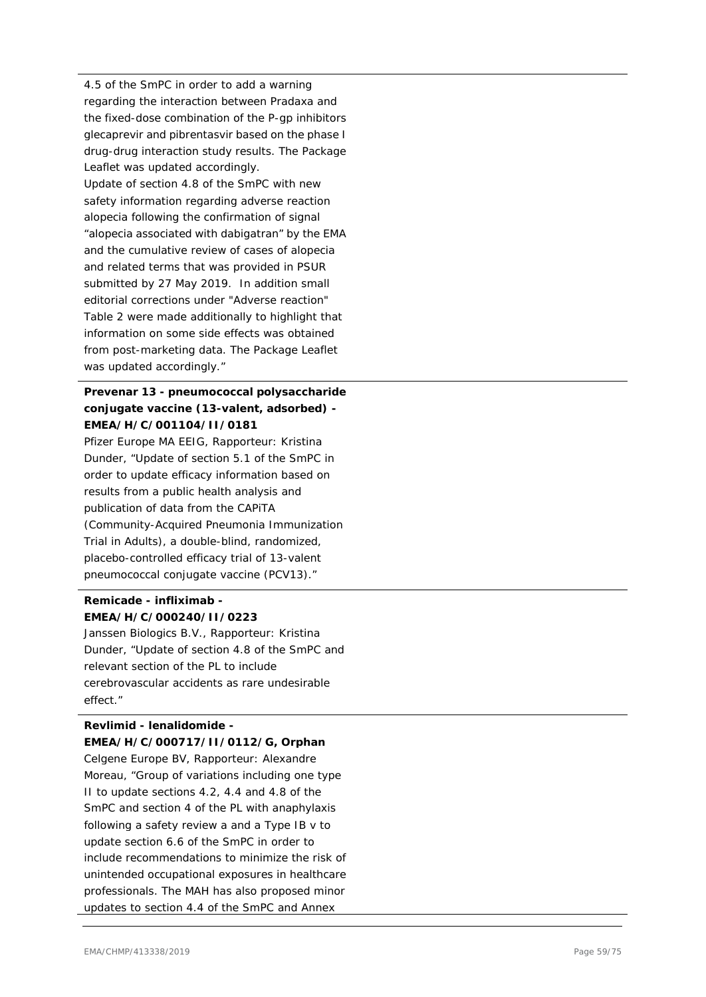4.5 of the SmPC in order to add a warning regarding the interaction between Pradaxa and the fixed-dose combination of the P-gp inhibitors glecaprevir and pibrentasvir based on the phase I drug-drug interaction study results. The Package Leaflet was updated accordingly. Update of section 4.8 of the SmPC with new safety information regarding adverse reaction alopecia following the confirmation of signal "alopecia associated with dabigatran" by the EMA and the cumulative review of cases of alopecia and related terms that was provided in PSUR submitted by 27 May 2019. In addition small editorial corrections under "Adverse reaction" Table 2 were made additionally to highlight that information on some side effects was obtained from post-marketing data. The Package Leaflet was updated accordingly."

# **Prevenar 13 - pneumococcal polysaccharide conjugate vaccine (13-valent, adsorbed) - EMEA/H/C/001104/II/0181**

Pfizer Europe MA EEIG, Rapporteur: Kristina Dunder, "Update of section 5.1 of the SmPC in order to update efficacy information based on results from a public health analysis and publication of data from the CAPiTA (Community-Acquired Pneumonia Immunization Trial in Adults), a double-blind, randomized, placebo-controlled efficacy trial of 13-valent pneumococcal conjugate vaccine (PCV13)."

# **Remicade - infliximab - EMEA/H/C/000240/II/0223**

Janssen Biologics B.V., Rapporteur: Kristina Dunder, "Update of section 4.8 of the SmPC and relevant section of the PL to include cerebrovascular accidents as rare undesirable effect."

### **Revlimid - lenalidomide - EMEA/H/C/000717/II/0112/G, Orphan**

Celgene Europe BV, Rapporteur: Alexandre Moreau, "Group of variations including one type II to update sections 4.2, 4.4 and 4.8 of the SmPC and section 4 of the PL with anaphylaxis following a safety review a and a Type IB v to update section 6.6 of the SmPC in order to include recommendations to minimize the risk of unintended occupational exposures in healthcare professionals. The MAH has also proposed minor updates to section 4.4 of the SmPC and Annex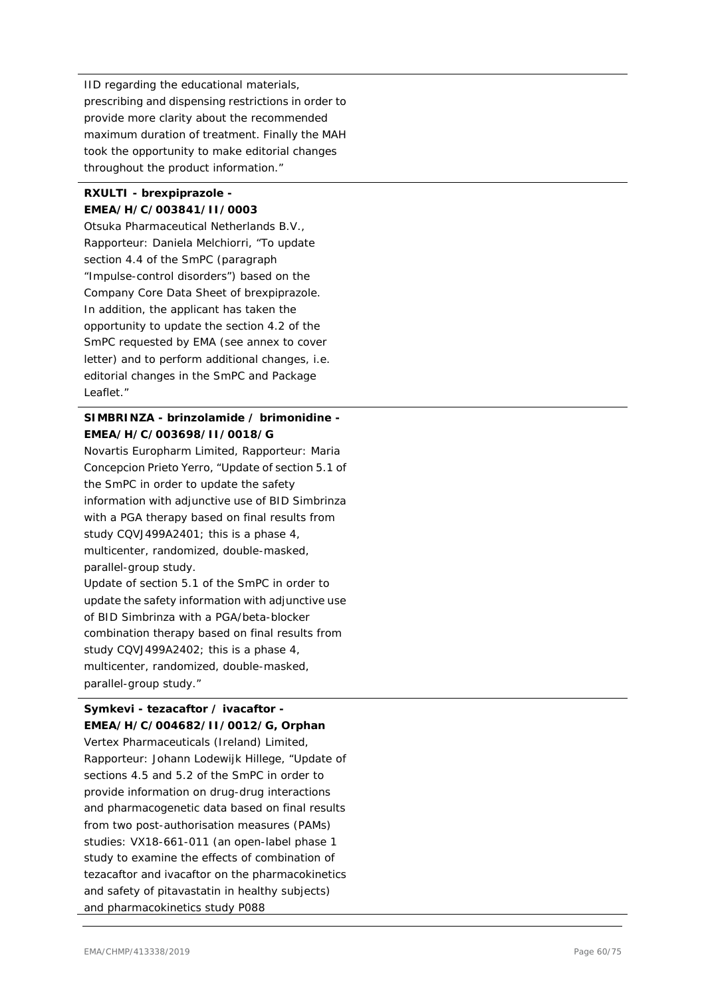IID regarding the educational materials, prescribing and dispensing restrictions in order to provide more clarity about the recommended maximum duration of treatment. Finally the MAH took the opportunity to make editorial changes throughout the product information."

### **RXULTI - brexpiprazole - EMEA/H/C/003841/II/0003**

Otsuka Pharmaceutical Netherlands B.V., Rapporteur: Daniela Melchiorri, "To update section 4.4 of the SmPC (paragraph "Impulse-control disorders") based on the Company Core Data Sheet of brexpiprazole. In addition, the applicant has taken the opportunity to update the section 4.2 of the SmPC requested by EMA (see annex to cover letter) and to perform additional changes, i.e. editorial changes in the SmPC and Package Leaflet."

# **SIMBRINZA - brinzolamide / brimonidine - EMEA/H/C/003698/II/0018/G**

Novartis Europharm Limited, Rapporteur: Maria Concepcion Prieto Yerro, "Update of section 5.1 of the SmPC in order to update the safety information with adjunctive use of BID Simbrinza with a PGA therapy based on final results from study CQVJ499A2401; this is a phase 4, multicenter, randomized, double-masked, parallel-group study. Update of section 5.1 of the SmPC in order to

update the safety information with adjunctive use of BID Simbrinza with a PGA/beta-blocker combination therapy based on final results from study CQVJ499A2402; this is a phase 4, multicenter, randomized, double-masked, parallel-group study."

# **Symkevi - tezacaftor / ivacaftor - EMEA/H/C/004682/II/0012/G, Orphan**

Vertex Pharmaceuticals (Ireland) Limited, Rapporteur: Johann Lodewijk Hillege, "Update of sections 4.5 and 5.2 of the SmPC in order to provide information on drug-drug interactions and pharmacogenetic data based on final results from two post-authorisation measures (PAMs) studies: VX18-661-011 (an open-label phase 1 study to examine the effects of combination of tezacaftor and ivacaftor on the pharmacokinetics and safety of pitavastatin in healthy subjects) and pharmacokinetics study P088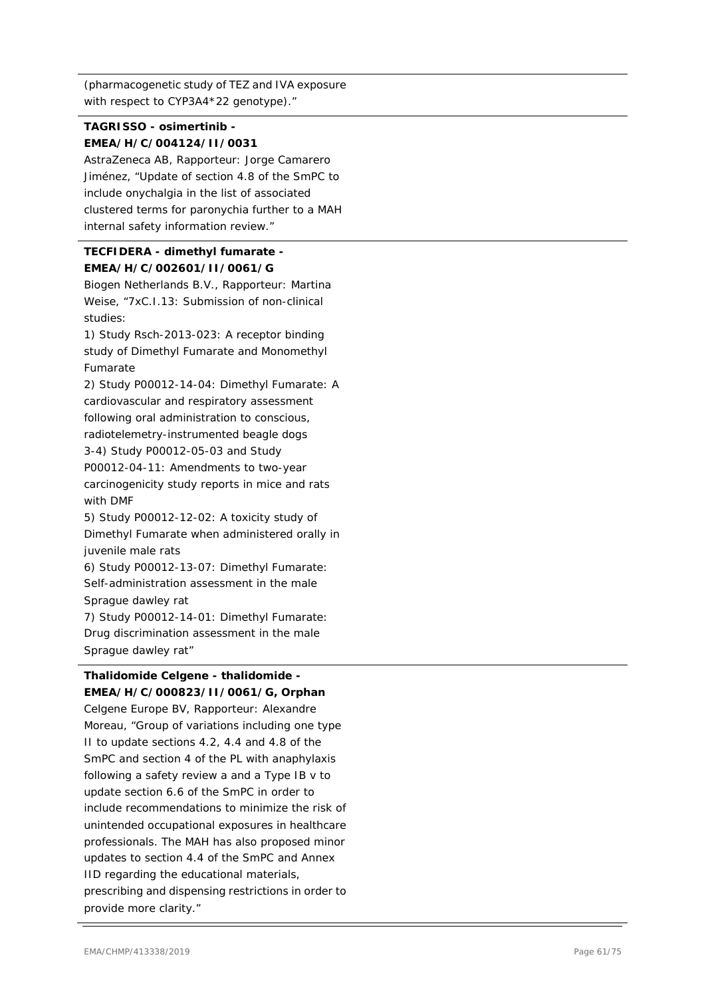(pharmacogenetic study of TEZ and IVA exposure with respect to CYP3A4\*22 genotype)."

# **TAGRISSO - osimertinib - EMEA/H/C/004124/II/0031**

AstraZeneca AB, Rapporteur: Jorge Camarero Jiménez, "Update of section 4.8 of the SmPC to include onychalgia in the list of associated clustered terms for paronychia further to a MAH internal safety information review."

# **TECFIDERA - dimethyl fumarate - EMEA/H/C/002601/II/0061/G**

Biogen Netherlands B.V., Rapporteur: Martina Weise, "7xC.I.13: Submission of non-clinical studies:

1) Study Rsch-2013-023: A receptor binding study of Dimethyl Fumarate and Monomethyl Fumarate

2) Study P00012-14-04: Dimethyl Fumarate: A cardiovascular and respiratory assessment following oral administration to conscious, radiotelemetry-instrumented beagle dogs 3-4) Study P00012-05-03 and Study P00012-04-11: Amendments to two-year carcinogenicity study reports in mice and rats with DMF

5) Study P00012-12-02: A toxicity study of Dimethyl Fumarate when administered orally in juvenile male rats

6) Study P00012-13-07: Dimethyl Fumarate: Self-administration assessment in the male Sprague dawley rat

7) Study P00012-14-01: Dimethyl Fumarate: Drug discrimination assessment in the male Sprague dawley rat"

# **Thalidomide Celgene - thalidomide - EMEA/H/C/000823/II/0061/G, Orphan**

Celgene Europe BV, Rapporteur: Alexandre Moreau, "Group of variations including one type II to update sections 4.2, 4.4 and 4.8 of the SmPC and section 4 of the PL with anaphylaxis following a safety review a and a Type IB v to update section 6.6 of the SmPC in order to include recommendations to minimize the risk of unintended occupational exposures in healthcare professionals. The MAH has also proposed minor updates to section 4.4 of the SmPC and Annex IID regarding the educational materials, prescribing and dispensing restrictions in order to provide more clarity."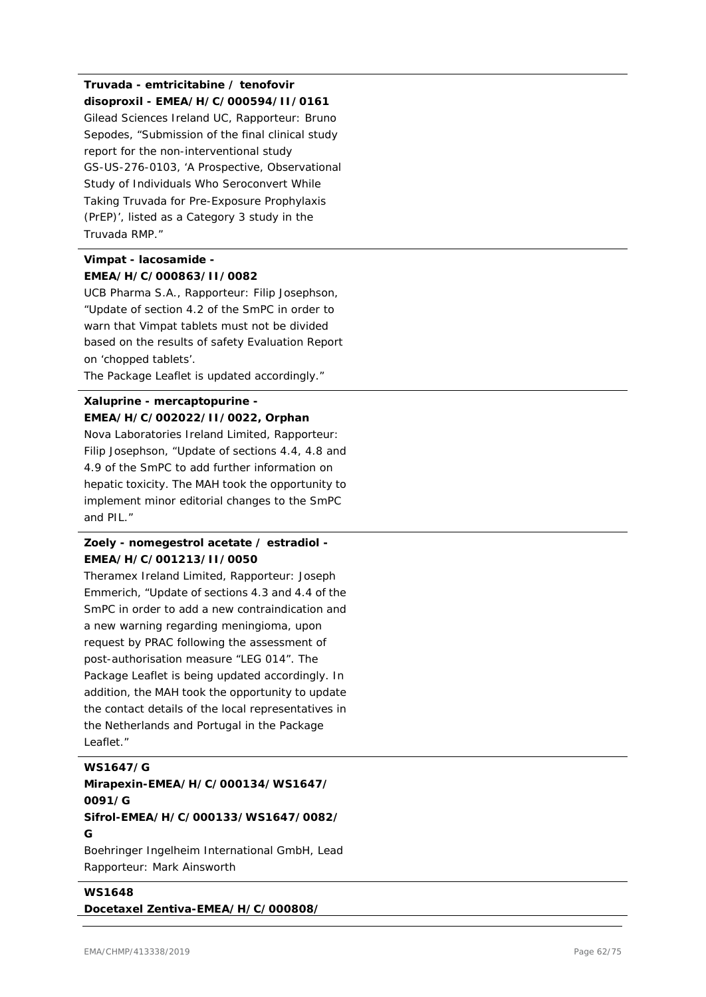# **Truvada - emtricitabine / tenofovir disoproxil - EMEA/H/C/000594/II/0161**

Gilead Sciences Ireland UC, Rapporteur: Bruno Sepodes, "Submission of the final clinical study report for the non-interventional study GS-US-276-0103, 'A Prospective, Observational Study of Individuals Who Seroconvert While Taking Truvada for Pre-Exposure Prophylaxis (PrEP)', listed as a Category 3 study in the Truvada RMP."

# **Vimpat - lacosamide - EMEA/H/C/000863/II/0082**

UCB Pharma S.A., Rapporteur: Filip Josephson, "Update of section 4.2 of the SmPC in order to warn that Vimpat tablets must not be divided based on the results of safety Evaluation Report on 'chopped tablets'.

The Package Leaflet is updated accordingly."

### **Xaluprine - mercaptopurine - EMEA/H/C/002022/II/0022, Orphan**

Nova Laboratories Ireland Limited, Rapporteur: Filip Josephson, "Update of sections 4.4, 4.8 and 4.9 of the SmPC to add further information on hepatic toxicity. The MAH took the opportunity to implement minor editorial changes to the SmPC and PIL."

# **Zoely - nomegestrol acetate / estradiol - EMEA/H/C/001213/II/0050**

Theramex Ireland Limited, Rapporteur: Joseph Emmerich, "Update of sections 4.3 and 4.4 of the SmPC in order to add a new contraindication and a new warning regarding meningioma, upon request by PRAC following the assessment of post-authorisation measure "LEG 014". The Package Leaflet is being updated accordingly. In addition, the MAH took the opportunity to update the contact details of the local representatives in the Netherlands and Portugal in the Package Leaflet."

### **WS1647/G**

# **Mirapexin-EMEA/H/C/000134/WS1647/ 0091/G**

**Sifrol-EMEA/H/C/000133/WS1647/0082/ G**

Boehringer Ingelheim International GmbH, Lead Rapporteur: Mark Ainsworth

**WS1648 Docetaxel Zentiva-EMEA/H/C/000808/**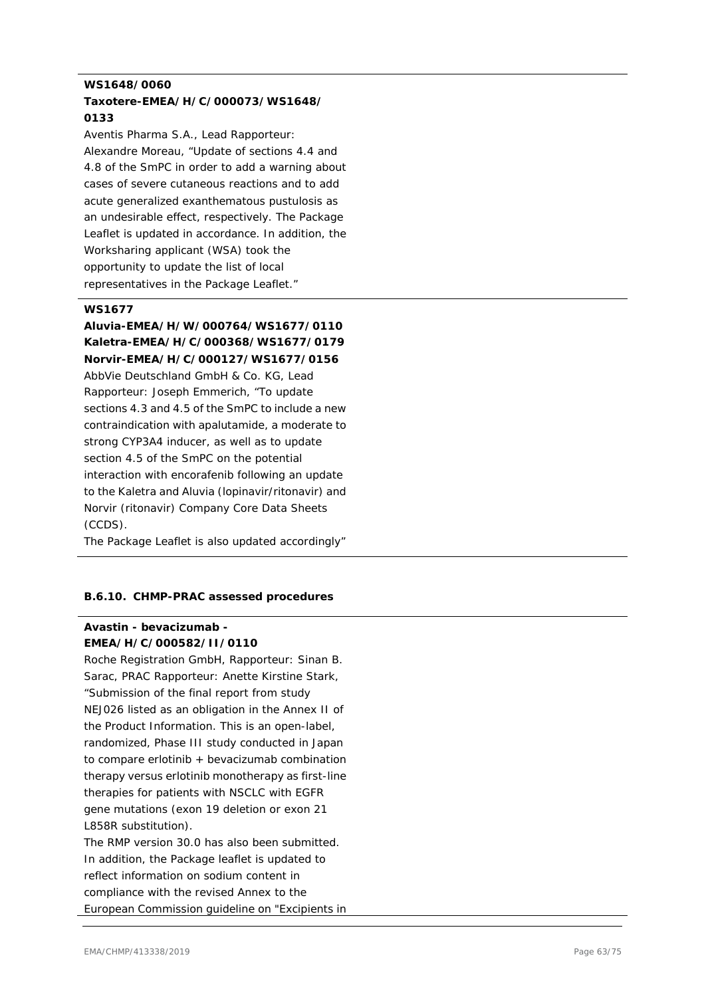### **WS1648/0060 Taxotere-EMEA/H/C/000073/WS1648/ 0133**

Aventis Pharma S.A., Lead Rapporteur: Alexandre Moreau, "Update of sections 4.4 and 4.8 of the SmPC in order to add a warning about cases of severe cutaneous reactions and to add acute generalized exanthematous pustulosis as an undesirable effect, respectively. The Package Leaflet is updated in accordance. In addition, the Worksharing applicant (WSA) took the opportunity to update the list of local representatives in the Package Leaflet."

#### **WS1677**

# **Aluvia-EMEA/H/W/000764/WS1677/0110 Kaletra-EMEA/H/C/000368/WS1677/0179 Norvir-EMEA/H/C/000127/WS1677/0156**

AbbVie Deutschland GmbH & Co. KG, Lead Rapporteur: Joseph Emmerich, "To update sections 4.3 and 4.5 of the SmPC to include a new contraindication with apalutamide, a moderate to strong CYP3A4 inducer, as well as to update section 4.5 of the SmPC on the potential interaction with encorafenib following an update to the Kaletra and Aluvia (lopinavir/ritonavir) and Norvir (ritonavir) Company Core Data Sheets (CCDS).

The Package Leaflet is also updated accordingly"

### **B.6.10. CHMP-PRAC assessed procedures**

### **Avastin - bevacizumab - EMEA/H/C/000582/II/0110**

Roche Registration GmbH, Rapporteur: Sinan B. Sarac, PRAC Rapporteur: Anette Kirstine Stark, "Submission of the final report from study NEJ026 listed as an obligation in the Annex II of the Product Information. This is an open-label, randomized, Phase III study conducted in Japan to compare erlotinib + bevacizumab combination therapy versus erlotinib monotherapy as first-line therapies for patients with NSCLC with EGFR gene mutations (exon 19 deletion or exon 21 L858R substitution).

The RMP version 30.0 has also been submitted. In addition, the Package leaflet is updated to reflect information on sodium content in compliance with the revised Annex to the European Commission guideline on "Excipients in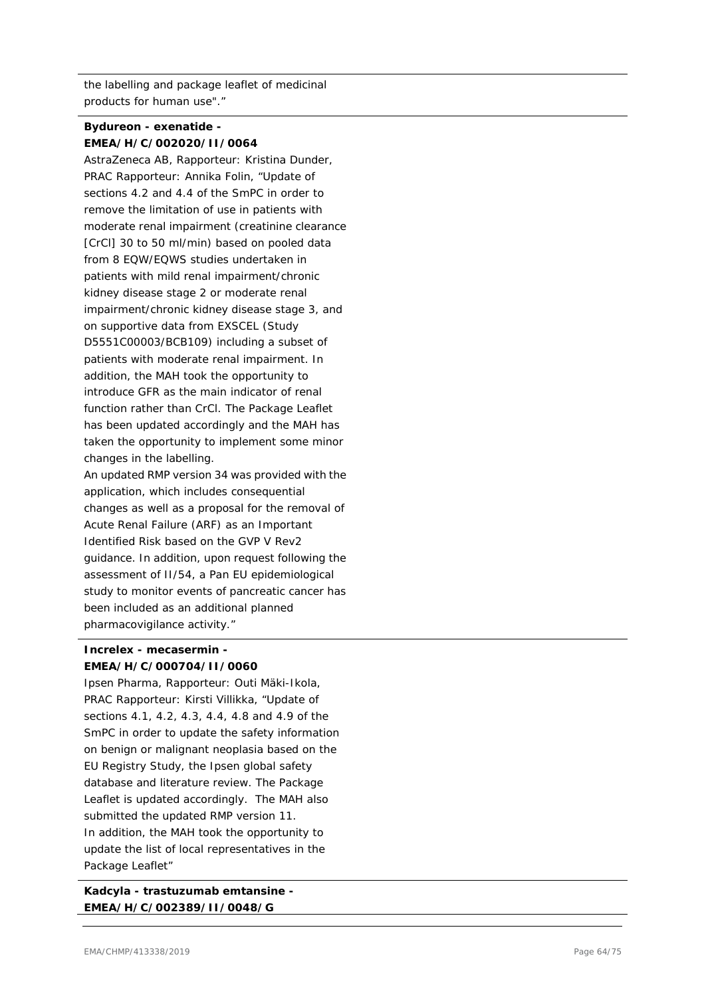the labelling and package leaflet of medicinal products for human use"."

# **Bydureon - exenatide - EMEA/H/C/002020/II/0064**

AstraZeneca AB, Rapporteur: Kristina Dunder, PRAC Rapporteur: Annika Folin, "Update of sections 4.2 and 4.4 of the SmPC in order to remove the limitation of use in patients with moderate renal impairment (creatinine clearance [CrCl] 30 to 50 ml/min) based on pooled data from 8 EQW/EQWS studies undertaken in patients with mild renal impairment/chronic kidney disease stage 2 or moderate renal impairment/chronic kidney disease stage 3, and on supportive data from EXSCEL (Study D5551C00003/BCB109) including a subset of patients with moderate renal impairment. In addition, the MAH took the opportunity to introduce GFR as the main indicator of renal function rather than CrCl. The Package Leaflet has been updated accordingly and the MAH has taken the opportunity to implement some minor changes in the labelling.

An updated RMP version 34 was provided with the application, which includes consequential changes as well as a proposal for the removal of Acute Renal Failure (ARF) as an Important Identified Risk based on the GVP V Rev2 guidance. In addition, upon request following the assessment of II/54, a Pan EU epidemiological study to monitor events of pancreatic cancer has been included as an additional planned pharmacovigilance activity."

### **Increlex - mecasermin - EMEA/H/C/000704/II/0060**

Ipsen Pharma, Rapporteur: Outi Mäki-Ikola, PRAC Rapporteur: Kirsti Villikka, "Update of sections 4.1, 4.2, 4.3, 4.4, 4.8 and 4.9 of the SmPC in order to update the safety information on benign or malignant neoplasia based on the EU Registry Study, the Ipsen global safety database and literature review. The Package Leaflet is updated accordingly. The MAH also submitted the updated RMP version 11. In addition, the MAH took the opportunity to update the list of local representatives in the Package Leaflet"

**Kadcyla - trastuzumab emtansine - EMEA/H/C/002389/II/0048/G**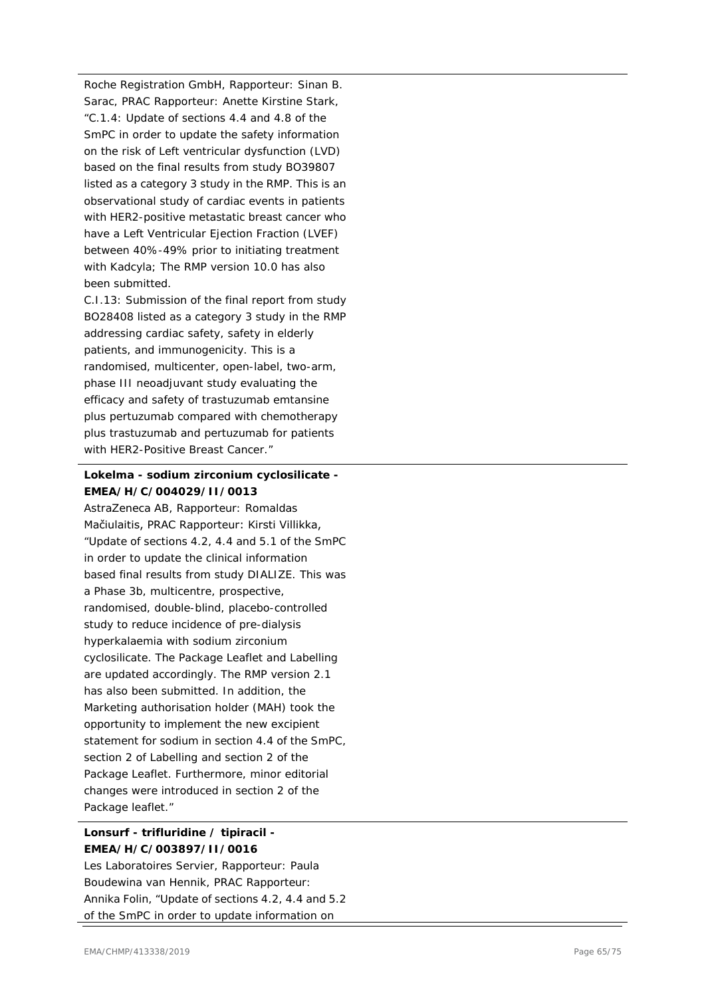Roche Registration GmbH, Rapporteur: Sinan B. Sarac, PRAC Rapporteur: Anette Kirstine Stark, "C.1.4: Update of sections 4.4 and 4.8 of the SmPC in order to update the safety information on the risk of Left ventricular dysfunction (LVD) based on the final results from study BO39807 listed as a category 3 study in the RMP. This is an observational study of cardiac events in patients with HER2 -positive metastatic breast cancer who have a Left Ventricular Ejection Fraction (LVEF) between 40% -49% prior to initiating treatment with Kadcyla; The RMP version 10.0 has also been submitted.

C.I.13: Submission of the final report from study BO28408 listed as a category 3 study in the RMP addressing cardiac safety, safety in elderly patients, and immunogenicity. This is a randomised, multicenter, open -label, two -arm, phase III neoadjuvant study evaluating the efficacy and safety of trastuzumab emtansine plus pertuzumab compared with chemotherapy plus trastuzumab and pertuzumab for patients with HER2 -Positive Breast Cancer."

### **Lokelma - sodium zirconium cyclosilicate - EMEA/H/C/004029/II/0013**

AstraZeneca AB, Rapporteur: Romaldas Mačiulaitis, PRAC Rapporteur: Kirsti Villikka, "Update of sections 4.2, 4.4 and 5.1 of the SmPC in order to update the clinical information based final results from study DIALIZE. This was a Phase 3b, multicentre, prospective, randomised, double -blind, placebo -controlled study to reduce incidence of pr e -dialysis hyperkalaemia with sodium zirconium cyclosilicate. The Package Leaflet and Labelling are updated accordingly. The RMP version 2.1 has also been submitted. In addition, the Marketing authorisation holder (MAH) took the opportunity to implement the new excipient statement for sodium in section 4.4 of the SmPC, section 2 of Labelling and section 2 of the Package Leaflet. Furthermore, minor editorial changes were introduced in section 2 of the Package leaflet."

# **Lonsurf - trifluridine / tipiracil - EMEA/H/C/003897/II/0016**

Les Laboratoires Servier, Rapporteur: Paula Boudewina van Hennik, PRAC Rapporteur: Annika Folin, "Update of sections 4.2, 4.4 and 5.2 of the SmPC in order to update information on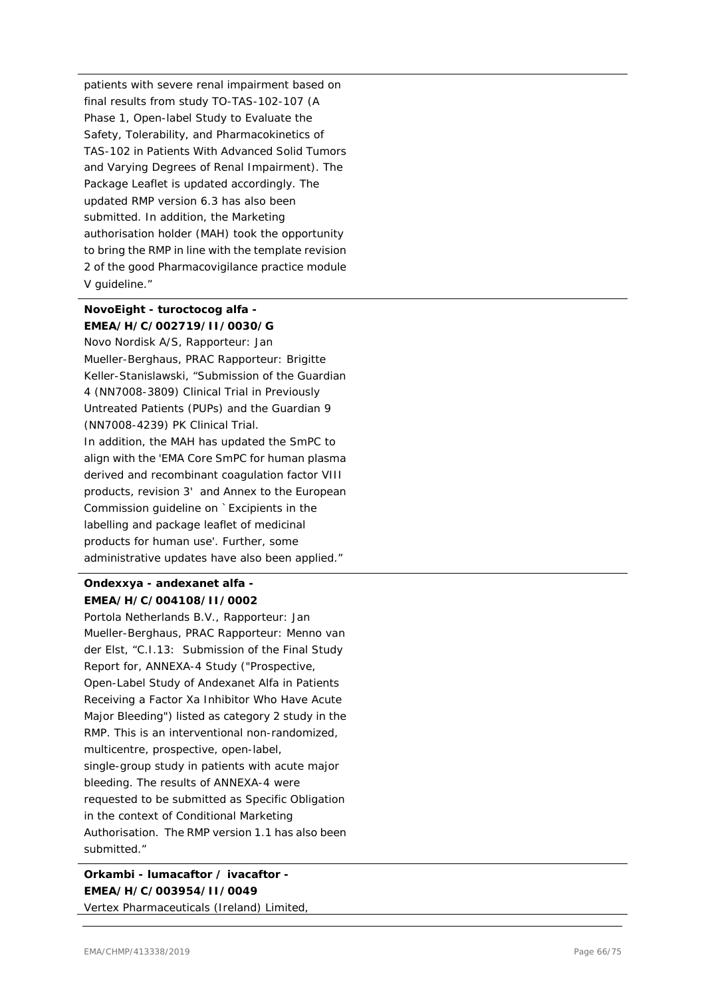patients with severe renal impairment based on final results from study TO-TAS-102-107 (A Phase 1, Open-label Study to Evaluate the Safety, Tolerability, and Pharmacokinetics of TAS-102 in Patients With Advanced Solid Tumors and Varying Degrees of Renal Impairment). The Package Leaflet is updated accordingly. The updated RMP version 6.3 has also been submitted. In addition, the Marketing authorisation holder (MAH) took the opportunity to bring the RMP in line with the template revision 2 of the good Pharmacovigilance practice module V guideline."

# **NovoEight - turoctocog alfa - EMEA/H/C/002719/II/0030/G**

Novo Nordisk A/S, Rapporteur: Jan Mueller-Berghaus, PRAC Rapporteur: Brigitte Keller-Stanislawski, "Submission of the Guardian 4 (NN7008-3809) Clinical Trial in Previously Untreated Patients (PUPs) and the Guardian 9 (NN7008-4239) PK Clinical Trial. In addition, the MAH has updated the SmPC to align with the 'EMA Core SmPC for human plasma derived and recombinant coagulation factor VIII products, revision 3' and Annex to the European Commission guideline on `Excipients in the labelling and package leaflet of medicinal products for human use'. Further, some administrative updates have also been applied."

# **Ondexxya - andexanet alfa - EMEA/H/C/004108/II/0002**

Portola Netherlands B.V., Rapporteur: Jan Mueller-Berghaus, PRAC Rapporteur: Menno van der Elst, "C.I.13: Submission of the Final Study Report for, ANNEXA-4 Study ("Prospective, Open-Label Study of Andexanet Alfa in Patients Receiving a Factor Xa Inhibitor Who Have Acute Major Bleeding") listed as category 2 study in the RMP. This is an interventional non-randomized, multicentre, prospective, open-label, single-group study in patients with acute major bleeding. The results of ANNEXA-4 were requested to be submitted as Specific Obligation in the context of Conditional Marketing Authorisation. The RMP version 1.1 has also been submitted."

**Orkambi - lumacaftor / ivacaftor - EMEA/H/C/003954/II/0049**

Vertex Pharmaceuticals (Ireland) Limited,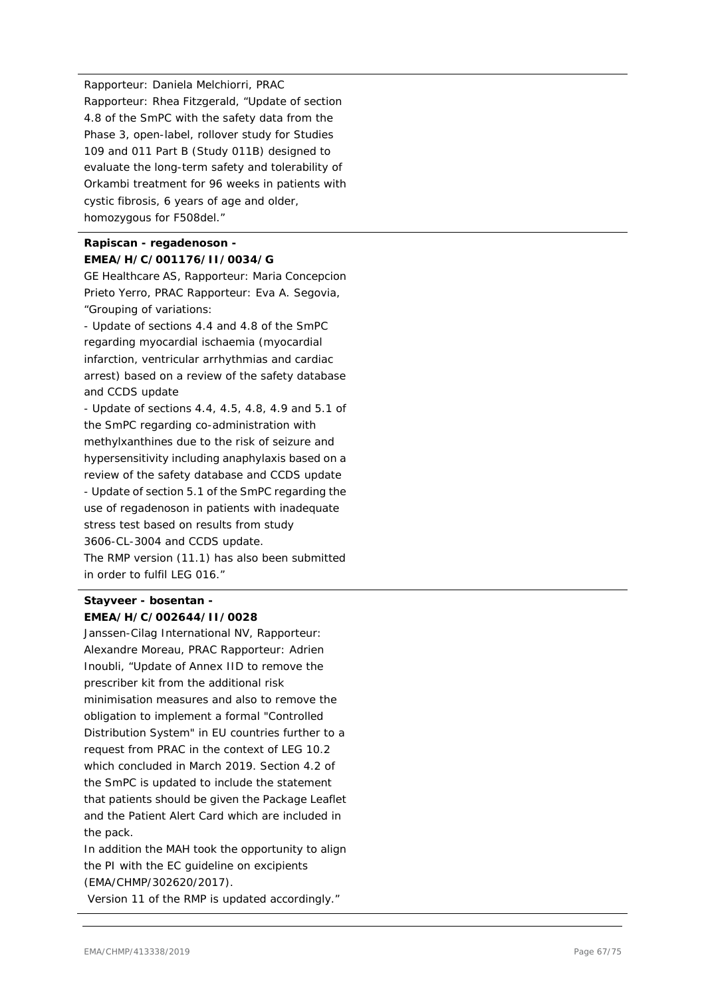Rapporteur: Daniela Melchiorri, PRAC Rapporteur: Rhea Fitzgerald, "Update of section 4.8 of the SmPC with the safety data from the Phase 3, open-label, rollover study for Studies 109 and 011 Part B (Study 011B) designed to evaluate the long-term safety and tolerability of Orkambi treatment for 96 weeks in patients with cystic fibrosis, 6 years of age and older, homozygous for F508del."

# **Rapiscan - regadenoson - EMEA/H/C/001176/II/0034/G**

GE Healthcare AS, Rapporteur: Maria Concepcion Prieto Yerro, PRAC Rapporteur: Eva A. Segovia, "Grouping of variations:

- Update of sections 4.4 and 4.8 of the SmPC regarding myocardial ischaemia (myocardial infarction, ventricular arrhythmias and cardiac arrest) based on a review of the safety database and CCDS update

- Update of sections 4.4, 4.5, 4.8, 4.9 and 5.1 of the SmPC regarding co-administration with methylxanthines due to the risk of seizure and hypersensitivity including anaphylaxis based on a review of the safety database and CCDS update - Update of section 5.1 of the SmPC regarding the use of regadenoson in patients with inadequate stress test based on results from study 3606-CL-3004 and CCDS update. The RMP version (11.1) has also been submitted in order to fulfil LEG 016."

# **Stayveer - bosentan - EMEA/H/C/002644/II/0028**

Janssen-Cilag International NV, Rapporteur: Alexandre Moreau, PRAC Rapporteur: Adrien Inoubli, "Update of Annex IID to remove the prescriber kit from the additional risk minimisation measures and also to remove the obligation to implement a formal "Controlled Distribution System" in EU countries further to a request from PRAC in the context of LEG 10.2 which concluded in March 2019. Section 4.2 of the SmPC is updated to include the statement that patients should be given the Package Leaflet and the Patient Alert Card which are included in the pack.

In addition the MAH took the opportunity to align the PI with the EC guideline on excipients (EMA/CHMP/302620/2017).

Version 11 of the RMP is updated accordingly."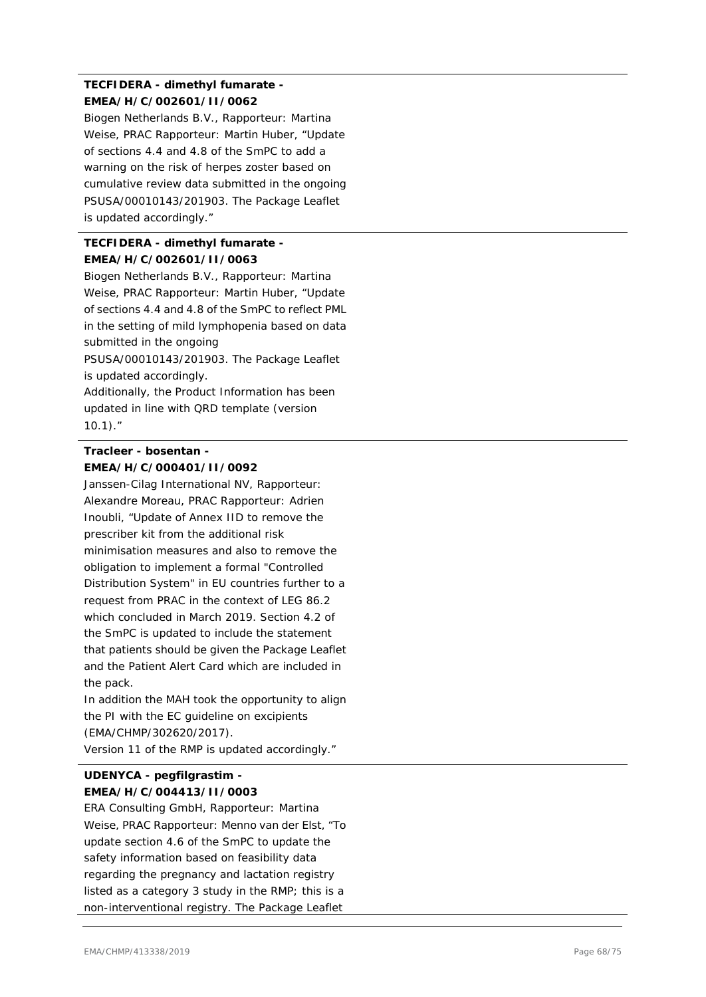# **TECFIDERA - dimethyl fumarate - EMEA/H/C/002601/II/0062**

Biogen Netherlands B.V., Rapporteur: Martina Weise, PRAC Rapporteur: Martin Huber, "Update of sections 4.4 and 4.8 of the SmPC to add a warning on the risk of herpes zoster based on cumulative review data submitted in the ongoing PSUSA/00010143/201903. The Package Leaflet is updated accordingly."

# **TECFIDERA - dimethyl fumarate - EMEA/H/C/002601/II/0063**

Biogen Netherlands B.V., Rapporteur: Martina Weise, PRAC Rapporteur: Martin Huber, "Update of sections 4.4 and 4.8 of the SmPC to reflect PML in the setting of mild lymphopenia based on data submitted in the ongoing

PSUSA/00010143/201903. The Package Leaflet is updated accordingly.

Additionally, the Product Information has been updated in line with QRD template (version 10.1)."

# **Tracleer - bosentan - EMEA/H/C/000401/II/0092**

Janssen-Cilag International NV, Rapporteur: Alexandre Moreau, PRAC Rapporteur: Adrien Inoubli, "Update of Annex IID to remove the prescriber kit from the additional risk minimisation measures and also to remove the obligation to implement a formal "Controlled Distribution System" in EU countries further to a request from PRAC in the context of LEG 86.2 which concluded in March 2019. Section 4.2 of the SmPC is updated to include the statement that patients should be given the Package Leaflet and the Patient Alert Card which are included in the pack.

In addition the MAH took the opportunity to align the PI with the EC guideline on excipients (EMA/CHMP/302620/2017).

# Version 11 of the RMP is updated accordingly."

# **UDENYCA - pegfilgrastim - EMEA/H/C/004413/II/0003**

ERA Consulting GmbH, Rapporteur: Martina Weise, PRAC Rapporteur: Menno van der Elst, "To update section 4.6 of the SmPC to update the safety information based on feasibility data regarding the pregnancy and lactation registry listed as a category 3 study in the RMP; this is a non-interventional registry. The Package Leaflet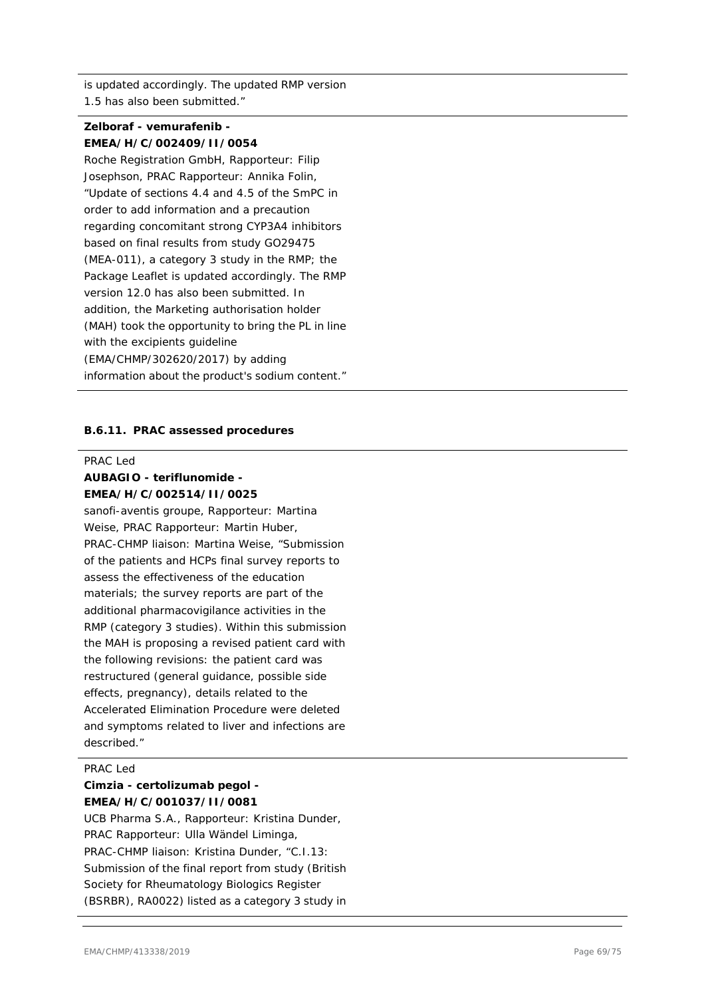is updated accordingly. The updated RMP version 1.5 has also been submitted."

# **Zelboraf - vemurafenib - EMEA/H/C/002409/II/0054**

Roche Registration GmbH, Rapporteur: Filip Josephson, PRAC Rapporteur: Annika Folin, "Update of sections 4.4 and 4.5 of the SmPC in order to add information and a precaution regarding concomitant strong CYP3A4 inhibitors based on final results from study GO29475 (MEA-011), a category 3 study in the RMP; the Package Leaflet is updated accordingly. The RMP version 12.0 has also been submitted. In addition, the Marketing authorisation holder (MAH) took the opportunity to bring the PL in line with the excipients guideline (EMA/CHMP/302620/2017) by adding information about the product's sodium content."

### **B.6.11. PRAC assessed procedures**

#### PRAC Led

### **AUBAGIO - teriflunomide - EMEA/H/C/002514/II/0025**

sanofi-aventis groupe, Rapporteur: Martina Weise, PRAC Rapporteur: Martin Huber, PRAC-CHMP liaison: Martina Weise, "Submission of the patients and HCPs final survey reports to assess the effectiveness of the education materials; the survey reports are part of the additional pharmacovigilance activities in the RMP (category 3 studies). Within this submission the MAH is proposing a revised patient card with the following revisions: the patient card was restructured (general guidance, possible side effects, pregnancy), details related to the Accelerated Elimination Procedure were deleted and symptoms related to liver and infections are described."

### PRAC Led

### **Cimzia - certolizumab pegol - EMEA/H/C/001037/II/0081**

UCB Pharma S.A., Rapporteur: Kristina Dunder, PRAC Rapporteur: Ulla Wändel Liminga, PRAC-CHMP liaison: Kristina Dunder, "C.I.13: Submission of the final report from study (British Society for Rheumatology Biologics Register (BSRBR), RA0022) listed as a category 3 study in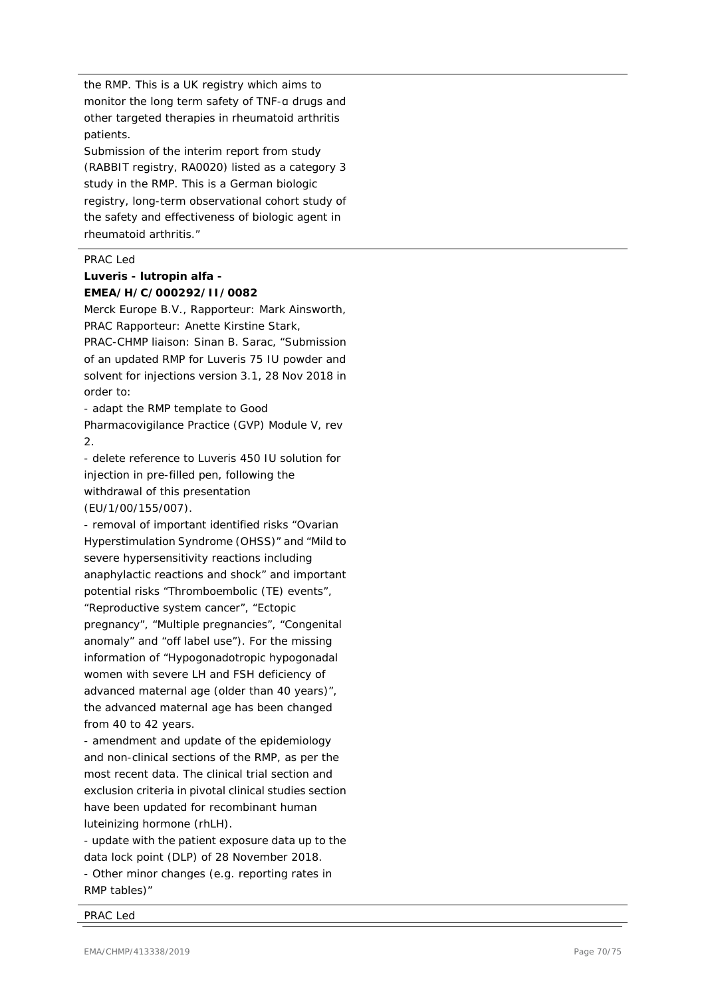the RMP. This is a UK registry which aims to monitor the long term safety of TNF -α drugs and other targeted therapies in rheumatoid arthritis patients.

Submission of the interim report from study (RABBIT registry, RA0020) listed as a category 3 study in the RMP. This is a German biologic registry, long -term observational cohort study of the safety and effectiveness of biologic agent in rheumatoid arthritis."

### PRAC Led

### **Luveris - lutropin alfa - EMEA/H/C/000292/II/0082**

Merck Europe B.V., Rapporteur: Mark Ainsworth, PRAC Rapporteur: Anette Kirstine Stark,

PRAC -CHMP liaison: Sinan B. Sarac, "Submission of an updated RMP for Luveris 75 IU powder and solvent for injections version 3.1, 28 Nov 2018 in order to:

- adapt the RMP template to Good

Pharmacovigilance Practice (GVP) Module V, rev 2.

- delete reference to Luveris 450 IU solution for injection in pre -filled pen, following the withdrawal of this presentation (EU/1/00/155/007).

- removal of important identified risks "Ovarian Hyperstimulation Syndrome (OHSS)" and "Mild to severe hypersensitivity reactions including anaphylactic reactions and shock" and important potential risks "Thromboembolic (TE) events", "Reproductive system cancer", "Ectopic pregnancy", "Multiple pregnancies", "Congenital anomaly" and "off label use"). For the missing information of "Hypogonadotropic hypogonadal women with severe LH and FSH deficiency of advanced maternal age (older than 40 years)", the advanced maternal age has been changed from 40 to 42 years.

- amendment and update of the epidemiology and non -clinical sections of the RMP, as per the most recent data. The clinical trial section and exclusion criteria in pivotal clinical studies section have been updated for recombinant human luteinizing hormone (rhLH).

- update with the patient exposure data up to the data lock point (DLP) of 28 November 2018. - Other minor changes (e.g. reporting rates in RMP tables)"

#### PRAC Led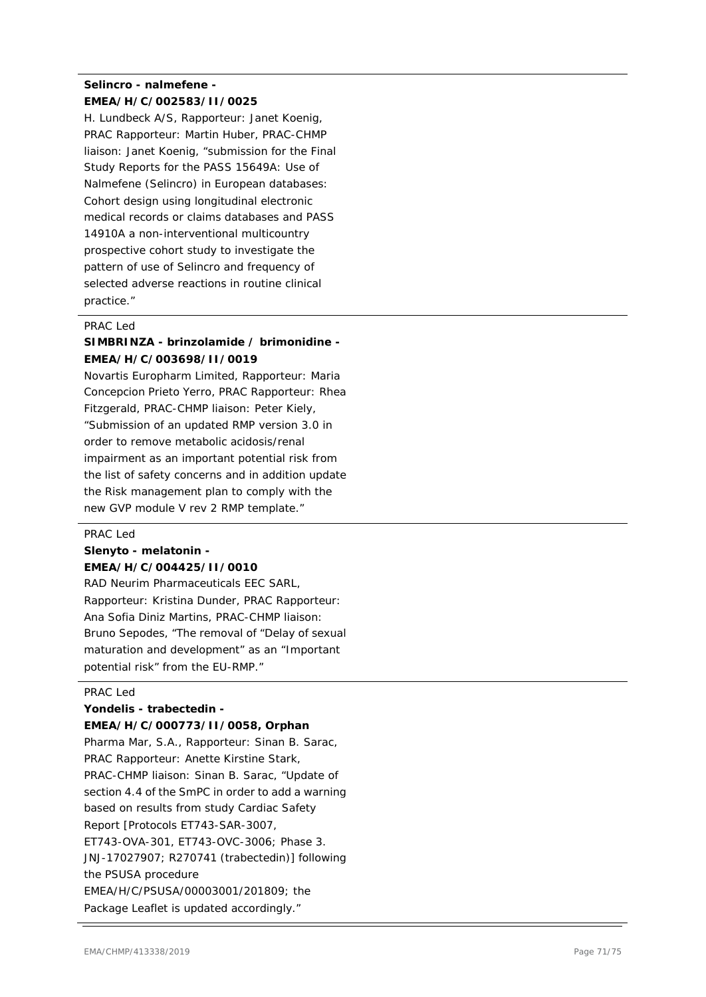# **Selincro - nalmefene - EMEA/H/C/002583/II/0025**

H. Lundbeck A/S, Rapporteur: Janet Koenig, PRAC Rapporteur: Martin Huber, PRAC-CHMP liaison: Janet Koenig, "submission for the Final Study Reports for the PASS 15649A: Use of Nalmefene (Selincro) in European databases: Cohort design using longitudinal electronic medical records or claims databases and PASS 14910A a non-interventional multicountry prospective cohort study to investigate the pattern of use of Selincro and frequency of selected adverse reactions in routine clinical practice."

### PRAC Led

### **SIMBRINZA - brinzolamide / brimonidine - EMEA/H/C/003698/II/0019**

Novartis Europharm Limited, Rapporteur: Maria Concepcion Prieto Yerro, PRAC Rapporteur: Rhea Fitzgerald, PRAC-CHMP liaison: Peter Kiely, "Submission of an updated RMP version 3.0 in order to remove metabolic acidosis/renal impairment as an important potential risk from the list of safety concerns and in addition update the Risk management plan to comply with the new GVP module V rev 2 RMP template."

#### PRAC Led

# **Slenyto - melatonin -**

#### **EMEA/H/C/004425/II/0010**

RAD Neurim Pharmaceuticals EEC SARL, Rapporteur: Kristina Dunder, PRAC Rapporteur: Ana Sofia Diniz Martins, PRAC-CHMP liaison: Bruno Sepodes, "The removal of "Delay of sexual maturation and development" as an "Important potential risk" from the EU-RMP."

#### PRAC Led

### **Yondelis - trabectedin -**

### **EMEA/H/C/000773/II/0058, Orphan**

Pharma Mar, S.A., Rapporteur: Sinan B. Sarac, PRAC Rapporteur: Anette Kirstine Stark, PRAC-CHMP liaison: Sinan B. Sarac, "Update of section 4.4 of the SmPC in order to add a warning based on results from study Cardiac Safety Report [Protocols ET743-SAR-3007, ET743-OVA-301, ET743-OVC-3006; Phase 3. JNJ-17027907; R270741 (trabectedin)] following the PSUSA procedure EMEA/H/C/PSUSA/00003001/201809; the Package Leaflet is updated accordingly."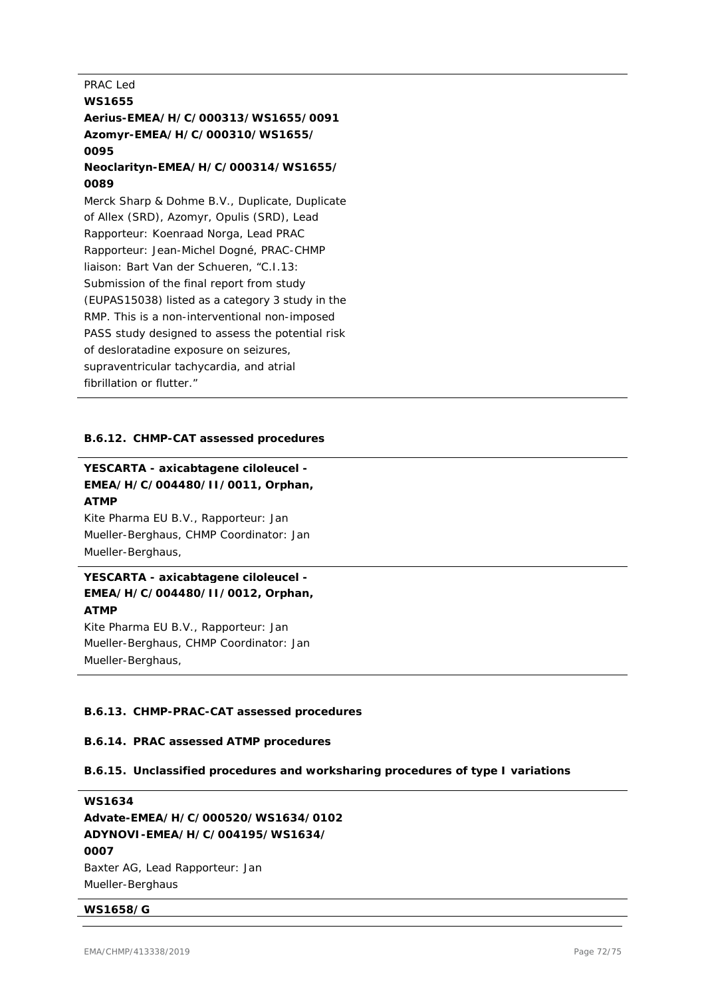### PRAC Led

# **WS1655 Aerius-EMEA/H/C/000313/WS1655/0091 Azomyr-EMEA/H/C/000310/WS1655/ 0095**

# **Neoclarityn-EMEA/H/C/000314/WS1655/ 0089**

Merck Sharp & Dohme B.V., Duplicate, Duplicate of Allex (SRD), Azomyr, Opulis (SRD), Lead Rapporteur: Koenraad Norga, Lead PRAC Rapporteur: Jean-Michel Dogné, PRAC-CHMP liaison: Bart Van der Schueren, "C.I.13: Submission of the final report from study (EUPAS15038) listed as a category 3 study in the RMP. This is a non-interventional non-imposed PASS study designed to assess the potential risk of desloratadine exposure on seizures, supraventricular tachycardia, and atrial fibrillation or flutter."

### **B.6.12. CHMP-CAT assessed procedures**

## **YESCARTA - axicabtagene ciloleucel - EMEA/H/C/004480/II/0011, Orphan, ATMP**

Kite Pharma EU B.V., Rapporteur: Jan Mueller-Berghaus, CHMP Coordinator: Jan Mueller-Berghaus,

# **YESCARTA - axicabtagene ciloleucel - EMEA/H/C/004480/II/0012, Orphan, ATMP**

Kite Pharma EU B.V., Rapporteur: Jan Mueller-Berghaus, CHMP Coordinator: Jan Mueller-Berghaus,

### **B.6.13. CHMP-PRAC-CAT assessed procedures**

### **B.6.14. PRAC assessed ATMP procedures**

### **B.6.15. Unclassified procedures and worksharing procedures of type I variations**

**WS1634 Advate-EMEA/H/C/000520/WS1634/0102 ADYNOVI-EMEA/H/C/004195/WS1634/ 0007** Baxter AG, Lead Rapporteur: Jan Mueller-Berghaus

### **WS1658/G**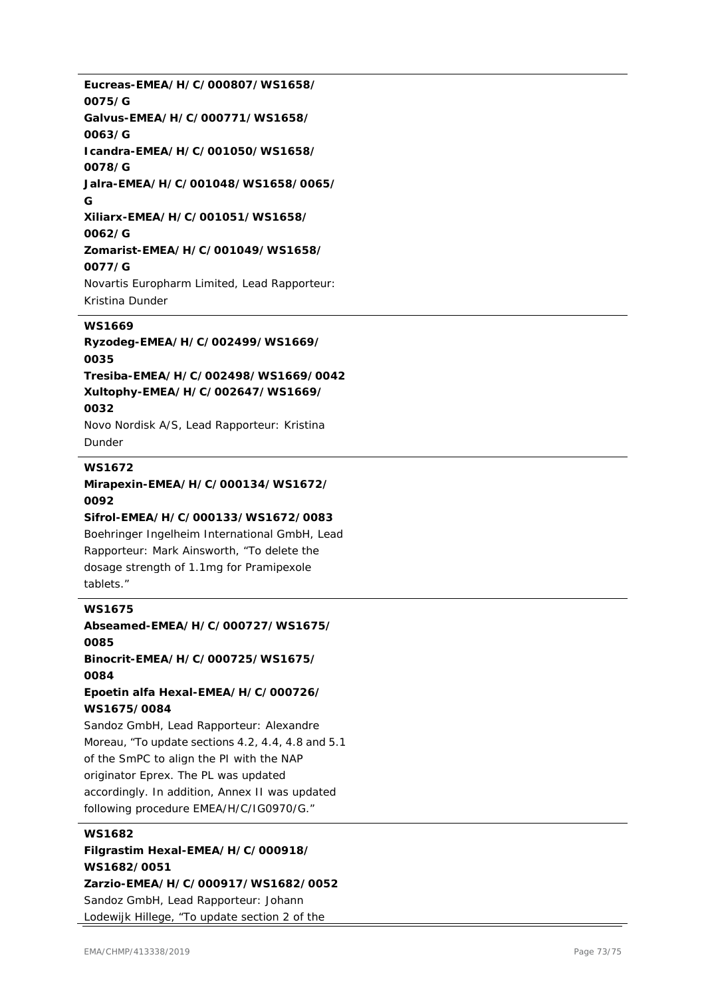**Eucreas-EMEA/H/C/000807/WS1658/ 0075/G Galvus-EMEA/H/C/000771/WS1658/ 0063/G Icandra-EMEA/H/C/001050/WS1658/ 0078/G Jalra-EMEA/H/C/001048/WS1658/0065/ G Xiliarx-EMEA/H/C/001051/WS1658/ 0062/G Zomarist-EMEA/H/C/001049/WS1658/ 0077/G** Novartis Europharm Limited, Lead Rapporteur: Kristina Dunder

### **WS1669**

**Ryzodeg-EMEA/H/C/002499/WS1669/ 0035 Tresiba-EMEA/H/C/002498/WS1669/0042 Xultophy-EMEA/H/C/002647/WS1669/ 0032** Novo Nordisk A/S, Lead Rapporteur: Kristina Dunder

#### **WS1672**

**Mirapexin-EMEA/H/C/000134/WS1672/ 0092 Sifrol-EMEA/H/C/000133/WS1672/0083**

Boehringer Ingelheim International GmbH, Lead Rapporteur: Mark Ainsworth, "To delete the dosage strength of 1.1mg for Pramipexole tablets."

### **WS1675**

**Abseamed-EMEA/H/C/000727/WS1675/ 0085 Binocrit-EMEA/H/C/000725/WS1675/ 0084 Epoetin alfa Hexal-EMEA/H/C/000726/ WS1675/0084**

Sandoz GmbH, Lead Rapporteur: Alexandre Moreau, "To update sections 4.2, 4.4, 4.8 and 5.1 of the SmPC to align the PI with the NAP originator Eprex. The PL was updated accordingly. In addition, Annex II was updated following procedure EMEA/H/C/IG0970/G."

### **WS1682**

**Filgrastim Hexal-EMEA/H/C/000918/ WS1682/0051 Zarzio-EMEA/H/C/000917/WS1682/0052** Sandoz GmbH, Lead Rapporteur: Johann Lodewijk Hillege, "To update section 2 of the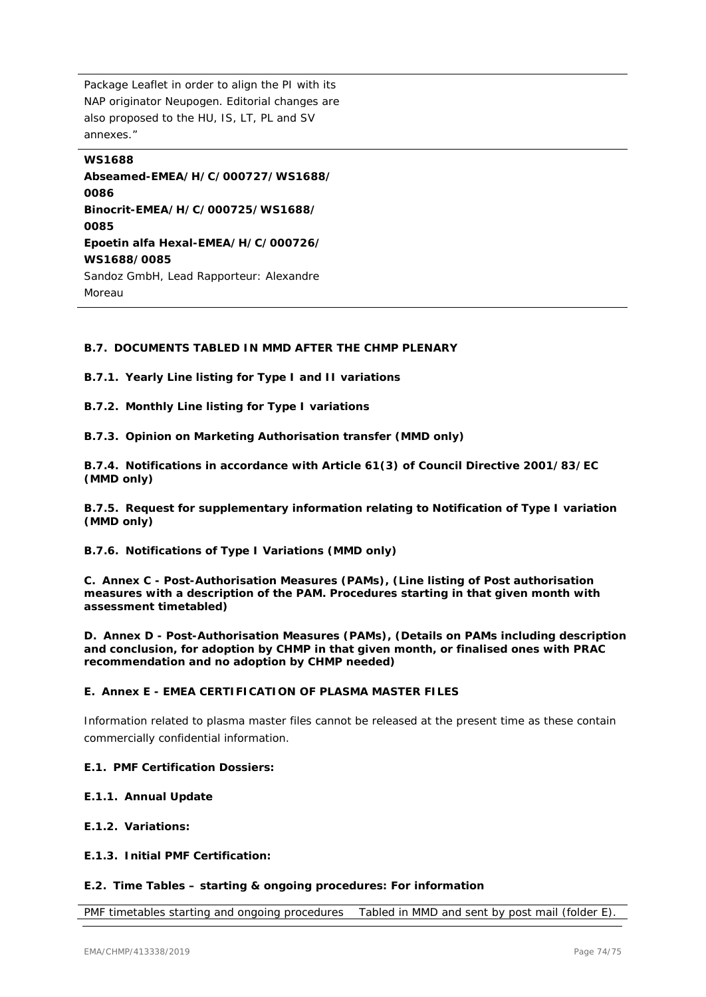Package Leaflet in order to align the PI with its NAP originator Neupogen. Editorial changes are also proposed to the HU, IS, LT, PL and SV annexes."

**WS1688 Abseamed-EMEA/H/C/000727/WS1688/ 0086 Binocrit-EMEA/H/C/000725/WS1688/ 0085 Epoetin alfa Hexal-EMEA/H/C/000726/ WS1688/0085** Sandoz GmbH, Lead Rapporteur: Alexandre Moreau

### **B.7. DOCUMENTS TABLED IN MMD AFTER THE CHMP PLENARY**

**B.7.1. Yearly Line listing for Type I and II variations**

**B.7.2. Monthly Line listing for Type I variations**

**B.7.3. Opinion on Marketing Authorisation transfer (MMD only)**

**B.7.4. Notifications in accordance with Article 61(3) of Council Directive 2001/83/EC (MMD only)**

**B.7.5. Request for supplementary information relating to Notification of Type I variation (MMD only)**

**B.7.6. Notifications of Type I Variations (MMD only)**

**C. Annex C - Post-Authorisation Measures (PAMs), (Line listing of Post authorisation measures with a description of the PAM. Procedures starting in that given month with assessment timetabled)**

**D. Annex D - Post-Authorisation Measures (PAMs), (Details on PAMs including description and conclusion, for adoption by CHMP in that given month, or finalised ones with PRAC recommendation and no adoption by CHMP needed)**

#### **E. Annex E - EMEA CERTIFICATION OF PLASMA MASTER FILES**

Information related to plasma master files cannot be released at the present time as these contain commercially confidential information.

#### **E.1. PMF Certification Dossiers:**

#### **E.1.1. Annual Update**

- **E.1.2. Variations:**
- **E.1.3. Initial PMF Certification:**

#### **E.2. Time Tables – starting & ongoing procedures: For information**

PMF timetables starting and ongoing procedures Tabled in MMD and sent by post mail (folder E)